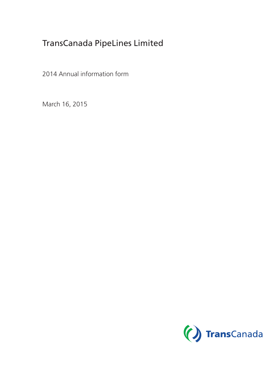# TransCanada PipeLines Limited

2014 Annual information form

March 16, 2015

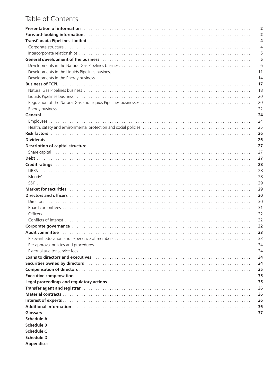# Table of Contents

|                                                                                                                                                                                                                                | 2                       |
|--------------------------------------------------------------------------------------------------------------------------------------------------------------------------------------------------------------------------------|-------------------------|
|                                                                                                                                                                                                                                | $\overline{\mathbf{2}}$ |
|                                                                                                                                                                                                                                | 4                       |
|                                                                                                                                                                                                                                | 4                       |
|                                                                                                                                                                                                                                | 5                       |
|                                                                                                                                                                                                                                | 5                       |
|                                                                                                                                                                                                                                | 6                       |
|                                                                                                                                                                                                                                | 11                      |
|                                                                                                                                                                                                                                | 14                      |
|                                                                                                                                                                                                                                | 17                      |
|                                                                                                                                                                                                                                | 18                      |
|                                                                                                                                                                                                                                | 20                      |
|                                                                                                                                                                                                                                | 20                      |
|                                                                                                                                                                                                                                | 22                      |
|                                                                                                                                                                                                                                | 24                      |
|                                                                                                                                                                                                                                | 24                      |
|                                                                                                                                                                                                                                | 25                      |
|                                                                                                                                                                                                                                | 26                      |
|                                                                                                                                                                                                                                | 26                      |
| Description of capital structure with an array and the contract of the contract of the contract of the contract of the contract of the contract of the contract of the contract of the contract of the contract of the contrac | 27                      |
|                                                                                                                                                                                                                                | 27                      |
|                                                                                                                                                                                                                                | 27                      |
|                                                                                                                                                                                                                                | 28                      |
|                                                                                                                                                                                                                                | 28                      |
|                                                                                                                                                                                                                                | 28                      |
|                                                                                                                                                                                                                                | 29                      |
|                                                                                                                                                                                                                                | 29                      |
| Directors and officers with a continuous control of the control of the control of the control of the control of                                                                                                                | 30                      |
|                                                                                                                                                                                                                                | 30                      |
|                                                                                                                                                                                                                                | 31                      |
|                                                                                                                                                                                                                                | 32                      |
|                                                                                                                                                                                                                                | 32                      |
| Corporate governance with the contract of the contract of the contract of the contract of the contract of the contract of the contract of the contract of the contract of the contract of the contract of the contract of the  | 32                      |
|                                                                                                                                                                                                                                | 33                      |
|                                                                                                                                                                                                                                | 33                      |
|                                                                                                                                                                                                                                |                         |
|                                                                                                                                                                                                                                | 34                      |
|                                                                                                                                                                                                                                | 34                      |
|                                                                                                                                                                                                                                | 34                      |
| Securities owned by directors with an array and the control of the securities owned by directors with a securities                                                                                                             | 34                      |
|                                                                                                                                                                                                                                | 35                      |
|                                                                                                                                                                                                                                | 35                      |
| Legal proceedings and regulatory actions entitled and contain and container and proceedings and regulatory actions are all the set of the set of the set of the set of the set of the set of the set of the set of the set of  | 35                      |
|                                                                                                                                                                                                                                | 36                      |
|                                                                                                                                                                                                                                | 36                      |
|                                                                                                                                                                                                                                | 36                      |
|                                                                                                                                                                                                                                | 36                      |
|                                                                                                                                                                                                                                | 37                      |
| <b>Schedule A</b>                                                                                                                                                                                                              |                         |
| <b>Schedule B</b>                                                                                                                                                                                                              |                         |
| <b>Schedule C</b>                                                                                                                                                                                                              |                         |

**Schedule D Appendices**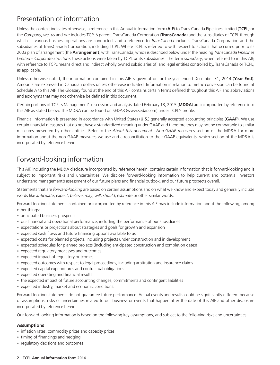## Presentation of information

Unless the context indicates otherwise, a reference in this Annual information form (**AIF**) to Trans Canada PipeLines Limited (**TCPL***)* or the *Company*, *we*, *us* and *our* includes TCPL's parent, TransCanada Corporation (**TransCanada**) and the subsidiaries of TCPL through which its various business operations are conducted, and a reference to *TransCanada* includes TransCanada Corporation and the subsidiaries of TransCanada Corporation, including TCPL. Where TCPL is referred to with respect to actions that occurred prior to its 2003 plan of arrangement (the **Arrangement**) with TransCanada, which is described below under the heading *TransCanada PipeLines Limited* – *Corporate structure*, these actions were taken by TCPL or its subsidiaries. The term *subsidiary*, when referred to in this AIF, with reference to TCPL means direct and indirect wholly owned subsidiaries of, and legal entities controlled by, TransCanada or TCPL, as applicable.

Unless otherwise noted, the information contained in this AIF is given at or for the year ended December 31, 2014 (**Year End**). Amounts are expressed in Canadian dollars unless otherwise indicated. Information in relation to metric conversion can be found at Schedule A to this AIF. The Glossary found at the end of this AIF contains certain terms defined throughout this AIF and abbreviations and acronyms that may not otherwise be defined in this document.

Certain portions of TCPL's Management's discussion and analysis dated February 13, 2015 (**MD&A**) are incorporated by reference into this AIF as stated below. The MD&A can be found on SEDAR (www.sedar.com) under TCPL's profile.

Financial information is presented in accordance with United States (**U.S.**) generally accepted accounting principles (**GAAP**). We use certain financial measures that do not have a standardized meaning under GAAP and therefore they may not be comparable to similar measures presented by other entities. Refer to the *About this document – Non-GAAP measures* section of the MD&A for more information about the non-GAAP measures we use and a reconciliation to their GAAP equivalents, which section of the MD&A is incorporated by reference herein.

# Forward-looking information

This AIF, including the MD&A disclosure incorporated by reference herein, contains certain information that is forward-looking and is subject to important risks and uncertainties. We disclose forward-looking information to help current and potential investors understand management's assessment of our future plans and financial outlook, and our future prospects overall.

Statements that are *forward-looking* are based on certain assumptions and on what we know and expect today and generally include words like *anticipate*, *expect*, *believe*, *may*, *will*, *should*, *estimate* or other similar words.

Forward-looking statements contained or incorporated by reference in this AIF may include information about the following, among other things:

- anticipated business prospects
- our financial and operational performance, including the performance of our subsidiaries
- expectations or projections about strategies and goals for growth and expansion
- expected cash flows and future financing options available to us
- expected costs for planned projects, including projects under construction and in development
- expected schedules for planned projects (including anticipated construction and completion dates)
- expected regulatory processes and outcomes
- expected impact of regulatory outcomes
- expected outcomes with respect to legal proceedings, including arbitration and insurance claims
- expected capital expenditures and contractual obligations
- expected operating and financial results
- the expected impact of future accounting changes, commitments and contingent liabilities
- expected industry, market and economic conditions.

Forward-looking statements do not guarantee future performance. Actual events and results could be significantly different because of assumptions, risks or uncertainties related to our business or events that happen after the date of this AIF and other disclosure incorporated by reference herein.

Our forward-looking information is based on the following key assumptions, and subject to the following risks and uncertainties:

### **Assumptions**

- inflation rates, commodity prices and capacity prices
- timing of financings and hedging
- regulatory decisions and outcomes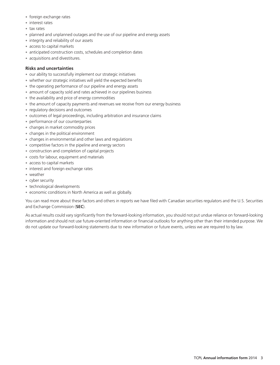- foreign exchange rates
- interest rates
- tax rates
- planned and unplanned outages and the use of our pipeline and energy assets
- integrity and reliability of our assets
- access to capital markets
- anticipated construction costs, schedules and completion dates
- acquisitions and divestitures.

### **Risks and uncertainties**

- our ability to successfully implement our strategic initiatives
- whether our strategic initiatives will yield the expected benefits
- the operating performance of our pipeline and energy assets
- amount of capacity sold and rates achieved in our pipelines business
- the availability and price of energy commodities
- the amount of capacity payments and revenues we receive from our energy business
- regulatory decisions and outcomes
- outcomes of legal proceedings, including arbitration and insurance claims
- performance of our counterparties
- changes in market commodity prices
- changes in the political environment
- changes in environmental and other laws and regulations
- competitive factors in the pipeline and energy sectors
- construction and completion of capital projects
- costs for labour, equipment and materials
- access to capital markets
- interest and foreign exchange rates
- weather
- cyber security
- technological developments
- economic conditions in North America as well as globally.

You can read more about these factors and others in reports we have filed with Canadian securities regulators and the U.S. Securities and Exchange Commission (**SEC**).

As actual results could vary significantly from the forward-looking information, you should not put undue reliance on forward-looking information and should not use future-oriented information or financial outlooks for anything other than their intended purpose. We do not update our forward-looking statements due to new information or future events, unless we are required to by law.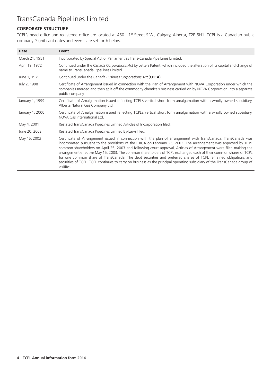# TransCanada PipeLines Limited

### **CORPORATE STRUCTURE**

TCPL's head office and registered office are located at 450 – 1st Street S.W., Calgary, Alberta, T2P 5H1. TCPL is a Canadian public company. Significant dates and events are set forth below.

| Date            | Event                                                                                                                                                                                                                                                                                                                                                                                                                                                                                                                                                                                                                                                                                                                                  |
|-----------------|----------------------------------------------------------------------------------------------------------------------------------------------------------------------------------------------------------------------------------------------------------------------------------------------------------------------------------------------------------------------------------------------------------------------------------------------------------------------------------------------------------------------------------------------------------------------------------------------------------------------------------------------------------------------------------------------------------------------------------------|
| March 21, 1951  | Incorporated by Special Act of Parliament as Trans-Canada Pipe Lines Limited.                                                                                                                                                                                                                                                                                                                                                                                                                                                                                                                                                                                                                                                          |
| April 19, 1972  | Continued under the Canada Corporations Act by Letters Patent, which included the alteration of its capital and change of<br>name to TransCanada PipeLines Limited.                                                                                                                                                                                                                                                                                                                                                                                                                                                                                                                                                                    |
| June 1, 1979    | Continued under the Canada Business Corporations Act (CBCA).                                                                                                                                                                                                                                                                                                                                                                                                                                                                                                                                                                                                                                                                           |
| July 2, 1998    | Certificate of Arrangement issued in connection with the Plan of Arrangement with NOVA Corporation under which the<br>companies merged and then split off the commodity chemicals business carried on by NOVA Corporation into a separate<br>public company.                                                                                                                                                                                                                                                                                                                                                                                                                                                                           |
| January 1, 1999 | Certificate of Amalgamation issued reflecting TCPL's vertical short form amalgamation with a wholly owned subsidiary,<br>Alberta Natural Gas Company Ltd.                                                                                                                                                                                                                                                                                                                                                                                                                                                                                                                                                                              |
| January 1, 2000 | Certificate of Amalgamation issued reflecting TCPL's vertical short form amalgamation with a wholly owned subsidiary,<br>NOVA Gas International Ltd.                                                                                                                                                                                                                                                                                                                                                                                                                                                                                                                                                                                   |
| May 4, 2001     | Restated TransCanada PipeLines Limited Articles of Incorporation filed.                                                                                                                                                                                                                                                                                                                                                                                                                                                                                                                                                                                                                                                                |
| June 20, 2002   | Restated TransCanada PipeLines Limited By-Laws filed.                                                                                                                                                                                                                                                                                                                                                                                                                                                                                                                                                                                                                                                                                  |
| May 15, 2003    | Certificate of Arrangement issued in connection with the plan of arrangement with TransCanada. TransCanada was<br>incorporated pursuant to the provisions of the CBCA on February 25, 2003. The arrangement was approved by TCPL<br>common shareholders on April 25, 2003 and following court approval, Articles of Arrangement were filed making the<br>arrangement effective May 15, 2003. The common shareholders of TCPL exchanged each of their common shares of TCPL<br>for one common share of TransCanada. The debt securities and preferred shares of TCPL remained obligations and<br>securities of TCPL. TCPL continues to carry on business as the principal operating subsidiary of the TransCanada group of<br>entities. |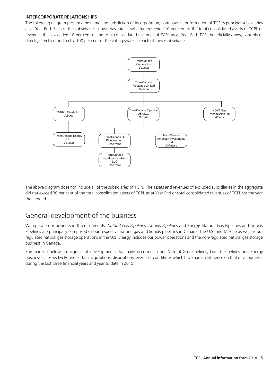### **INTERCORPORATE RELATIONSHIPS**

The following diagram presents the name and jurisdiction of incorporation, continuance or formation of TCPL's principal subsidiaries as at Year End. Each of the subsidiaries shown has total assets that exceeded 10 per cent of the total consolidated assets of TCPL or revenues that exceeded 10 per cent of the total consolidated revenues of TCPL as at Year End. TCPL beneficially owns, controls or directs, directly or indirectly, 100 per cent of the voting shares in each of these subsidiaries.



The above diagram does not include all of the subsidiaries of TCPL. The assets and revenues of excluded subsidiaries in the aggregate did not exceed 20 per cent of the total consolidated assets of TCPL as at Year End or total consolidated revenues of TCPL for the year then ended.

## General development of the business

We operate our business in three segments: *Natural Gas Pipelines*, *Liquids Pipelines* and *Energy*. Natural Gas Pipelines and Liquids Pipelines are principally comprised of our respective natural gas and liquids pipelines in Canada, the U.S. and Mexico as well as our regulated natural gas storage operations in the U.S. Energy includes our power operations and the non-regulated natural gas storage business in Canada.

Summarized below are significant developments that have occurred in our Natural Gas Pipelines, Liquids Pipelines and Energy businesses, respectively, and certain acquisitions, dispositions, events or conditions which have had an influence on that development, during the last three financial years and year to date in 2015.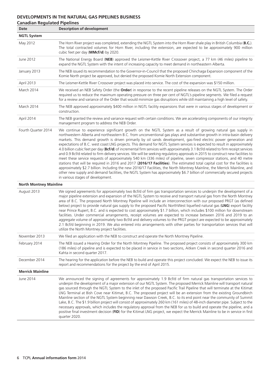### **DEVELOPMENTS IN THE NATURAL GAS PIPELINES BUSINESS**

| <b>Canadian Regulated Pipelines</b><br><b>Date</b> | <b>Description of development</b>                                                                                                                                                                                                                                                                                                                                                                                                                                                                                                                                                                                                                                                                                                                                                                                                                                                                                                                                                                                                                                                                                                                                                                                                                                                                                      |
|----------------------------------------------------|------------------------------------------------------------------------------------------------------------------------------------------------------------------------------------------------------------------------------------------------------------------------------------------------------------------------------------------------------------------------------------------------------------------------------------------------------------------------------------------------------------------------------------------------------------------------------------------------------------------------------------------------------------------------------------------------------------------------------------------------------------------------------------------------------------------------------------------------------------------------------------------------------------------------------------------------------------------------------------------------------------------------------------------------------------------------------------------------------------------------------------------------------------------------------------------------------------------------------------------------------------------------------------------------------------------------|
| <b>NGTL System</b>                                 |                                                                                                                                                                                                                                                                                                                                                                                                                                                                                                                                                                                                                                                                                                                                                                                                                                                                                                                                                                                                                                                                                                                                                                                                                                                                                                                        |
| May 2012                                           | The Horn River project was completed, extending the NGTL System into the Horn River shale play in British Columbia (B.C.).<br>The total contracted volumes for Horn River, including the extension, are expected to be approximately 900 million<br>cubic feet per day (MMcf/d) by 2020.                                                                                                                                                                                                                                                                                                                                                                                                                                                                                                                                                                                                                                                                                                                                                                                                                                                                                                                                                                                                                               |
| June 2012                                          | The National Energy Board (NEB) approved the Leismer-Kettle River Crossover project, a 77 km (46 miles) pipeline to<br>expand the NGTL System with the intent of increasing capacity to meet demand in northeastern Alberta.                                                                                                                                                                                                                                                                                                                                                                                                                                                                                                                                                                                                                                                                                                                                                                                                                                                                                                                                                                                                                                                                                           |
| January 2013                                       | The NEB issued its recommendation to the Governor-in-Council that the proposed Chinchaga Expansion component of the<br>Komie North project be approved, but denied the proposed Komie North Extension component.                                                                                                                                                                                                                                                                                                                                                                                                                                                                                                                                                                                                                                                                                                                                                                                                                                                                                                                                                                                                                                                                                                       |
| April 2013                                         | The Leismer-Kettle River Crossover project was placed into service. The cost of the expansion was \$150 million.                                                                                                                                                                                                                                                                                                                                                                                                                                                                                                                                                                                                                                                                                                                                                                                                                                                                                                                                                                                                                                                                                                                                                                                                       |
| March 2014                                         | We received an NEB Safety Order (the Order) in response to the recent pipeline releases on the NGTL System. The Order<br>required us to reduce the maximum operating pressure on three per cent of NGTL's pipeline segments. We filed a request<br>for a review and variance of the Order that would minimize gas disruptions while still maintaining a high level of safety.                                                                                                                                                                                                                                                                                                                                                                                                                                                                                                                                                                                                                                                                                                                                                                                                                                                                                                                                          |
| March 2014                                         | The NEB approved approximately \$400 million in NGTL facility expansions that were in various stages of development or<br>construction.                                                                                                                                                                                                                                                                                                                                                                                                                                                                                                                                                                                                                                                                                                                                                                                                                                                                                                                                                                                                                                                                                                                                                                                |
| April 2014                                         | The NEB granted the review and variance request with certain conditions. We are accelerating components of our integrity<br>management program to address the NEB Order.                                                                                                                                                                                                                                                                                                                                                                                                                                                                                                                                                                                                                                                                                                                                                                                                                                                                                                                                                                                                                                                                                                                                               |
| Fourth Quarter 2014                                | We continue to experience significant growth on the NGTL System as a result of growing natural gas supply in<br>northwestern Alberta and northeastern B.C. from unconventional gas plays and substantive growth in intra-basin delivery<br>markets. This demand growth is driven primarily by oil sands development, gas-fired electric power generation and<br>expectations of B.C. west coast LNG projects. This demand for NGTL System services is expected to result in approximately<br>4.0 billion cubic feet per day (Bcf/d) of incremental firm services with approximately 3.1 Bcf/d related to firm receipt services<br>and 0.9 Bcf/d related to firm delivery services. We will be seeking regulatory approvals in 2015 to construct new facilities to<br>meet these service requests of approximately 540 km (336 miles) of pipeline, seven compressor stations, and 40 metre<br>stations that will be required in 2016 and 2017 (2016/17 Facilities). The estimated total capital cost for the facilities is<br>approximately \$2.7 billion. Including the new 2016/17 Facilities, the North Montney Mainline, the Merrick Mainline, and<br>other new supply and demand facilities, the NGTL System has approximately \$6.7 billion of commercially secured projects<br>in various stages of development. |
| <b>North Montney Mainline</b>                      |                                                                                                                                                                                                                                                                                                                                                                                                                                                                                                                                                                                                                                                                                                                                                                                                                                                                                                                                                                                                                                                                                                                                                                                                                                                                                                                        |
| August 2013                                        | We signed agreements for approximately two Bcf/d of firm gas transportation services to underpin the development of a<br>major pipeline extension and expansion of the NGTL System to receive and transport natural gas from the North Montney<br>area of B.C. The proposed North Montney Pipeline will include an interconnection with our proposed PRGT (as defined<br>below) project to provide natural gas supply to the proposed Pacific NorthWest liquefied natural gas (LNG) export facility<br>near Prince Rupert, B.C. and is expected to cost approximately \$1.7 billion, which includes \$100 million for downstream<br>facilities. Under commercial arrangements, receipt volumes are expected to increase between 2016 and 2019 to an<br>aggregate volume of approximately two Bcf/d and delivery volumes to the PRGT project are expected to be approximately<br>2.1 Bcf/d beginning in 2019. We also entered into arrangements with other parties for transportation services that will<br>utilize the North Montney project facilities.                                                                                                                                                                                                                                                               |
| November 2013                                      | We filed an application with the NEB to construct and operate the North Montney Pipeline.                                                                                                                                                                                                                                                                                                                                                                                                                                                                                                                                                                                                                                                                                                                                                                                                                                                                                                                                                                                                                                                                                                                                                                                                                              |
| February 2014                                      | The NEB issued a Hearing Order for the North Montney Pipeline. The proposed project consists of approximately 300 km<br>(186 miles) of pipeline and is expected to be placed in service in two sections, Aitken Creek in second quarter 2016 and<br>Kahta in second quarter 2017.                                                                                                                                                                                                                                                                                                                                                                                                                                                                                                                                                                                                                                                                                                                                                                                                                                                                                                                                                                                                                                      |
| December 2014                                      | The hearing for the application before the NEB to build and operate this project concluded. We expect the NEB to issue its<br>report and recommendations for the project by the end of April 2015.                                                                                                                                                                                                                                                                                                                                                                                                                                                                                                                                                                                                                                                                                                                                                                                                                                                                                                                                                                                                                                                                                                                     |
| <b>Merrick Mainline</b>                            |                                                                                                                                                                                                                                                                                                                                                                                                                                                                                                                                                                                                                                                                                                                                                                                                                                                                                                                                                                                                                                                                                                                                                                                                                                                                                                                        |
| June 2014                                          | We announced the signing of agreements for approximately 1.9 Bcf/d of firm natural gas transportation services to<br>underpin the development of a major extension of our NGTL System. The proposed Merrick Mainline will transport natural<br>gas sourced through the NGTL System to the inlet of the proposed Pacific Trail Pipeline that will terminate at the Kitimat<br>LNG Terminal at Bish Cove near Kitimat, B.C. The proposed project will be an extension from the existing Groundbirch<br>Mainline section of the NGTL System beginning near Dawson Creek, B.C. to its end point near the community of Summit<br>Lake, B.C. The \$1.9 billion project will consist of approximately 260 km (161 miles) of 48-inch diameter pipe. Subject to the<br>necessary approvals, which includes the regulatory approval from the NEB for us to build and operate the pipeline, and a<br>positive final investment decision (FID) for the Kitimat LNG project, we expect the Merrick Mainline to be in service in first<br>quarter 2020.                                                                                                                                                                                                                                                                              |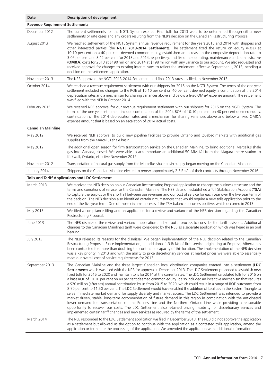| Date                                   | <b>Description of development</b>                                                                                                                                                                                                                                                                                                                                                                                                                                                                                                                                                                                                                                                                                                                                                                                                                                                                                                                                                                                                                                                                                                                                                                                                                                                                                                                              |  |
|----------------------------------------|----------------------------------------------------------------------------------------------------------------------------------------------------------------------------------------------------------------------------------------------------------------------------------------------------------------------------------------------------------------------------------------------------------------------------------------------------------------------------------------------------------------------------------------------------------------------------------------------------------------------------------------------------------------------------------------------------------------------------------------------------------------------------------------------------------------------------------------------------------------------------------------------------------------------------------------------------------------------------------------------------------------------------------------------------------------------------------------------------------------------------------------------------------------------------------------------------------------------------------------------------------------------------------------------------------------------------------------------------------------|--|
| <b>Revenue Requirement Settlements</b> |                                                                                                                                                                                                                                                                                                                                                                                                                                                                                                                                                                                                                                                                                                                                                                                                                                                                                                                                                                                                                                                                                                                                                                                                                                                                                                                                                                |  |
| December 2012                          | The current settlements for the NGTL System expired. Final tolls for 2013 were to be determined through either new<br>settlements or rate cases and any orders resulting from the NEB's decision on the Canadian Restructuring Proposal.                                                                                                                                                                                                                                                                                                                                                                                                                                                                                                                                                                                                                                                                                                                                                                                                                                                                                                                                                                                                                                                                                                                       |  |
| August 2013                            | We reached settlement of the NGTL System annual revenue requirement for the years 2013 and 2014 with shippers and<br>other interested parties (the NGTL 2013-2014 Settlement). The settlement fixed the return on equity (ROE) at<br>10.10 per cent on a 40 per cent deemed common equity, established an increase in the composite depreciation rate to<br>3.05 per cent and 3.12 per cent for 2013 and 2014, respectively, and fixed the operating, maintenance and administrative<br>(OM&A) costs for 2013 at \$190 million and 2014 at \$198 million with any variance to our account. We also requested and<br>received approval for changes to existing interim rates to reflect the settlement, effective September 1, 2013, pending a<br>decision on the settlement application.                                                                                                                                                                                                                                                                                                                                                                                                                                                                                                                                                                       |  |
| November 2013                          | The NEB approved the NGTL 2013-2014 Settlement and final 2013 rates, as filed, in November 2013.                                                                                                                                                                                                                                                                                                                                                                                                                                                                                                                                                                                                                                                                                                                                                                                                                                                                                                                                                                                                                                                                                                                                                                                                                                                               |  |
| October 2014                           | We reached a revenue requirement settlement with our shippers for 2015 on the NGTL System. The terms of the one year<br>settlement included no changes to the ROE of 10.10 per cent on 40 per cent deemed equity, a continuation of the 2014<br>depreciation rates and a mechanism for sharing variances above and below a fixed OM&A expense amount. The settlement<br>was filed with the NEB in October 2014.                                                                                                                                                                                                                                                                                                                                                                                                                                                                                                                                                                                                                                                                                                                                                                                                                                                                                                                                                |  |
| February 2015                          | We received NEB approval for our revenue requirement settlement with our shippers for 2015 on the NGTL System. The<br>terms of the one year settlement include continuation of the 2014 ROE of 10.10 per cent on 40 per cent deemed equity,<br>continuation of the 2014 depreciation rates and a mechanism for sharing variances above and below a fixed OM&A<br>expense amount that is based on an escalation of 2014 actual costs.                                                                                                                                                                                                                                                                                                                                                                                                                                                                                                                                                                                                                                                                                                                                                                                                                                                                                                                           |  |
| <b>Canadian Mainline</b>               |                                                                                                                                                                                                                                                                                                                                                                                                                                                                                                                                                                                                                                                                                                                                                                                                                                                                                                                                                                                                                                                                                                                                                                                                                                                                                                                                                                |  |
| May 2012                               | We received NEB approval to build new pipeline facilities to provide Ontario and Québec markets with additional gas<br>supplies from the Marcellus shale basin.                                                                                                                                                                                                                                                                                                                                                                                                                                                                                                                                                                                                                                                                                                                                                                                                                                                                                                                                                                                                                                                                                                                                                                                                |  |
| May 2012                               | The additional open season for firm transportation service on the Canadian Mainline, to bring additional Marcellus shale<br>gas into Canada, closed. We were able to accommodate an additional 50 MMcf/d from the Niagara metre station to<br>Kirkwall, Ontario, effective November 2012.                                                                                                                                                                                                                                                                                                                                                                                                                                                                                                                                                                                                                                                                                                                                                                                                                                                                                                                                                                                                                                                                      |  |
| November 2012                          | Transportation of natural gas supply from the Marcellus shale basin supply began moving on the Canadian Mainline.                                                                                                                                                                                                                                                                                                                                                                                                                                                                                                                                                                                                                                                                                                                                                                                                                                                                                                                                                                                                                                                                                                                                                                                                                                              |  |
| January 2014                           | Shippers on the Canadian Mainline elected to renew approximately 2.5 Bcf/d of their contracts through November 2016.                                                                                                                                                                                                                                                                                                                                                                                                                                                                                                                                                                                                                                                                                                                                                                                                                                                                                                                                                                                                                                                                                                                                                                                                                                           |  |
|                                        | <b>Tolls and Tariff Applications and LDC Settlement</b>                                                                                                                                                                                                                                                                                                                                                                                                                                                                                                                                                                                                                                                                                                                                                                                                                                                                                                                                                                                                                                                                                                                                                                                                                                                                                                        |  |
| March 2013                             | We received the NEB decision on our Canadian Restructuring Proposal application to change the business structure and the<br>terms and conditions of service for the Canadian Mainline. The NEB decision established a Toll Stabilization Account (TSA)<br>to capture the surplus or the shortfall between our revenues and our cost of service for each year over the five year term of<br>the decision. The NEB decision also identified certain circumstances that would require a new tolls application prior to the<br>end of the five year term. One of those circumstances is if the TSA balance becomes positive, which occurred in 2013.                                                                                                                                                                                                                                                                                                                                                                                                                                                                                                                                                                                                                                                                                                               |  |
| May 2013                               | We filed a compliance filing and an application for a review and variance of the NEB decision regarding the Canadian<br>Restructuring Proposal.                                                                                                                                                                                                                                                                                                                                                                                                                                                                                                                                                                                                                                                                                                                                                                                                                                                                                                                                                                                                                                                                                                                                                                                                                |  |
| June 2013                              | The NEB dismissed the review and variance application and set out a process to consider the tariff revisions. Additional<br>changes to the Canadian Mainline's tariff were considered by the NEB as a separate application which was heard in an oral<br>hearing.                                                                                                                                                                                                                                                                                                                                                                                                                                                                                                                                                                                                                                                                                                                                                                                                                                                                                                                                                                                                                                                                                              |  |
| <b>July 2013</b>                       | The NEB released its reasons for the dismissal. We began implementation of the NEB decision related to the Canadian<br>Restructuring Proposal. Since implementation, an additional 1.3 Bcf/d of firm service originating at Empress, Alberta has<br>been contracted for, more than doubling the contracted capacity of this location. The implementation of the NEB decision<br>was a key priority in 2013 and with the ability to price discretionary services at market prices we were able to essentially<br>meet our overall cost of service requirements for 2013.                                                                                                                                                                                                                                                                                                                                                                                                                                                                                                                                                                                                                                                                                                                                                                                        |  |
| September 2013                         | The Canadian Mainline and the three largest Canadian local distribution companies entered into a settlement (LDC<br>Settlement) which was filed with the NEB for approval in December 2013. The LDC Settlement proposed to establish new<br>fixed tolls for 2015 to 2020 and maintain tolls for 2014 at the current rates. The LDC Settlement calculated tolls for 2015 on<br>a base ROE of 10.10 per cent on 40 per cent deemed common equity. It also included an incentive mechanism that requires<br>a \$20 million (after tax) annual contribution by us from 2015 to 2020, which could result in a range of ROE outcomes from<br>8.70 per cent to 11.50 per cent. The LDC Settlement would have enabled the addition of facilities in the Eastern Triangle to<br>serve immediate market demand for supply diversity and market access. The LDC Settlement was intended to provide a<br>market driven, stable, long-term accommodation of future demand in this region in combination with the anticipated<br>lower demand for transportation on the Prairies Line and the Northern Ontario Line while providing a reasonable<br>opportunity to recover our costs. The LDC Settlement also retained pricing flexibility for discretionary services and<br>implemented certain tariff changes and new services as required by the terms of the settlement. |  |
| March 2014                             | The NEB responded to the LDC Settlement application we filed in December 2013. The NEB did not approve the application<br>as a settlement but allowed us the option to continue with the application as a contested tolls application, amend the<br>application or terminate the processing of the application. We amended the application with additional information.                                                                                                                                                                                                                                                                                                                                                                                                                                                                                                                                                                                                                                                                                                                                                                                                                                                                                                                                                                                        |  |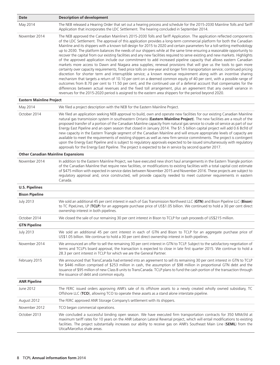| Date                                      | <b>Description of development</b>                                                                                                                                                                                                                                                                                                                                                                                                                                                                                                                                                                                                                                                                                                                                                                                                                                                                                                                                                                                                                                                                                                                                                                                                                                                                                                                                                                                                                                                                                                                                                                                           |  |  |
|-------------------------------------------|-----------------------------------------------------------------------------------------------------------------------------------------------------------------------------------------------------------------------------------------------------------------------------------------------------------------------------------------------------------------------------------------------------------------------------------------------------------------------------------------------------------------------------------------------------------------------------------------------------------------------------------------------------------------------------------------------------------------------------------------------------------------------------------------------------------------------------------------------------------------------------------------------------------------------------------------------------------------------------------------------------------------------------------------------------------------------------------------------------------------------------------------------------------------------------------------------------------------------------------------------------------------------------------------------------------------------------------------------------------------------------------------------------------------------------------------------------------------------------------------------------------------------------------------------------------------------------------------------------------------------------|--|--|
| May 2014                                  | The NEB released a Hearing Order that set out a hearing process and schedule for the 2015-2030 Mainline Tolls and Tariff<br>Application that incorporates the LDC Settlement. The hearing concluded in September 2014.                                                                                                                                                                                                                                                                                                                                                                                                                                                                                                                                                                                                                                                                                                                                                                                                                                                                                                                                                                                                                                                                                                                                                                                                                                                                                                                                                                                                      |  |  |
| November 2014                             | The NEB approved the Canadian Mainline's 2015-2030 Tolls and Tariff Application. The application reflected components<br>of the LDC Settlement. The approval of this application provides a long-term commercial platform for both the Canadian<br>Mainline and its shippers with a known toll design for 2015 to 2020 and certain parameters for a toll-setting methodology<br>up to 2030. The platform balances the needs of our shippers while at the same time ensuring a reasonable opportunity to<br>recover the capital from our existing facilities and any new facilities required to serve existing and new markets. Highlights<br>of the approved application include our commitment to add increased pipeline capacity that allows eastern Canadian<br>markets more access to Dawn and Niagara area supplies; renewal provisions that will give us the tools to gain more<br>certainty over capacity requirements; fixed price tolls on one-year and longer firm transportation service; continued pricing<br>discretion for shorter term and interruptible service; a known revenue requirement along with an incentive sharing<br>mechanism that targets a return of 10.10 per cent on a deemed common equity of 40 per cent, with a possible range of<br>outcomes from 8.70 per cent to 11.50 per cent; and the continued use of a deferral account that compensates for the<br>differences between actual revenues and the fixed toll arrangement, plus an agreement that any overall variance in<br>revenues for the 2015-2020 period is assigned to the eastern area shippers for the period beyond 2020. |  |  |
| <b>Eastern Mainline Project</b>           |                                                                                                                                                                                                                                                                                                                                                                                                                                                                                                                                                                                                                                                                                                                                                                                                                                                                                                                                                                                                                                                                                                                                                                                                                                                                                                                                                                                                                                                                                                                                                                                                                             |  |  |
| May 2014                                  | We filed a project description with the NEB for the Eastern Mainline Project.                                                                                                                                                                                                                                                                                                                                                                                                                                                                                                                                                                                                                                                                                                                                                                                                                                                                                                                                                                                                                                                                                                                                                                                                                                                                                                                                                                                                                                                                                                                                               |  |  |
| October 2014                              | We filed an application seeking NEB approval to build, own and operate new facilities for our existing Canadian Mainline<br>natural gas transmission system in southeastern Ontario (Eastern Mainline Project). The new facilities are a result of the<br>proposed transfer of a portion of the Canadian Mainline capacity from natural gas service to crude oil service as part of our<br>Energy East Pipeline and an open season that closed in January 2014. The \$1.5 billion capital project will add 0.6 Bcf/d of<br>new capacity in the Eastern Triangle segment of the Canadian Mainline and will ensure appropriate levels of capacity are<br>available to meet the requirements of existing shippers as well as new firm service commitments. The project is contingent<br>upon the Energy East Pipeline and is subject to regulatory approvals expected to be issued simultaneously with regulatory<br>approvals for the Energy East Pipeline. The project is expected to be in service by second quarter 2017.                                                                                                                                                                                                                                                                                                                                                                                                                                                                                                                                                                                                  |  |  |
| <b>Other Canadian Mainline Expansions</b> |                                                                                                                                                                                                                                                                                                                                                                                                                                                                                                                                                                                                                                                                                                                                                                                                                                                                                                                                                                                                                                                                                                                                                                                                                                                                                                                                                                                                                                                                                                                                                                                                                             |  |  |
| November 2014                             | In addition to the Eastern Mainline Project, we have executed new short haul arrangements in the Eastern Triangle portion<br>of the Canadian Mainline that require new facilities, or modifications to existing facilities with a total capital cost estimate<br>of \$475 million with expected in-service dates between November 2015 and November 2016. These projects are subject to<br>regulatory approval and, once constructed, will provide capacity needed to meet customer requirements in eastern<br>Canada.                                                                                                                                                                                                                                                                                                                                                                                                                                                                                                                                                                                                                                                                                                                                                                                                                                                                                                                                                                                                                                                                                                      |  |  |
| <b>U.S. Pipelines</b>                     |                                                                                                                                                                                                                                                                                                                                                                                                                                                                                                                                                                                                                                                                                                                                                                                                                                                                                                                                                                                                                                                                                                                                                                                                                                                                                                                                                                                                                                                                                                                                                                                                                             |  |  |
| <b>Bison Pipeline</b>                     |                                                                                                                                                                                                                                                                                                                                                                                                                                                                                                                                                                                                                                                                                                                                                                                                                                                                                                                                                                                                                                                                                                                                                                                                                                                                                                                                                                                                                                                                                                                                                                                                                             |  |  |
| <b>July 2013</b>                          | We sold an additional 45 per cent interest in each of Gas Transmission Northwest LLC (GTN) and Bison Pipeline LLC (Bison)<br>to TC PipeLines, LP (TCLP) for an aggregate purchase price of US\$1.05 billion. We continued to hold a 30 per cent direct<br>ownership interest in both pipelines.                                                                                                                                                                                                                                                                                                                                                                                                                                                                                                                                                                                                                                                                                                                                                                                                                                                                                                                                                                                                                                                                                                                                                                                                                                                                                                                             |  |  |
| October 2014                              | We closed the sale of our remaining 30 per cent interest in Bison to TCLP for cash proceeds of US\$215 million.                                                                                                                                                                                                                                                                                                                                                                                                                                                                                                                                                                                                                                                                                                                                                                                                                                                                                                                                                                                                                                                                                                                                                                                                                                                                                                                                                                                                                                                                                                             |  |  |
| <b>GTN Pipeline</b>                       |                                                                                                                                                                                                                                                                                                                                                                                                                                                                                                                                                                                                                                                                                                                                                                                                                                                                                                                                                                                                                                                                                                                                                                                                                                                                                                                                                                                                                                                                                                                                                                                                                             |  |  |
| <b>July 2013</b>                          | We sold an additional 45 per cent interest in each of GTN and Bison to TCLP for an aggregate purchase price of<br>US\$1.05 billion. We continue to hold a 30 per cent direct ownership interest in both pipelines.                                                                                                                                                                                                                                                                                                                                                                                                                                                                                                                                                                                                                                                                                                                                                                                                                                                                                                                                                                                                                                                                                                                                                                                                                                                                                                                                                                                                          |  |  |
| November 2014                             | We announced an offer to sell the remaining 30 per cent interest in GTN to TCLP. Subject to the satisfactory negotiation of<br>terms and TCLP's board approval, the transaction is expected to close in late first quarter 2015. We continue to hold a<br>28.3 per cent interest in TCLP for which we are the General Partner.                                                                                                                                                                                                                                                                                                                                                                                                                                                                                                                                                                                                                                                                                                                                                                                                                                                                                                                                                                                                                                                                                                                                                                                                                                                                                              |  |  |
| February 2015                             | We announced that TransCanada had entered into an agreement to sell its remaining 30 per cent interest in GTN to TCLP<br>for \$446 million comprised of \$253 million in cash, the assumption of \$98 million in proportional GTN debt and the<br>issuance of \$95 million of new Class B units to TransCanada. TCLP plans to fund the cash portion of the transaction through<br>the issuance of debt and common equity.                                                                                                                                                                                                                                                                                                                                                                                                                                                                                                                                                                                                                                                                                                                                                                                                                                                                                                                                                                                                                                                                                                                                                                                                   |  |  |
| <b>ANR Pipeline</b>                       |                                                                                                                                                                                                                                                                                                                                                                                                                                                                                                                                                                                                                                                                                                                                                                                                                                                                                                                                                                                                                                                                                                                                                                                                                                                                                                                                                                                                                                                                                                                                                                                                                             |  |  |
| June 2012                                 | The FERC issued orders approving ANR's sale of its offshore assets to a newly created wholly owned subsidiary, TC<br>Offshore LLC (TCO), allowing TCO to operate these assets as a stand alone interstate pipeline.                                                                                                                                                                                                                                                                                                                                                                                                                                                                                                                                                                                                                                                                                                                                                                                                                                                                                                                                                                                                                                                                                                                                                                                                                                                                                                                                                                                                         |  |  |
| August 2012                               | The FERC approved ANR Storage Company's settlement with its shippers.                                                                                                                                                                                                                                                                                                                                                                                                                                                                                                                                                                                                                                                                                                                                                                                                                                                                                                                                                                                                                                                                                                                                                                                                                                                                                                                                                                                                                                                                                                                                                       |  |  |
| November 2012                             | TCO began commercial operations.                                                                                                                                                                                                                                                                                                                                                                                                                                                                                                                                                                                                                                                                                                                                                                                                                                                                                                                                                                                                                                                                                                                                                                                                                                                                                                                                                                                                                                                                                                                                                                                            |  |  |
| October 2013                              | We concluded a successful binding open season. We have executed firm transportation contracts for 350 MMcf/d at<br>maximum tariff rates for 10 years on the ANR Lebanon Lateral Reversal project, which will entail modifications to existing<br>facilities. The project substantially increases our ability to receive gas on ANR's Southeast Main Line (SEML) from the<br>Utica/Marcellus shale areas.                                                                                                                                                                                                                                                                                                                                                                                                                                                                                                                                                                                                                                                                                                                                                                                                                                                                                                                                                                                                                                                                                                                                                                                                                    |  |  |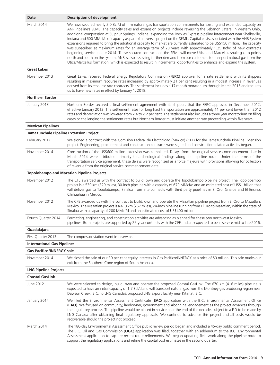| Date                                           | <b>Description of development</b>                                                                                                                                                                                                                                                                                                                                                                                                                                                                                                                                                                                                                                                                                                                                                                                                                                                                                                                                                                                                                                                                                                       |
|------------------------------------------------|-----------------------------------------------------------------------------------------------------------------------------------------------------------------------------------------------------------------------------------------------------------------------------------------------------------------------------------------------------------------------------------------------------------------------------------------------------------------------------------------------------------------------------------------------------------------------------------------------------------------------------------------------------------------------------------------------------------------------------------------------------------------------------------------------------------------------------------------------------------------------------------------------------------------------------------------------------------------------------------------------------------------------------------------------------------------------------------------------------------------------------------------|
| March 2014                                     | We have secured nearly 2.0 Bcf/d of firm natural gas transportation commitments for existing and expanded capacity on<br>ANR Pipeline's SEML. The capacity sales and expansion projects include reversing the Lebanon Lateral in western Ohio,<br>additional compression at Sulphur Springs, Indiana, expanding the Rockies Express pipeline interconnect near Shelbyville,<br>Indiana and 600 MMcf/d of capacity as part of a reversal project on the SEML. Capital costs associated with the ANR System<br>expansions required to bring the additional capacity to market are currently estimated to be US\$150 million. The capacity<br>was subscribed at maximum rates for an average term of 23 years with approximately 1.25 Bcf/d of new contracts<br>beginning service in late 2014. These secured contracts on the SEML will move Utica and Marcellus shale gas to points<br>north and south on the system. ANR is also assessing further demand from our customers to transport natural gas from the<br>Utica/Marcellus formation, which is expected to result in incremental opportunities to enhance and expand the system. |
| <b>Great Lakes</b>                             |                                                                                                                                                                                                                                                                                                                                                                                                                                                                                                                                                                                                                                                                                                                                                                                                                                                                                                                                                                                                                                                                                                                                         |
| November 2013                                  | Great Lakes received Federal Energy Regulatory Commission (FERC) approval for a rate settlement with its shippers<br>resulting in maximum recourse rates increasing by approximately 21 per cent resulting in a modest increase in revenues<br>derived from its recourse rate contracts. The settlement includes a 17 month moratorium through March 2015 and requires<br>us to have new rates in effect by January 1, 2018.                                                                                                                                                                                                                                                                                                                                                                                                                                                                                                                                                                                                                                                                                                            |
| <b>Northern Border</b>                         |                                                                                                                                                                                                                                                                                                                                                                                                                                                                                                                                                                                                                                                                                                                                                                                                                                                                                                                                                                                                                                                                                                                                         |
| January 2013                                   | Northern Border secured a final settlement agreement with its shippers that the FERC approved in December 2012,<br>effective January 2013. The settlement rates for long haul transportation are approximately 11 per cent lower than 2012<br>rates and depreciation was lowered from 2.4 to 2.2 per cent. The settlement also includes a three year moratorium on filing<br>cases or challenging the settlement rates but Northern Border must initiate another rate proceeding within five years.                                                                                                                                                                                                                                                                                                                                                                                                                                                                                                                                                                                                                                     |
| <b>Mexican Pipelines</b>                       |                                                                                                                                                                                                                                                                                                                                                                                                                                                                                                                                                                                                                                                                                                                                                                                                                                                                                                                                                                                                                                                                                                                                         |
| <b>Tamazunchale Pipeline Extension Project</b> |                                                                                                                                                                                                                                                                                                                                                                                                                                                                                                                                                                                                                                                                                                                                                                                                                                                                                                                                                                                                                                                                                                                                         |
| February 2012                                  | We signed a contract with the Comisión Federal de Electricidad (Mexico) (CFE) for the Tamazunchale Pipeline Extension<br>project. Engineering, procurement and construction contracts were signed and construction related activities began.                                                                                                                                                                                                                                                                                                                                                                                                                                                                                                                                                                                                                                                                                                                                                                                                                                                                                            |
| November 2014                                  | Construction of the US\$600 million extension was completed. Delays from the original service commencement date in<br>March 2014 were attributed primarily to archeological findings along the pipeline route. Under the terms of the<br>transportation service agreement, these delays were recognized as a force majeure with provisions allowing for collection<br>of revenue from the original service commencement date.                                                                                                                                                                                                                                                                                                                                                                                                                                                                                                                                                                                                                                                                                                           |
|                                                | <b>Topolobampo and Mazatlan Pipeline Projects</b>                                                                                                                                                                                                                                                                                                                                                                                                                                                                                                                                                                                                                                                                                                                                                                                                                                                                                                                                                                                                                                                                                       |
| November 2012                                  | The CFE awarded us with the contract to build, own and operate the Topolobampo pipeline project. The Topolobampo<br>project is a 530 km (329 miles), 30-inch pipeline with a capacity of 670 MMcf/d and an estimated cost of US\$1 billion that<br>will deliver gas to Topolobampo, Sinaloa from interconnects with third party pipelines in El Oro, Sinaloa and El Encino,<br>Chihuahua in Mexico.                                                                                                                                                                                                                                                                                                                                                                                                                                                                                                                                                                                                                                                                                                                                     |
| November 2012                                  | The CFE awarded us with the contract to build, own and operate the Mazatlan pipeline project from El Oro to Mazatlan,<br>Mexico. The Mazatlan project is a 413 km (257 miles), 24-inch pipeline running from El Oro to Mazatlan, within the state of<br>Sinaloa with a capacity of 200 MMcf/d and an estimated cost of US\$400 million.                                                                                                                                                                                                                                                                                                                                                                                                                                                                                                                                                                                                                                                                                                                                                                                                 |
| Fourth Quarter 2014                            | Permitting, engineering, and construction activities are advancing as planned for these two northwest Mexico<br>pipelines. Both projects are supported by 25-year contracts with the CFE and are expected to be in service mid to late 2016.                                                                                                                                                                                                                                                                                                                                                                                                                                                                                                                                                                                                                                                                                                                                                                                                                                                                                            |
| Guadalajara                                    |                                                                                                                                                                                                                                                                                                                                                                                                                                                                                                                                                                                                                                                                                                                                                                                                                                                                                                                                                                                                                                                                                                                                         |
| First Quarter 2013                             | The compressor station went into service.                                                                                                                                                                                                                                                                                                                                                                                                                                                                                                                                                                                                                                                                                                                                                                                                                                                                                                                                                                                                                                                                                               |
| <b>International Gas Pipelines</b>             |                                                                                                                                                                                                                                                                                                                                                                                                                                                                                                                                                                                                                                                                                                                                                                                                                                                                                                                                                                                                                                                                                                                                         |
| <b>Gas-Pacifico/INNERGY sale</b>               |                                                                                                                                                                                                                                                                                                                                                                                                                                                                                                                                                                                                                                                                                                                                                                                                                                                                                                                                                                                                                                                                                                                                         |
| November 2014                                  | We closed the sale of our 30 per cent equity interests in Gas Pacifico/INNERGY at a price of \$9 million. This sale marks our<br>exit from the Southern Cone region of South America.                                                                                                                                                                                                                                                                                                                                                                                                                                                                                                                                                                                                                                                                                                                                                                                                                                                                                                                                                   |
| <b>LNG Pipeline Projects</b>                   |                                                                                                                                                                                                                                                                                                                                                                                                                                                                                                                                                                                                                                                                                                                                                                                                                                                                                                                                                                                                                                                                                                                                         |
| <b>Coastal GasLink</b>                         |                                                                                                                                                                                                                                                                                                                                                                                                                                                                                                                                                                                                                                                                                                                                                                                                                                                                                                                                                                                                                                                                                                                                         |
| June 2012                                      | We were selected to design, build, own and operate the proposed Coastal GasLink. The 670 km (416 miles) pipeline is<br>expected to have an initial capacity of 1.7 Bcf/d and will transport natural gas from the Montney gas producing region near<br>Dawson Creek, B.C. to LNG Canada's proposed LNG export facility near Kitimat, B.C.                                                                                                                                                                                                                                                                                                                                                                                                                                                                                                                                                                                                                                                                                                                                                                                                |
| January 2014                                   | We filed the Environmental Assessment Certificate (EAC) application with the B.C. Environmental Assessment Office<br>(EAO). We focused on community, landowner, government and Aboriginal engagement as the project advances through<br>the regulatory process. The pipeline would be placed in service near the end of the decade, subject to a FID to be made by<br>LNG Canada after obtaining final regulatory approvals. We continue to advance this project and all costs would be<br>recoverable should the project not proceed.                                                                                                                                                                                                                                                                                                                                                                                                                                                                                                                                                                                                  |
| March 2014                                     | The 180-day Environmental Assessment Office public review period began and included a 45-day public comment period.<br>The B.C. Oil and Gas Commission (OGC) application was filed, together with an addendum to the B.C. Environmental<br>Assessment application to capture recent route refinements. We began updating field work along the pipeline route to<br>support the regulatory applications and refine the capital cost estimates in the second quarter.                                                                                                                                                                                                                                                                                                                                                                                                                                                                                                                                                                                                                                                                     |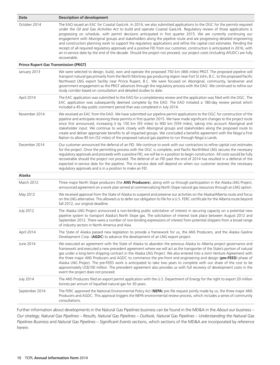| Date                                         | <b>Description of development</b>                                                                                                                                                                                                                                                                                                                                                                                                                                                                                                                                                                                                                                                                                                                                                                                                                                                                      |
|----------------------------------------------|--------------------------------------------------------------------------------------------------------------------------------------------------------------------------------------------------------------------------------------------------------------------------------------------------------------------------------------------------------------------------------------------------------------------------------------------------------------------------------------------------------------------------------------------------------------------------------------------------------------------------------------------------------------------------------------------------------------------------------------------------------------------------------------------------------------------------------------------------------------------------------------------------------|
| October 2014                                 | The EAO issued an EAC for Coastal GasLink. In 2014, we also submitted applications to the OGC for the permits required<br>under the Oil and Gas Activities Act to build and operate Coastal GasLink. Regulatory review of those applications is<br>progressing on schedule, with permit decisions anticipated in first quarter 2015. We are currently continuing our<br>engagement with Aboriginal groups and stakeholders along the pipeline route and are progressing detailed engineering<br>and construction planning work to support the regulatory applications and refine the capital cost estimates. Pending the<br>receipt of all required regulatory approvals and a positive FID from our customer, construction is anticipated in 2016, with<br>an in-service date by the end of the decade. Should the project not proceed, our project costs (including AFUDC) are fully<br>recoverable. |
| <b>Prince Rupert Gas Transmission (PRGT)</b> |                                                                                                                                                                                                                                                                                                                                                                                                                                                                                                                                                                                                                                                                                                                                                                                                                                                                                                        |
| January 2013                                 | We were selected to design, build, own and operate the proposed 750 km (466 miles) PRGT. The proposed pipeline will<br>transport natural gas primarily from the North Montney gas producing region near Fort St John, B.C. to the proposed Pacific<br>Northwest LNG export facility near Prince Rupert, B.C. We were focused on Aboriginal, community, landowner and<br>government engagement as the PRGT advances through the regulatory process with the EAO. We continued to refine our<br>study corridor based on consultation and detailed studies to date.                                                                                                                                                                                                                                                                                                                                       |
| April 2014                                   | The EAC application was submitted to the EAO for a completeness review and the application was filed with the OGC. The<br>EAC application was subsequently deemed complete by the EAO. The EAO initiated a 180-day review period which<br>included a 45-day public comment period that was completed in July 2014.                                                                                                                                                                                                                                                                                                                                                                                                                                                                                                                                                                                     |
| November 2014                                | We received an EAC from the EAO. We have submitted our pipeline permit applications to the OGC for construction of the<br>pipeline and anticipate receiving these permits in first quarter 2015. We have made significant changes to the project route<br>since first announced, increasing it by 150 km (93 miles) to 900 km (559 miles), taking into account Aboriginal and<br>stakeholder input. We continue to work closely with Aboriginal groups and stakeholders along the proposed route to<br>create and deliver appropriate benefits to all impacted groups. We concluded a benefits agreement with the Nisga'a First<br>Nation to allow 85 km (52 miles) of the proposed natural gas pipeline to run through Nisga'a Lands.                                                                                                                                                                 |
| December 2014                                | Our customer announced the deferral of an FID. We continue to work with our contractors to refine capital cost estimates<br>for the project. Once the permitting process with the OGC is complete, and Pacific NorthWest LNG secures the necessary<br>regulatory approvals and proceeds with a positive FID, we will be in a position to begin construction. All costs would be fully<br>recoverable should the project not proceed. The deferral of an FID past the end of 2014 has resulted in a deferral of the<br>expected in-service date for the pipeline. The in-service date will depend on when our customer receives the necessary<br>regulatory approvals and is in a position to make an FID.                                                                                                                                                                                              |
| Alaska                                       |                                                                                                                                                                                                                                                                                                                                                                                                                                                                                                                                                                                                                                                                                                                                                                                                                                                                                                        |
| March 2012                                   | Three major North Slope producers (the ANS Producers), along with us through participation in the Alaska LNG Project,<br>announced agreement on a work plan aimed at commercializing North Slope natural gas resources through an LNG option.                                                                                                                                                                                                                                                                                                                                                                                                                                                                                                                                                                                                                                                          |
| May 2012                                     | We received approval from the State of Alaska to suspend and preserve our activities on the Alaska/Alberta route and focus<br>on the LNG alternative. This allowed us to defer our obligation to file for a U.S. FERC certificate for the Alberta route beyond<br>fall 2012, our original deadline.                                                                                                                                                                                                                                                                                                                                                                                                                                                                                                                                                                                                    |
| <b>July 2012</b>                             | The Alaska LNG Project announced a non-binding public solicitation of interest in securing capacity on a potential new<br>pipeline system to transport Alaska's North Slope gas. The solicitation of interest took place between August 2012 and<br>September 2012. There were a number of non-binding expressions of interest from potential shippers from a broad range<br>of industry sectors in North America and Asia.                                                                                                                                                                                                                                                                                                                                                                                                                                                                            |
| April 2014                                   | The State of Alaska passed new legislation to provide a framework for us, the ANS Producers, and the Alaska Gasline<br>Development Corp. (AGDC) to advance the development of an LNG export project.                                                                                                                                                                                                                                                                                                                                                                                                                                                                                                                                                                                                                                                                                                   |
| June 2014                                    | We executed an agreement with the State of Alaska to abandon the previous Alaska to Alberta project governance and<br>framework and executed a new precedent agreement where we will act as the transporter of the State's portion of natural<br>gas under a long-term shipping contract in the Alaska LNG Project. We also entered into a Joint Venture Agreement with<br>the three major ANS Producers and AGDC to commence the pre-front end engineering and design (pre-FEED) phase of<br>Alaska LNG Project. The pre-FEED work is anticipated to take two years to complete with our share of the cost to be<br>approximately US\$100 million. The precedent agreement also provides us with full recovery of development costs in the<br>event the project does not proceed.                                                                                                                     |
| <b>July 2014</b>                             | The ANS Producers filed an export permit application with the U.S. Department of Energy for the right to export 20 million<br>tonnes per annum of liquefied natural gas for 30 years.                                                                                                                                                                                                                                                                                                                                                                                                                                                                                                                                                                                                                                                                                                                  |
| September 2014                               | The FERC approved the National Environmental Policy Act (NEPA) pre-file request jointly made by us, the three major ANS<br>Producers and AGDC. This approval triggers the NEPA environmental review process, which includes a series of community<br>consultations.                                                                                                                                                                                                                                                                                                                                                                                                                                                                                                                                                                                                                                    |

Further information about developments in the Natural Gas Pipelines business can be found in the MD&A in the *About our business – Our strategy, Natural Gas Pipelines – Results, Natural Gas Pipelines – Outlook, Natural Gas Pipelines – Understanding the Natural Gas Pipelines Business* and *Natural Gas Pipelines – Significant Events* sections, which sections of the MD&A are incorporated by reference herein.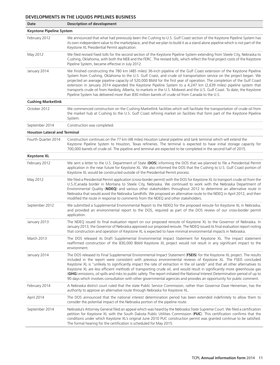### **DEVELOPMENTS IN THE LIQUIDS PIPELINES BUSINESS**

| Date                                | <b>Description of development</b>                                                                                                                                                                                                                                                                                                                                                                                                                                                                                                                                                                                                                                                                                                                                |  |
|-------------------------------------|------------------------------------------------------------------------------------------------------------------------------------------------------------------------------------------------------------------------------------------------------------------------------------------------------------------------------------------------------------------------------------------------------------------------------------------------------------------------------------------------------------------------------------------------------------------------------------------------------------------------------------------------------------------------------------------------------------------------------------------------------------------|--|
| <b>Keystone Pipeline System</b>     |                                                                                                                                                                                                                                                                                                                                                                                                                                                                                                                                                                                                                                                                                                                                                                  |  |
| February 2012                       | We announced that what had previously been the Cushing to U.S. Gulf Coast section of the Keystone Pipeline System has<br>its own independent value to the marketplace, and that we plan to build it as a stand alone pipeline which is not part of the<br>Keystone XL Presidential Permit application.                                                                                                                                                                                                                                                                                                                                                                                                                                                           |  |
| May 2012                            | We filed revised fixed tolls for the second section of the Keystone Pipeline System extending from Steele City, Nebraska to<br>Cushing, Oklahoma, with both the NEB and the FERC. The revised tolls, which reflect the final project costs of the Keystone<br>Pipeline System, became effective in July 2012.                                                                                                                                                                                                                                                                                                                                                                                                                                                    |  |
| January 2014                        | We finished constructing the 780 km (485 miles) 36-inch pipeline of the Gulf Coast extension of the Keystone Pipeline<br>System from Cushing, Oklahoma to the U.S. Gulf Coast, and crude oil transportation service on the project began. We<br>projected an average pipeline capacity of 520,000 Bbl/d for the first year of operation. The completion of the Gulf Coast<br>extension in January 2014 expanded the Keystone Pipeline System to a 4,247 km (2,639 miles) pipeline system that<br>transports crude oil from Hardisty, Alberta, to markets in the U.S. Midwest and the U.S. Gulf Coast. To date, the Keystone<br>Pipeline System has delivered more than 830 million barrels of crude oil from Canada to the U.S.                                  |  |
| <b>Cushing Marketlink</b>           |                                                                                                                                                                                                                                                                                                                                                                                                                                                                                                                                                                                                                                                                                                                                                                  |  |
| October 2012                        | We commenced construction on the Cushing Marketlink facilities which will facilitate the transportation of crude oil from<br>the market hub at Cushing to the U.S. Gulf Coast refining market on facilities that form part of the Keystone Pipeline<br>System.                                                                                                                                                                                                                                                                                                                                                                                                                                                                                                   |  |
| September 2014                      | Construction was completed.                                                                                                                                                                                                                                                                                                                                                                                                                                                                                                                                                                                                                                                                                                                                      |  |
| <b>Houston Lateral and Terminal</b> |                                                                                                                                                                                                                                                                                                                                                                                                                                                                                                                                                                                                                                                                                                                                                                  |  |
| Fourth Quarter 2014                 | Construction continues on the 77 km (48 miles) Houston Lateral pipeline and tank terminal which will extend the<br>Keystone Pipeline System to Houston, Texas refineries. The terminal is expected to have initial storage capacity for<br>700,000 barrels of crude oil. The pipeline and terminal are expected to be completed in the second half of 2015.                                                                                                                                                                                                                                                                                                                                                                                                      |  |
| <b>Keystone XL</b>                  |                                                                                                                                                                                                                                                                                                                                                                                                                                                                                                                                                                                                                                                                                                                                                                  |  |
| February 2012                       | We sent a letter to the U.S. Department of State (DOS) informing the DOS that we planned to file a Presidential Permit<br>application in the near future for Keystone XL. We also informed the DOS that the Cushing to U.S. Gulf Coast portion of<br>Keystone XL would be constructed outside of the Presidential Permit process.                                                                                                                                                                                                                                                                                                                                                                                                                                |  |
| May 2012                            | We filed a Presidential Permit application (cross-border permit) with the DOS for Keystone XL to transport crude oil from the<br>U.S./Canada border in Montana to Steele City, Nebraska. We continued to work with the Nebraska Department of<br>Environmental Quality (NDEQ) and various other stakeholders throughout 2012 to determine an alternative route in<br>Nebraska that would avoid the Nebraska Sandhills. We proposed an alternative route to the NDEQ in April 2012, and then<br>modified the route in response to comments from the NDEQ and other stakeholders.                                                                                                                                                                                  |  |
| September 2012                      | We submitted a Supplemental Environmental Report to the NDEQ for the proposed reroute for Keystone XL in Nebraska,<br>and provided an environmental report to the DOS, required as part of the DOS review of our cross-border permit<br>application.                                                                                                                                                                                                                                                                                                                                                                                                                                                                                                             |  |
| January 2013                        | The NDEQ issued its final evaluation report on our proposed reroute of Keystone XL to the Governor of Nebraska. In<br>January 2013, the Governor of Nebraska approved our proposed reroute. The NDEQ issued its final evaluation report noting<br>that construction and operation of Keystone XL is expected to have minimal environmental impacts in Nebraska.                                                                                                                                                                                                                                                                                                                                                                                                  |  |
| March 2013                          | The DOS released its Draft Supplemental Environmental Impact Statement for Keystone XL. The impact statement<br>reaffirmed construction of the 830,000 Bbl/d Keystone XL project would not result in any significant impact to the<br>environment.                                                                                                                                                                                                                                                                                                                                                                                                                                                                                                               |  |
| January 2014                        | The DOS released its Final Supplemental Environmental Impact Statement (FSEIS) for the Keystone XL project. The results<br>included in the report were consistent with previous environmental reviews of Keystone XL. The FSEIS concluded<br>Keystone XL is "unlikely to significantly impact the rate of extraction in the oil sands" and that all other alternatives to<br>Keystone XL are less efficient methods of transporting crude oil, and would result in significantly more greenhouse gas<br>(GHG) emissions, oil spills and risks to public safety. The report initiated the National Interest Determination period of up to<br>90 days which involves consultation with other governmental agencies and provides an opportunity for public comment. |  |
| February 2014                       | A Nebraska district court ruled that the state Public Service Commission, rather than Governor Dave Heineman, has the<br>authority to approve an alternative route through Nebraska for Keystone XL.                                                                                                                                                                                                                                                                                                                                                                                                                                                                                                                                                             |  |
| April 2014                          | The DOS announced that the national interest determination period has been extended indefinitely to allow them to<br>consider the potential impact of the Nebraska portion of the pipeline route.                                                                                                                                                                                                                                                                                                                                                                                                                                                                                                                                                                |  |
| September 2014                      | Nebraska's Attorney General filed an appeal which was heard by the Nebraska State Supreme Court. We filed a certification<br>petition for Keystone XL with the South Dakota Public Utilities Commission (PUC). This certification confirms that the<br>conditions under which Keystone XL's original June 2010 PUC construction permit was granted continue to be satisfied.<br>The formal hearing for the certification is scheduled for May 2015.                                                                                                                                                                                                                                                                                                              |  |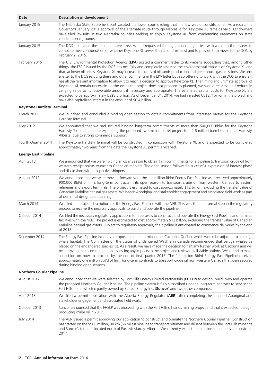| Date                              | <b>Description of development</b>                                                                                                                                                                                                                                                                                                                                                                                                                                                                                                                                                                                                                                                                                                                                                                                                                                                                                                                                                                                                                                                           |  |
|-----------------------------------|---------------------------------------------------------------------------------------------------------------------------------------------------------------------------------------------------------------------------------------------------------------------------------------------------------------------------------------------------------------------------------------------------------------------------------------------------------------------------------------------------------------------------------------------------------------------------------------------------------------------------------------------------------------------------------------------------------------------------------------------------------------------------------------------------------------------------------------------------------------------------------------------------------------------------------------------------------------------------------------------------------------------------------------------------------------------------------------------|--|
| January 2015                      | The Nebraska State Supreme Court vacated the lower court's ruling that the law was unconstitutional. As a result, the<br>Governor's January 2013 approval of the alternate route through Nebraska for Keystone XL remains valid. Landowners<br>have filed lawsuits in two Nebraska counties seeking to enjoin Keystone XL from condemning easements on state<br>constitutional grounds.                                                                                                                                                                                                                                                                                                                                                                                                                                                                                                                                                                                                                                                                                                     |  |
| January 2015                      | The DOS reinitiated the national interest review and requested the eight federal agencies, with a role in the review, to<br>complete their consideration of whether Keystone XL serves the national interest and to provide their views to the DOS by<br>February 2, 2015.                                                                                                                                                                                                                                                                                                                                                                                                                                                                                                                                                                                                                                                                                                                                                                                                                  |  |
| February 2015                     | The U.S. Environmental Protection Agency (EPA) posted a comment letter to its website suggesting that, among other<br>things, the FSEIS issued by the DOS has not fully and completely assessed the environmental impacts of Keystone XL and<br>that, at lower oil prices, Keystone XL may increase the rates of oil sands production and greenhouse gas emissions. We sent<br>a letter to the DOS refuting these and other comments in the EPA letter but also offering to work with the DOS to ensure it<br>has all the relevant information to allow it to reach a decision to approve Keystone XL. The timing and ultimate approval of<br>Keystone XL remain uncertain. In the event the project does not proceed as planned, we would reassess and reduce its<br>carrying value to its recoverable amount if necessary and appropriate. The estimated capital costs for Keystone XL are<br>expected to be approximately US\$8.0 billion. As of December 31, 2014, we had invested US\$2.4 billion in the project and<br>have also capitalized interest in the amount of \$0.4 billion. |  |
| <b>Keystone Hardisty Terminal</b> |                                                                                                                                                                                                                                                                                                                                                                                                                                                                                                                                                                                                                                                                                                                                                                                                                                                                                                                                                                                                                                                                                             |  |
| March 2012                        | We launched and concluded a binding open season to obtain commitments from interested parties for the Keystone<br>Hardisty Terminal.                                                                                                                                                                                                                                                                                                                                                                                                                                                                                                                                                                                                                                                                                                                                                                                                                                                                                                                                                        |  |
| May 2012                          | We announced that we had secured binding long-term commitments of more than 500,000 Bbl/d for the Keystone<br>Hardisty Terminal, and are expanding the proposed two million barrel project to a 2.6 million barrel terminal at Hardisty,<br>Alberta, due to strong commercial support.                                                                                                                                                                                                                                                                                                                                                                                                                                                                                                                                                                                                                                                                                                                                                                                                      |  |
| Fourth Quarter 2014               | The Keystone Hardisty Terminal will be constructed in conjunction with Keystone XL and is expected to be completed<br>approximately two years from the date the Keystone XL permit is received.                                                                                                                                                                                                                                                                                                                                                                                                                                                                                                                                                                                                                                                                                                                                                                                                                                                                                             |  |
| <b>Energy East Pipeline</b>       |                                                                                                                                                                                                                                                                                                                                                                                                                                                                                                                                                                                                                                                                                                                                                                                                                                                                                                                                                                                                                                                                                             |  |
| April 2013                        | We announced that we were holding an open season to obtain firm commitments for a pipeline to transport crude oil from<br>western receipt points to eastern Canadian markets. The open season followed a successful expression of interest phase<br>and discussions with prospective shippers.                                                                                                                                                                                                                                                                                                                                                                                                                                                                                                                                                                                                                                                                                                                                                                                              |  |
| August 2013                       | We announced that we were moving forward with the 1.1 million Bbl/d Energy East Pipeline as it received approximately<br>900,000 Bbl/d of firm, long-term contracts in its open season to transport crude oil from western Canada to eastern<br>refineries and export terminals. The project is estimated to cost approximately \$12 billion, excluding the transfer value of<br>Canadian Mainline natural gas assets. We began Aboriginal and stakeholder engagement and associated field work as part<br>of our initial design and planning.                                                                                                                                                                                                                                                                                                                                                                                                                                                                                                                                              |  |
| March 2014                        | We filed the project description for the Energy East Pipeline with the NEB. This was the first formal step in the regulatory<br>process to receive the necessary approvals to build and operate the pipeline.                                                                                                                                                                                                                                                                                                                                                                                                                                                                                                                                                                                                                                                                                                                                                                                                                                                                               |  |
| October 2014                      | We filed the necessary regulatory applications for approvals to construct and operate the Energy East Pipeline and terminal<br>facilities with the NEB. The project is estimated to cost approximately \$12 billion, excluding the transfer value of Canadian<br>Mainline natural gas assets. Subject to regulatory approvals, the pipeline is anticipated to commence deliveries by the end<br>of 2018.                                                                                                                                                                                                                                                                                                                                                                                                                                                                                                                                                                                                                                                                                    |  |
| December 2014                     | The Energy East Pipeline includes a proposed marine terminal near Cacouna, Québec which would be adjacent to a beluga<br>whale habitat. The Committee on the Status of Endangered Wildlife in Canada recommended that beluga whales be<br>placed on the endangered species list. As a result, we have made the decision to halt any further work at Cacouna and will<br>be analyzing the recommendation, assessing any impacts to the project and reviewing all viable options. We intend to make<br>a decision on how to proceed by the end of first quarter 2015. The 1.1 million Bbl/d Energy East Pipeline received<br>approximately one million Bbl/d of firm, long-term contracts to transport crude oil from western Canada that were secured<br>during binding open seasons.                                                                                                                                                                                                                                                                                                        |  |
| <b>Northern Courier Pipeline</b>  |                                                                                                                                                                                                                                                                                                                                                                                                                                                                                                                                                                                                                                                                                                                                                                                                                                                                                                                                                                                                                                                                                             |  |
| August 2012                       | We announced that we were selected by Fort Hills Energy Limited Partnership (FHELP) to design, build, own and operate<br>the proposed Northern Courier Pipeline. The pipeline system is fully subscribed under a long-term contract to service the<br>Fort Hills mine, which is jointly owned by Suncor Energy Inc. (Suncor) and two other companies.                                                                                                                                                                                                                                                                                                                                                                                                                                                                                                                                                                                                                                                                                                                                       |  |
| April 2013                        | We filed a permit application with the Alberta Energy Regulator (AER) after completing the required Aboriginal and<br>stakeholder engagement and associated field work.                                                                                                                                                                                                                                                                                                                                                                                                                                                                                                                                                                                                                                                                                                                                                                                                                                                                                                                     |  |
| October 2013                      | Suncor announced that the FHELP was proceeding with the Fort Hills oil sands mining project and that it expected to begin<br>producing crude oil in 2017.                                                                                                                                                                                                                                                                                                                                                                                                                                                                                                                                                                                                                                                                                                                                                                                                                                                                                                                                   |  |
| <b>July 2014</b>                  | The AER issued a permit approving our application to construct and operate the Northern Courier Pipeline. Construction<br>has started on the \$900 million, 90 km (56 miles) pipeline to transport bitumen and diluent between the Fort Hills mine site<br>and Suncor's terminal located north of Fort McMurray, Alberta. We currently expect the pipeline to be ready for service in<br>2017.                                                                                                                                                                                                                                                                                                                                                                                                                                                                                                                                                                                                                                                                                              |  |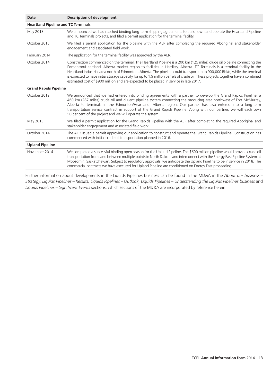| Date                                       | <b>Description of development</b>                                                                                                                                                                                                                                                                                                                                                                                                                                                                                                                                                                                |  |  |
|--------------------------------------------|------------------------------------------------------------------------------------------------------------------------------------------------------------------------------------------------------------------------------------------------------------------------------------------------------------------------------------------------------------------------------------------------------------------------------------------------------------------------------------------------------------------------------------------------------------------------------------------------------------------|--|--|
| <b>Heartland Pipeline and TC Terminals</b> |                                                                                                                                                                                                                                                                                                                                                                                                                                                                                                                                                                                                                  |  |  |
| May 2013                                   | We announced we had reached binding long-term shipping agreements to build, own and operate the Heartland Pipeline<br>and TC Terminals projects, and filed a permit application for the terminal facility.                                                                                                                                                                                                                                                                                                                                                                                                       |  |  |
| October 2013                               | We filed a permit application for the pipeline with the AER after completing the required Aboriginal and stakeholder<br>engagement and associated field work.                                                                                                                                                                                                                                                                                                                                                                                                                                                    |  |  |
| February 2014                              | The application for the terminal facility was approved by the AER.                                                                                                                                                                                                                                                                                                                                                                                                                                                                                                                                               |  |  |
| October 2014                               | Construction commenced on the terminal. The Heartland Pipeline is a 200 km (125 miles) crude oil pipeline connecting the<br>Edmonton/Heartland, Alberta market region to facilities in Hardisty, Alberta. TC Terminals is a terminal facility in the<br>Heartland industrial area north of Edmonton, Alberta. The pipeline could transport up to 900,000 Bbl/d, while the terminal<br>is expected to have initial storage capacity for up to 1.9 million barrels of crude oil. These projects together have a combined<br>estimated cost of \$900 million and are expected to be placed in service in late 2017. |  |  |
|                                            | <b>Grand Rapids Pipeline</b>                                                                                                                                                                                                                                                                                                                                                                                                                                                                                                                                                                                     |  |  |
| October 2012                               | We announced that we had entered into binding agreements with a partner to develop the Grand Rapids Pipeline, a<br>460 km (287 miles) crude oil and diluent pipeline system connecting the producing area northwest of Fort McMurray,<br>Alberta to terminals in the Edmonton/Heartland, Alberta region. Our partner has also entered into a long-term<br>transportation service contract in support of the Grand Rapids Pipeline. Along with our partner, we will each own<br>50 per cent of the project and we will operate the system.                                                                        |  |  |
| May 2013                                   | We filed a permit application for the Grand Rapids Pipeline with the AER after completing the required Aboriginal and<br>stakeholder engagement and associated field work.                                                                                                                                                                                                                                                                                                                                                                                                                                       |  |  |
| October 2014                               | The AER issued a permit approving our application to construct and operate the Grand Rapids Pipeline. Construction has<br>commenced with initial crude oil transportation planned in 2016.                                                                                                                                                                                                                                                                                                                                                                                                                       |  |  |
| <b>Upland Pipeline</b>                     |                                                                                                                                                                                                                                                                                                                                                                                                                                                                                                                                                                                                                  |  |  |
| November 2014                              | We completed a successful binding open season for the Upland Pipeline. The \$600 million pipeline would provide crude oil<br>transportation from, and between multiple points in North Dakota and interconnect with the Energy East Pipeline System at<br>Moosomin, Saskatchewan. Subject to regulatory approvals, we anticipate the Upland Pipeline to be in service in 2018. The<br>commercial contracts we have executed for Upland Pipeline are conditioned on Energy East proceeding.                                                                                                                       |  |  |

Further information about developments in the Liquids Pipelines business can be found in the MD&A in the *About our business – Strategy, Liquids Pipelines – Results, Liquids Pipelines – Outlook, Liquids Pipelines – Understanding the Liquids Pipelines business* and *Liquids Pipelines – Significant Events* sections, which sections of the MD&A are incorporated by reference herein.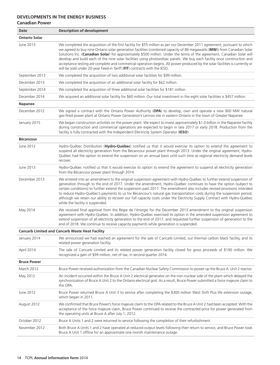### **DEVELOPMENTS IN THE ENERGY BUSINESS Canadian Power**

| Date                 | <b>Description of development</b>                                                                                                                                                                                                                                                                                                                                                                                                                                                                                                                                                                                                                                                                                     |
|----------------------|-----------------------------------------------------------------------------------------------------------------------------------------------------------------------------------------------------------------------------------------------------------------------------------------------------------------------------------------------------------------------------------------------------------------------------------------------------------------------------------------------------------------------------------------------------------------------------------------------------------------------------------------------------------------------------------------------------------------------|
| <b>Ontario Solar</b> |                                                                                                                                                                                                                                                                                                                                                                                                                                                                                                                                                                                                                                                                                                                       |
| June 2013            | We completed the acquisition of the first facility for \$55 million as per our December 2011 agreement, pursuant to which<br>we agreed to buy nine Ontario solar generation facilities (combined capacity of 86 megawatts (MW)) from Canadian Solar<br>Solutions Inc. (Canadian Solar) for approximately \$500 million. Under the terms of the agreement, Canadian Solar will<br>develop and build each of the nine solar facilities using photovoltaic panels. We buy each facility once construction and<br>acceptance testing are complete and commercial operation begins. All power produced by the solar facilities is currently or<br>will be sold under 20-year Feed-in Tariff (FIT) contracts with the IESO. |
| September 2013       | We completed the acquisition of two additional solar facilities for \$99 million.                                                                                                                                                                                                                                                                                                                                                                                                                                                                                                                                                                                                                                     |
| December 2013        | We completed the acquisition of an additional solar facility for \$62 million.                                                                                                                                                                                                                                                                                                                                                                                                                                                                                                                                                                                                                                        |
| September 2014       | We completed the acquisition of three additional solar facilities for \$181 million.                                                                                                                                                                                                                                                                                                                                                                                                                                                                                                                                                                                                                                  |
| December 2014        | We acquired an additional solar facility for \$60 million. Our total investment in the eight solar facilities is \$457 million.                                                                                                                                                                                                                                                                                                                                                                                                                                                                                                                                                                                       |
| <b>Napanee</b>       |                                                                                                                                                                                                                                                                                                                                                                                                                                                                                                                                                                                                                                                                                                                       |
| December 2012        | We signed a contract with the Ontario Power Authority (OPA) to develop, own and operate a new 900 MW natural<br>gas-fired power plant at Ontario Power Generation's Lennox site in eastern Ontario in the town of Greater Napanee.                                                                                                                                                                                                                                                                                                                                                                                                                                                                                    |
| January 2015         | We began construction activities on the power plant. We expect to invest approximately \$1.0 billion in the Napanee facility<br>during construction and commercial operations are expected to begin in late 2017 or early 2018. Production from the<br>facility is fully contracted with the Independent Electricity System Operator (IESO).                                                                                                                                                                                                                                                                                                                                                                          |
| <b>Bécancour</b>     |                                                                                                                                                                                                                                                                                                                                                                                                                                                                                                                                                                                                                                                                                                                       |
| June 2012            | Hydro-Québec Distribution (Hydro-Québec) notified us that it would exercise its option to extend the agreement to<br>suspend all electricity generation from the Bécancour power plant through 2013. Under the original agreement, Hydro-<br>Québec had the option to extend the suspension on an annual basis until such time as regional electricity demand levels<br>recover.                                                                                                                                                                                                                                                                                                                                      |
| June 2013            | Hydro-Québec notified us that it would exercise its option to extend the agreement to suspend all electricity generation<br>from the Bécancour power plant through 2014.                                                                                                                                                                                                                                                                                                                                                                                                                                                                                                                                              |
| December 2013        | We entered into an amendment to the original suspension agreement with Hydro-Québec to further extend suspension of<br>generation through to the end of 2017. Under the amendment, Hydro-Québec continues to have the option (subject to<br>certain conditions) to further extend the suspension past 2017. The amendment also includes revised provisions intended<br>to reduce Hydro-Québec's payments to us for Bécancour's natural gas transportation costs during the suspension period,<br>although we retain our ability to recover our full capacity costs under the Electricity Supply Contract with Hydro-Québec<br>while the facility is suspended.                                                        |
| May 2014             | We received final approval from the Régie de l'énergie for the December 2013 amendment to the original suspension<br>agreement with Hydro-Québec. In addition, Hydro-Québec exercised its option in the amended suspension agreement to<br>extend suspension of all electricity generation to the end of 2017, and requested further suspension of generation to the<br>end of 2018. We continue to receive capacity payments while generation is suspended.                                                                                                                                                                                                                                                          |
|                      | <b>Cancarb Limited and Cancarb Waste Heat Facility</b>                                                                                                                                                                                                                                                                                                                                                                                                                                                                                                                                                                                                                                                                |
| January 2014         | We announced we had reached an agreement for the sale of Cancarb Limited, our thermal carbon black facility, and its<br>related power generation facility.                                                                                                                                                                                                                                                                                                                                                                                                                                                                                                                                                            |
| April 2014           | The sale of Cancarb Limited and its related power generation facility closed for gross proceeds of \$190 million. We<br>recognized a gain of \$99 million, net of tax, in second quarter 2014.                                                                                                                                                                                                                                                                                                                                                                                                                                                                                                                        |
| <b>Bruce Power</b>   |                                                                                                                                                                                                                                                                                                                                                                                                                                                                                                                                                                                                                                                                                                                       |
| March 2012           | Bruce Power received authorization from the Canadian Nuclear Safety Commission to power up the Bruce A Unit 2 reactor.                                                                                                                                                                                                                                                                                                                                                                                                                                                                                                                                                                                                |
| May 2012             | An incident occurred within the Bruce A Unit 2 electrical generator on the non-nuclear side of the plant which delayed the<br>synchronization of Bruce A Unit 2 to the Ontario electrical grid. As a result, Bruce Power submitted a force majeure claim to<br>the OPA.                                                                                                                                                                                                                                                                                                                                                                                                                                               |
| June 2012            | Bruce Power returned Bruce A Unit 3 to service after completing the \$300 million West Shift Plus life extension outage,<br>which began in 2011.                                                                                                                                                                                                                                                                                                                                                                                                                                                                                                                                                                      |
| August 2012          | We confirmed that Bruce Power's force majeure claim to the OPA related to the Bruce A Unit 2 had been accepted. With the<br>acceptance of the force majeure claim, Bruce Power continued to receive the contracted price for power generated from<br>the operating units at Bruce A after July 1, 2012.                                                                                                                                                                                                                                                                                                                                                                                                               |
| October 2012         | Bruce A Units 1 and 2 were returned to service following the completion of their refurbishment.                                                                                                                                                                                                                                                                                                                                                                                                                                                                                                                                                                                                                       |
| November 2012        | Both Bruce A Units 1 and 2 have operated at reduced output levels following their return to service, and Bruce Power took<br>Bruce A Unit 1 offline for an approximate one month maintenance outage.                                                                                                                                                                                                                                                                                                                                                                                                                                                                                                                  |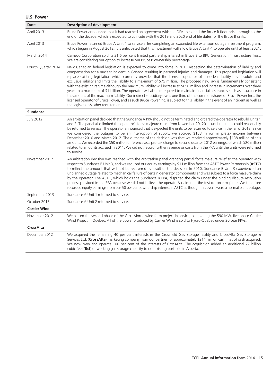| <b>Date</b>         | <b>Description of development</b>                                                                                                                                                                                                                                                                                                                                                                                                                                                                                                                                                                                                                                                                                                                                                                                                                                                                                                                                                                                                                                                      |
|---------------------|----------------------------------------------------------------------------------------------------------------------------------------------------------------------------------------------------------------------------------------------------------------------------------------------------------------------------------------------------------------------------------------------------------------------------------------------------------------------------------------------------------------------------------------------------------------------------------------------------------------------------------------------------------------------------------------------------------------------------------------------------------------------------------------------------------------------------------------------------------------------------------------------------------------------------------------------------------------------------------------------------------------------------------------------------------------------------------------|
| April 2013          | Bruce Power announced that it had reached an agreement with the OPA to extend the Bruce B floor price through to the<br>end of the decade, which is expected to coincide with the 2019 and 2020 end of life dates for the Bruce B units.                                                                                                                                                                                                                                                                                                                                                                                                                                                                                                                                                                                                                                                                                                                                                                                                                                               |
| April 2013          | Bruce Power returned Bruce A Unit 4 to service after completing an expanded life extension outage investment program,<br>which began in August 2012. It is anticipated that this investment will allow Bruce A Unit 4 to operate until at least 2021.                                                                                                                                                                                                                                                                                                                                                                                                                                                                                                                                                                                                                                                                                                                                                                                                                                  |
| March 2014          | Cameco Corporation sold its 31.6 per cent limited partnership interest in Bruce B to BPC Generation Infrastructure Trust.<br>We are considering our option to increase our Bruce B ownership percentage.                                                                                                                                                                                                                                                                                                                                                                                                                                                                                                                                                                                                                                                                                                                                                                                                                                                                               |
| Fourth Quarter 2014 | New Canadian federal legislation is expected to come into force in 2015 respecting the determination of liability and<br>compensation for a nuclear incident in Canada resulting in personal injuries and damages. This proposed legislation will<br>replace existing legislation which currently provides that the licensed operator of a nuclear facility has absolute and<br>exclusive liability and limits the liability to a maximum of \$75 million. The proposed new law is fundamentally consistent<br>with the existing regime although the maximum liability will increase to \$650 million and increase in increments over three<br>years to a maximum of \$1 billion. The operator will also be required to maintain financial assurances such as insurance in<br>the amount of the maximum liability. Our indirect subsidiary owns one third of the common shares of Bruce Power Inc., the<br>licensed operator of Bruce Power, and as such Bruce Power Inc. is subject to this liability in the event of an incident as well as<br>the legislation's other requirements. |
| <b>Sundance</b>     |                                                                                                                                                                                                                                                                                                                                                                                                                                                                                                                                                                                                                                                                                                                                                                                                                                                                                                                                                                                                                                                                                        |
| <b>July 2012</b>    | An arbitration panel decided that the Sundance A PPA should not be terminated and ordered the operator to rebuild Units 1<br>and 2. The panel also limited the operator's force majeure claim from November 20, 2011 until the units could reasonably<br>be returned to service. The operator announced that it expected the units to be returned to service in the fall of 2013. Since<br>we considered the outages to be an interruption of supply, we accrued \$188 million in pretax income between<br>December 2010 and March 2012. The outcome of the decision was that we received approximately \$138 million of this<br>amount. We recorded the \$50 million difference as a pre-tax charge to second quarter 2012 earnings, of which \$20 million<br>related to amounts accrued in 2011. We did not record further revenue or costs from the PPA until the units were returned<br>to service.                                                                                                                                                                                |
| November 2012       | An arbitration decision was reached with the arbitration panel granting partial force majeure relief to the operator with<br>respect to Sundance B Unit 3, and we reduced our equity earnings by \$11 million from the ASTC Power Partnership (ASTC)<br>to reflect the amount that will not be recovered as result of the decision. In 2010, Sundance B Unit 3 experienced an<br>unplanned outage related to mechanical failure of certain generator components and was subject to a force majeure claim<br>by the operator. The ASTC, which holds the Sundance B PPA, disputed the claim under the binding dispute resolution<br>process provided in the PPA because we did not believe the operator's claim met the test of force majeure. We therefore<br>recorded equity earnings from our 50 per cent ownership interest in ASTC as though this event were a normal plant outage.                                                                                                                                                                                                 |
| September 2013      | Sundance A Unit 1 returned to service.                                                                                                                                                                                                                                                                                                                                                                                                                                                                                                                                                                                                                                                                                                                                                                                                                                                                                                                                                                                                                                                 |
| October 2013        | Sundance A Unit 2 returned to service.                                                                                                                                                                                                                                                                                                                                                                                                                                                                                                                                                                                                                                                                                                                                                                                                                                                                                                                                                                                                                                                 |
| <b>Cartier Wind</b> |                                                                                                                                                                                                                                                                                                                                                                                                                                                                                                                                                                                                                                                                                                                                                                                                                                                                                                                                                                                                                                                                                        |
| November 2012       | We placed the second phase of the Gros-Morne wind farm project in service, completing the 590 MW, five phase Cartier<br>Wind Project in Québec. All of the power produced by Cartier Wind is sold to Hydro-Québec under 20 year PPAs.                                                                                                                                                                                                                                                                                                                                                                                                                                                                                                                                                                                                                                                                                                                                                                                                                                                  |
| <b>CrossAlta</b>    |                                                                                                                                                                                                                                                                                                                                                                                                                                                                                                                                                                                                                                                                                                                                                                                                                                                                                                                                                                                                                                                                                        |
| December 2012       | We acquired the remaining 40 per cent interests in the Crossfield Gas Storage facility and CrossAlta Gas Storage &<br>Services Ltd. (CrossAlta) marketing company from our partner for approximately \$214 million cash, net of cash acquired.<br>We now own and operate 100 per cent of the interests of CrossAlta. The acquisition added an additional 27 billion<br>cubic feet (Bcf) of working gas storage capacity to our existing portfolio in Alberta.                                                                                                                                                                                                                                                                                                                                                                                                                                                                                                                                                                                                                          |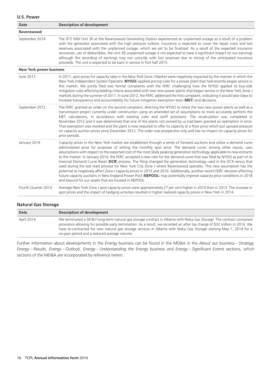| <b>Date</b>                    | <b>Description of development</b>                                                                                                                                                                                                                                                                                                                                                                                                                                                                                                                                                                                                                                                                                                                                                                                                                                                                                                                                                                                                                                |
|--------------------------------|------------------------------------------------------------------------------------------------------------------------------------------------------------------------------------------------------------------------------------------------------------------------------------------------------------------------------------------------------------------------------------------------------------------------------------------------------------------------------------------------------------------------------------------------------------------------------------------------------------------------------------------------------------------------------------------------------------------------------------------------------------------------------------------------------------------------------------------------------------------------------------------------------------------------------------------------------------------------------------------------------------------------------------------------------------------|
| Ravenswood                     |                                                                                                                                                                                                                                                                                                                                                                                                                                                                                                                                                                                                                                                                                                                                                                                                                                                                                                                                                                                                                                                                  |
| September 2014                 | The 972 MW Unit 30 at the Ravenswood Generating Station experienced an unplanned outage as a result of a problem<br>with the generator associated with the high pressure turbine. Insurance is expected to cover the repair costs and lost<br>revenues associated with the unplanned outage, which are yet to be finalized. As a result of the expected insurance<br>recoveries, net of deductibles, the Unit 30 unplanned outage is not expected to have a significant impact on our earnings<br>although the recording of earnings may not coincide with lost revenues due to timing of the anticipated insurance<br>proceeds. The unit is expected to be back in service in first half 2015.                                                                                                                                                                                                                                                                                                                                                                  |
| <b>New York power business</b> |                                                                                                                                                                                                                                                                                                                                                                                                                                                                                                                                                                                                                                                                                                                                                                                                                                                                                                                                                                                                                                                                  |
| June 2012                      | In 2011, spot prices for capacity sales in the New York Zone J Market were negatively impacted by the manner in which the<br>New York Independent System Operator (NYISO) applied pricing rules for a power plant that had recently began service in<br>this market. We jointly filed two formal complaints with the FERC challenging how the NYISO applied its buy-side<br>mitigation rules affecting bidding criteria associated with two new power plants that began service in the New York Zone J<br>markets during the summer of 2011. In June 2012, the FERC addressed the first complaint, indicating it would take steps to<br>increase transparency and accountability for future mitigation exemption tests (MET) and decisions.                                                                                                                                                                                                                                                                                                                      |
| September 2012                 | The FERC granted an order on the second complaint, directing the NYISO to retest the two new power plants as well as a<br>transmission project currently under construction using an amended set of assumptions to more accurately perform the<br>MET calculations, in accordance with existing rules and tariff provisions. The recalculation was completed in<br>November 2012 and it was determined that one of the plants not owned by us had been granted an exemption in error.<br>That exemption was revoked and the plant is now required to offer its capacity at a floor price which put upward pressure<br>on capacity auction prices since December 2012. The order was prospective only and has no impact on capacity prices for<br>prior periods.                                                                                                                                                                                                                                                                                                  |
| January 2014                   | Capacity prices in the New York market are established through a series of forward auctions and utilize a demand curve<br>administered price for purposes of setting the monthly spot price. The demand curve, among other inputs, uses<br>assumptions with respect to the expected cost of the most likely peaking generation technology applicable to new entrants<br>to the market. In January 2014, the FERC accepted a new rate for the demand curve that was filed by NYISO as part of its<br>triennial Demand Curve Reset (DCR) process. The filing changed the generation technology used in the DCR versus that<br>used during the last reset process for New York City Zone J where Ravenswood operates. This new assumption has the<br>potential to negatively affect Zone J capacity prices in 2015 and 2016. Additionally, another recent FERC decision affecting<br>future capacity auctions in New England Power Pool (NEPOOL) may potentially improve capacity price conditions in 2018<br>and beyond for our assets that are located in NEPOOL. |
| Fourth Quarter 2014            | Average New York Zone J spot capacity prices were approximately 27 per cent higher in 2014 than in 2013. The increase in<br>spot prices and the impact of hedging activities resulted in higher realized capacity prices in New York in 2014.                                                                                                                                                                                                                                                                                                                                                                                                                                                                                                                                                                                                                                                                                                                                                                                                                    |

### **Natural Gas Storage**

| Date       | Description of development                                                                                                                                                                                                                                                                                                                                                                                                       |
|------------|----------------------------------------------------------------------------------------------------------------------------------------------------------------------------------------------------------------------------------------------------------------------------------------------------------------------------------------------------------------------------------------------------------------------------------|
| April 2014 | We terminated a 38 Bcf long-term natural gas storage contract in Alberta with Niska Gas Storage. The contract contained<br>provisions allowing for possible early termination. As a result, we recorded an after tax charge of \$32 million in 2014. We<br>have re-contracted for new natural gas storage services in Alberta with Niska Gas Storage starting May 1, 2014 for a<br>six-year period and a reduced average volume. |

Further information about developments in the Energy business can be found in the MD&A in the *About our business – Strategy, Energy – Results, Energy – Outlook, Energy – Understanding the Energy business* and *Energy – Significant Events* sections, which sections of the MD&A are incorporated by reference herein.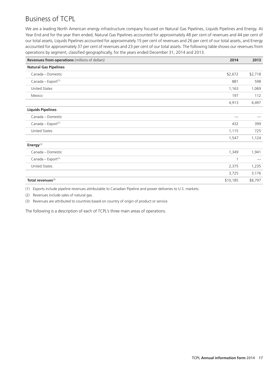# Business of TCPL

We are a leading North American energy infrastructure company focused on Natural Gas Pipelines, Liquids Pipelines and Energy. At Year End and for the year then ended, Natural Gas Pipelines accounted for approximately 48 per cent of revenues and 44 per cent of our total assets, Liquids Pipelines accounted for approximately 15 per cent of revenues and 26 per cent of our total assets, and Energy accounted for approximately 37 per cent of revenues and 23 per cent of our total assets. The following table shows our revenues from operations by segment, classified geographically, for the years ended December 31, 2014 and 2013.

| <b>Revenues from operations</b> (millions of dollars) | 2014        | 2013                     |
|-------------------------------------------------------|-------------|--------------------------|
| <b>Natural Gas Pipelines</b>                          |             |                          |
| Canada - Domestic                                     | \$2,672     | \$2,718                  |
| Canada - Export <sup>(1)</sup>                        | 881         | 598                      |
| <b>United States</b>                                  | 1,163       | 1,069                    |
| Mexico                                                | 197         | 112                      |
|                                                       | 4,913       | 4,497                    |
| <b>Liquids Pipelines</b>                              |             |                          |
| Canada - Domestic                                     |             |                          |
| Canada - Export <sup>(1)</sup>                        | 432         | 399                      |
| <b>United States</b>                                  | 1,115       | 725                      |
|                                                       | 1,547       | 1,124                    |
| Energy $^{(2)}$                                       |             |                          |
| Canada - Domestic                                     | 1,349       | 1,941                    |
| Canada - Export <sup>(1)</sup>                        | $\mathbf 1$ | $\overline{\phantom{m}}$ |
| <b>United States</b>                                  | 2,375       | 1,235                    |
|                                                       | 3,725       | 3,176                    |
| Total revenues <sup>(3)</sup>                         | \$10,185    | \$8,797                  |

(1) Exports include pipeline revenues attributable to Canadian Pipeline and power deliveries to U.S. markets.

(2) Revenues include sales of natural gas.

(3) Revenues are attributed to countries based on country of origin of product or service.

The following is a description of each of TCPL's three main areas of operations.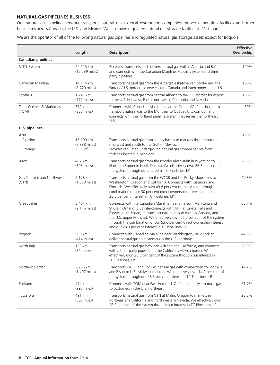### **NATURAL GAS PIPELINES BUSINESS**

Our natural gas pipeline network transports natural gas to local distribution companies, power generation facilities and other businesses across Canada, the U.S. and Mexico. We also have regulated natural gas storage facilities in Michigan.

We are the operator of all of the following natural gas pipelines and regulated natural gas storage assets except for Iroquois.

|                                     | Length                                | <b>Description</b>                                                                                                                                                                                                                                                                                                                                                                                                      | <b>Effective</b><br>Ownership |
|-------------------------------------|---------------------------------------|-------------------------------------------------------------------------------------------------------------------------------------------------------------------------------------------------------------------------------------------------------------------------------------------------------------------------------------------------------------------------------------------------------------------------|-------------------------------|
| <b>Canadian pipelines</b>           |                                       |                                                                                                                                                                                                                                                                                                                                                                                                                         |                               |
| <b>NGTL System</b>                  | 24,525 km<br>(15,239 miles)           | Receives, transports and delivers natural gas within Alberta and B.C.,<br>and connects with the Canadian Mainline, Foothills system and third-<br>party pipelines                                                                                                                                                                                                                                                       | 100%                          |
| Canadian Mainline                   | 14,114 km<br>(8,770 miles)            | Transports natural gas from the Alberta/Saskatchewan border and the<br>Ontario/U.S. border to serve eastern Canada and interconnects the U.S.                                                                                                                                                                                                                                                                           | 100%                          |
| Foothills                           | 1,241 km<br>$(771$ miles)             | Transports natural gas from central Alberta to the U.S. border for export<br>to the U.S. Midwest, Pacific northwest, California and Nevada                                                                                                                                                                                                                                                                              | 100%                          |
| Trans Québec & Maritimes<br>(TQM)   | 572 km<br>$(355$ miles)               | Connects with Canadian Mainline near the Ontario/Québec border to<br>transport natural gas to the Montréal to Québec City corridor, and<br>connects with the Portland pipeline system that serves the northeast<br>U.S.                                                                                                                                                                                                 | 50%                           |
| <b>U.S. pipelines</b>               |                                       |                                                                                                                                                                                                                                                                                                                                                                                                                         |                               |
| <b>ANR</b><br>Pipeline<br>Storage   | 15,109 km<br>(9,388 miles)<br>250 Bcf | Transports natural gas from supply basins to markets throughout the<br>mid-west and south to the Gulf of Mexico.<br>Provides regulated underground natural gas storage service from<br>facilities located in Michigan                                                                                                                                                                                                   | 100%                          |
| <b>Bison</b>                        | 487 km<br>(303 miles)                 | Transports natural gas from the Powder River Basin in Wyoming to<br>Northern Border in North Dakota. We effectively own 28.3 per cent of<br>the system through our interest in TC PipeLines, LP                                                                                                                                                                                                                         | 28.3%                         |
| Gas Transmission Northwest<br>(GTN) | 2,178 km<br>$(1,353$ miles)           | Transports natural gas from the WCSB and the Rocky Mountains to<br>Washington, Oregon and California. Connects with Tuscarora and<br>Foothills. We effectively own 49.8 per cent of the system through the<br>combination of our 30 per cent direct ownership interest and our<br>28.3 per cent interest in TC PipeLines, LP                                                                                            | 49.8%                         |
| Great Lakes                         | 3,404 km<br>$(2, 115$ miles)          | Connects with the Canadian Mainline near Emerson, Manitoba and<br>St Clair, Ontario, plus interconnects with ANR at Crystal Falls and<br>Farwell in Michigan, to transport natural gas to eastern Canada, and<br>the U.S. upper Midwest. We effectively own 66.7 per cent of the system<br>through the combination of our 53.6 per cent direct ownership interest<br>and our 28.3 per cent interest in TC PipeLines, LP | 66.7%                         |
| Iroquois                            | 666 km<br>$(414$ miles)               | Connects with Canadian Mainline near Waddington, New York to<br>deliver natural gas to customers in the U.S. northeast                                                                                                                                                                                                                                                                                                  | 44.5%                         |
| North Baja                          | 138 km<br>(86 miles)                  | Transports natural gas between Arizona and California, and connects<br>with a third-party pipeline on the California/Mexico border. We<br>effectively own 28.3 per cent of the system through our interest in<br>TC PipeLines, LP                                                                                                                                                                                       | 28.3%                         |
| Northern Border                     | 2,265 km<br>$(1,407$ miles)           | Transports WCSB and Rockies natural gas with connections to Foothills<br>and Bison to U.S. Midwest markets. We effectively own 14.2 per cent of<br>the system through our 28.3 per cent interest in TC PipeLines, LP                                                                                                                                                                                                    | 14.2%                         |
| Portland                            | 474 km<br>$(295$ miles)               | Connects with TQM near East Hereford, Québec, to deliver natural gas<br>to customers in the U.S. northeast                                                                                                                                                                                                                                                                                                              | 61.7%                         |
| Tuscarora                           | 491 km<br>$(305$ miles)               | Transports natural gas from GTN at Malin, Oregon to markets in<br>northeastern California and northwestern Nevada. We effectively own<br>28.3 per cent of the system through our interest in TC PipeLines, LP                                                                                                                                                                                                           | 28.3%                         |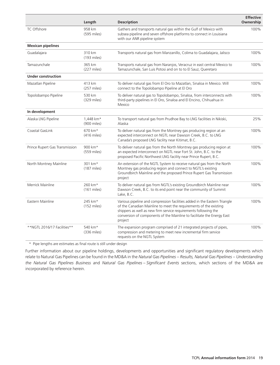|                                | Length                           | <b>Description</b>                                                                                                                                                                                                                                                                                     | <b>Effective</b><br>Ownership |
|--------------------------------|----------------------------------|--------------------------------------------------------------------------------------------------------------------------------------------------------------------------------------------------------------------------------------------------------------------------------------------------------|-------------------------------|
| TC Offshore                    | 958 km<br>(595 miles)            | Gathers and transports natural gas within the Gulf of Mexico with<br>subsea pipeline and seven offshore platforms to connect in Louisiana<br>with our ANR pipeline system                                                                                                                              | 100%                          |
| <b>Mexican pipelines</b>       |                                  |                                                                                                                                                                                                                                                                                                        |                               |
| Guadalajara                    | 310 km<br>$(193$ miles)          | Transports natural gas from Manzanillo, Colima to Guadalajara, Jalisco                                                                                                                                                                                                                                 | 100%                          |
| Tamazunchale                   | 365 km<br>$(227 \text{ miles})$  | Transports natural gas from Naranjos, Veracruz in east central Mexico to<br>Tamazunchale, San Luis Potosi and on to to El Sauz, Queretaro                                                                                                                                                              | 100%                          |
| <b>Under construction</b>      |                                  |                                                                                                                                                                                                                                                                                                        |                               |
| Mazatlan Pipeline              | 413 km<br>$(257$ miles)          | To deliver natural gas from El Oro to Mazatlan, Sinaloa in Mexico. Will<br>connect to the Topolobampo Pipeline at El Oro                                                                                                                                                                               | 100%                          |
| Topolobampo Pipeline           | 530 km<br>$(329 \text{ miles})$  | To deliver natural gas to Topolobampo, Sinaloa, from interconnects with<br>third-party pipelines in El Oro, Sinaloa and El Encino, Chihuahua in<br>Mexico                                                                                                                                              | 100%                          |
| In development                 |                                  |                                                                                                                                                                                                                                                                                                        |                               |
| Alaska LNG Pipeline            | 1,448 km*<br>(900 miles)         | To transport natural gas from Prudhoe Bay to LNG facilities in Nikiski,<br>Alaska                                                                                                                                                                                                                      | 25%                           |
| Coastal GasLink                | 670 km*<br>$(416$ miles)         | To deliver natural gas from the Montney gas producing region at an<br>expected interconnect on NGTL near Dawson Creek, B.C. to LNG<br>Canada's proposed LNG facility near Kitimat, B.C.                                                                                                                | 100%                          |
| Prince Rupert Gas Transmission | 900 km*<br>(559 miles)           | To deliver natural gas from the North Montney gas producing region at<br>an expected interconnect on NGTL near Fort St. John, B.C. to the<br>proposed Pacific Northwest LNG facility near Prince Rupert, B.C.                                                                                          | 100%                          |
| North Montney Mainline         | 301 km*<br>$(187$ miles)         | An extension of the NGTL System to receive natural gas from the North<br>Montney gas producing region and connect to NGTL's existing<br>Groundbirch Mainline and the proposed Prince Rupert Gas Transmission<br>project                                                                                | 100%                          |
| Merrick Mainline               | 260 km*<br>$(161$ miles)         | To deliver natural gas from NGTL's existing Groundbirch Mainline near<br>Dawson Creek, B.C. to its end point near the community of Summit<br>Lake, B.C.                                                                                                                                                | 100%                          |
| Eastern Mainline               | 245 km*<br>$(152 \text{ miles})$ | Various pipeline and compression facilities added in the Eastern Triangle<br>of the Canadian Mainline to meet the requirements of the existing<br>shippers as well as new firm service requirements following the<br>conversion of components of the Mainline to facilitate the Energy East<br>project | 100%                          |
| **NGTL 2016/17 Facilities**    | 540 km*<br>$(336$ miles)         | The expansion program comprised of 21 integrated projects of pipes,<br>compression and metering to meet new incremental firm service<br>requests on the NGTL System                                                                                                                                    | 100%                          |

\* Pipe lengths are estimates as final route is still under design

Further information about our pipeline holdings, developments and opportunities and significant regulatory developments which relate to Natural Gas Pipelines can be found in the MD&A in the *Natural Gas Pipelines – Results, Natural Gas Pipelines – Understanding the Natural Gas Pipelines Business* and *Natural Gas Pipelines – Significant Events* sections, which sections of the MD&A are incorporated by reference herein.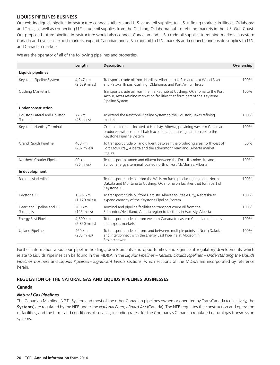### **LIQUIDS PIPELINES BUSINESS**

Our existing liquids pipeline infrastructure connects Alberta and U.S. crude oil supplies to U.S. refining markets in Illinois, Oklahoma and Texas, as well as connecting U.S. crude oil supplies from the Cushing, Oklahoma hub to refining markets in the U.S. Gulf Coast. Our proposed future pipeline infrastructure would also connect Canadian and U.S. crude oil supplies to refining markets in eastern Canada and overseas export markets, expand Canadian and U.S. crude oil to U.S. markets and connect condensate supplies to U.S. and Canadian markets.

We are the operator of all of the following pipelines and properties.

|                                         | Length                          | <b>Description</b>                                                                                                                                                               | Ownership |
|-----------------------------------------|---------------------------------|----------------------------------------------------------------------------------------------------------------------------------------------------------------------------------|-----------|
| <b>Liquids pipelines</b>                |                                 |                                                                                                                                                                                  |           |
| Keystone Pipeline System                | 4,247 km<br>(2,639 miles)       | Transports crude oil from Hardisty, Alberta, to U.S. markets at Wood River<br>and Patoka Illinois, Cushing, Oklahoma, and Port Arthur, Texas                                     | 100%      |
| Cushing Marketlink                      |                                 | Transports crude oil from the market hub at Cushing, Oklahoma to the Port<br>Arthur, Texas refining market on facilities that form part of the Keystone<br>Pipeline System       | 100%      |
| <b>Under construction</b>               |                                 |                                                                                                                                                                                  |           |
| Houston Lateral and Houston<br>Terminal | 77 km<br>(48 miles)             | To extend the Keystone Pipeline System to the Houston, Texas refining<br>market                                                                                                  | 100%      |
| Keystone Hardisty Terminal              |                                 | Crude oil terminal located at Hardisty, Alberta, providing western Canadian<br>producers with crude oil batch accumulation tankage and access to the<br>Keystone Pipeline System | 100%      |
| <b>Grand Rapids Pipeline</b>            | 460 km<br>$(287$ miles)         | To transport crude oil and diluent between the producing area northwest of<br>Fort McMurray, Alberta and the Edmonton/Heartland, Alberta market<br>region                        | 50%       |
| Northern Courier Pipeline               | 90 km<br>(56 miles)             | To transport bitumen and diluent between the Fort Hills mine site and<br>Suncor Energy's terminal located north of Fort McMurray, Alberta                                        | 100%      |
| In development                          |                                 |                                                                                                                                                                                  |           |
| <b>Bakken Marketlink</b>                |                                 | To transport crude oil from the Williston Basin producing region in North<br>Dakota and Montana to Cushing, Oklahoma on facilities that form part of<br>Keystone XL              | 100%      |
| Keystone XL                             | 1,897 km<br>$(1, 179$ miles)    | To transport crude oil from Hardisty, Alberta to Steele City, Nebraska to<br>expand capacity of the Keystone Pipeline System                                                     | 100%      |
| Heartland Pipeline and TC<br>Terminals  | 200 km<br>$(125 \text{ miles})$ | Terminal and pipeline facilities to transport crude oil from the<br>Edmonton/Heartland, Alberta region to facilities in Hardisty, Alberta                                        | 100%      |
| <b>Energy East Pipeline</b>             | 4,600 km<br>(2,850 miles)       | To transport crude oil from western Canada to eastern Canadian refineries<br>and export markets                                                                                  | 100%      |
| <b>Upland Pipeline</b>                  | 460 km<br>$(285 \text{ miles})$ | To transport crude oil from, and between, multiple points in North Dakota<br>and interconnect with the Energy East Pipeline at Moosomin,<br>Saskatchewan                         | 100%      |

Further information about our pipeline holdings, developments and opportunities and significant regulatory developments which relate to Liquids Pipelines can be found in the MD&A in the *Liquids Pipelines – Results, Liquids Pipelines – Understanding the Liquids Pipelines business* and *Liquids Pipelines – Significant Events* sections, which sections of the MD&A are incorporated by reference herein.

### **REGULATION OF THE NATURAL GAS AND LIQUIDS PIPELINES BUSINESSES**

### **Canada**

### *Natural Gas Pipelines*

The Canadian Mainline, NGTL System and most of the other Canadian pipelines owned or operated by TransCanada (collectively, the **Systems**) are regulated by the NEB under the *National Energy Board Act* (Canada). The NEB regulates the construction and operation of facilities, and the terms and conditions of services, including rates, for the Company's Canadian regulated natural gas transmission systems.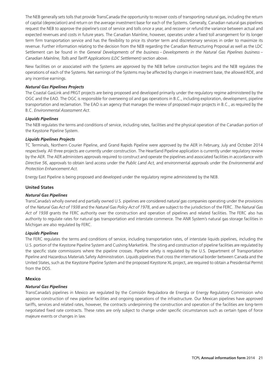The NEB generally sets tolls that provide TransCanada the opportunity to recover costs of transporting natural gas, including the return of capital (depreciation) and return on the average investment base for each of the Systems. Generally, Canadian natural gas pipelines request the NEB to approve the pipeline's cost of service and tolls once a year, and recover or refund the variance between actual and expected revenues and costs in future years. The Canadian Mainline, however, operates under a fixed toll arrangement for its longer term firm transportation service and has the flexibility to price its shorter term and discretionary services in order to maximize its revenue. Further information relating to the decision from the NEB regarding the Canadian Restructuring Proposal as well as the LDC Settlement can be found in the *General Developments of the business – Developments in the Natural Gas Pipelines business – Canadian Mainline, Tolls and Tariff Applications (LDC Settlement)* section above.

New facilities on or associated with the Systems are approved by the NEB before construction begins and the NEB regulates the operations of each of the Systems. Net earnings of the Systems may be affected by changes in investment base, the allowed ROE, and any incentive earnings.

### *Natural Gas Pipelines Projects*

The Coastal GasLink and PRGT projects are being proposed and developed primarily under the regulatory regime administered by the OGC and the EAO. The OGC is responsible for overseeing oil and gas operations in B.C., including exploration, development, pipeline transportation and reclamation. The EAO is an agency that manages the review of proposed major projects in B.C., as required by the B.C. *Environmental Assessment Act*.

### *Liquids Pipelines*

The NEB regulates the terms and conditions of service, including rates, facilities and the physical operation of the Canadian portion of the Keystone Pipeline System.

### *Liquids Pipelines Projects*

TC Terminals, Northern Courier Pipeline, and Grand Rapids Pipeline were approved by the AER in February, July and October 2014 respectively. All three projects are currently under construction. The Heartland Pipeline application is currently under regulatory review by the AER. The AER administers approvals required to construct and operate the pipelines and associated facilities in accordance with *Directive 56*, approvals to obtain land access under the *Public Land Act,* and environmental approvals under the *Environmental and Protection Enhancement Act*.

Energy East Pipeline is being proposed and developed under the regulatory regime administered by the NEB.

### **United States**

### *Natural Gas Pipelines*

TransCanada's wholly owned and partially owned U.S. pipelines are considered *natural gas companies* operating under the provisions of the *Natural Gas Act of 1938* and the *Natural Gas Policy Act of 1978*, and are subject to the jurisdiction of the FERC. *The Natural Gas Act of 1938* grants the FERC authority over the construction and operation of pipelines and related facilities. The FERC also has authority to regulate rates for natural gas transportation and interstate commerce. The ANR System's natural gas storage facilities in Michigan are also regulated by FERC.

#### *Liquids Pipelines*

The FERC regulates the terms and conditions of service, including transportation rates, of interstate liquids pipelines, including the U.S. portion of the Keystone Pipeline System and Cushing Marketlink. The siting and construction of pipeline facilities are regulated by the specific state commissions where the pipeline crosses. Pipeline safety is regulated by the U.S. Department of Transportation Pipeline and Hazardous Materials Safety Administration. Liquids pipelines that cross the international border between Canada and the United States, such as the Keystone Pipeline System and the proposed Keystone XL project, are required to obtain a Presidential Permit from the DOS.

#### **Mexico**

#### *Natural Gas Pipelines*

TransCanada's pipelines in Mexico are regulated by the Comisión Reguladora de Energía or Energy Regulatory Commission who approve construction of new pipeline facilities and ongoing operations of the infrastructure. Our Mexican pipelines have approved tariffs, services and related rates, however, the contracts underpinning the construction and operation of the facilities are long-term negotiated fixed rate contracts. These rates are only subject to change under specific circumstances such as certain types of force majeure events or changes in law.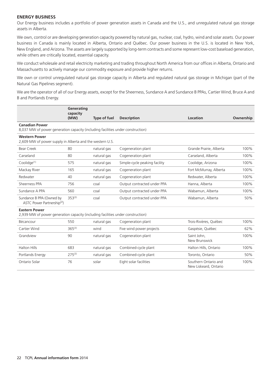### **ENERGY BUSINESS**

Our Energy business includes a portfolio of power generation assets in Canada and the U.S., and unregulated natural gas storage assets in Alberta.

We own, control or are developing generation capacity powered by natural gas, nuclear, coal, hydro, wind and solar assets. Our power business in Canada is mainly located in Alberta, Ontario and Quebec. Our power business in the U.S. is located in New York, ´ New England, and Arizona. The assets are largely supported by long-term contracts and some represent low-cost baseload generation, while others are critically located, essential capacity.

We conduct wholesale and retail electricity marketing and trading throughout North America from our offices in Alberta, Ontario and Massachusetts to actively manage our commodity exposure and provide higher returns.

We own or control unregulated natural gas storage capacity in Alberta and regulated natural gas storage in Michigan (part of the Natural Gas Pipelines segment).

We are the operator of all of our Energy assets, except for the Sheerness, Sundance A and Sundance B PPAs, Cartier Wind, Bruce A and B and Portlands Energy.

|                                                                                                          | Generating<br>capacity |                     |                               |                                               |           |
|----------------------------------------------------------------------------------------------------------|------------------------|---------------------|-------------------------------|-----------------------------------------------|-----------|
|                                                                                                          | (MW)                   | <b>Type of fuel</b> | <b>Description</b>            | Location                                      | Ownership |
| <b>Canadian Power</b><br>8,037 MW of power generation capacity (including facilities under construction) |                        |                     |                               |                                               |           |
| <b>Western Power</b><br>2,609 MW of power supply in Alberta and the western U.S.                         |                        |                     |                               |                                               |           |
| Bear Creek                                                                                               | 80                     | natural gas         | Cogeneration plant            | Grande Prairie, Alberta                       | 100%      |
| Carseland                                                                                                | 80                     | natural gas         | Cogeneration plant            | Carseland, Alberta                            | 100%      |
| Coolidge <sup>(1)</sup>                                                                                  | 575                    | natural gas         | Simple-cycle peaking facility | Coolidge, Arizona                             | 100%      |
| Mackay River                                                                                             | 165                    | natural gas         | Cogeneration plant            | Fort McMurray, Alberta                        | 100%      |
| Redwater                                                                                                 | 40                     | natural gas         | Cogeneration plant            | Redwater, Alberta                             | 100%      |
| Sheerness PPA                                                                                            | 756                    | coal                | Output contracted under PPA   | Hanna, Alberta                                | 100%      |
| Sundance A PPA                                                                                           | 560                    | coal                | Output contracted under PPA   | Wabamun, Alberta                              | 100%      |
| Sundance B PPA (Owned by<br>ASTC Power Partnership <sup>(2)</sup> )                                      | $353^{(3)}$            | coal                | Output contracted under PPA   | Wabamun, Alberta                              | 50%       |
| <b>Eastern Power</b><br>2,939 MW of power generation capacity (including facilities under construction)  |                        |                     |                               |                                               |           |
| Bécancour                                                                                                | 550                    | natural gas         | Cogeneration plant            | Trois-Rivières, Québec                        | 100%      |
| Cartier Wind                                                                                             | $365^{(3)}$            | wind                | Five wind power projects      | Gaspésie, Québec                              | 62%       |
| Grandview                                                                                                | 90                     | natural gas         | Cogeneration plant            | Saint John,<br>New Brunswick                  | 100%      |
| <b>Halton Hills</b>                                                                                      | 683                    | natural gas         | Combined-cycle plant          | Halton Hills, Ontario                         | 100%      |
| Portlands Energy                                                                                         | $275^{(3)}$            | natural gas         | Combined-cycle plant          | Toronto, Ontario                              | 50%       |
| Ontario Solar                                                                                            | 76                     | solar               | Eight solar facilities        | Southern Ontario and<br>New Liskeard, Ontario | 100%      |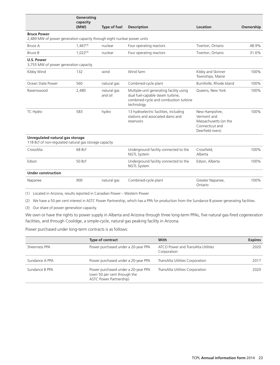|                                                                                               | Generating<br>capacity |                        |                                                                                                                                    |                                                                                                |           |
|-----------------------------------------------------------------------------------------------|------------------------|------------------------|------------------------------------------------------------------------------------------------------------------------------------|------------------------------------------------------------------------------------------------|-----------|
|                                                                                               | (MW)                   | <b>Type of fuel</b>    | <b>Description</b>                                                                                                                 | Location                                                                                       | Ownership |
| <b>Bruce Power</b><br>2,489 MW of power generation capacity through eight nuclear power units |                        |                        |                                                                                                                                    |                                                                                                |           |
| <b>Bruce A</b>                                                                                | $1.467^{(3)}$          | nuclear                | Four operating reactors                                                                                                            | Tiverton, Ontario                                                                              | 48.9%     |
| <b>Bruce B</b>                                                                                | $1.022^{(3)}$          | nuclear                | Four operating reactors                                                                                                            | Tiverton, Ontario                                                                              | 31.6%     |
| <b>U.S. Power</b><br>3,755 MW of power generation capacity                                    |                        |                        |                                                                                                                                    |                                                                                                |           |
| Kibby Wind                                                                                    | 132                    | wind                   | Wind farm                                                                                                                          | Kibby and Skinner<br>Townships, Maine                                                          | 100%      |
| Ocean State Power                                                                             | 560                    | natural gas            | Combined-cycle plant                                                                                                               | Burrillville, Rhode Island                                                                     | 100%      |
| Ravenswood                                                                                    | 2,480                  | natural gas<br>and oil | Multiple-unit generating facility using<br>dual fuel-capable steam turbine,<br>combined-cycle and combustion turbine<br>technology | Queens, New York                                                                               | 100%      |
| <b>TC Hydro</b>                                                                               | 583                    | hydro                  | 13 hydroelectric facilities, including<br>stations and associated dams and<br>reservoirs                                           | New Hampshire,<br>Vermont and<br>Massachusetts (on the<br>Connecticut and<br>Deerfield rivers) | 100%      |
| Unregulated natural gas storage<br>118 Bcf of non-regulated natural gas storage capacity      |                        |                        |                                                                                                                                    |                                                                                                |           |
| CrossAlta                                                                                     | 68 Bcf                 |                        | Underground facility connected to the<br>NGTL System                                                                               | Crossfield,<br>Alberta                                                                         | 100%      |
| Edson                                                                                         | 50 Bcf                 |                        | Underground facility connected to the<br><b>NGTL System</b>                                                                        | Edson, Alberta                                                                                 | 100%      |
| <b>Under construction</b>                                                                     |                        |                        |                                                                                                                                    |                                                                                                |           |
| Napanee                                                                                       | 900                    | natural gas            | Combined-cycle plant                                                                                                               | Greater Napanee,<br>Ontario                                                                    | 100%      |

(1) Located in Arizona, results reported in Canadian Power – Western Power.

(2) We have a 50 per cent interest in ASTC Power Partnership, which has a PPA for production from the Sundance B power generating facilities.

(3) Our share of power generation capacity.

We own or have the rights to power supply in Alberta and Arizona through three long-term PPAs, five natural gas-fired cogeneration facilities, and through Coolidge, a simple-cycle, natural gas peaking facility in Arizona.

Power purchased under long-term contracts is as follows:

|                | <b>Type of contract</b>                                                                        | With                                              | <b>Expires</b> |
|----------------|------------------------------------------------------------------------------------------------|---------------------------------------------------|----------------|
| Sheerness PPA  | Power purchased under a 20-year PPA                                                            | ATCO Power and TransAlta Utilities<br>Corporation | 2020           |
| Sundance A PPA | Power purchased under a 20-year PPA                                                            | TransAlta Utilities Corporation                   | 2017           |
| Sundance B PPA | Power purchased under a 20-year PPA<br>(own 50 per cent through the<br>ASTC Power Partnership) | TransAlta Utilities Corporation                   | 2020           |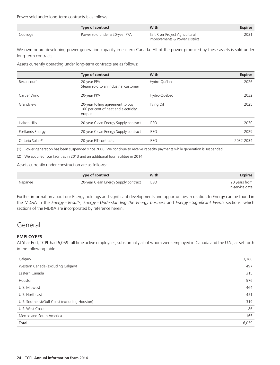Power sold under long-term contracts is as follows:

|          | Type of contract               | With                                                             | <b>Expires</b> |
|----------|--------------------------------|------------------------------------------------------------------|----------------|
| Coolidge | Power sold under a 20-year PPA | Salt River Project Agricultural<br>Improvements & Power District | 2031           |

We own or are developing power generation capacity in eastern Canada. All of the power produced by these assets is sold under long-term contracts.

Assets currently operating under long-term contracts are as follows:

|                              | Type of contract                                                                   | With         | <b>Expires</b> |
|------------------------------|------------------------------------------------------------------------------------|--------------|----------------|
| Bécancour <sup>(1)</sup>     | 20-year PPA<br>Steam sold to an industrial customer                                | Hydro-Québec | 2026           |
| Cartier Wind                 | 20-year PPA                                                                        | Hydro-Québec | 2032           |
| Grandview                    | 20-year tolling agreement to buy<br>100 per cent of heat and electricity<br>output | Irving Oil   | 2025           |
| <b>Halton Hills</b>          | 20-year Clean Energy Supply contract                                               | <b>IESO</b>  | 2030           |
| Portlands Energy             | 20-year Clean Energy Supply contract                                               | <b>IESO</b>  | 2029           |
| Ontario Solar <sup>(2)</sup> | 20-year FIT contracts                                                              | <b>IESO</b>  | 2032-2034      |

(1) Power generation has been suspended since 2008. We continue to receive capacity payments while generation is suspended.

(2) We acquired four facilities in 2013 and an additional four facilities in 2014.

Assets currently under construction are as follows:

|         | Type of contract                     | With        | <b>Expires</b>                   |
|---------|--------------------------------------|-------------|----------------------------------|
| Napanee | 20-year Clean Energy Supply contract | <b>IESO</b> | 20 years from<br>in-service date |

Further information about our Energy holdings and significant developments and opportunities in relation to Energy can be found in the MD&A in the *Energy – Results, Energy – Understanding the Energy business* and *Energy – Significant Events* sections, which sections of the MD&A are incorporated by reference herein.

### General

### **EMPLOYEES**

At Year End, TCPL had 6,059 full time active employees, substantially all of whom were employed in Canada and the U.S., as set forth in the following table.

| Calgary                                       | 3,186 |
|-----------------------------------------------|-------|
| Western Canada (excluding Calgary)            | 497   |
| Eastern Canada                                | 315   |
| Houston                                       | 576   |
| U.S. Midwest                                  | 464   |
| U.S. Northeast                                | 451   |
| U.S. Southeast/Gulf Coast (excluding Houston) | 319   |
| U.S. West Coast                               | 86    |
| Mexico and South America                      | 165   |
| <b>Total</b>                                  | 6,059 |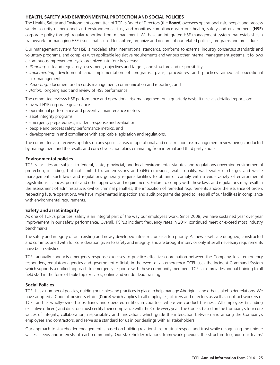### **HEALTH, SAFETY AND ENVIRONMENTAL PROTECTION AND SOCIAL POLICIES**

The Health, Safety and Environment committee of TCPL's Board of Directors (the **Board**) oversees operational risk, people and process safety, security of personnel and environmental risks, and monitors compliance with our health, safety and environment (**HSE**) corporate policy through regular reporting from management. We have an integrated HSE management system that establishes a framework for managing HSE issues that is used to capture, organize and document our related policies, programs and procedures.

Our management system for HSE is modeled after international standards, conforms to external industry consensus standards and voluntary programs, and complies with applicable legislative requirements and various other internal management systems. It follows a continuous improvement cycle organized into four key areas:

- *Planning:* risk and regulatory assessment, objectives and targets, and structure and responsibility
- *Implementing:* development and implementation of programs, plans, procedures and practices aimed at operational risk management
- *Reporting:* document and records management, communication and reporting, and
- *Action:* ongoing audit and review of HSE performance.

• overall HSE corporate governance The committee reviews HSE performance and operational risk management on a quarterly basis. It receives detailed reports on:

- operational performance and preventive maintenance metrics
- asset integrity programs
- emergency preparedness, incident response and evaluation
- people and process safety performance metrics, and
- developments in and compliance with applicable legislation and regulations.

The committee also receives updates on any specific areas of operational and construction risk management review being conducted by management and the results and corrective action plans emanating from internal and third party audits.

### **Environmental policies**

TCPL's facilities are subject to federal, state, provincial, and local environmental statutes and regulations governing environmental protection, including, but not limited to, air emissions and GHG emissions, water quality, wastewater discharges and waste management. Such laws and regulations generally require facilities to obtain or comply with a wide variety of environmental registrations, licences, permits and other approvals and requirements. Failure to comply with these laws and regulations may result in the assessment of administrative, civil or criminal penalties, the imposition of remedial requirements and/or the issuance of orders respecting future operations. We have implemented inspection and audit programs designed to keep all of our facilities in compliance with environmental requirements.

### **Safety and asset integrity**

As one of TCPL's priorities, safety is an integral part of the way our employees work. Since 2008, we have sustained year over year improvement in our safety performance. Overall, TCPL's incident frequency rates in 2014 continued meet or exceed most industry benchmarks.

The safety and integrity of our existing and newly developed infrastructure is a top priority. All new assets are designed, constructed and commissioned with full consideration given to safety and integrity, and are brought in service only after all necessary requirements have been satisfied.

TCPL annually conducts emergency response exercises to practice effective coordination between the Company, local emergency responders, regulatory agencies and government officials in the event of an emergency. TCPL uses the Incident Command System which supports a unified approach to emergency response with these community members. TCPL also provides annual training to all field staff in the form of table top exercises, online and vendor lead training.

### **Social Policies**

TCPL has a number of policies, guiding principles and practices in place to help manage Aboriginal and other stakeholder relations. We have adopted a Code of business ethics (**Code**) which applies to all employees, officers and directors as well as contract workers of TCPL and its wholly-owned subsidiaries and operated entities in countries where we conduct business. All employees (including executive officers) and directors must certify their compliance with the Code every year. The Code is based on the Company's four core values of integrity, collaboration, responsibility and innovation, which guide the interaction between and among the Company's employees and contractors, and serve as a standard for us in our dealings with all stakeholders.

Our approach to stakeholder engagement is based on building relationships, mutual respect and trust while recognizing the unique values, needs and interests of each community. Our stakeholder relations framework provides the structure to guide our teams'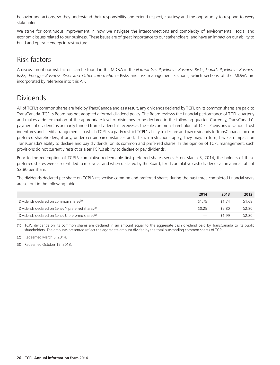behavior and actions, so they understand their responsibility and extend respect, courtesy and the opportunity to respond to every stakeholder.

We strive for continuous improvement in how we navigate the interconnections and complexity of environmental, social and economic issues related to our business. These issues are of great importance to our stakeholders, and have an impact on our ability to build and operate energy infrastructure.

### Risk factors

A discussion of our risk factors can be found in the MD&A in the *Natural Gas Pipelines – Business Risks, Liquids Pipelines – Business Risks, Energy – Business Risks and Other informatio*n – Risks and risk management sections, which sections of the MD&A are incorporated by reference into this AIF.

## Dividends

All of TCPL's common shares are held by TransCanada and as a result, any dividends declared by TCPL on its common shares are paid to TransCanada. TCPL's Board has not adopted a formal dividend policy. The Board reviews the financial performance of TCPL quarterly and makes a determination of the appropriate level of dividends to be declared in the following quarter. Currently, TransCanada's payment of dividends is primarily funded from dividends it receives as the sole common shareholder of TCPL. Provisions of various trust indentures and credit arrangements to which TCPL is a party restrict TCPL's ability to declare and pay dividends to TransCanada and our preferred shareholders, if any, under certain circumstances and, if such restrictions apply, they may, in turn, have an impact on TransCanada's ability to declare and pay dividends, on its common and preferred shares. In the opinion of TCPL management, such provisions do not currently restrict or alter TCPL's ability to declare or pay dividends.

Prior to the redemption of TCPL's cumulative redeemable first preferred shares series Y on March 5, 2014, the holders of these preferred shares were also entitled to receive as and when declared by the Board, fixed cumulative cash dividends at an annual rate of \$2.80 per share.

The dividends declared per share on TCPL's respective common and preferred shares during the past three completed financial years are set out in the following table.

|                                                                | 2014   | 2013   | 2012   |
|----------------------------------------------------------------|--------|--------|--------|
| Dividends declared on common shares <sup>(1)</sup>             | \$175  | \$174  | \$1.68 |
| Dividends declared on Series Y preferred shares <sup>(2)</sup> | \$0.25 | \$2.80 | \$2.80 |
| Dividends declared on Series U preferred shares <sup>(3)</sup> |        | \$199  | \$2.80 |

(1) TCPL dividends on its common shares are declared in an amount equal to the aggregate cash dividend paid by TransCanada to its public shareholders. The amounts presented reflect the aggregate amount divided by the total outstanding common shares of TCPL.

(2) Redeemed March 5, 2014.

(3) Redeemed October 15, 2013.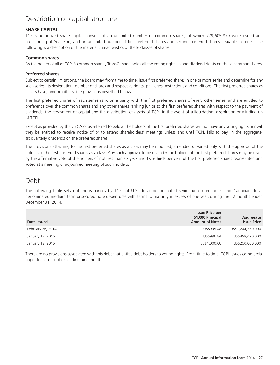# Description of capital structure

### **SHARE CAPITAL**

TCPL's authorized share capital consists of an unlimited number of common shares, of which 779,605,870 were issued and outstanding at Year End, and an unlimited number of first preferred shares and second preferred shares, issuable in series. The following is a description of the material characteristics of these classes of shares.

### **Common shares**

As the holder of all of TCPL's common shares, TransCanada holds all the voting rights in and dividend rights on those common shares.

### **Preferred shares**

Subject to certain limitations, the Board may, from time to time, issue first preferred shares in one or more series and determine for any such series, its designation, number of shares and respective rights, privileges, restrictions and conditions. The first preferred shares as a class have, among others, the provisions described below.

The first preferred shares of each series rank on a parity with the first preferred shares of every other series, and are entitled to preference over the common shares and any other shares ranking junior to the first preferred shares with respect to the payment of dividends, the repayment of capital and the distribution of assets of TCPL in the event of a liquidation, dissolution or winding up of TCPL.

Except as provided by the CBCA or as referred to below, the holders of the first preferred shares will not have any voting rights nor will they be entitled to receive notice of or to attend shareholders' meetings unless and until TCPL fails to pay, in the aggregate, six quarterly dividends on the preferred shares.

The provisions attaching to the first preferred shares as a class may be modified, amended or varied only with the approval of the holders of the first preferred shares as a class. Any such approval to be given by the holders of the first preferred shares may be given by the affirmative vote of the holders of not less than sixty-six and two-thirds per cent of the first preferred shares represented and voted at a meeting or adjourned meeting of such holders.

### Debt

The following table sets out the issuances by TCPL of U.S. dollar denominated senior unsecured notes and Canadian dollar denominated medium term unsecured note debentures with terms to maturity in excess of one year, during the 12 months ended December 31, 2014.

| Date Issued       | <b>Issue Price per</b><br>\$1,000 Principal<br><b>Amount of Notes</b> | Aggregate<br><b>Issue Price</b> |
|-------------------|-----------------------------------------------------------------------|---------------------------------|
| February 28, 2014 | US\$995.48                                                            | US\$1,244,350,000               |
| January 12, 2015  | US\$996.84                                                            | US\$498,420,000                 |
| January 12, 2015  | US\$1,000.00                                                          | US\$250,000,000                 |

There are no provisions associated with this debt that entitle debt holders to voting rights. From time to time, TCPL issues commercial paper for terms not exceeding nine months.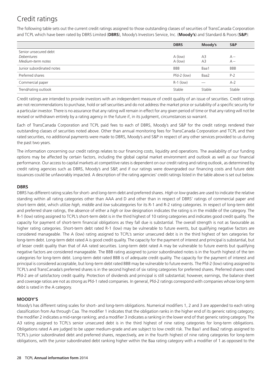# Credit ratings

The following table sets out the current credit ratings assigned to those outstanding classes of securities of TransCanada Corporation and TCPL which have been rated by DBRS Limited (**DBRS**), Moody's Investors Service, Inc. (**Moody's**) and Standard & Poors (**S&P**):

|                           | <b>DBRS</b> | Moody's        | S&P        |
|---------------------------|-------------|----------------|------------|
| Senior unsecured debt     |             |                |            |
| Debentures                | A (low)     | A <sub>3</sub> | $A -$      |
| Medium-term notes         | $A$ (low)   | A <sub>3</sub> | $A -$      |
| Junior subordinated notes | <b>BBB</b>  | Baa1           | <b>BBB</b> |
| Preferred shares          | Pfd-2 (low) | Baa2           | $P-2$      |
| Commercial paper          | $R-1$ (low) |                | $A-2$      |
| Trend/rating outlook      | Stable      | Stable         | Stable     |

Credit ratings are intended to provide investors with an independent measure of credit quality of an issue of securities. Credit ratings are not recommendations to purchase, hold or sell securities and do not address the market price or suitability of a specific security for a particular investor. There is no assurance that any rating will remain in effect for any given period of time or that any rating will not be revised or withdrawn entirely by a rating agency in the future if, in its judgment, circumstances so warrant.

Each of TransCanada Corporation and TCPL paid fees to each of DBRS, Moody's and S&P for the credit ratings rendered their outstanding classes of securities noted above. Other than annual monitoring fees for TransCanada Corporation and TCPL and their rated securities, no additional payments were made to DBRS, Moody's and S&P in respect of any other services provided to us during the past two years.

The information concerning our credit ratings relates to our financing costs, liquidity and operations. The availability of our funding options may be affected by certain factors, including the global capital market environment and outlook as well as our financial performance. Our access to capital markets at competitive rates is dependent on our credit rating and rating outlook, as determined by credit rating agencies such as DBRS, Moody's and S&P, and if our ratings were downgraded our financing costs and future debt issuances could be unfavorably impacted. A description of the rating agencies' credit ratings listed in the table above is set out below.

### **DBRS**

DBRS has different rating scales for short- and long-term debt and preferred shares. *High* or *low* grades are used to indicate the relative standing within all rating categories other than AAA and D and other than in respect of DBRS' ratings of commercial paper and short-term debt, which utilize *high, middle* and *low* subcategories for its R-1 and R-2 rating categories. In respect of long-term debt and preferred share ratings, the absence of either a *high* or *low* designation indicates the rating is in the middle of the category. The R-1 (low) rating assigned to TCPL's short-term debt is in the third highest of 10 rating categories and indicates good credit quality. The capacity for payment of short-term financial obligations as they fall due is substantial. The overall strength is not as favourable as higher rating categories. Short-term debt rated R-1 (low) may be vulnerable to future events, but qualifying negative factors are considered manageable. The A (low) rating assigned to TCPL's senior unsecured debt is in the third highest of ten categories for long-term debt. Long-term debt rated A is good credit quality. The capacity for the payment of interest and principal is substantial, but of lesser credit quality than that of AA rated securities. Long-term debt rated A may be vulnerable to future events but qualifying negative factors are considered manageable. The BBB rating assigned to junior subordinated notes is in the fourth highest of the ten categories for long-term debt. Long-term debt rated BBB is of adequate credit quality. The capacity for the payment of interest and principal is considered acceptable, but long-term debt rated BBB may be vulnerable to future events. The Pfd-2 (low) rating assigned to TCPL's and TransCanada's preferred shares is in the second highest of six rating categories for preferred shares. Preferred shares rated Pfd-2 are of satisfactory credit quality. Protection of dividends and principal is still substantial; however, earnings, the balance sheet and coverage ratios are not as strong as Pfd-1 rated companies. In general, Pfd-2 ratings correspond with companies whose long-term debt is rated in the A category.

### **MOODY'S**

Moody's has different rating scales for short- and long-term obligations. Numerical modifiers 1, 2 and 3 are appended to each rating classification from Aa through Caa. The modifier 1 indicates that the obligation ranks in the higher end of its generic rating category; the modifier 2 indicates a mid-range ranking; and a modifier 3 indicates a ranking in the lower end of that generic rating category. The A3 rating assigned to TCPL's senior unsecured debt is in the third highest of nine rating categories for long-term obligations. Obligations rated A are judged to be upper medium-grade and are subject to low credit risk. The Baa1 and Baa2 ratings assigned to TCPL's junior subordinated debt and preferred shares, respectively, are in the fourth highest of nine rating categories for long-term obligations, with the junior subordinated debt ranking higher within the Baa rating category with a modifier of 1 as opposed to the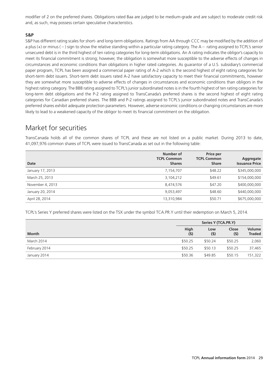modifier of 2 on the preferred shares. Obligations rated Baa are judged to be medium-grade and are subject to moderate credit risk and, as such, may possess certain speculative characteristics.

### **S&P**

S&P has different rating scales for short- and long-term obligations. Ratings from AA through CCC may be modified by the addition of a plus  $(+)$  or minus  $(-)$  sign to show the relative standing within a particular rating category. The  $A -$  rating assigned to TCPL's senior unsecured debt is in the third highest of ten rating categories for long-term obligations. An A rating indicates the obligor's capacity to meet its financial commitment is strong; however, the obligation is somewhat more susceptible to the adverse effects of changes in circumstances and economic conditions than obligations in higher rated categories. As guarantor of a U.S. subsidiary's commercial paper program, TCPL has been assigned a commercial paper rating of A-2 which is the second highest of eight rating categories for short-term debt issuers. Short-term debt issuers rated A-2 have satisfactory capacity to meet their financial commitments, however they are somewhat more susceptible to adverse effects of changes in circumstances and economic conditions than obligors in the highest rating category. The BBB rating assigned to TCPL's junior subordinated notes is in the fourth highest of ten rating categories for long-term debt obligations and the P-2 rating assigned to TransCanada's preferred shares is the second highest of eight rating categories for Canadian preferred shares. The BBB and P-2 ratings assigned to TCPL's junior subordinated notes and TransCanada's preferred shares exhibit adequate protection parameters. However, adverse economic conditions or changing circumstances are more likely to lead to a weakened capacity of the obligor to meet its financial commitment on the obligation.

### Market for securities

TransCanada holds all of the common shares of TCPL and these are not listed on a public market. During 2013 to date, 41,097,976 common shares of TCPL were issued to TransCanada as set out in the following table:

| Date             | Number of<br><b>TCPL Common</b><br><b>Shares</b> | Price per<br><b>TCPL Common</b><br><b>Share</b> | Aggregate<br><b>Issuance Price</b> |
|------------------|--------------------------------------------------|-------------------------------------------------|------------------------------------|
| January 17, 2013 | 7,154,707                                        | \$48.22                                         | \$345,000,000                      |
| March 25, 2013   | 3,104,212                                        | \$49.61                                         | \$154,000,000                      |
| November 4, 2013 | 8,474,576                                        | \$47.20                                         | \$400,000,000                      |
| January 20, 2014 | 9,053,497                                        | \$48.60                                         | \$440,000,000                      |
| April 28, 2014   | 13,310,984                                       | \$50.71                                         | \$675,000,000                      |

TCPL's Series Y preferred shares were listed on the TSX under the symbol TCA.PR.Y until their redemption on March 5, 2014.

|               | Series Y (TCA.PR.Y) |            |              |                                |
|---------------|---------------------|------------|--------------|--------------------------------|
| <b>Month</b>  | High<br>(5)         | Low<br>(5) | Close<br>(5) | <b>Volume</b><br><b>Traded</b> |
| March 2014    | \$50.25             | \$50.24    | \$50.25      | 2,060                          |
| February 2014 | \$50.25             | \$50.13    | \$50.25      | 37,465                         |
| January 2014  | \$50.36             | \$49.85    | \$50.15      | 151,322                        |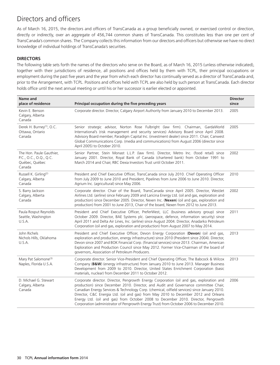## Directors and officers

As of March 16, 2015, the directors and officers of TransCanada as a group beneficially owned, or exercised control or direction, directly or indirectly, over an aggregate of 456,744 common shares of TransCanada. This constitutes less than one per cent of TransCanada's common shares. The Company collects this information from our directors and officers but otherwise we have no direct knowledge of individual holdings of TransCanada's securities.

### **DIRECTORS**

The following table sets forth the names of the directors who serve on the Board, as of March 16, 2015 (unless otherwise indicated), together with their jurisdictions of residence, all positions and offices held by them with TCPL, their principal occupations or employment during the past five years and the year from which each director has continually served as a director of TransCanada and, prior to the Arrangement, with TCPL. Positions and offices held with TCPL are also held by such person at TransCanada. Each director holds office until the next annual meeting or until his or her successor is earlier elected or appointed.

| Name and<br>place of residence                                                 | Principal occupation during the five preceding years                                                                                                                                                                                                                                                                                                                                                                                                                                                                                                       | <b>Director</b><br>since |
|--------------------------------------------------------------------------------|------------------------------------------------------------------------------------------------------------------------------------------------------------------------------------------------------------------------------------------------------------------------------------------------------------------------------------------------------------------------------------------------------------------------------------------------------------------------------------------------------------------------------------------------------------|--------------------------|
| Kevin E. Benson<br>Calgary, Alberta<br>Canada                                  | Corporate director. Director, Calgary Airport Authority from January 2010 to December 2013.                                                                                                                                                                                                                                                                                                                                                                                                                                                                | 2005                     |
| Derek H. Burney <sup>(1)</sup> , O.C.<br>Ottawa, Ontario<br>Canada             | Senior strategic advisor, Norton Rose Fulbright (law firm). Chairman, GardaWorld<br>International's (risk management and security services) Advisory Board since April 2008.<br>Advisory Board member, Paradigm Capital Inc. (investment dealer) since 2011. Chair, Canwest<br>Global Communications Corp. (media and communications) from August 2006 (director since<br>April 2005) to October 2010.                                                                                                                                                     | 2005                     |
| The Hon. Paule Gauthier,<br>P.C., O.C., O.Q., Q.C.<br>Québec, Québec<br>Canada | Senior Partner, Stein Monast L.L.P. (law firm). Director, Metro Inc. (food retail) since<br>January 2001. Director, Royal Bank of Canada (chartered bank) from October 1991 to<br>March 2014 and Chair, RBC Dexia Investors Trust until October 2011.                                                                                                                                                                                                                                                                                                      | 2002                     |
| Russell K. Girling <sup>(2)</sup><br>Calgary, Alberta<br>Canada                | President and Chief Executive Officer, TransCanada since July 2010. Chief Operating Officer<br>from July 2009 to June 2010 and President, Pipelines from June 2006 to June 2010. Director,<br>Agrium Inc. (agricultural) since May 2006.                                                                                                                                                                                                                                                                                                                   | 2010                     |
| S. Barry Jackson<br>Calgary, Alberta<br>Canada                                 | Corporate director. Chair of the Board, TransCanada since April 2005. Director, WestJet<br>Airlines Ltd. (airline) since February 2009 and Laricina Energy Ltd. (oil and gas, exploration and<br>production) since December 2005. Director, Nexen Inc. (Nexen) (oil and gas, exploration and<br>production) from 2001 to June 2013, Chair of the board, Nexen from 2012 to June 2013.                                                                                                                                                                      | 2002                     |
| Paula Rosput Reynolds<br>Seattle, Washington<br>U.S.A.                         | President and Chief Executive Officer, PreferWest, LLC (business advisory group) since<br>October 2009. Director, BAE Systems plc. (aerospace, defence, information security) since<br>April 2011 and Delta Air Lines, Inc. (airline) since August 2004. Director, Anadarko Petroleum<br>Corporation (oil and gas, exploration and production) from August 2007 to May 2014.                                                                                                                                                                               | 2011                     |
| John Richels<br>Nichols Hills, Oklahoma<br>U.S.A.                              | President and Chief Executive Officer, Devon Energy Corporation (Devon) (oil and gas,<br>exploration and production, energy infrastructure) since 2010 (President since 2004). Director,<br>Devon since 2007 and BOK Financial Corp. (financial services) since 2013. Chairman, American<br>Exploration and Production Council since May 2012. Former Vice-Chairman of the board of<br>governors, Association of Petroleum Producers.                                                                                                                      | 2013                     |
| Mary Pat Salomone <sup>(3)</sup><br>Naples, Florida U.S.A.                     | Corporate director. Senior Vice-President and Chief Operating Officer, The Babcock & Wilcox<br>Company (B&W) (energy infrastructure) from January 2010 to June 2013. Manager Business<br>Development from 2009 to 2010. Director, United States Enrichment Corporation (basic<br>materials, nuclear) from December 2011 to October 2012.                                                                                                                                                                                                                   | 2013                     |
| D. Michael G. Stewart<br>Calgary, Alberta<br>Canada                            | Corporate director. Director, Pengrowth Energy Corporation (oil and gas, exploration and<br>production) since December 2010. Director, and Audit and Governance committee Chair,<br>Canadian Energy Services & Technology Corp. (chemical, oilfield services) since January 2010.<br>Director, C&C Energia Ltd. (oil and gas) from May 2010 to December 2012 and Orleans<br>Energy Ltd. (oil and gas) from October 2008 to December 2010. Director, Pengrowth<br>Corporation (administrator of Pengrowth Energy Trust) from October 2006 to December 2010. | 2006                     |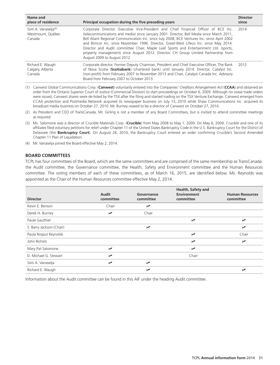| Name and<br>place of residence                                  | Principal occupation during the five preceding years                                                                                                                                                                                                                                                                                                                                                                                                                                                                                                                                     | <b>Director</b><br>since |
|-----------------------------------------------------------------|------------------------------------------------------------------------------------------------------------------------------------------------------------------------------------------------------------------------------------------------------------------------------------------------------------------------------------------------------------------------------------------------------------------------------------------------------------------------------------------------------------------------------------------------------------------------------------------|--------------------------|
| Siim A. Vanaselja <sup>(4)</sup><br>Westmount, Québec<br>Canada | Corporate Director. Executive Vice-President and Chief Financial Officer of BCE Inc.<br>(telecommunications and media) since January 2001. Director, Bell Media since March 2011,<br>Bell Aliant Regional Communication Inc. since July 2008, BCE Ventures Inc. since April 2002<br>and Bimcor Inc. since November 1996. Director, Great-West Lifeco Inc. since May 2014.<br>Director and Audit committee Chair, Maple Leaf Sports and Entertainment Ltd. (sports,<br>property management) since August 2012. Director, CH Group Limited Partnership from<br>August 2009 to August 2012. | 2014                     |
| Richard E. Waugh<br>Calgary, Alberta<br>Canada                  | Corporate director. Former Deputy Chairman, President and Chief Executive Officer, The Bank<br>of Nova Scotia (Scotiabank) (chartered bank) until January 2014. Director, Catalyst Inc.<br>(non-profit) from February 2007 to November 2013 and Chair, Catalyst Canada Inc. Advisory<br>Board from February 2007 to October 2013.                                                                                                                                                                                                                                                        | 2012                     |

(1) Canwest Global Communications Corp. (**Canwest**) voluntarily entered into the *Companies' Creditors Arrangement Act* (**CCAA**) and obtained an order from the Ontario Superior Court of Justice (Commercial Division) to start proceedings on October 6, 2009. Although no cease trade orders were issued, Canwest shares were de-listed by the TSX after the filing and started trading on the TSX Venture Exchange. Canwest emerged from CCAA protection and Postmedia Network acquired its newspaper business on July 13, 2010 while Shaw Communications Inc. acquired its broadcast media business on October 27, 2010. Mr. Burney ceased to be a director of Canwest on October 27, 2010.

- (2) As President and CEO of TransCanada, Mr. Girling is not a member of any Board Committees, but is invited to attend committee meetings as required.
- (3) Ms. Salomone was a director of Crucible Materials Corp. (**Crucible**) from May 2008 to May 1, 2009. On May 6, 2009, Crucible and one of its affiliates filed voluntary petitions for relief under Chapter 11 of the United States Bankruptcy Code in the U.S. Bankruptcy Court for the District of Delaware (the **Bankruptcy Court**). On August 26, 2010, the Bankruptcy Court entered an order confirming Crucible's Second Amended Chapter 11 Plan of Liquidation.
- (4) Mr. Vanaselja joined the Board effective May 2, 2014.

### **BOARD COMMITTEES**

TCPL has four committees of the Board, which are the same committees and are comprised of the same membership as TransCanada: the Audit committee, the Governance committee, the Health, Safety and Environment committee and the Human Resources committee. The voting members of each of these committees, as of March 16, 2015, are identified below. Ms. Reynolds was appointed as the Chair of the Human Resources committee effective May 2, 2014.

| <b>Director</b>          | Audit<br>committee | Governance<br>committee | Health, Safety and<br>Environment<br>committee | <b>Human Resources</b><br>committee |
|--------------------------|--------------------|-------------------------|------------------------------------------------|-------------------------------------|
| Kevin E. Benson          | Chair              | $\sqrt{2}$              |                                                |                                     |
| Derek H. Burney          | ↙                  | Chair                   |                                                |                                     |
| Paule Gauthier           |                    |                         | $\sqrt{2}$                                     | ↙                                   |
| S. Barry Jackson (Chair) |                    | $\overline{v}$          |                                                | ↙                                   |
| Paula Rosput Reynolds    |                    |                         | ↙                                              | Chair                               |
| John Richels             |                    |                         | ➤                                              | ↙                                   |
| Mary Pat Salomone        | ↙                  |                         | ↙                                              |                                     |
| D. Michael G. Stewart    | ↙                  |                         | Chair                                          |                                     |
| Siim A. Vanaselja        | ↙                  | $\overline{v}$          |                                                |                                     |
| Richard E. Waugh         |                    | مما                     |                                                | مما                                 |

Information about the Audit committee can be found in this AIF under the heading Audit committee.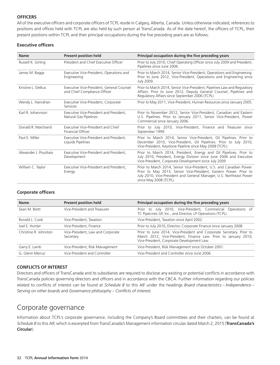### **OFFICERS**

All of the executive officers and corporate officers of TCPL reside in Calgary, Alberta, Canada. Unless otherwise indicated, references to positions and offices held with TCPL are also held by such person at TransCanada. As of the date hereof, the officers of TCPL, their present positions within TCPL and their principal occupations during the five preceding years are as follows:

### **Executive officers**

| <b>Name</b>           | <b>Present position held</b>                                              | Principal occupation during the five preceding years                                                                                                                                                                                       |
|-----------------------|---------------------------------------------------------------------------|--------------------------------------------------------------------------------------------------------------------------------------------------------------------------------------------------------------------------------------------|
| Russell K. Girling    | President and Chief Executive Officer                                     | Prior to July 2010, Chief Operating Officer since July 2009 and President,<br>Pipelines since June 2006.                                                                                                                                   |
| James M. Baggs        | Executive Vice-President, Operations and<br>Engineering                   | Prior to March 2014, Senior Vice-President, Operations and Engineering.<br>Prior to June 2012, Vice-President, Operations and Engineering since<br>July 2009.                                                                              |
| Kristine L. Delkus    | Executive Vice-President, General Counsel<br>and Chief Compliance Officer | Prior to March 2014, Senior Vice-President, Pipelines Law and Regulatory<br>Affairs. Prior to June 2012, Deputy General Counsel, Pipelines and<br>Regulatory Affairs since September 2006 (TCPL).                                          |
| Wendy L. Hanrahan     | Executive Vice-President, Corporate<br>Services                           | Prior to May 2011, Vice-President, Human Resources since January 2005.                                                                                                                                                                     |
| Karl R. Johannson     | Executive Vice-President and President,<br>Natural Gas Pipelines          | Prior to November 2012, Senior Vice-President, Canadian and Eastern<br>U.S. Pipelines. Prior to January 2011, Senior Vice-President, Power<br>Commercial since January 2006.                                                               |
| Donald R. Marchand    | Executive Vice-President and Chief<br>Financial Officer                   | Prior to July 2010, Vice-President, Finance and Treasurer since<br>September 1999.                                                                                                                                                         |
| Paul E. Miller        | Executive Vice-President and President.<br>Liquids Pipelines              | Prior to March 2014, Senior Vice-President, Oil Pipelines. Prior to<br>December 2010, Vice-President, Oil Pipelines. Prior to July 2010,<br>Vice-President, Keystone Pipeline since May 2008 (TCPL).                                       |
| Alexander J. Pourbaix | Executive Vice-President and President.<br>Development                    | Prior to March 2014, President, Energy and Oil Pipelines. Prior to<br>July 2010, President, Energy Division since June 2006 and Executive<br>Vice-President, Corporate Development since July 2009.                                        |
| William C. Taylor     | Executive Vice-President and President.<br>Energy                         | Prior to March 2014, Senior Vice-President, U.S. and Canadian Power.<br>Prior to May 2013, Senior Vice-President, Eastern Power. Prior to<br>July 2010, Vice-President and General Manager, U.S. Northeast Power<br>since May 2008 (TCPL). |

### **Corporate officers**

| <b>Name</b>           | <b>Present position held</b>                   | Principal occupation during the five preceding years                                                                                                                                  |
|-----------------------|------------------------------------------------|---------------------------------------------------------------------------------------------------------------------------------------------------------------------------------------|
| Sean M. Brett         | Vice-President and Treasurer                   | Prior to July 2010, Vice-President, Commercial Operations of<br>TC PipeLines GP, Inc., and Director, LP Operations (TCPL).                                                            |
| Ronald L. Cook        | Vice-President, Taxation                       | Vice-President, Taxation since April 2002.                                                                                                                                            |
| loel F Hunter         | Vice-President, Finance                        | Prior to July 2010, Director, Corporate Finance since January 2008.                                                                                                                   |
| Christine R. Johnston | Vice-President, Law and Corporate<br>Secretary | Prior to June 2014, Vice-President and Corporate Secretary. Prior to<br>March 2012, Vice-President, Finance Law. Prior to January 2010,<br>Vice-President, Corporate Development Law. |
| Garry E. Lamb         | Vice-President, Risk Management                | Vice-President, Risk Management since October 2001.                                                                                                                                   |
| G. Glenn Menuz        | Vice-President and Controller                  | Vice-President and Controller since June 2006.                                                                                                                                        |

### **CONFLICTS OF INTEREST**

Directors and officers of TransCanada and its subsidiaries are required to disclose any existing or potential conflicts in accordance with TransCanada policies governing directors and officers and in accordance with the CBCA. Further information regarding our policies related to conflicts of interest can be found at *Schedule B* to this AIF under the headings *Board characteristics – Independence – Serving on other boards* and *Governance philosophy – Conflicts of interest.*

### Corporate governance

Information about TCPL's corporate governance, including the Company's Board committees and their charters, can be found at *Schedule B* to this AIF, which is excerpted from TransCanada's Management information circular dated March 2, 2015 (**TransCanada's Circular**).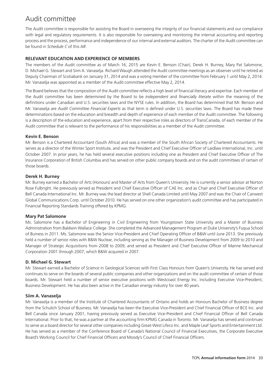## Audit committee

The Audit committee is responsible for assisting the Board in overseeing the integrity of our financial statements and our compliance with legal and regulatory requirements. It is also responsible for overseeing and monitoring the internal accounting and reporting process and the process, performance and independence of our internal and external auditors. The charter of the Audit committee can be found in *Schedule C* of this AIF.

### **RELEVANT EDUCATION AND EXPERIENCE OF MEMBERS**

The members of the Audit committee as of March 16, 2015 are Kevin E. Benson (Chair), Derek H. Burney, Mary Pat Salomone, D. Michael G. Stewart and Siim A. Vanaselja. Richard Waugh attended the Audit committee meetings as an observer until he retired as Deputy Chairman of Scotiabank on January 31, 2014 and was a voting member of the committee from February 1 until May 2, 2014. Mr. Vanaselja was appointed as a member of the Audit committee effective May 2, 2014.

The Board believes that the composition of the Audit committee reflects a high level of financial literacy and expertise. Each member of the Audit committee has been determined by the Board to be *independent* and *financially literate* within the meaning of the definitions under Canadian and U.S. securities laws and the NYSE rules. In addition, the Board has determined that Mr. Benson and Mr. Vanaselja are *Audit Committee Financial Experts* as that term is defined under U.S. securities laws. The Board has made these determinations based on the education and breadth and depth of experience of each member of the Audit committee. The following is a description of the education and experience, apart from their respective roles as directors of TransCanada, of each member of the Audit committee that is relevant to the performance of his responsibilities as a member of the Audit committee.

### **Kevin E. Benson**

Mr. Benson is a Chartered Accountant (South Africa) and was a member of the South African Society of Chartered Accountants. He serves as a director of the Winter Sport Institute, and was the President and Chief Executive Officer of Laidlaw International, Inc. until October 2007. In prior years, he has held several executive positions including one as President and Chief Executive Officer of The Insurance Corporation of British Columbia and has served on other public company boards and on the audit committees of certain of those boards.

### **Derek H. Burney**

Mr. Burney earned a Bachelor of Arts (Honours) and Master of Arts from Queen's University. He is currently a senior advisor at Norton Rose Fulbright. He previously served as President and Chief Executive Officer of CAE Inc. and as Chair and Chief Executive Officer of Bell Canada International Inc. Mr. Burney was the lead director at Shell Canada Limited until May 2007 and was the Chair of Canwest Global Communications Corp. until October 2010. He has served on one other organization's audit committee and has participated in Financial Reporting Standards Training offered by KPMG.

### **Mary Pat Salomone**

Ms. Salomone has a Bachelor of Engineering in Civil Engineering from Youngstown State University and a Master of Business Administration from Baldwin Wallace College. She completed the Advanced Management Program at Duke University's Fuqua School of Buiness in 2011. Ms. Salomone was the Senior Vice-President and Chief Operating Officer of B&W until June 2013. She previously held a number of senior roles with B&W Nuclear, including serving as the Manager of Business Development from 2009 to 2010 and Manager of Strategic Acquisitions from 2008 to 2009, and served as President and Chief Executive Officer of Marine Mechanical Corporation 2001 through 2007, which B&W acquired in 2007.

### **D. Michael G. Stewart**

Mr. Stewart earned a Bachelor of Science in Geological Sciences with First Class Honours from Queen's University. He has served and continues to serve on the boards of several public companies and other organizations and on the audit committee of certain of those boards. Mr. Stewart held a number of senior executive positions with Westcoast Energy Inc. including Executive Vice-President, Business Development. He has also been active in the Canadian energy industry for over 40 years.

### **Siim A. Vanaselja**

Mr. Vanaselja is a member of the Institute of Chartered Accountants of Ontario and holds an Honours Bachelor of Business degree from the Schulich School of Business. Mr. Vanaselja has been the Executive Vice-President and Chief Financial Officer of BCE Inc. and Bell Canada since January 2001, having previously served as Executive Vice-President and Chief Financial Officer of Bell Canada International. Prior to that, he was a partner at the accounting firm KPMG Canada in Toronto. Mr. Vanaselja has served and continues to serve as a board director for several other companies including Great-West Lifeco Inc. and Maple Leaf Sports and Entertainment Ltd. He has served as a member of the Conference Board of Canada's National Council of Financial Executives, the Corporate Executive Board's Working Council for Chief Financial Officers and Moody's Council of Chief Financial Officers.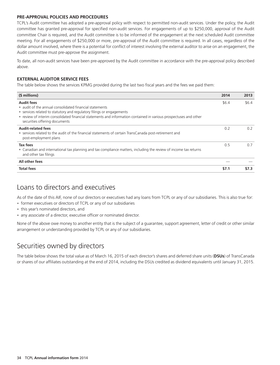### **PRE-APPROVAL POLICIES AND PROCEDURES**

TCPL's Audit committee has adopted a pre-approval policy with respect to permitted non-audit services. Under the policy, the Audit committee has granted pre-approval for specified non-audit services. For engagements of up to \$250,000, approval of the Audit committee Chair is required, and the Audit committee is to be informed of the engagement at the next scheduled Audit committee meeting. For all engagements of \$250,000 or more, pre-approval of the Audit committee is required. In all cases, regardless of the dollar amount involved, where there is a potential for conflict of interest involving the external auditor to arise on an engagement, the Audit committee must pre-approve the assignment.

To date, all non-audit services have been pre-approved by the Audit committee in accordance with the pre-approval policy described above.

### **EXTERNAL AUDITOR SERVICE FEES**

The table below shows the services KPMG provided during the last two fiscal years and the fees we paid them:

| (\$ millions)                                                                                                                                                                                                                                                                                               | 2014  | 2013  |
|-------------------------------------------------------------------------------------------------------------------------------------------------------------------------------------------------------------------------------------------------------------------------------------------------------------|-------|-------|
| <b>Audit fees</b><br>• audit of the annual consolidated financial statements<br>• services related to statutory and regulatory filings or engagements<br>• review of interim consolidated financial statements and information contained in various prospectuses and other<br>securities offering documents | \$6.4 | \$6.4 |
| <b>Audit-related fees</b><br>• services related to the audit of the financial statements of certain TransCanada post-retirement and<br>post-employment plans                                                                                                                                                | 0.2   | 0.2   |
| Tax fees<br>• Canadian and international tax planning and tax compliance matters, including the review of income tax returns<br>and other tax filings                                                                                                                                                       | 0.5   | 0.7   |
| All other fees                                                                                                                                                                                                                                                                                              |       |       |
| <b>Total fees</b>                                                                                                                                                                                                                                                                                           | \$7.1 | \$7.3 |

### Loans to directors and executives

As of the date of this AIF, none of our directors or executives had any loans from TCPL or any of our subsidiaries. This is also true for:

- former executives or directors of TCPL or any of our subsidiaries
- this year's nominated directors, and
- any associate of a director, executive officer or nominated director.

None of the above owe money to another entity that is the subject of a guarantee, support agreement, letter of credit or other similar arrangement or understanding provided by TCPL or any of our subsidiaries.

## Securities owned by directors

The table below shows the total value as of March 16, 2015 of each director's shares and deferred share units (**DSUs**) of TransCanada or shares of our affiliates outstanding at the end of 2014, including the DSUs credited as dividend equivalents until January 31, 2015.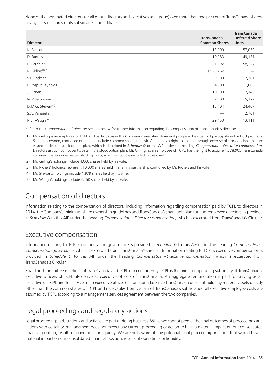None of the nominated directors (or all of our directors and executives as a group) own more than one per cent of TransCanada shares, or any class of shares of its subsidiaries and affiliates.

| <b>Director</b>                 | <b>TransCanada</b><br><b>Common Shares</b> | <b>TransCanada</b><br><b>Deferred Share</b><br><b>Units</b> |
|---------------------------------|--------------------------------------------|-------------------------------------------------------------|
| K. Benson                       | 13,000                                     | 57,059                                                      |
| D. Burney                       | 10,083                                     | 49,131                                                      |
| P. Gauthier                     | 1,992                                      | 58,377                                                      |
| R. Girling <sup>(1)(2)</sup>    | 1,525,262                                  |                                                             |
| S.B. Jackson                    | 39,000                                     | 117,261                                                     |
| P. Rosput Reynolds              | 4,500                                      | 11,066                                                      |
| J. Richels <sup>(3)</sup>       | 10,000                                     | 7,148                                                       |
| M.P. Salomone                   | 2,000                                      | 5,177                                                       |
| $D.M.G.$ Stewart <sup>(4)</sup> | 15,404                                     | 24,467                                                      |
| S.A. Vanaselja                  |                                            | 2,701                                                       |
| R.E. Waugh <sup>(5)</sup>       | 29,150                                     | 13,111                                                      |

Refer to the *Compensation of directors* section below for further information regarding the compensation of TransCanada's directors.

- (1) Mr. Girling is an employee of TCPL and participates in the Company's executive share unit program. He does not participate in the DSU program. Securities owned, controlled or directed include common shares that Mr. Girling has a right to acquire through exercise of stock options that are vested under the stock option plan, which is described in *Schedule D* to this AIF under the heading *Compensation – Executive compensation*. Directors as such do not participate in the stock option plan. Mr. Girling, as an employee of TCPL, has the right to acquire 1,378,905 TransCanada common shares under vested stock options, which amount is included in this chart.
- (2) Mr. Girling's holdings include 4,000 shares held by his wife.
- (3) Mr. Richels' holdings represent 10,000 shares held in a family partnership controlled by Mr. Richels and his wife.
- (4) Mr. Stewart's holdings include 1,979 shares held by his wife.
- (5) Mr. Waugh's holdings include 4,150 shares held by his wife.

## Compensation of directors

Information relating to the compensation of directors, including information regarding compensation paid by TCPL to directors in 2014, the Company's minimum share ownership guidelines and TransCanada's share unit plan for non-employee directors, is provided in *Schedule D* to this AIF under the heading *Compensation – Director compensation,* which is excerpted from TransCanada's Circular.

### Executive compensation

Information relating to TCPL's compensation governance is provided in *Schedule D* to this AIF under the heading *Compensation – Compensation governance*, which is excerpted from TransCanada's Circular. Information relating to TCPL's executive compensation is provided in *Schedule D* to this AIF under the heading *Compensation – Executive compensation*, which is excerpted from TransCanada's Circular.

Board and committee meetings of TransCanada and TCPL run concurrently. TCPL is the principal operating subsidiary of TransCanada. Executive officers of TCPL also serve as executive officers of TransCanada. An aggregate remuneration is paid for serving as an executive of TCPL and for service as an executive officer of TransCanada. Since TransCanada does not hold any material assets directly other than the common shares of TCPL and receivables from certain of TransCanada's subsidiaries, all executive employee costs are assumed by TCPL according to a management services agreement between the two companies.

## Legal proceedings and regulatory actions

Legal proceedings, arbitrations and actions are part of doing business. While we cannot predict the final outcomes of proceedings and actions with certainty, management does not expect any current proceeding or action to have a material impact on our consolidated financial position, results of operations or liquidity. We are not aware of any potential legal proceeding or action that would have a material impact on our consolidated financial position, results of operations or liquidity.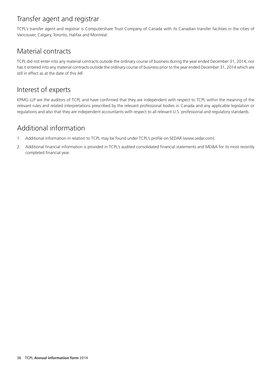### Transfer agent and registrar

TCPL's transfer agent and registrar is Computershare Trust Company of Canada with its Canadian transfer facilities in the cities of Vancouver, Calgary, Toronto, Halifax and Montréal.

### Material contracts

TCPL did not enter into any material contracts outside the ordinary course of business during the year ended December 31, 2014, nor has it entered into any material contracts outside the ordinary course of business prior to the year ended December 31, 2014 which are still in effect as at the date of this AIF.

### Interest of experts

KPMG LLP are the auditors of TCPL and have confirmed that they are independent with respect to TCPL within the meaning of the relevant rules and related interpretations prescribed by the relevant professional bodies in Canada and any applicable legislation or regulations and also that they are independent accountants with respect to all relevant U.S. professional and regulatory standards.

# Additional information

- 1. Additional information in relation to TCPL may be found under TCPL's profile on SEDAR (www.sedar.com).
- 2. Additional financial information is provided in TCPL's audited consolidated financial statements and MD&A for its most recently completed financial year.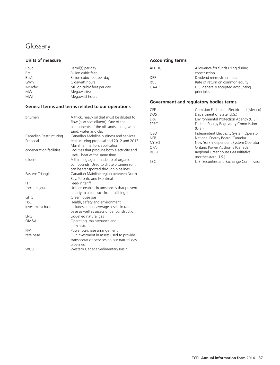## Glossary

| Bbl/d      | Barrel(s) per day          | AFUDC       | Allowance fo  |
|------------|----------------------------|-------------|---------------|
| Bcf        | Billion cubic feet         |             | construction  |
| Bcf/d      | Billion cubic feet per day | <b>DRP</b>  | Dividend reir |
| <b>GWh</b> | Gigawatt hours             | <b>ROE</b>  | Rate of retur |
| MMcf/d     | Million cubic feet per day | <b>GAAP</b> | U.S. generall |
| <b>MW</b>  | Megawatt(s)                |             | principles    |
| <b>MWh</b> | Megawatt hours             |             |               |

### **General terms and terms related to our operations**

| bitumen                                                       | A thick, heavy oil that must be diluted to<br>flow (also see: diluent). One of the<br>components of the oil sands, along with                                                                   | <b>DOS</b><br>EPA<br><b>FERC</b>                        | Department of State (U.S.)<br>Environmental Protection Agency (U.S.)<br>Federal Energy Regulatory Commission<br>(U.S.)                                |
|---------------------------------------------------------------|-------------------------------------------------------------------------------------------------------------------------------------------------------------------------------------------------|---------------------------------------------------------|-------------------------------------------------------------------------------------------------------------------------------------------------------|
| Canadian Restructuring<br>Proposal<br>cogeneration facilities | sand, water and clay<br>Canadian Mainline business and services<br>restructuring proposal and 2012 and 2013<br>Mainline final tolls application<br>Facilities that produce both electricity and | <b>IESO</b><br><b>NEB</b><br><b>NYISO</b><br><b>OPA</b> | Independent Electricity System Operator<br>National Energy Board (Canada)<br>New York Independent System Operator<br>Ontario Power Authority (Canada) |
|                                                               | useful heat at the same time                                                                                                                                                                    | <b>RGGI</b>                                             | Regional Greenhouse Gas Initiative                                                                                                                    |
| diluent                                                       | A thinning agent made up of organic<br>compounds. Used to dilute bitumen so it<br>can be transported through pipelines                                                                          | <b>SEC</b>                                              | (northeastern U.S.)<br>U.S. Securities and Exchange Commission                                                                                        |
| Eastern Triangle                                              | Canadian Mainline region between North<br>Bay, Toronto and Montréal                                                                                                                             |                                                         |                                                                                                                                                       |
| <b>FIT</b>                                                    | Feed-in tariff                                                                                                                                                                                  |                                                         |                                                                                                                                                       |
| force majeure                                                 | Unforeseeable circumstances that prevent<br>a party to a contract from fulfilling it                                                                                                            |                                                         |                                                                                                                                                       |
| GHG                                                           | Greenhouse gas                                                                                                                                                                                  |                                                         |                                                                                                                                                       |
| <b>HSE</b>                                                    | Health, safety and environment                                                                                                                                                                  |                                                         |                                                                                                                                                       |
| investment base                                               | Includes annual average assets in rate<br>base as well as assets under construction                                                                                                             |                                                         |                                                                                                                                                       |
| <b>LNG</b>                                                    | Liquefied natural gas                                                                                                                                                                           |                                                         |                                                                                                                                                       |
| OM&A                                                          | Operating, maintenance and<br>administration                                                                                                                                                    |                                                         |                                                                                                                                                       |
| PPA                                                           | Power purchase arrangement                                                                                                                                                                      |                                                         |                                                                                                                                                       |
| rate base                                                     | Our investment in assets used to provide<br>transportation services on our natural gas<br>pipelines                                                                                             |                                                         |                                                                                                                                                       |
| <b>WCSB</b>                                                   | Western Canada Sedimentary Basin                                                                                                                                                                |                                                         |                                                                                                                                                       |

#### Units of measure **Accounting terms Accounting terms**

| Bbl/d      | Barrel(s) per day          | AFUDC      | Allowance for funds using during   |
|------------|----------------------------|------------|------------------------------------|
| <b>Bcf</b> | Billion cubic feet         |            | construction                       |
| Bcf/d      | Billion cubic feet per day | <b>DRP</b> | Dividend reinvestment plan         |
| GWh        | Gigawatt hours             | <b>ROE</b> | Rate of return on common equity    |
| MMcf/d     | Million cubic feet per day | GAAP       | U.S. generally accepted accounting |
| <b>MW</b>  | Megawatt(s)                |            | principles                         |

### **Government and regulatory bodies terms**

| <b>CFF</b>   | Comisión Federal de Electricidad (Mexico) |
|--------------|-------------------------------------------|
| <b>DOS</b>   | Department of State (U.S.)                |
| EPA          | Environmental Protection Agency (U.S.)    |
| <b>FERC</b>  | Federal Energy Regulatory Commission      |
|              | (U.S.)                                    |
| <b>IESO</b>  | Independent Electricity System Operator   |
| <b>NEB</b>   | National Energy Board (Canada)            |
| <b>NYISO</b> | New York Independent System Operator      |
| OPA          | Ontario Power Authority (Canada)          |
| RGGI         | Regional Greenhouse Gas Initiative        |
|              | (northeastern U.S.)                       |
| <b>SEC</b>   | U.S. Securities and Exchange Commission   |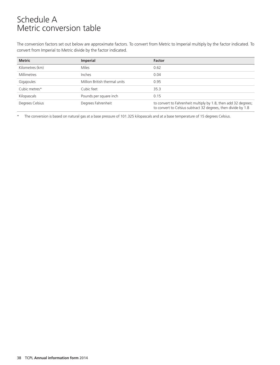# Schedule A Metric conversion table

The conversion factors set out below are approximate factors. To convert from Metric to Imperial multiply by the factor indicated. To convert from Imperial to Metric divide by the factor indicated.

| <b>Metric</b>   | <b>Imperial</b>               | <b>Factor</b>                                                                                                                   |
|-----------------|-------------------------------|---------------------------------------------------------------------------------------------------------------------------------|
| Kilometres (km) | <b>Miles</b>                  | 0.62                                                                                                                            |
| Millimetres     | Inches                        | 0.04                                                                                                                            |
| Gigajoules      | Million British thermal units | 0.95                                                                                                                            |
| Cubic metres*   | Cubic feet                    | 35.3                                                                                                                            |
| Kilopascals     | Pounds per square inch        | 0.15                                                                                                                            |
| Degrees Celsius | Degrees Fahrenheit            | to convert to Fahrenheit multiply by 1.8, then add 32 degrees;<br>to convert to Celsius subtract 32 degrees, then divide by 1.8 |

The conversion is based on natural gas at a base pressure of 101.325 kilopascals and at a base temperature of 15 degrees Celsius.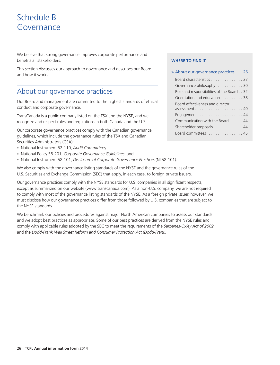# Schedule B Governance

We believe that strong governance improves corporate performance and benefits all stakeholders.

This section discusses our approach to governance and describes our Board and how it works.

### About our governance practices

Our Board and management are committed to the highest standards of ethical Board effectiveness and director conduct and corporate governance.

TransCanada is a public company listed on the TSX and the NYSE, and we Engagement......................... 44 recognize and respect rules and regulations in both Canada and the U.S. Communicating with the Board . . . . . . 44

Our corporate governance practices comply with the Canadian governance<br>quidelines, which include the governance rules of the TSX and Canadian Securities Administrators (CSA):

- National Instrument 52-110, *Audit Committees,* •
- National Policy 58-201, *Corporate Governance Guidelines*, and •
- National Instrument 58-101, *Disclosure of Corporate Governance Practices* (NI 58-101).

We also comply with the governance listing standards of the NYSE and the governance rules of the U.S. Securities and Exchange Commission (SEC) that apply, in each case, to foreign private issuers.

Our governance practices comply with the NYSE standards for U.S. companies in all significant respects, except as summarized on our website (www.transcanada.com). As a non-U.S. company, we are not required to comply with most of the governance listing standards of the NYSE. As a foreign private issuer, however, we must disclose how our governance practices differ from those followed by U.S. companies that are subject to the NYSE standards.

We benchmark our policies and procedures against major North American companies to assess our standards and we adopt best practices as appropriate. Some of our best practices are derived from the NYSE rules and comply with applicable rules adopted by the SEC to meet the requirements of the *Sarbanes-Oxley Act of 2002* and the *Dodd-Frank Wall Street Reform and Consumer Protection Act (Dodd-Frank)*.

#### **WHERE TO FIND IT**

## Board characteristics . . . . . . . . . . . . . 27 Governance philosophy . . . . . . . . . . . 30 Role and responsibilities of the Board . . 32 Orientation and education . . . . . . . . . 38 conduct and corporate governance. assessment . . . . . . . . . . . . . . . . . . . . . 40 Shareholder proposals . . . . . . . . . . . . . 44 **>** About our governance practices . . . 26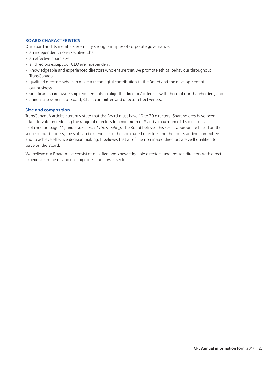#### **BOARD CHARACTERISTICS**

Our Board and its members exemplify strong principles of corporate governance:

- an independent, non-executive Chair
- an effective board size
- all directors except our CEO are independent
- knowledgeable and experienced directors who ensure that we promote ethical behaviour throughout TransCanada
- qualified directors who can make a meaningful contribution to the Board and the development of our business
- significant share ownership requirements to align the directors' interests with those of our shareholders, and
- annual assessments of Board, Chair, committee and director effectiveness.

#### **Size and composition**

TransCanada's articles currently state that the Board must have 10 to 20 directors. Shareholders have been asked to vote on reducing the range of directors to a minimum of 8 and a maximum of 15 directors as explained on page 11, under *Business of the meeting*. The Board believes this size is appropriate based on the scope of our business, the skills and experience of the nominated directors and the four standing committees, and to achieve effective decision making. It believes that all of the nominated directors are well qualified to serve on the Board.

We believe our Board must consist of qualified and knowledgeable directors, and include directors with direct experience in the oil and gas, pipelines and power sectors.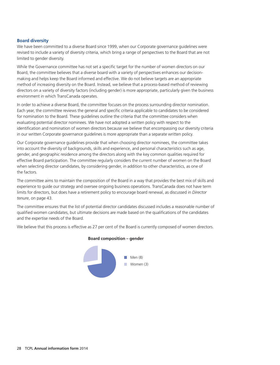#### **Board diversity**

We have been committed to a diverse Board since 1999, when our Corporate governance guidelines were revised to include a variety of diversity criteria, which bring a range of perspectives to the Board that are not limited to gender diversity.

While the Governance committee has not set a specific target for the number of women directors on our Board, the committee believes that a diverse board with a variety of perspectives enhances our decisionmaking and helps keep the Board informed and effective. We do not believe targets are an appropriate method of increasing diversity on the Board. Instead, we believe that a process-based method of reviewing directors on a variety of diversity factors (including gender) is more appropriate, particularly given the business environment in which TransCanada operates.

In order to achieve a diverse Board, the committee focuses on the process surrounding director nomination. Each year, the committee reviews the general and specific criteria applicable to candidates to be considered for nomination to the Board. These guidelines outline the criteria that the committee considers when evaluating potential director nominees. We have not adopted a written policy with respect to the identification and nomination of women directors because we believe that encompassing our diversity criteria in our written Corporate governance guidelines is more appropriate than a separate written policy.

Our Corporate governance guidelines provide that when choosing director nominees, the committee takes into account the diversity of backgrounds, skills and experience, and personal characteristics such as age, gender, and geographic residence among the directors along with the key common qualities required for effective Board participation. The committee regularly considers the current number of women on the Board when selecting director candidates, by considering gender, in addition to other characteristics, as one of the factors.

The committee aims to maintain the composition of the Board in a way that provides the best mix of skills and experience to guide our strategy and oversee ongoing business operations. TransCanada does not have term limits for directors, but does have a retirement policy to encourage board renewal, as discussed in *Director tenure*, on page 43.

The committee ensures that the list of potential director candidates discussed includes a reasonable number of qualified women candidates, but ultimate decisions are made based on the qualifications of the candidates and the expertise needs of the Board.

We believe that this process is effective as 27 per cent of the Board is currently composed of women directors.



#### **Board composition – gender**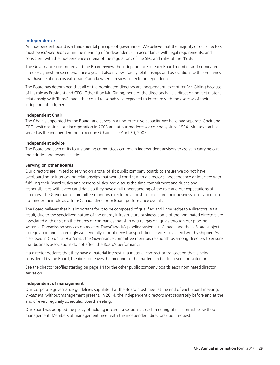#### **Independence**

An independent board is a fundamental principle of governance. We believe that the majority of our directors must be *independent* within the meaning of 'independence' in accordance with legal requirements, and consistent with the independence criteria of the regulations of the SEC and rules of the NYSE.

The Governance committee and the Board review the independence of each Board member and nominated director against these criteria once a year. It also reviews family relationships and associations with companies that have relationships with TransCanada when it reviews director independence.

The Board has determined that all of the nominated directors are independent, except for Mr. Girling because of his role as President and CEO. Other than Mr. Girling, none of the directors have a direct or indirect material relationship with TransCanada that could reasonably be expected to interfere with the exercise of their independent judgment.

#### **Independent Chair**

The Chair is appointed by the Board, and serves in a non-executive capacity. We have had separate Chair and CEO positions since our incorporation in 2003 and at our predecessor company since 1994. Mr. Jackson has served as the independent non-executive Chair since April 30, 2005.

#### **Independent advice**

The Board and each of its four standing committees can retain independent advisors to assist in carrying out their duties and responsibilities.

#### **Serving on other boards**

Our directors are limited to serving on a total of six public company boards to ensure we do not have overboarding or interlocking relationships that would conflict with a director's independence or interfere with fulfilling their Board duties and responsibilities. We discuss the time commitment and duties and responsibilities with every candidate so they have a full understanding of the role and our expectations of directors. The Governance committee monitors director relationships to ensure their business associations do not hinder their role as a TransCanada director or Board performance overall.

The Board believes that it is important for it to be composed of qualified and knowledgeable directors. As a result, due to the specialized nature of the energy infrastructure business, some of the nominated directors are associated with or sit on the boards of companies that ship natural gas or liquids through our pipeline systems. Transmission services on most of TransCanada's pipeline systems in Canada and the U.S. are subject to regulation and accordingly we generally cannot deny transportation services to a creditworthy shipper. As discussed in *Conflicts of interest*, the Governance committee monitors relationships among directors to ensure that business associations do not affect the Board's performance.

If a director declares that they have a material interest in a material contract or transaction that is being considered by the Board, the director leaves the meeting so the matter can be discussed and voted on.

See the director profiles starting on page 14 for the other public company boards each nominated director serves on.

#### **Independent of management**

Our Corporate governance guidelines stipulate that the Board must meet at the end of each Board meeting, *in-camera*, without management present. In 2014, the independent directors met separately before and at the end of every regularly scheduled Board meeting.

Our Board has adopted the policy of holding in-camera sessions at each meeting of its committees without management. Members of management meet with the independent directors upon request.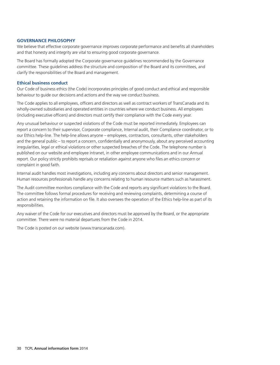#### **GOVERNANCE PHILOSOPHY**

We believe that effective corporate governance improves corporate performance and benefits all shareholders and that honesty and integrity are vital to ensuring good corporate governance.

The Board has formally adopted the Corporate governance guidelines recommended by the Governance committee. These guidelines address the structure and composition of the Board and its committees, and clarify the responsibilities of the Board and management.

#### **Ethical business conduct**

Our Code of business ethics (the Code) incorporates principles of good conduct and ethical and responsible behaviour to guide our decisions and actions and the way we conduct business.

The Code applies to all employees, officers and directors as well as contract workers of TransCanada and its wholly-owned subsidiaries and operated entities in countries where we conduct business. All employees (including executive officers) and directors must certify their compliance with the Code every year.

Any unusual behaviour or suspected violations of the Code must be reported immediately. Employees can report a concern to their supervisor, Corporate compliance, Internal audit, their Compliance coordinator, or to our Ethics help-line. The help-line allows anyone – employees, contractors, consultants, other stakeholders and the general public – to report a concern, confidentially and anonymously, about any perceived accounting irregularities, legal or ethical violations or other suspected breaches of the Code. The telephone number is published on our website and employee intranet, in other employee communications and in our Annual report. Our policy strictly prohibits reprisals or retaliation against anyone who files an ethics concern or complaint in good faith.

Internal audit handles most investigations, including any concerns about directors and senior management. Human resources professionals handle any concerns relating to human resource matters such as harassment.

The Audit committee monitors compliance with the Code and reports any significant violations to the Board. The committee follows formal procedures for receiving and reviewing complaints, determining a course of action and retaining the information on file. It also oversees the operation of the Ethics help-line as part of its responsibilities.

Any waiver of the Code for our executives and directors must be approved by the Board, or the appropriate committee. There were no material departures from the Code in 2014.

The Code is posted on our website (www.transcanada.com).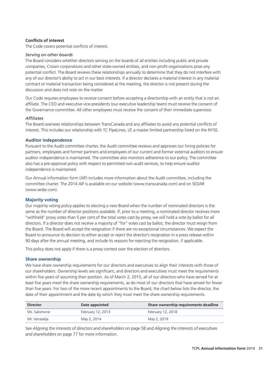#### **Conflicts of interest**

The Code covers potential conflicts of interest.

#### *Serving on other boards*

The Board considers whether directors serving on the boards of all entities including public and private companies, Crown corporations and other state-owned entities, and non-profit organizations pose any potential conflict. The Board reviews these relationships annually to determine that they do not interfere with any of our director's ability to act in our best interests. If a director declares a material interest in any material contract or material transaction being considered at the meeting, the director is not present during the discussion and does not vote on the matter.

Our Code requires employees to receive consent before accepting a directorship with an entity that is not an affiliate. The CEO and executive vice-presidents (our executive leadership team) must receive the consent of the Governance committee. All other employees must receive the consent of their immediate supervisor.

#### *Affiliates*

The Board oversees relationships between TransCanada and any affiliates to avoid any potential conflicts of interest. This includes our relationship with TC PipeLines, LP, a master limited partnership listed on the NYSE.

#### **Auditor independence**

Pursuant to the Audit committee charter, the Audit committee reviews and approves our hiring policies for partners, employees and former partners and employees of our current and former external auditors to ensure auditor independence is maintained. The committee also monitors adherence to our policy. The committee also has a pre-approval policy with respect to permitted non-audit services, to help ensure auditor independence is maintained.

Our Annual information form (AIF) includes more information about the Audit committee, including the committee charter. The 2014 AIF is available on our website (www.transcanada.com) and on SEDAR (www.sedar.com).

#### **Majority voting**

Our majority voting policy applies to electing a new Board when the number of nominated directors is the same as the number of director positions available. If, prior to a meeting, a nominated director receives more ''withheld'' proxy votes than 5 per cent of the total votes cast by proxy, we will hold a vote by ballot for all directors. If a director does not receive a majority of ''for'' votes cast by ballot, the director must resign from the Board. The Board will accept the resignation if there are no exceptional circumstances. We expect the Board to announce its decision to either accept or reject the director's resignation in a press release within 90 days after the annual meeting, and include its reasons for rejecting the resignation, if applicable.

This policy does not apply if there is a proxy contest over the election of directors.

#### **Share ownership**

We have share ownership requirements for our directors and executives to align their interests with those of our shareholders. Ownership levels are significant, and directors and executives must meet the requirements within five years of assuming their position. As of March 2, 2015, all of our directors who have served for at least five years meet the share ownership requirements, as do most of our directors that have served for fewer than five years. For two of the more recent appointments to the Board, the chart below lists the director, the date of their appointment and the date by which they must meet the share ownership requirements.

| <b>Director</b> | Share ownership requirements deadline<br>Date appointed |                   |  |
|-----------------|---------------------------------------------------------|-------------------|--|
| Ms. Salomone    | February 12, 2013                                       | February 12, 2018 |  |
| Mr. Vanaselja   | May 2, 2014                                             | May 2, 2019       |  |

See *Aligning the interests of directors and shareholders* on page 58 and *Aligning the interests of executives and shareholders* on page 77 for more information.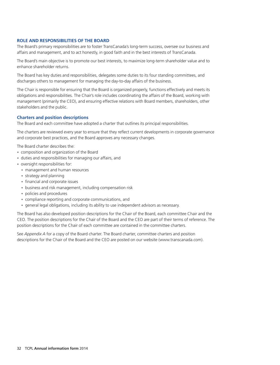#### **ROLE AND RESPONSIBILITIES OF THE BOARD**

The Board's primary responsibilities are to foster TransCanada's long-term success, oversee our business and affairs and management, and to act honestly, in good faith and in the best interests of TransCanada.

The Board's main objective is to promote our best interests, to maximize long-term shareholder value and to enhance shareholder returns.

The Board has key duties and responsibilities, delegates some duties to its four standing committees, and discharges others to management for managing the day-to-day affairs of the business.

The Chair is responsible for ensuring that the Board is organized properly, functions effectively and meets its obligations and responsibilities. The Chair's role includes coordinating the affairs of the Board, working with management (primarily the CEO), and ensuring effective relations with Board members, shareholders, other stakeholders and the public.

#### **Charters and position descriptions**

The Board and each committee have adopted a charter that outlines its principal responsibilities.

The charters are reviewed every year to ensure that they reflect current developments in corporate governance and corporate best practices, and the Board approves any necessary changes.

The Board charter describes the:

- composition and organization of the Board
- duties and responsibilities for managing our affairs, and
- oversight responsibilities for:
	- management and human resources
	- strategy and planning
	- financial and corporate issues
	- business and risk management, including compensation risk
	- policies and procedures •
	- compliance reporting and corporate communications, and •
	- general legal obligations, including its ability to use independent advisors as necessary.

The Board has also developed position descriptions for the Chair of the Board, each committee Chair and the CEO. The position descriptions for the Chair of the Board and the CEO are part of their terms of reference. The position descriptions for the Chair of each committee are contained in the committee charters.

See *Appendix A* for a copy of the Board charter. The Board charter, committee charters and position descriptions for the Chair of the Board and the CEO are posted on our website (www.transcanada.com).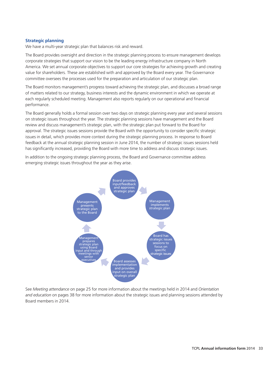#### **Strategic planning**

We have a multi-year strategic plan that balances risk and reward.

The Board provides oversight and direction in the strategic planning process to ensure management develops corporate strategies that support our vision to be the leading energy infrastructure company in North America. We set annual corporate objectives to support our core strategies for achieving growth and creating value for shareholders. These are established with and approved by the Board every year. The Governance committee oversees the processes used for the preparation and articulation of our strategic plan.

The Board monitors management's progress toward achieving the strategic plan, and discusses a broad range of matters related to our strategy, business interests and the dynamic environment in which we operate at each regularly scheduled meeting. Management also reports regularly on our operational and financial performance.

The Board generally holds a formal session over two days on strategic planning every year and several sessions on strategic issues throughout the year. The strategic planning sessions have management and the Board review and discuss management's strategic plan, with the strategic plan put forward to the Board for approval. The strategic issues sessions provide the Board with the opportunity to consider specific strategic issues in detail, which provides more context during the strategic planning process. In response to Board feedback at the annual strategic planning session in June 2014, the number of strategic issues sessions held has significantly increased, providing the Board with more time to address and discuss strategic issues.

In addition to the ongoing strategic planning process, the Board and Governance committee address emerging strategic issues throughout the year as they arise.



See *Meeting attendance* on page 25 for more information about the meetings held in 2014 and *Orientation and education* on pages 38 for more information about the strategic issues and planning sessions attended by Board members in 2014.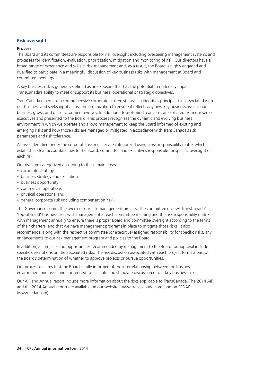#### **Risk oversight**

#### **Process**

The Board and its committees are responsible for risk oversight including overseeing management systems and processes for identification, evaluation, prioritization, mitigation and monitoring of risk. Our directors have a broad range of experience and skills in risk management and, as a result, the Board is highly engaged and qualified to participate in a meaningful discussion of key business risks with management at Board and committee meetings.

A key business risk is generally defined as an exposure that has the potential to materially impact TransCanada's ability to meet or support its business, operational or strategic objectives.

TransCanada maintains a comprehensive corporate risk register which identifies principal risks associated with our business and seeks input across the organization to ensure it reflects any new key business risks as our business grows and our environment evolves. In addition, 'top-of-mind' concerns are solicited from our senior executives and presented to the Board. This process recognizes the dynamic and evolving business environment in which we operate and allows management to keep the Board informed of existing and emerging risks and how those risks are managed or mitigated in accordance with TransCanada's risk parameters and risk tolerance.

All risks identified under the corporate risk register are categorized using a risk responsibility matrix which establishes clear accountabilities to the Board, committee and executives responsible for specific oversight of each risk.

Our risks are categorized according to these main areas:

- corporate strategy •
- business strategy and execution •
- business opportunity
- commercial operations •
- physical operations, and
- general corporate risk (including compensation risk).

The Governance committee oversees our risk management process. The committee reviews TransCanada's 'top-of-mind' business risks with management at each committee meeting and the risk responsibility matrix with management annually to ensure there is proper Board and committee oversight according to the terms of their charters, and that we have management programs in place to mitigate those risks. It also recommends, along with the respective committee (or executive) assigned responsibility for specific risks, any enhancements to our risk management program and policies to the Board.

In addition, all projects and opportunities recommended by management to the Board for approval include specific descriptions on the associated risks. The risk discussion associated with each project forms a part of the Board's determination of whether to approve projects or pursue opportunities.

Our process ensures that the Board is fully informed of the interrelationship between the business environment and risks, and is intended to facilitate and stimulate discussion of our key business risks.

Our AIF and Annual report include more information about the risks applicable to TransCanada. The 2014 AIF and the 2014 Annual report are available on our website (www.transcanada.com) and on SEDAR (www.sedar.com).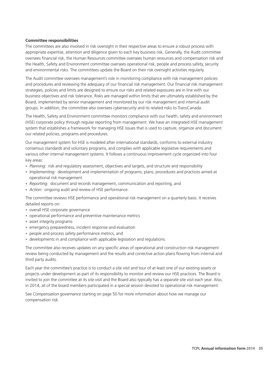#### **Committee responsibilities**

The committees are also involved in risk oversight in their respective areas to ensure a robust process with appropriate expertise, attention and diligence given to each key business risk. Generally, the Audit committee oversees financial risk, the Human Resources committee oversees human resources and compensation risk and the Health, Safety and Environment committee oversees operational risk, people and process safety, security and environmental risks. The committees update the Board on their risk oversight activities regularly.

The Audit committee oversees management's role in monitoring compliance with risk management policies and procedures and reviewing the adequacy of our financial risk management. Our financial risk management strategies, policies and limits are designed to ensure our risks and related exposures are in line with our business objectives and risk tolerance. Risks are managed within limits that are ultimately established by the Board, implemented by senior management and monitored by our risk management and internal audit groups. In addition, the committee also oversees cybersecurity and its related risks to TransCanada.

The Health, Safety and Environment committee monitors compliance with our health, safety and environment (HSE) corporate policy through regular reporting from management. We have an integrated HSE management system that establishes a framework for managing HSE issues that is used to capture, organize and document our related policies, programs and procedures.

Our management system for HSE is modeled after international standards, conforms to external industry consensus standards and voluntary programs, and complies with applicable legislative requirements and various other internal management systems. It follows a continuous improvement cycle organized into four key areas:

- Planning: risk and regulatory assessment, objectives and targets, and structure and responsibility
- Implementing: development and implementation of programs, plans, procedures and practices aimed at operational risk management
- Reporting: document and records management, communication and reporting, and
- *Action:* ongoing audit and review of HSE performance. •

The committee reviews HSE performance and operational risk management on a quarterly basis. It receives detailed reports on:

- overall HSE corporate governance
- operational performance and preventive maintenance metrics
- asset integrity programs
- emergency preparedness, incident response and evaluation
- people and process safety performance metrics, and
- developments in and compliance with applicable legislation and regulations.

The committee also receives updates on any specific areas of operational and construction risk management review being conducted by management and the results and corrective action plans flowing from internal and third party audits.

Each year the committee's practice is to conduct a site visit and tour of at least one of our existing assets or projects under development as part of its responsibility to monitor and review our HSE practices. The Board is invited to join the committee at its site visit and the Board also typically has a separate site visit each year. Also, in 2014, all of the board members participated in a special session devoted to operational risk management.

See *Compensation governance* starting on page 50 for more information about how we manage our compensation risk.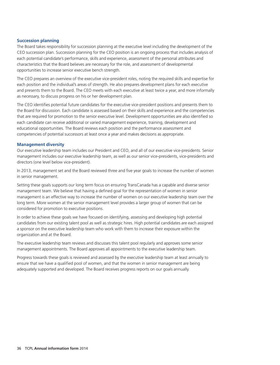#### **Succession planning**

The Board takes responsibility for succession planning at the executive level including the development of the CEO succession plan. Succession planning for the CEO position is an ongoing process that includes analysis of each potential candidate's performance, skills and experience, assessment of the personal attributes and characteristics that the Board believes are necessary for the role, and assessment of developmental opportunities to increase senior executive bench strength.

The CEO prepares an overview of the executive vice-president roles, noting the required skills and expertise for each position and the individual's areas of strength. He also prepares development plans for each executive and presents them to the Board. The CEO meets with each executive at least twice a year, and more informally as necessary, to discuss progress on his or her development plan.

The CEO identifies potential future candidates for the executive vice-president positions and presents them to the Board for discussion. Each candidate is assessed based on their skills and experience and the competencies that are required for promotion to the senior executive level. Development opportunities are also identified so each candidate can receive additional or varied management experience, training, development and educational opportunities. The Board reviews each position and the performance assessment and competencies of potential successors at least once a year and makes decisions as appropriate.

#### **Management diversity**

Our executive leadership team includes our President and CEO, and all of our executive vice-presidents. Senior management includes our executive leadership team, as well as our senior vice-presidents, vice-presidents and directors (one level below vice-president).

In 2013, management set and the Board reviewed three and five year goals to increase the number of women in senior management.

Setting these goals supports our long term focus on ensuring TransCanada has a capable and diverse senior management team. We believe that having a defined goal for the representation of women in senior management is an effective way to increase the number of women on our executive leadership team over the long term. More women at the senior management level provides a larger group of women that can be considered for promotion to executive positions.

In order to achieve these goals we have focused on identifying, assessing and developing high potential candidates from our existing talent pool as well as strategic hires. High potential candidates are each assigned a sponsor on the executive leadership team who work with them to increase their exposure within the organization and at the Board.

The executive leadership team reviews and discusses this talent pool regularly and approves some senior management appointments. The Board approves all appointments to the executive leadership team.

Progress towards these goals is reviewed and assessed by the executive leadership team at least annually to ensure that we have a qualified pool of women, and that the women in senior management are being adequately supported and developed. The Board receives progress reports on our goals annually.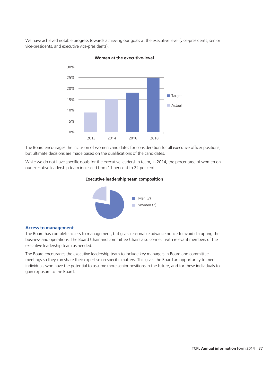We have achieved notable progress towards achieving our goals at the executive level (vice-presidents, senior vice-presidents, and executive vice-presidents).



**Women at the executive-level**

The Board encourages the inclusion of women candidates for consideration for all executive officer positions, but ultimate decisions are made based on the qualifications of the candidates.

While we do not have specific goals for the executive leadership team, in 2014, the percentage of women on our executive leadership team increased from 11 per cent to 22 per cent.

#### **Executive leadership team composition**



#### **Access to management**

The Board has complete access to management, but gives reasonable advance notice to avoid disrupting the business and operations. The Board Chair and committee Chairs also connect with relevant members of the executive leadership team as needed.

The Board encourages the executive leadership team to include key managers in Board and committee meetings so they can share their expertise on specific matters. This gives the Board an opportunity to meet individuals who have the potential to assume more senior positions in the future, and for these individuals to gain exposure to the Board.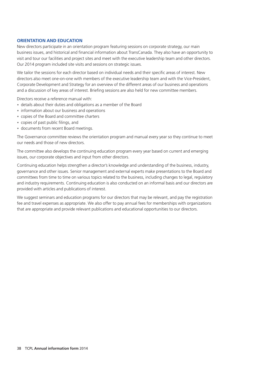#### **ORIENTATION AND EDUCATION**

New directors participate in an orientation program featuring sessions on corporate strategy, our main business issues, and historical and financial information about TransCanada. They also have an opportunity to visit and tour our facilities and project sites and meet with the executive leadership team and other directors. Our 2014 program included site visits and sessions on strategic issues.

We tailor the sessions for each director based on individual needs and their specific areas of interest. New directors also meet one-on-one with members of the executive leadership team and with the Vice-President, Corporate Development and Strategy for an overview of the different areas of our business and operations and a discussion of key areas of interest. Briefing sessions are also held for new committee members.

Directors receive a reference manual with:

- details about their duties and obligations as a member of the Board
- information about our business and operations
- copies of the Board and committee charters
- copies of past public filings, and
- documents from recent Board meetings. •

The Governance committee reviews the orientation program and manual every year so they continue to meet our needs and those of new directors.

The committee also develops the continuing education program every year based on current and emerging issues, our corporate objectives and input from other directors.

Continuing education helps strengthen a director's knowledge and understanding of the business, industry, governance and other issues. Senior management and external experts make presentations to the Board and committees from time to time on various topics related to the business, including changes to legal, regulatory and industry requirements. Continuing education is also conducted on an informal basis and our directors are provided with articles and publications of interest.

We suggest seminars and education programs for our directors that may be relevant, and pay the registration fee and travel expenses as appropriate. We also offer to pay annual fees for memberships with organizations that are appropriate and provide relevant publications and educational opportunities to our directors.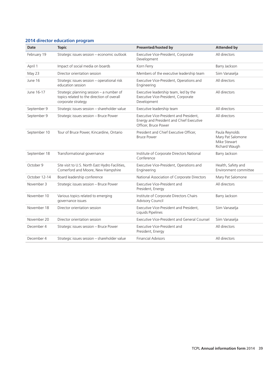#### **2014 director education program**

| Date          | <b>Topic</b>                                                                                                 | Presented/hosted by                                                                                         | <b>Attended by</b>                                                   |
|---------------|--------------------------------------------------------------------------------------------------------------|-------------------------------------------------------------------------------------------------------------|----------------------------------------------------------------------|
| February 19   | Strategic issues session - economic outlook                                                                  | Executive Vice-President, Corporate<br>Development                                                          | All directors                                                        |
| April 1       | Impact of social media on boards                                                                             | Korn Ferry                                                                                                  | Barry Jackson                                                        |
| May 23        | Director orientation session                                                                                 | Members of the executive leadership team                                                                    | Siim Vanaselja                                                       |
| June 16       | Strategic issues session - operational risk<br>education session                                             | Executive Vice-President, Operations and<br>Engineering                                                     | All directors                                                        |
| June 16-17    | Strategic planning session - a number of<br>topics related to the direction of overall<br>corporate strategy | Executive leadership team, led by the<br>Executive Vice-President, Corporate<br>Development                 | All directors                                                        |
| September 9   | Strategic issues session - shareholder value                                                                 | Executive leadership team                                                                                   | All directors                                                        |
| September 9   | Strategic issues session - Bruce Power                                                                       | Executive Vice-President and President.<br>Energy and President and Chief Executive<br>Officer, Bruce Power | All directors                                                        |
| September 10  | Tour of Bruce Power, Kincardine, Ontario                                                                     | President and Chief Executive Officer,<br><b>Bruce Power</b>                                                | Paula Reynolds<br>Mary Pat Salomone<br>Mike Stewart<br>Richard Waugh |
| September 18  | Transformational governance                                                                                  | Institute of Corporate Directors National<br>Conference                                                     | Barry Jackson                                                        |
| October 9     | Site visit to U.S. North East Hydro Facilities,<br>Comerford and Moore, New Hampshire                        | Executive Vice-President, Operations and<br>Engineering                                                     | Health, Safety and<br>Environment committee                          |
| October 12-14 | Board leadership conference                                                                                  | National Association of Corporate Directors                                                                 | Mary Pat Salomone                                                    |
| November 3    | Strategic issues session - Bruce Power                                                                       | Executive Vice-President and<br>President, Energy                                                           | All directors                                                        |
| November 10   | Various topics related to emerging<br>governance issues                                                      | Institute of Corporate Directors Chairs<br>Advisory Council                                                 | Barry Jackson                                                        |
| November 18   | Director orientation session                                                                                 | Executive Vice-President and President,<br>Liquids Pipelines                                                | Siim Vanaselja                                                       |
| November 20   | Director orientation session                                                                                 | Executive Vice-President and General Counsel                                                                | Siim Vanaselja                                                       |
| December 4    | Strategic issues session - Bruce Power                                                                       | Executive Vice-President and<br>President, Energy                                                           | All directors                                                        |
| December 4    | Strategic issues session - shareholder value                                                                 | <b>Financial Advisors</b>                                                                                   | All directors                                                        |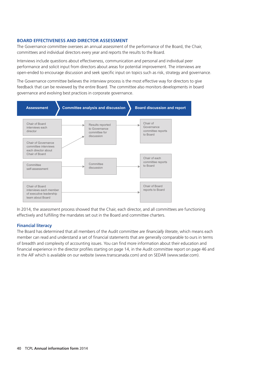#### **BOARD EFFECTIVENESS AND DIRECTOR ASSESSMENT**

The Governance committee oversees an annual assessment of the performance of the Board, the Chair, committees and individual directors every year and reports the results to the Board.

Interviews include questions about effectiveness, communication and personal and individual peer performance and solicit input from directors about areas for potential improvement. The interviews are open-ended to encourage discussion and seek specific input on topics such as risk, strategy and governance.

The Governance committee believes the interview process is the most effective way for directors to give feedback that can be reviewed by the entire Board. The committee also monitors developments in board governance and evolving best practices in corporate governance.



In 2014, the assessment process showed that the Chair, each director, and all committees are functioning effectively and fulfilling the mandates set out in the Board and committee charters.

#### **Financial literacy**

The Board has determined that all members of the Audit committee are *financially literate*, which means each member can read and understand a set of financial statements that are generally comparable to ours in terms of breadth and complexity of accounting issues. You can find more information about their education and financial experience in the director profiles starting on page 14, in the Audit committee report on page 46 and in the AIF which is available on our website (www.transcanada.com) and on SEDAR (www.sedar.com).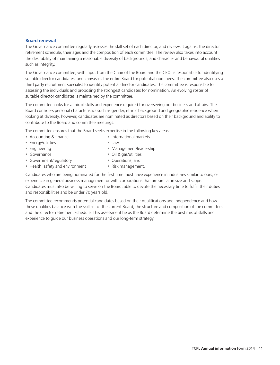#### **Board renewal**

The Governance committee regularly assesses the skill set of each director, and reviews it against the director retirement schedule, their ages and the composition of each committee. The review also takes into account the desirability of maintaining a reasonable diversity of backgrounds, and character and behavioural qualities such as integrity.

The Governance committee, with input from the Chair of the Board and the CEO, is responsible for identifying suitable director candidates, and canvasses the entire Board for potential nominees. The committee also uses a third party recruitment specialist to identify potential director candidates. The committee is responsible for assessing the individuals and proposing the strongest candidates for nomination. An evolving roster of suitable director candidates is maintained by the committee.

The committee looks for a mix of skills and experience required for overseeing our business and affairs. The Board considers personal characteristics such as gender, ethnic background and geographic residence when looking at diversity, however, candidates are nominated as directors based on their background and ability to contribute to the Board and committee meetings.

The committee ensures that the Board seeks expertise in the following key areas:

- Accounting & finance **International markets**
- Energy/utilities Law •
- Engineering
- Governance

• Oil & gas/utilities

• Management/leadership

- Government/regulatory  **Operations, and**
- Health, safety and environment Risk management.
	-

Candidates who are being nominated for the first time must have experience in industries similar to ours, or experience in general business management or with corporations that are similar in size and scope. Candidates must also be willing to serve on the Board, able to devote the necessary time to fulfill their duties and responsibilities and be under 70 years old.

The committee recommends potential candidates based on their qualifications and independence and how these qualities balance with the skill set of the current Board, the structure and composition of the committees and the director retirement schedule. This assessment helps the Board determine the best mix of skills and experience to guide our business operations and our long-term strategy.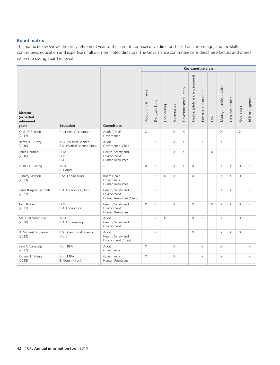#### **Board matrix**

The matrix below shows the likely retirement year of the current non-executive directors based on current age, and the skills, committees, education and expertise of all our nominated directors. The Governance committee considers these factors and others when discussing Board renewal.

|                                                     |                                                        |                                                              |                      |                  |             |            |                       | Key expertise areas            |                       |     |                       |                     |            |                 |
|-----------------------------------------------------|--------------------------------------------------------|--------------------------------------------------------------|----------------------|------------------|-------------|------------|-----------------------|--------------------------------|-----------------------|-----|-----------------------|---------------------|------------|-----------------|
| <b>Director</b><br>(expected<br>retirement<br>year) | <b>Education</b>                                       | <b>Committees</b>                                            | Accounting & finance | Energy/utilities | Engineering | Governance | Government/regulatory | Health, safety and environment | International markets | Law | Management/leadership | Oil & gas/utilities | Operations | Risk management |
| Kevin E. Benson<br>(2017)                           | Chartered Accountant                                   | Audit (Chair)<br>Governance                                  | X                    |                  |             | X          | $\times$              |                                |                       |     | X                     |                     | $\times$   |                 |
| Derek H. Burney<br>(2016)                           | M.A. Political Science<br>B.A. Political Science (Hon) | Audit<br>Governance (Chair)                                  |                      | $\times$         |             | X          | X                     |                                | $\times$              |     | X                     |                     |            |                 |
| Paule Gauthier<br>(2016)                            | LL.M<br>LL.B<br>B.A.                                   | Health, Safety and<br>Environment<br>Human Resources         |                      |                  |             | X          | X                     |                                |                       | X   |                       |                     |            |                 |
| Russell K. Girling                                  | <b>MBA</b><br>B. Comm                                  | $\overline{\phantom{0}}$                                     | $\times$             | $\times$         |             | X          | $\times$              | X.                             |                       |     | $\mathsf X$           | $\times$            | $\times$   | $\times$        |
| S. Barry Jackson<br>(2023)                          | B.Sc. Engineering                                      | <b>Board Chair</b><br>Governance<br>Human Resources          |                      | X                | X           | Χ          |                       | X                              |                       |     | X                     | X                   | X          |                 |
| Paula Rosput Reynolds<br>(2027)                     | B.A. Economics (Hon)                                   | Health, Safety and<br>Environment<br>Human Resources (Chair) |                      | $\times$         |             |            |                       |                                |                       |     | X                     | $\times$            |            | $\times$        |
| John Richels<br>(2021)                              | LL.B<br><b>B.A. Economics</b>                          | Health, Safety and<br>Environment<br>Human Resources         | X                    | $\times$         |             | X          |                       | X                              |                       | X   | X                     | $\times$            | $\times$   | $\times$        |
| Mary Pat Salomone<br>(2030)                         | <b>MBA</b><br>B.A. Engineering                         | Audit<br>Health, Safety and<br>Environment                   |                      | $\times$         | $\mathsf X$ |            |                       | X                              | X                     |     | $\mathsf X$           |                     | $\times$   |                 |
| D. Michael G. Stewart<br>(2022)                     | <b>B.Sc. Geological Sciences</b><br>(Hon)              | Audit<br>Health, Safety and<br>Environment (Chair)           |                      | $\times$         |             |            |                       | X                              |                       |     | X                     | X                   | $\times$   |                 |
| Siim A. Vanaselja<br>(2027)                         | Hon. BBA                                               | Audit<br>Governance                                          | X                    |                  |             | X          |                       |                                | X                     |     | $\mathsf X$           |                     |            | $\times$        |
| Richard E. Waugh<br>(2018)                          | Hon. MBA<br>B. Comm (Hon)                              | Governance<br>Human Resources                                | X                    |                  |             | X          |                       |                                | X                     |     | X                     |                     |            | X               |
|                                                     |                                                        |                                                              |                      |                  |             |            |                       |                                |                       |     |                       |                     |            |                 |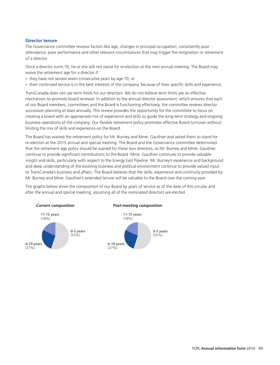#### **Director tenure**

The Governance committee reviews factors like age, changes in principal occupation, consistently poor attendance, poor performance and other relevant circumstances that may trigger the resignation or retirement of a director.

Once a director turns 70, he or she will not stand for re-election at the next annual meeting. The Board may waive the retirement age for a director if:

- they have not served seven consecutive years by age 70, or
- their continued service is in the best interests of the company, because of their specific skills and experience.

TransCanada does not use term limits for our directors. We do not believe term limits are an effective mechanism to promote board renewal. In addition to the annual director assessment, which ensures that each of our Board members, committees and the Board is functioning effectively, the committee reviews director succession planning at least annually. This review provides the opportunity for the committee to focus on creating a board with an appropriate mix of experience and skills to guide the long-term strategy and ongoing business operations of the company. Our flexible retirement policy promotes effective Board turnover without limiting the mix of skills and experience on the Board.

The Board has waived the retirement policy for Mr. Burney and Mme. Gauthier and asked them to stand for re-election at the 2015 annual and special meeting. The Board and the Governance committee determined that the retirement age policy should be waived for these two directors, as Mr. Burney and Mme. Gauthier continue to provide significant contributions to the Board. Mme. Gauthier continues to provide valuable insight and skills, particularly with respect to the Energy East Pipeline. Mr. Burney's experience and background and deep understanding of the evolving business and political environment continue to provide valued input to TransCanada's business and affairs. The Board believes that the skills, experience and continuity provided by Mr. Burney and Mme. Gauthier's extended tenure will be valuable to the Board over the coming year.

The graphs below show the composition of our Board by years of service as of the date of this circular and after the annual and special meeting, assuming all of the nominated directors are elected.

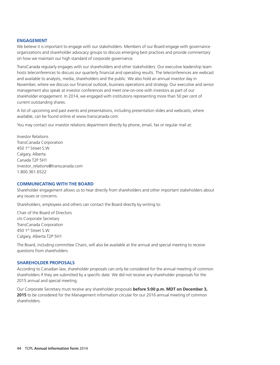#### **ENGAGEMENT**

We believe it is important to engage with our stakeholders. Members of our Board engage with governance organizations and shareholder advocacy groups to discuss emerging best practices and provide commentary on how we maintain our high standard of corporate governance.

TransCanada regularly engages with our shareholders and other stakeholders. Our executive leadership team hosts teleconferences to discuss our quarterly financial and operating results. The teleconferences are webcast and available to analysts, media, shareholders and the public. We also hold an annual investor day in November, where we discuss our financial outlook, business operations and strategy. Our executive and senior management also speak at investor conferences and meet one-on-one with investors as part of our shareholder engagement. In 2014, we engaged with institutions representing more than 50 per cent of current outstanding shares.

A list of upcoming and past events and presentations, including presentation slides and webcasts, where available, can be found online at www.transcanada.com.

You may contact our investor relations department directly by phone, email, fax or regular mail at:

Investor Relations TransCanada Corporation 450 1st Street S.W. Calgary, Alberta Canada T2P 5H1 investor\_relations@transcanada.com 1.800.361.6522

#### **COMMUNICATING WITH THE BOARD**

Shareholder engagement allows us to hear directly from shareholders and other important stakeholders about any issues or concerns.

Shareholders, employees and others can contact the Board directly by writing to:

Chair of the Board of Directors c/o Corporate Secretary TransCanada Corporation 450 1st Street S.W. Calgary, Alberta T2P 5H1

The Board, including committee Chairs, will also be available at the annual and special meeting to receive questions from shareholders.

#### **SHAREHOLDER PROPOSALS**

According to Canadian law, shareholder proposals can only be considered for the annual meeting of common shareholders if they are submitted by a specific date. We did not receive any shareholder proposals for the 2015 annual and special meeting.

Our Corporate Secretary must receive any shareholder proposals **before 5:00 p.m. MDT on December 3, 2015** to be considered for the Management information circular for our 2016 annual meeting of common shareholders.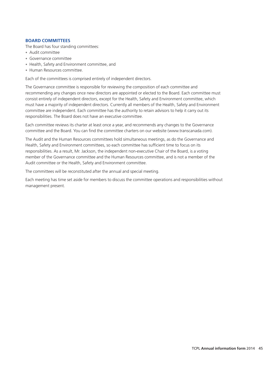#### **BOARD COMMITTEES**

The Board has four standing committees:

- Audit committee •
- Governance committee •
- Health, Safety and Environment committee, and
- Human Resources committee.

Each of the committees is comprised entirely of independent directors.

The Governance committee is responsible for reviewing the composition of each committee and recommending any changes once new directors are appointed or elected to the Board. Each committee must consist entirely of independent directors, except for the Health, Safety and Environment committee, which must have a majority of independent directors. Currently all members of the Health, Safety and Environment committee are independent. Each committee has the authority to retain advisors to help it carry out its responsibilities. The Board does not have an executive committee.

Each committee reviews its charter at least once a year, and recommends any changes to the Governance committee and the Board. You can find the committee charters on our website (www.transcanada.com).

The Audit and the Human Resources committees hold simultaneous meetings, as do the Governance and Health, Safety and Environment committees, so each committee has sufficient time to focus on its responsibilities. As a result, Mr. Jackson, the independent non-executive Chair of the Board, is a voting member of the Governance committee and the Human Resources committee, and is not a member of the Audit committee or the Health, Safety and Environment committee.

The committees will be reconstituted after the annual and special meeting.

Each meeting has time set aside for members to discuss the committee operations and responsibilities without management present.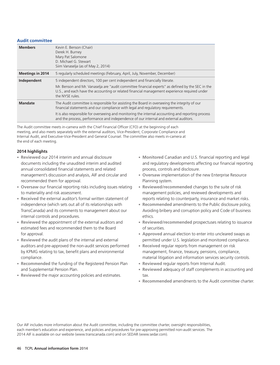#### **Audit committee**

| <b>Members</b>          | Kevin E. Benson (Chair)<br>Derek H. Burney<br>Mary Pat Salomone<br>D. Michael G. Stewart<br>Siim Vanaselja (as of May 2, 2014)                                                                                       |
|-------------------------|----------------------------------------------------------------------------------------------------------------------------------------------------------------------------------------------------------------------|
| <b>Meetings in 2014</b> | 5 regularly scheduled meetings (February, April, July, November, December)                                                                                                                                           |
| Independent             | 5 independent directors, 100 per cent independent and financially literate.                                                                                                                                          |
|                         | Mr. Benson and Mr. Vanaselia are "audit committee financial experts" as defined by the SEC in the<br>U.S., and each have the accounting or related financial management experience required under<br>the NYSE rules. |
| <b>Mandate</b>          | The Audit committee is responsible for assisting the Board in overseeing the integrity of our<br>financial statements and our compliance with legal and regulatory requirements.                                     |
|                         | It is also responsible for overseeing and monitoring the internal accounting and reporting process<br>and the process, performance and independence of our internal and external auditors.                           |

The Audit committee meets in-camera with the Chief Financial Officer (CFO) at the beginning of each meeting, and also meets separately with the external auditors, Vice-President, Corporate Compliance and Internal Audit, and Executive-Vice-President and General Counsel. The committee also meets in-camera at the end of each meeting.

#### **2014 highlights**

- annual consolidated financial statements and related process, controls and disclosure. management's discussion and analysis, AIF and circular and recommended them for approval. Planning system. • **Reviewed** our 2014 interim and annual disclosure
- to materiality and risk assessment. management policies, and reviewed developments and • Oversaw our financial reporting risks including issues relating
- internal controls and procedures. The ethics ethics of the ethics of the ethics. • Received the external auditor's formal written statement of
- estimated fees and recommended them to the Board of securities. • Reviewed the appointment of the external auditors and
- auditors and pre-approved the non-audit services performed by KPMG relating to tax, benefit plans and environmental management, finance, treasury, pensions, compliance, • Reviewed the audit plans of the internal and external
- Recommended the funding of the Registered Pension Plan
- **Reviewed** the major accounting policies and estimates.  $\qquad$  tax.
- Monitored Canadian and U.S. financial reporting and legal documents including the unaudited interim and audited and regulatory developments affecting our financial reporting
	- Oversaw implementation of the new Enterprise Resource
	- Reviewed/recommended changes to the suite of risk reports relating to counterparty, insurance and market risks.
- independence (which sets out all of its relationships with **and the Public disclosure policy,** and the Public disclosure policy, TransCanada) and its comments to management about our Avoiding bribery and corruption policy and Code of business
	- Reviewed/recommended prospectuses relating to issuance
- for approval. annual election to enter into uncleared swaps as **Approved** permitted under U.S. legislation and monitored compliance.
- compliance. material litigation and information services security controls. • **Received** regular reports from management on risk
	- Reviewed regular reports from Internal Audit.
- and Supplemental Pension Plan. adequacy of staff complements in accounting and **Reviewed**
	- Recommended amendments to the Audit committee charter.

Our AIF includes more information about the Audit committee, including the committee charter, oversight responsibilities, each member's education and experience, and policies and procedures for pre-approving permitted non-audit services. The 2014 AIF is available on our website (www.transcanada.com) and on SEDAR (www.sedar.com).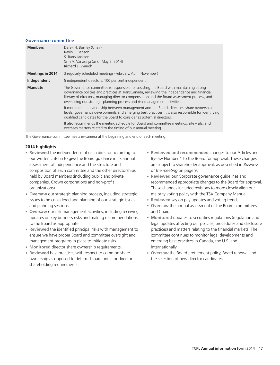#### **Governance committee**

| <b>Members</b>          | Derek H. Burney (Chair)<br>Kevin E. Benson<br>S. Barry Jackson<br>Siim A. Vanaselja (as of May 2, 2014)<br>Richard E. Waugh                                                                                                                                                                                                                                       |
|-------------------------|-------------------------------------------------------------------------------------------------------------------------------------------------------------------------------------------------------------------------------------------------------------------------------------------------------------------------------------------------------------------|
| <b>Meetings in 2014</b> | 3 regularly scheduled meetings (February, April, November)                                                                                                                                                                                                                                                                                                        |
| Independent             | 5 independent directors, 100 per cent independent                                                                                                                                                                                                                                                                                                                 |
| <b>Mandate</b>          | The Governance committee is responsible for assisting the Board with maintaining strong<br>governance policies and practices at TransCanada, reviewing the independence and financial<br>literary of directors, managing director compensation and the Board assessment process, and<br>overseeing our strategic planning process and risk management activities. |
|                         | It monitors the relationship between management and the Board, directors' share ownership<br>levels, governance developments and emerging best practices. It is also responsible for identifying<br>qualified candidates for the Board to consider as potential directors.                                                                                        |
|                         | It also recommends the meeting schedule for Board and committee meetings, site visits, and<br>oversees matters related to the timing of our annual meeting.                                                                                                                                                                                                       |

The Governance committee meets in-camera at the beginning and end of each meeting.

#### **2014 highlights**

- composition of each committee and the other directorships *of the meeting* on page 9. held by Board members (including public and private **our cheaple our Corporate governance guidelines and** organizations). These changes included revisions to more closely align our • Reviewed the independence of each director according to
- issues to be considered and planning of our strategic issues • Oversaw our strategic planning process, including strategic
- Oversaw our risk management activities, including receiving and Chair.
- ensure we have proper Board and committee oversight and committee continues to monitor legal developments and management programs in place to mitigate risks. emerging best practices in Canada, the U.S. and • Reviewed the identified principal risks with management to
- Monitored director share ownership requirements. **internationally**.
- ownership as opposed to deferred share units for director the selection of new director candidates. shareholding requirements. • Reviewed best practices with respect to common share
- Reviewed and recommended changes to our Articles and our written criteria to give the Board guidance in its annual By-law Number 1 to the Board for approval. These changes assessment of independence and the structure and are subject to shareholder approval, as described in *Business*
- companies, Crown corporations and non-profit recommended appropriate changes to the Board for approval. majority voting policy with the TSX Company Manual.
	- Reviewed say on pay updates and voting trends.
- and planning sessions. the annual assessment of the Board, committees **Oversaw**
- updates on key business risks and making recommendations **· Monitored** updates to securities regulations (regulation and to the Board as appropriate. legal updates affecting our policies, procedures and disclosure practices) and matters relating to the financial markets. The
	- Oversaw the Board's retirement policy, Board renewal and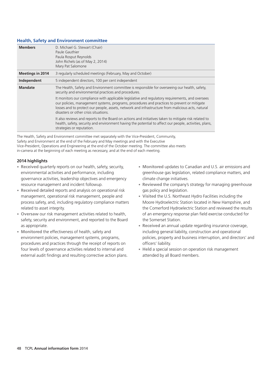#### **Health, Safety and Environment committee**

| <b>Members</b>          | D. Michael G. Stewart (Chair)<br>Paule Gauthier<br>Paula Rosput Reynolds<br>John Richels (as of May 2, 2014)                                                                                                                                                                                                                                  |  |  |
|-------------------------|-----------------------------------------------------------------------------------------------------------------------------------------------------------------------------------------------------------------------------------------------------------------------------------------------------------------------------------------------|--|--|
|                         | Mary Pat Salomone                                                                                                                                                                                                                                                                                                                             |  |  |
| <b>Meetings in 2014</b> | 3 regularly scheduled meetings (February, May and October)                                                                                                                                                                                                                                                                                    |  |  |
| Independent             | 5 independent directors, 100 per cent independent                                                                                                                                                                                                                                                                                             |  |  |
| <b>Mandate</b>          | The Health, Safety and Environment committee is responsible for overseeing our health, safety,<br>security and environmental practices and procedures.                                                                                                                                                                                        |  |  |
|                         | It monitors our compliance with applicable legislative and regulatory requirements, and oversees<br>our policies, management systems, programs, procedures and practices to prevent or mitigate<br>losses and to protect our people, assets, network and infrastructure from malicious acts, natural<br>disasters or other crisis situations. |  |  |
|                         | It also reviews and reports to the Board on actions and initiatives taken to mitigate risk related to<br>health, safety, security and environment having the potential to affect our people, activities, plans,<br>strategies or reputation.                                                                                                  |  |  |

The Health, Safety and Environment committee met separately with the Vice-President, Community, Safety and Environment at the end of the February and May meetings and with the Executive Vice-President, Operations and Engineering at the end of the October meeting. The committee also meets in-camera at the beginning of each meeting as necessary, and at the end of each meeting.

#### **2014 highlights**

- governance activities, leadership objectives and emergency climate change initiatives. • Received quarterly reports on our health, safety, security,
- **Received** detailed reports and analysis on operational risk gas policy and legislation. management, operational risk management, people and **the Visited** the U.S. Northeast Hydro Facilities including the
- safety, security and environment, and reported to the Board the Somerset Station. • Oversaw our risk management activities related to health,
- procedures and practices through the receipt of reports on officers' liability. four levels of governance activities related to internal and **a secular of the se** Held a special session on operation risk management external audit findings and resulting corrective action plans. attended by all Board members. • Monitored the effectiveness of health, safety and
- Monitored updates to Canadian and U.S. air emissions and environmental activities and performance, including greenhouse gas legislation, related compliance matters, and
- resource management and incident followup. **the company's strategy for managing greenhouse Reviewed** the company's strategy for managing greenhouse
- process safety, and, including regulatory compliance matters Moore Hydroelectric Station located in New Hampshire, and related to asset integrity. the Comerford Hydroelectric Station and reviewed the results of an emergency response plan field exercise conducted for
- as appropriate. an annual update regarding insurance coverage, **Received** including general liability, construction and operational environment policies, management systems, programs, policies, property and business interruption, and directors' and
	-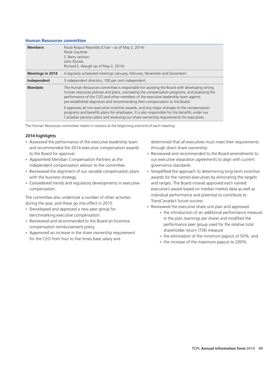#### **Human Resources committee**

| <b>Members</b>          | Paula Rosput Reynolds (Chair – as of May 2, 2014)<br>Paule Gauthier<br>S. Barry Jackson<br>John Richels<br>Richard E. Waugh (as of May 2, 2014)                                                                                                                                                                                                                 |
|-------------------------|-----------------------------------------------------------------------------------------------------------------------------------------------------------------------------------------------------------------------------------------------------------------------------------------------------------------------------------------------------------------|
| <b>Meetings in 2014</b> | 4 regularly scheduled meetings (January, February, November and December)                                                                                                                                                                                                                                                                                       |
| Independent             | 5 independent directors, 100 per cent independent                                                                                                                                                                                                                                                                                                               |
| <b>Mandate</b>          | The Human Resources committee is responsible for assisting the Board with developing strong<br>human resources policies and plans, overseeing the compensation programs, and assessing the<br>performance of the CEO and other members of the executive leadership team against<br>pre-established objectives and recommending their compensation to the Board. |
|                         | It approves all non-executive incentive awards, and any major changes to the compensation<br>programs and benefits plans for employees. It is also responsible for the benefits under our<br>Canadian pension plans and reviewing our share ownership requirements for executives.                                                                              |

The Human Resources committee meets in-camera at the beginning and end of each meeting.

#### **2014 highlights**

- and recommended the 2014 executive compensation awards through direct share ownership. • Assessed the performance of the executive leadership team
- independent compensation advisor to the committee. The governance standards. • **Appointed** Meridian Compensation Partners as the
- with the business strategy. The strategy are strategy awards for the named executives by eliminating the targets • Reviewed the alignment of our variable compensation plans
- compensation. executive's award based on median market data as well as • **Considered** trends and regulatory developments in executive

- during the year, and these go into effect in 2015:<br>
 **Developed** and approved a new peer group for<br>  **Reviewed** the executive share unit plan and approved:<br>
 **he** introduction of an additional performance measure<br>
 the
- Reviewed and recommended to the Board an Incentive
- ompensation reimbursement policy.<br> **Approved** an increase in the share ownership requirement<br>
for the CEO from four to five times base salary and<br>
for the CEO from four to five times base salary and<br> **Approved** an increase • **Approved** an increase in the share ownership requirement<br>for the CEO from four to five times base salary and<br>for the CEO from four to five times base salary and

determined that all executives must meet their requirements

- to the Board for approval. **And recommended to the Board amendments to Reviewed** and recommended to the Board amendments to our executive separation agreements to align with current
- Simplified the approach to determining long-term incentive and ranges. The Board instead approved each named The committee also undertook a number of other activities individual performance and potential to contribute to TransCanada's future success.
	-
- during the year, and these go into effect in 2015:<br>
 **Developed** and approved a new peer group for<br>
 **Reviewed** the executive share unit plan and approved:<br>
 **Reviewed** and recommended to the Board an Incentive<br>
 **Revi** 
	-
	- the increase of the maximum payout to 200%.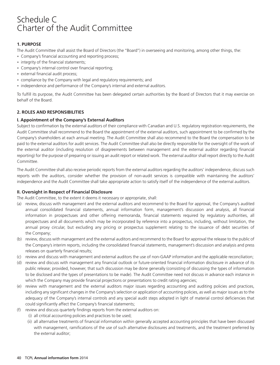# Schedule C Charter of the Audit Committee

#### **1. PURPOSE**

The Audit Committee shall assist the Board of Directors (the ''Board'') in overseeing and monitoring, among other things, the:

- Company's financial accounting and reporting process;
- integrity of the financial statements;
- Company's internal control over financial reporting;
- external financial audit process;
- compliance by the Company with legal and regulatory requirements; and
- independence and performance of the Company's internal and external auditors.

To fulfill its purpose, the Audit Committee has been delegated certain authorities by the Board of Directors that it may exercise on behalf of the Board.

#### **2. ROLES AND RESPONSIBILITIES**

#### **I. Appointment of the Company's External Auditors**

Subject to confirmation by the external auditors of their compliance with Canadian and U.S. regulatory registration requirements, the Audit Committee shall recommend to the Board the appointment of the external auditors, such appointment to be confirmed by the Company's shareholders at each annual meeting. The Audit Committee shall also recommend to the Board the compensation to be paid to the external auditors for audit services. The Audit Committee shall also be directly responsible for the oversight of the work of the external auditor (including resolution of disagreements between management and the external auditor regarding financial reporting) for the purpose of preparing or issuing an audit report or related work. The external auditor shall report directly to the Audit Committee.

The Audit Committee shall also receive periodic reports from the external auditors regarding the auditors' independence, discuss such reports with the auditors, consider whether the provision of non-audit services is compatible with maintaining the auditors' independence and the Audit Committee shall take appropriate action to satisfy itself of the independence of the external auditors.

#### **II. Oversight in Respect of Financial Disclosure**

The Audit Committee, to the extent it deems it necessary or appropriate, shall:

- (a) review, discuss with management and the external auditors and recommend to the Board for approval, the Company's audited annual consolidated financial statements, annual information form, management's discussion and analysis, all financial information in prospectuses and other offering memoranda, financial statements required by regulatory authorities, all prospectuses and all documents which may be incorporated by reference into a prospectus, including, without limitation, the annual proxy circular, but excluding any pricing or prospectus supplement relating to the issuance of debt securities of the Company;
- (b) review, discuss with management and the external auditors and recommend to the Board for approval the release to the public of the Company's interim reports, including the consolidated financial statements, management's discussion and analysis and press releases on quarterly financial results;
- (c) review and discuss with management and external auditors the use of non-GAAP information and the applicable reconciliation;
- (d) review and discuss with management any financial outlook or future-oriented financial information disclosure in advance of its public release; provided, however, that such discussion may be done generally (consisting of discussing the types of information to be disclosed and the types of presentations to be made). The Audit Committee need not discuss in advance each instance in which the Company may provide financial projections or presentations to credit rating agencies;
- (e) review with management and the external auditors major issues regarding accounting and auditing policies and practices, including any significant changes in the Company's selection or application of accounting policies, as well as major issues as to the adequacy of the Company's internal controls and any special audit steps adopted in light of material control deficiencies that could significantly affect the Company's financial statements;
- (f) review and discuss quarterly findings reports from the external auditors on:
	- (i) all critical accounting policies and practices to be used;
	- (ii) all alternative treatments of financial information within generally accepted accounting principles that have been discussed with management, ramifications of the use of such alternative disclosures and treatments, and the treatment preferred by the external auditor;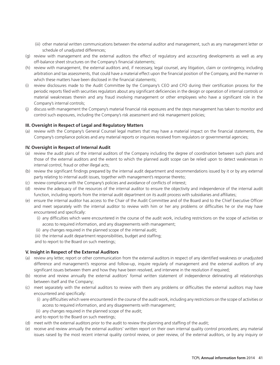- (iii) other material written communications between the external auditor and management, such as any management letter or schedule of unadjusted differences;
- (g) review with management and the external auditors the effect of regulatory and accounting developments as well as any off-balance sheet structures on the Company's financial statements;
- (h) review with management, the external auditors and, if necessary, legal counsel, any litigation, claim or contingency, including arbitration and tax assessments, that could have a material effect upon the financial position of the Company, and the manner in which these matters have been disclosed in the financial statements;
- (i) review disclosures made to the Audit Committee by the Company's CEO and CFO during their certification process for the periodic reports filed with securities regulators about any significant deficiencies in the design or operation of internal controls or material weaknesses therein and any fraud involving management or other employees who have a significant role in the Company's internal controls;
- (j) discuss with management the Company's material financial risk exposures and the steps management has taken to monitor and control such exposures, including the Company's risk assessment and risk management policies;

#### **III. Oversight in Respect of Legal and Regulatory Matters**

(a) review with the Company's General Counsel legal matters that may have a material impact on the financial statements, the Company's compliance policies and any material reports or inquiries received from regulators or governmental agencies;

#### **IV. Oversight in Respect of Internal Audit**

- (a) review the audit plans of the internal auditors of the Company including the degree of coordination between such plans and those of the external auditors and the extent to which the planned audit scope can be relied upon to detect weaknesses in internal control, fraud or other illegal acts;
- (b) review the significant findings prepared by the internal audit department and recommendations issued by it or by any external party relating to internal audit issues, together with management's response thereto;
- (c) review compliance with the Company's policies and avoidance of conflicts of interest;
- (d) review the adequacy of the resources of the internal auditor to ensure the objectivity and independence of the internal audit function, including reports from the internal audit department on its audit process with subsidiaries and affiliates;
- (e) ensure the internal auditor has access to the Chair of the Audit Committee and of the Board and to the Chief Executive Officer and meet separately with the internal auditor to review with him or her any problems or difficulties he or she may have encountered and specifically:
	- (i) any difficulties which were encountered in the course of the audit work, including restrictions on the scope of activities or access to required information, and any disagreements with management;
	- (ii) any changes required in the planned scope of the internal audit;
	- (iii) the internal audit department responsibilities, budget and staffing;
	- and to report to the Board on such meetings;

#### **V. Insight in Respect of the External Auditors**

- (a) review any letter, report or other communication from the external auditors in respect of any identified weakness or unadjusted difference and management's response and follow-up, inquire regularly of management and the external auditors of any significant issues between them and how they have been resolved, and intervene in the resolution if required;
- (b) receive and review annually the external auditors' formal written statement of independence delineating all relationships between itself and the Company;
- (c) meet separately with the external auditors to review with them any problems or difficulties the external auditors may have encountered and specifically:
	- (i) any difficulties which were encountered in the course of the audit work, including any restrictions on the scope of activities or access to required information, and any disagreements with management;
	- (ii) any changes required in the planned scope of the audit;
	- and to report to the Board on such meetings;
- (d) meet with the external auditors prior to the audit to review the planning and staffing of the audit;
- (e) receive and review annually the external auditors' written report on their own internal quality control procedures; any material issues raised by the most recent internal quality control review, or peer review, of the external auditors, or by any inquiry or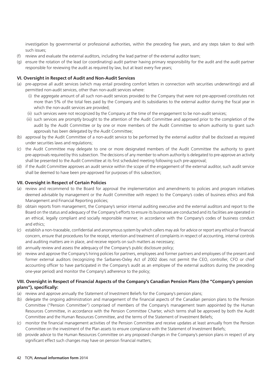investigation by governmental or professional authorities, within the preceding five years, and any steps taken to deal with such issues;

- (f) review and evaluate the external auditors, including the lead partner of the external auditor team;
- (g) ensure the rotation of the lead (or coordinating) audit partner having primary responsibility for the audit and the audit partner responsible for reviewing the audit as required by law, but at least every five years;

#### **VI. Oversight in Respect of Audit and Non-Audit Services**

- (a) pre-approve all audit services (which may entail providing comfort letters in connection with securities underwritings) and all permitted non-audit services, other than non-audit services where:
	- (i) the aggregate amount of all such non-audit services provided to the Company that were not pre-approved constitutes not more than 5% of the total fees paid by the Company and its subsidiaries to the external auditor during the fiscal year in which the non-audit services are provided;
	- (ii) such services were not recognized by the Company at the time of the engagement to be non-audit services;
	- (iii) such services are promptly brought to the attention of the Audit Committee and approved prior to the completion of the audit by the Audit Committee or by one or more members of the Audit Committee to whom authority to grant such approvals has been delegated by the Audit Committee;
- (b) approval by the Audit Committee of a non-audit service to be performed by the external auditor shall be disclosed as required under securities laws and regulations;
- (c) the Audit Committee may delegate to one or more designated members of the Audit Committee the authority to grant pre-approvals required by this subsection. The decisions of any member to whom authority is delegated to pre-approve an activity shall be presented to the Audit Committee at its first scheduled meeting following such pre-approval;
- (d) if the Audit Committee approves an audit service within the scope of the engagement of the external auditor, such audit service shall be deemed to have been pre-approved for purposes of this subsection;

#### **VII. Oversight in Respect of Certain Policies**

- (a) review and recommend to the Board for approval the implementation and amendments to policies and program initiatives deemed advisable by management or the Audit Committee with respect to the Company's codes of business ethics and Risk Management and Financial Reporting policies;
- (b) obtain reports from management, the Company's senior internal auditing executive and the external auditors and report to the Board on the status and adequacy of the Company's efforts to ensure its businesses are conducted and its facilities are operated in an ethical, legally compliant and socially responsible manner, in accordance with the Company's codes of business conduct and ethics;
- (c) establish a non-traceable, confidential and anonymous system by which callers may ask for advice or report any ethical or financial concern, ensure that procedures for the receipt, retention and treatment of complaints in respect of accounting, internal controls and auditing matters are in place, and receive reports on such matters as necessary;
- (d) annually review and assess the adequacy of the Company's public disclosure policy;
- (e) review and approve the Company's hiring policies for partners, employees and former partners and employees of the present and former external auditors (recognizing the Sarbanes-Oxley Act of 2002 does not permit the CEO, controller, CFO or chief accounting officer to have participated in the Company's audit as an employee of the external auditors during the preceding one-year period) and monitor the Company's adherence to the policy;

#### **VIII. Oversight in Respect of Financial Aspects of the Company's Canadian Pension Plans (the ''Company's pension plans''), specifically:**

- (a) review and approve annually the Statement of Investment Beliefs for the Company's pension plans;
- (b) delegate the ongoing administration and management of the financial aspects of the Canadian pension plans to the Pension Committee (''Pension Committee'') comprised of members of the Company's management team appointed by the Human Resources Committee, in accordance with the Pension Committee Charter, which terms shall be approved by both the Audit Committee and the Human Resources Committee, and the terms of the Statement of Investment Beliefs;
- (c) monitor the financial management activities of the Pension Committee and receive updates at least annually from the Pension Committee on the investment of the Plan assets to ensure compliance with the Statement of Investment Beliefs;
- (d) provide advice to the Human Resources Committee on any proposed changes in the Company's pension plans in respect of any significant effect such changes may have on pension financial matters;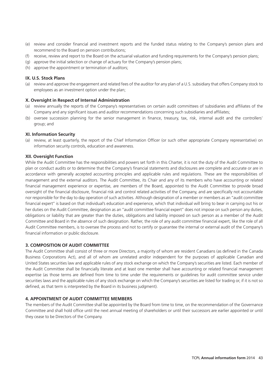- (e) review and consider financial and investment reports and the funded status relating to the Company's pension plans and recommend to the Board on pension contributions;
- (f) receive, review and report to the Board on the actuarial valuation and funding requirements for the Company's pension plans;
- (g) approve the initial selection or change of actuary for the Company's pension plans;
- (h) approve the appointment or termination of auditors;

#### **IX. U.S. Stock Plans**

(a) review and approve the engagement and related fees of the auditor for any plan of a U.S. subsidiary that offers Company stock to employees as an investment option under the plan;

#### **X. Oversight in Respect of Internal Administration**

- (a) review annually the reports of the Company's representatives on certain audit committees of subsidiaries and affiliates of the Company and any significant issues and auditor recommendations concerning such subsidiaries and affiliates;
- (b) oversee succession planning for the senior management in finance, treasury, tax, risk, internal audit and the controllers' group; and

#### **XI. Information Security**

(a) review, at least quarterly, the report of the Chief Information Officer (or such other appropriate Company representative) on information security controls, education and awareness.

#### **XII. Oversight Function**

While the Audit Committee has the responsibilities and powers set forth in this Charter, it is not the duty of the Audit Committee to plan or conduct audits or to determine that the Company's financial statements and disclosures are complete and accurate or are in accordance with generally accepted accounting principles and applicable rules and regulations. These are the responsibilities of management and the external auditors. The Audit Committee, its Chair and any of its members who have accounting or related financial management experience or expertise, are members of the Board, appointed to the Audit Committee to provide broad oversight of the financial disclosure, financial risk and control related activities of the Company, and are specifically not accountable nor responsible for the day to day operation of such activities. Although designation of a member or members as an ''audit committee financial expert'' is based on that individual's education and experience, which that individual will bring to bear in carrying out his or her duties on the Audit Committee, designation as an ''audit committee financial expert'' does not impose on such person any duties, obligations or liability that are greater than the duties, obligations and liability imposed on such person as a member of the Audit Committee and Board in the absence of such designation. Rather, the role of any audit committee financial expert, like the role of all Audit Committee members, is to oversee the process and not to certify or guarantee the internal or external audit of the Company's financial information or public disclosure.

#### **3. COMPOSITION OF AUDIT COMMITTEE**

The Audit Committee shall consist of three or more Directors, a majority of whom are resident Canadians (as defined in the Canada Business Corporations Act), and all of whom are unrelated and/or independent for the purposes of applicable Canadian and United States securities law and applicable rules of any stock exchange on which the Company's securities are listed. Each member of the Audit Committee shall be financially literate and at least one member shall have accounting or related financial management expertise (as those terms are defined from time to time under the requirements or guidelines for audit committee service under securities laws and the applicable rules of any stock exchange on which the Company's securities are listed for trading or, if it is not so defined, as that term is interpreted by the Board in its business judgment).

#### **4. APPOINTMENT OF AUDIT COMMITTEE MEMBERS**

The members of the Audit Committee shall be appointed by the Board from time to time, on the recommendation of the Governance Committee and shall hold office until the next annual meeting of shareholders or until their successors are earlier appointed or until they cease to be Directors of the Company.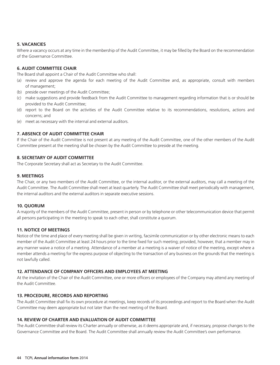#### **5. VACANCIES**

Where a vacancy occurs at any time in the membership of the Audit Committee, it may be filled by the Board on the recommendation of the Governance Committee.

#### **6. AUDIT COMMITTEE CHAIR**

The Board shall appoint a Chair of the Audit Committee who shall:

- (a) review and approve the agenda for each meeting of the Audit Committee and, as appropriate, consult with members of management;
- (b) preside over meetings of the Audit Committee;
- (c) make suggestions and provide feedback from the Audit Committee to management regarding information that is or should be provided to the Audit Committee;
- (d) report to the Board on the activities of the Audit Committee relative to its recommendations, resolutions, actions and concerns; and
- (e) meet as necessary with the internal and external auditors.

#### **7. ABSENCE OF AUDIT COMMITTEE CHAIR**

If the Chair of the Audit Committee is not present at any meeting of the Audit Committee, one of the other members of the Audit Committee present at the meeting shall be chosen by the Audit Committee to preside at the meeting.

#### **8. SECRETARY OF AUDIT COMMITTEE**

The Corporate Secretary shall act as Secretary to the Audit Committee.

#### **9. MEETINGS**

The Chair, or any two members of the Audit Committee, or the internal auditor, or the external auditors, may call a meeting of the Audit Committee. The Audit Committee shall meet at least quarterly. The Audit Committee shall meet periodically with management, the internal auditors and the external auditors in separate executive sessions.

#### **10. QUORUM**

A majority of the members of the Audit Committee, present in person or by telephone or other telecommunication device that permit all persons participating in the meeting to speak to each other, shall constitute a quorum.

#### **11. NOTICE OF MEETINGS**

Notice of the time and place of every meeting shall be given in writing, facsimile communication or by other electronic means to each member of the Audit Committee at least 24 hours prior to the time fixed for such meeting; provided, however, that a member may in any manner waive a notice of a meeting. Attendance of a member at a meeting is a waiver of notice of the meeting, except where a member attends a meeting for the express purpose of objecting to the transaction of any business on the grounds that the meeting is not lawfully called.

#### **12. ATTENDANCE OF COMPANY OFFICERS AND EMPLOYEES AT MEETING**

At the invitation of the Chair of the Audit Committee, one or more officers or employees of the Company may attend any meeting of the Audit Committee.

#### **13. PROCEDURE, RECORDS AND REPORTING**

The Audit Committee shall fix its own procedure at meetings, keep records of its proceedings and report to the Board when the Audit Committee may deem appropriate but not later than the next meeting of the Board.

#### **14. REVIEW OF CHARTER AND EVALUATION OF AUDIT COMMITTEE**

The Audit Committee shall review its Charter annually or otherwise, as it deems appropriate and, if necessary, propose changes to the Governance Committee and the Board. The Audit Committee shall annually review the Audit Committee's own performance.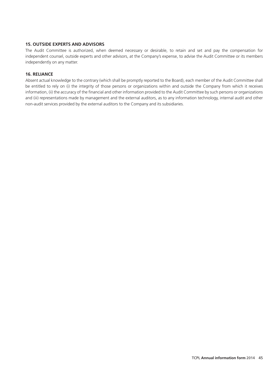#### **15. OUTSIDE EXPERTS AND ADVISORS**

The Audit Committee is authorized, when deemed necessary or desirable, to retain and set and pay the compensation for independent counsel, outside experts and other advisors, at the Company's expense, to advise the Audit Committee or its members independently on any matter.

#### **16. RELIANCE**

Absent actual knowledge to the contrary (which shall be promptly reported to the Board), each member of the Audit Committee shall be entitled to rely on (i) the integrity of those persons or organizations within and outside the Company from which it receives information, (ii) the accuracy of the financial and other information provided to the Audit Committee by such persons or organizations and (iii) representations made by management and the external auditors, as to any information technology, internal audit and other non-audit services provided by the external auditors to the Company and its subsidiaries.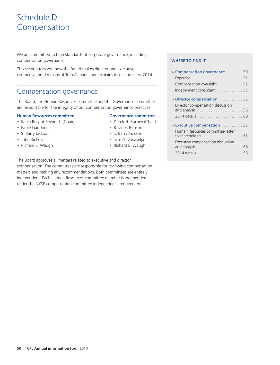# Schedule D Compensation

We are committed to high standards of corporate governance, including compensation governance.

This section tells you how the Board makes director and executive compensation decisions at TransCanada, and explains its decisions for 2014.

### Compensation governance

#### **Human Resources committee Governance committee**

- 
- Paule Gauthier
- S. Barry Jackson  **S. Barry Jackson**
- 
- Richard E. Waugh  **Product Contains 1998** Richard E. Waugh

- 
- Kevin E. Benson
- 
- •
	-

The Board approves all matters related to executive and director compensation. The committees are responsible for reviewing compensation matters and making any recommendations. Both committees are entirely independent. Each Human Resources committee member is independent under the NYSE compensation committee independence requirements.

#### **WHERE TO FIND IT**

| This section tells you how the Board makes director and executive<br>compensation decisions at TransCanada, and explains its decisions for 2014.      |                                                                                                                                                  | > Compensation governance 50<br>Compensation oversight 52<br>Independent consultant  55<br>> Director compensation 56<br>Director compensation discussion                                                                              |  |  |
|-------------------------------------------------------------------------------------------------------------------------------------------------------|--------------------------------------------------------------------------------------------------------------------------------------------------|----------------------------------------------------------------------------------------------------------------------------------------------------------------------------------------------------------------------------------------|--|--|
| Compensation governance                                                                                                                               |                                                                                                                                                  |                                                                                                                                                                                                                                        |  |  |
| The Board, the Human Resources committee and the Governance committee<br>are responsible for the integrity of our compensation governance practices.  |                                                                                                                                                  |                                                                                                                                                                                                                                        |  |  |
| <b>Human Resources committee</b><br>· Paula Rosput Reynolds (Chair)<br>• Paule Gauthier<br>• S. Barry Jackson<br>• John Richels<br>• Richard E. Waugh | <b>Governance committee</b><br>• Derek H. Burney (Chair)<br>• Kevin E. Benson<br>• S. Barry Jackson<br>· Siim A. Vanaselja<br>• Richard E. Waugh | > Executive compensation  65<br>Human Resources committee letter<br>to shareholders $\dots \dots \dots \dots \dots \dots \dots$ 65<br>Executive compensation discussion<br>and analysis $\ldots \ldots \ldots \ldots \ldots \ldots 68$ |  |  |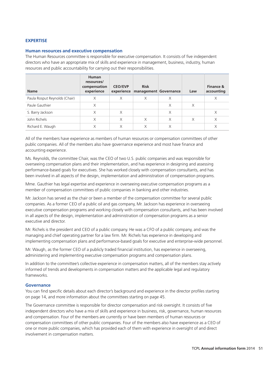#### **EXPERTISE**

#### **Human resources and executive compensation**

The Human Resources committee is responsible for executive compensation. It consists of five independent directors who have an appropriate mix of skills and experience in management, business, industry, human resources and public accountability for carrying out their responsibilities.

| <b>Name</b>                   | <b>Human</b><br>resources/<br>compensation<br>experience | <b>CEO/EVP</b><br>experience | <b>Risk</b><br>management Governance |   | Law      | Finance &<br>accounting |
|-------------------------------|----------------------------------------------------------|------------------------------|--------------------------------------|---|----------|-------------------------|
| Paula Rosput Reynolds (Chair) | X                                                        | X                            | X                                    | X |          | X                       |
| Paule Gauthier                | X                                                        |                              |                                      | X | $\times$ |                         |
| S. Barry Jackson              | X                                                        | X                            |                                      | X |          | X                       |
| John Richels                  | X                                                        | X                            | X                                    | X | X        | X                       |
| Richard E. Waugh              | X                                                        | X                            | X                                    | X |          | X                       |

All of the members have experience as members of human resources or compensation committees of other public companies. All of the members also have governance experience and most have finance and accounting experience.

Ms. Reynolds, the committee Chair, was the CEO of two U.S. public companies and was responsible for overseeing compensation plans and their implementation, and has experience in designing and assessing performance-based goals for executives. She has worked closely with compensation consultants, and has been involved in all aspects of the design, implementation and administration of compensation programs.

Mme. Gauthier has legal expertise and experience in overseeing executive compensation programs as a member of compensation committees of public companies in banking and other industries.

Mr. Jackson has served as the chair or been a member of the compensation committee for several public companies. As a former CEO of a public oil and gas company, Mr. Jackson has experience in overseeing executive compensation programs and working closely with compensation consultants, and has been involved in all aspects of the design, implementation and administration of compensation programs as a senior executive and director.

Mr. Richels is the president and CEO of a public company. He was a CFO of a public company, and was the managing and chief operating partner for a law firm. Mr. Richels has experience in developing and implementing compensation plans and performance-based goals for executive and enterprise-wide personnel.

Mr. Waugh, as the former CEO of a publicly traded financial institution, has experience in overseeing, administering and implementing executive compensation programs and compensation plans.

In addition to the committee's collective experience in compensation matters, all of the members stay actively informed of trends and developments in compensation matters and the applicable legal and regulatory frameworks.

#### **Governance**

You can find specific details about each director's background and experience in the director profiles starting on page 14, and more information about the committees starting on page 45.

The Governance committee is responsible for director compensation and risk oversight. It consists of five independent directors who have a mix of skills and experience in business, risk, governance, human resources and compensation. Four of the members are currently or have been members of human resources or compensation committees of other public companies. Four of the members also have experience as a CEO of one or more public companies, which has provided each of them with experience in oversight of and direct involvement in compensation matters.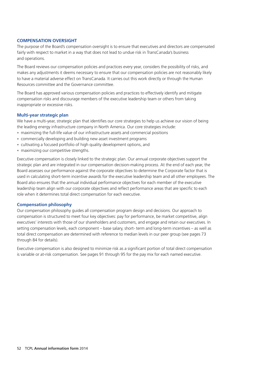#### **COMPENSATION OVERSIGHT**

The purpose of the Board's compensation oversight is to ensure that executives and directors are compensated fairly with respect to market in a way that does not lead to undue risk in TransCanada's business and operations.

The Board reviews our compensation policies and practices every year, considers the possibility of risks, and makes any adjustments it deems necessary to ensure that our compensation policies are not reasonably likely to have a material adverse effect on TransCanada. It carries out this work directly or through the Human Resources committee and the Governance committee.

The Board has approved various compensation policies and practices to effectively identify and mitigate compensation risks and discourage members of the executive leadership team or others from taking inappropriate or excessive risks.

#### **Multi-year strategic plan**

We have a multi-year, strategic plan that identifies our core strategies to help us achieve our vision of being the leading energy infrastructure company in North America. Our core strategies include:

- maximizing the full-life value of our infrastructure assets and commercial positions
- commercially developing and building new asset investment programs
- cultivating a focused portfolio of high quality development options, and
- maximizing our competitive strengths.

Executive compensation is closely linked to the strategic plan. Our annual corporate objectives support the strategic plan and are integrated in our compensation decision-making process. At the end of each year, the Board assesses our performance against the corporate objectives to determine the Corporate factor that is used in calculating short-term incentive awards for the executive leadership team and all other employees. The Board also ensures that the annual individual performance objectives for each member of the executive leadership team align with our corporate objectives and reflect performance areas that are specific to each role when it determines total direct compensation for each executive.

#### **Compensation philosophy**

Our compensation philosophy guides all compensation program design and decisions. Our approach to compensation is structured to meet four key objectives: pay for performance, be market competitive, align executives' interests with those of our shareholders and customers, and engage and retain our executives. In setting compensation levels, each component – base salary, short- term and long-term incentives – as well as total direct compensation are determined with reference to median levels in our peer group (see pages 73 through 84 for details).

Executive compensation is also designed to minimize risk as a significant portion of total direct compensation is variable or at-risk compensation. See pages 91 through 95 for the pay mix for each named executive.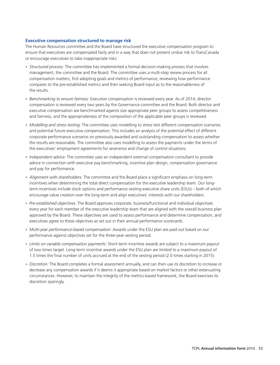#### **Executive compensation structured to manage risk**

The Human Resources committee and the Board have structured the executive compensation program to ensure that executives are compensated fairly and in a way that does not present undue risk to TransCanada or encourage executives to take inappropriate risks.

- *Structured process:* The committee has implemented a formal decision-making process that involves management, the committee and the Board. The committee uses a multi-step review process for all compensation matters, first adopting goals and metrics of performance, reviewing how performance compares to the pre-established metrics and then seeking Board input as to the reasonableness of the results.
- *Benchmarking to ensure fairness:* Executive compensation is reviewed every year. As of 2014, director compensation is reviewed every two years by the Governance committee and the Board. Both director and executive compensation are benchmarked against size appropriate peer groups to assess competitiveness and fairness, and the appropriateness of the composition of the applicable peer groups is reviewed.
- *Modelling and stress testing:* The committee uses modelling to stress test different compensation scenarios and potential future executive compensation. This includes an analysis of the potential effect of different corporate performance scenarios on previously awarded and outstanding compensation to assess whether the results are reasonable. The committee also uses modelling to assess the payments under the terms of the executives' employment agreements for severance and change of control situations.
- Independent advice: The committee uses an independent external compensation consultant to provide advice in connection with executive pay benchmarking, incentive plan design, compensation governance and pay for performance.
- Alignment with shareholders: The committee and the Board place a significant emphasis on long-term incentives when determining the total direct compensation for the executive leadership team. Our longterm incentives include stock options and performance vesting executive share units (ESUs) – both of which encourage value creation over the long-term and align executives' interests with our shareholders.
- Pre-established objectives: The Board approves corporate, business/functional and individual objectives every year for each member of the executive leadership team that are aligned with the overall business plan approved by the Board. These objectives are used to assess performance and determine compensation, and executives agree to these objectives as set out in their annual performance scorecards.
- *Multi-year performance-based compensation:* Awards under the ESU plan are paid out based on our performance against objectives set for the three-year vesting period.
- *Limits on variable compensation payments:* Short-term incentive awards are subject to a maximum payout of two times target. Long-term incentive awards under the ESU plan are limited to a maximum payout of 1.5 times the final number of units accrued at the end of the vesting period (2.0 times starting in 2015).
- Discretion: The Board completes a formal assessment annually, and can then use its discretion to increase or decrease any compensation awards if it deems it appropriate based on market factors or other extenuating circumstances. However, to maintain the integrity of the metrics-based framework, the Board exercises its discretion sparingly.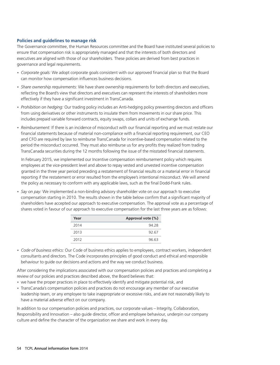## **Policies and guidelines to manage risk**

The Governance committee, the Human Resources committee and the Board have instituted several policies to ensure that compensation risk is appropriately managed and that the interests of both directors and executives are aligned with those of our shareholders. These policies are derived from best practices in governance and legal requirements.

- Corporate goals: We adopt corporate goals consistent with our approved financial plan so that the Board can monitor how compensation influences business decisions.
- *Share ownership requirements:* We have share ownership requirements for both directors and executives, reflecting the Board's view that directors and executives can represent the interests of shareholders more effectively if they have a significant investment in TransCanada.
- *Prohibition on hedging:* Our trading policy includes an Anti-hedging policy preventing directors and officers from using derivatives or other instruments to insulate them from movements in our share price. This includes prepaid variable forward contracts, equity swaps, collars and units of exchange funds.
- *Reimbursement:* If there is an incidence of misconduct with our financial reporting and we must restate our financial statements because of material non-compliance with a financial reporting requirement, our CEO and CFO are required by law to reimburse TransCanada for incentive-based compensation related to the period the misconduct occurred. They must also reimburse us for any profits they realized from trading TransCanada securities during the 12 months following the issue of the misstated financial statements.

In February 2015, we implemented our Incentive compensation reimbursement policy which requires employees at the vice-president level and above to repay vested and unvested incentive compensation granted in the three year period preceding a restatement of financial results or a material error in financial reporting if the restatement or error resulted from the employee's intentional misconduct. We will amend the policy as necessary to conform with any applicable laws, such as the final Dodd-Frank rules.

• Say on pay: We implemented a non-binding advisory shareholder vote on our approach to executive compensation starting in 2010. The results shown in the table below confirm that a significant majority of shareholders have accepted our approach to executive compensation. The approval vote as a percentage of shares voted in favour of our approach to executive compensation for the last three years are as follows:

| Year | Approval vote (%) |
|------|-------------------|
| 2014 | 94.28             |
| 2013 | 92.67             |
| 2012 | 96.63             |

*Code of business ethics:* Our Code of business ethics applies to employees, contract workers, independent • consultants and directors. The Code incorporates principles of good conduct and ethical and responsible behaviour to guide our decisions and actions and the way we conduct business.

After considering the implications associated with our compensation policies and practices and completing a review of our policies and practices described above, the Board believes that:

- we have the proper practices in place to effectively identify and mitigate potential risk, and
- TransCanada's compensation policies and practices do not encourage any member of our executive leadership team, or any employee to take inappropriate or excessive risks, and are not reasonably likely to have a material adverse effect on our company.

In addition to our compensation policies and practices, our corporate values – Integrity, Collaboration, Responsibility and Innovation – also guide director, officer and employee behaviour, underpin our company culture and define the character of the organization we share and work in every day.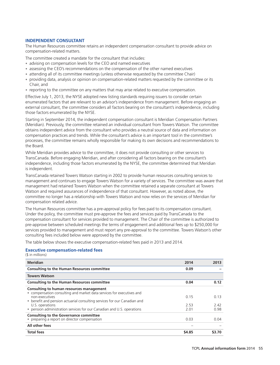# **INDEPENDENT CONSULTANT**

The Human Resources committee retains an independent compensation consultant to provide advice on compensation-related matters.

The committee created a mandate for the consultant that includes:

- advising on compensation levels for the CEO and named executives
- assessing the CEO's recommendations on the compensation of the other named executives
- attending all of its committee meetings (unless otherwise requested by the committee Chair)
- providing data, analysis or opinion on compensation-related matters requested by the committee or its Chair, and
- reporting to the committee on any matters that may arise related to executive compensation.

Effective July 1, 2013, the NYSE adopted new listing standards requiring issuers to consider certain enumerated factors that are relevant to an advisor's independence from management. Before engaging an external consultant, the committee considers all factors bearing on the consultant's independence, including those factors enumerated by the NYSE.

Starting in September 2014, the independent compensation consultant is Meridian Compensation Partners (Meridian). Previously, the committee retained an individual consultant from Towers Watson. The committee obtains independent advice from the consultant who provides a neutral source of data and information on compensation practices and trends. While the consultant's advice is an important tool in the committee's processes, the committee remains wholly responsible for making its own decisions and recommendations to the Board.

While Meridian provides advice to the committee, it does not provide consulting or other services to TransCanada. Before engaging Meridian, and after considering all factors bearing on the consultant's independence, including those factors enumerated by the NYSE, the committee determined that Meridian is independent.

TransCanada retained Towers Watson starting in 2002 to provide human resources consulting services to management and continues to engage Towers Watson for a variety of services. The committee was aware that management had retained Towers Watson when the committee retained a separate consultant at Towers Watson and required assurances of independence of that consultant. However, as noted above, the committee no longer has a relationship with Towers Watson and now relies on the services of Meridian for compensation related advice.

The Human Resources committee has a pre-approval policy for fees paid to its compensation consultant. Under the policy, the committee must pre-approve the fees and services paid by TransCanada to the compensation consultant for services provided to management. The Chair of the committee is authorized to pre-approve between scheduled meetings the terms of engagement and additional fees up to \$250,000 for services provided to management and must report any pre-approval to the committee. Towers Watson's other consulting fees included below were approved by the committee.

The table below shows the executive compensation-related fees paid in 2013 and 2014.

#### **Executive compensation-related fees**

(\$ in millions)

| <b>Meridian</b>                                                                                                                                                                                                                                                                                              | 2014                | 2013                |
|--------------------------------------------------------------------------------------------------------------------------------------------------------------------------------------------------------------------------------------------------------------------------------------------------------------|---------------------|---------------------|
| <b>Consulting to the Human Resources committee</b>                                                                                                                                                                                                                                                           | 0.09                |                     |
| <b>Towers Watson</b>                                                                                                                                                                                                                                                                                         |                     |                     |
| <b>Consulting to the Human Resources committee</b>                                                                                                                                                                                                                                                           | 0.04                | 0.12                |
| Consulting to human resources management<br>• compensation consulting and market data services for executives and<br>non-executives<br>• benefit and pension actuarial consulting services for our Canadian and<br>U.S. operations<br>· pension administration services for our Canadian and U.S. operations | 0.15<br>253<br>2.01 | 0.13<br>242<br>0.98 |
| <b>Consulting to the Governance committee</b><br>• preparing a report on director compensation                                                                                                                                                                                                               | 0.03                | 0.04                |
| All other fees                                                                                                                                                                                                                                                                                               |                     |                     |
| <b>Total fees</b>                                                                                                                                                                                                                                                                                            | \$4.85              | \$3.70              |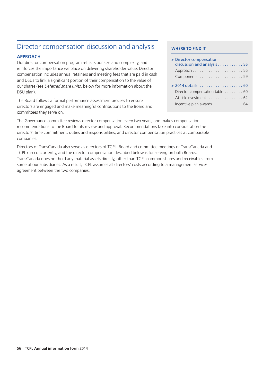# Director compensation discussion and analysis **WHERE TO FIND IT**

Our director compensation program reflects our size and complexity, and **APPROACH <sup>&</sup>gt;** Director compensation reinforces the importance we place on delivering shareholder value. Director compensation includes annual retainers and meeting fees that are paid in cash and DSUs to link a significant portion of their compensation to the value of our shares (see *Deferred share units*, below for more information about the DSU plan). Director compensation table . . . . . . . . 60

The Board follows a formal performance assessment process to ensure<br>directors are engaged and make meaningful contributions to the Board and committees they serve on.

| > Director compensation<br>discussion and analysis 56 |  |
|-------------------------------------------------------|--|
|                                                       |  |
|                                                       |  |
|                                                       |  |
| > 2014 details 60                                     |  |
| Director compensation table 60                        |  |
| At-risk investment 62                                 |  |
| Incentive plan awards 64                              |  |

The Governance committee reviews director compensation every two years, and makes compensation recommendations to the Board for its review and approval. Recommendations take into consideration the directors' time commitment, duties and responsibilities, and director compensation practices at comparable companies.

Directors of TransCanada also serve as directors of TCPL. Board and committee meetings of TransCanada and TCPL run concurrently, and the director compensation described below is for serving on both Boards. TransCanada does not hold any material assets directly, other than TCPL common shares and receivables from some of our subsidiaries. As a result, TCPL assumes all directors' costs according to a management services agreement between the two companies.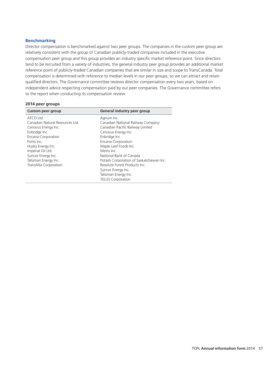# **Benchmarking**

Director compensation is benchmarked against two peer groups. The companies in the custom peer group are relatively consistent with the group of Canadian publicly-traded companies included in the executive compensation peer group and this group provides an industry specific market reference point. Since directors tend to be recruited from a variety of industries, the general industry peer group provides an additional market reference point of publicly-traded Canadian companies that are similar in size and scope to TransCanada. Total compensation is determined with reference to median levels in our peer groups, so we can attract and retain qualified directors. The Governance committee reviews director compensation every two years, based on independent advice respecting compensation paid by our peer companies. The Governance committee refers to the report when conducting its compensation review.

#### **2014 peer groups**

| <b>Custom peer group</b>                                                                                                                                                                                                                   | General industry peer group                                                                                                                                                                                                                                                                                                                    |
|--------------------------------------------------------------------------------------------------------------------------------------------------------------------------------------------------------------------------------------------|------------------------------------------------------------------------------------------------------------------------------------------------------------------------------------------------------------------------------------------------------------------------------------------------------------------------------------------------|
| ATCO Ltd.<br>Canadian Natural Resources Ltd.<br>Cenovus Energy Inc.<br>Enbridge Inc.<br>Encana Corporation<br>Fortis Inc.<br>Husky Energy Inc.<br>Imperial Oil Ltd.<br>Suncor Energy Inc.<br>Talisman Energy Inc.<br>TransAlta Corporation | Agrium Inc.<br>Canadian National Railway Company<br>Canadian Pacific Railway Limited<br>Cenovus Energy Inc.<br>Enbridge Inc.<br>Encana Corporation<br>Maple Leaf Foods Inc.<br>Metro Inc.<br>National Bank of Canada<br>Potash Corporation of Saskatchewan Inc.<br>Resolute Forest Products Inc.<br>Suncor Energy Inc.<br>Talisman Energy Inc. |
|                                                                                                                                                                                                                                            | <b>TELUS Corporation</b>                                                                                                                                                                                                                                                                                                                       |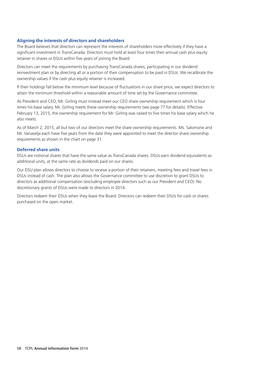# **Aligning the interests of directors and shareholders**

The Board believes that directors can represent the interests of shareholders more effectively if they have a significant investment in TransCanada. Directors must hold at least four times their annual cash plus equity retainer in shares or DSUs within five years of joining the Board.

Directors can meet the requirements by purchasing TransCanada shares, participating in our dividend reinvestment plan or by directing all or a portion of their compensation to be paid in DSUs. We recalibrate the ownership values if the cash plus equity retainer is increased.

If their holdings fall below the minimum level because of fluctuations in our share price, we expect directors to attain the minimum threshold within a reasonable amount of time set by the Governance committee.

As President and CEO, Mr. Girling must instead meet our CEO share ownership requirement which is four times his base salary. Mr. Girling meets these ownership requirements (see page 77 for details). Effective February 13, 2015, the ownership requirement for Mr. Girling was raised to five times his base salary which he also meets.

As of March 2, 2015, all but two of our directors meet the share ownership requirements. Ms. Salomone and Mr. Vanaselja each have five years from the date they were appointed to meet the director share ownership requirements as shown in the chart on page 31.

### **Deferred share units**

DSUs are notional shares that have the same value as TransCanada shares. DSUs earn dividend equivalents as additional units, at the same rate as dividends paid on our shares.

Our DSU plan allows directors to choose to receive a portion of their retainers, meeting fees and travel fees in DSUs instead of cash. The plan also allows the Governance committee to use discretion to grant DSUs to directors as additional compensation (excluding employee directors such as our President and CEO). No discretionary grants of DSUs were made to directors in 2014.

Directors redeem their DSUs when they leave the Board. Directors can redeem their DSUs for cash or shares purchased on the open market.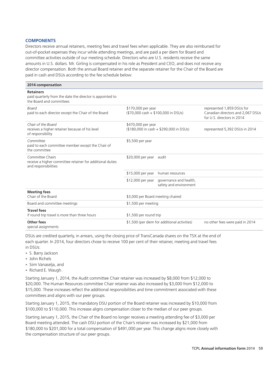## **COMPONENTS**

Directors receive annual retainers, meeting fees and travel fees when applicable. They are also reimbursed for out-of-pocket expenses they incur while attending meetings, and are paid a per diem for Board and committee activities outside of our meeting schedule. Directors who are U.S. residents receive the same amounts in U.S. dollars. Mr. Girling is compensated in his role as President and CEO, and does not receive any director compensation. Both the annual Board retainer and the separate retainer for the Chair of the Board are paid in cash and DSUs according to the fee schedule below:

| 2014 compensation                                                                                         |                                                                       |                                                                                               |
|-----------------------------------------------------------------------------------------------------------|-----------------------------------------------------------------------|-----------------------------------------------------------------------------------------------|
| <b>Retainers</b><br>paid quarterly from the date the director is appointed to<br>the Board and committees |                                                                       |                                                                                               |
| <b>Board</b><br>paid to each director except the Chair of the Board                                       | \$170,000 per year<br>(\$70,000 cash + \$100,000 in DSUs)             | represented 1,859 DSUs for<br>Canadian directors and 2,067 DSUs<br>for U.S. directors in 2014 |
| Chair of the Board<br>receives a higher retainer because of his level<br>of responsibility                | \$470,000 per year<br>(\$180,000 in cash + \$290,000 in DSUs)         | represented 5,392 DSUs in 2014                                                                |
| Committee<br>paid to each committee member except the Chair of<br>the committee                           | \$5,500 per year                                                      |                                                                                               |
| Committee Chairs<br>receive a higher committee retainer for additional duties<br>and responsibilities     | \$20,000 per year<br>audit                                            |                                                                                               |
|                                                                                                           | \$15,000 per year<br>human resources                                  |                                                                                               |
|                                                                                                           | \$12,000 per year<br>governance and health,<br>safety and environment |                                                                                               |
| <b>Meeting fees</b><br>Chair of the Board                                                                 | \$3,000 per Board meeting chaired                                     |                                                                                               |
| Board and committee meetings                                                                              | \$1,500 per meeting                                                   |                                                                                               |
| <b>Travel fees</b><br>if round trip travel is more than three hours                                       | \$1,500 per round trip                                                |                                                                                               |
| Other fees<br>special assignments                                                                         | \$1,500 (per diem for additional activities)                          | no other fees were paid in 2014                                                               |

DSUs are credited quarterly, in arrears, using the closing price of TransCanada shares on the TSX at the end of each quarter. In 2014, four directors chose to receive 100 per cent of their retainer, meeting and travel fees in DSUs:

- S. Barry Jackson •
- John Richels •
- Siim Vanaselja, and •
- Richard E. Waugh.

Starting January 1, 2014, the Audit committee Chair retainer was increased by \$8,000 from \$12,000 to \$20,000. The Human Resources committee Chair retainer was also increased by \$3,000 from \$12,000 to \$15,000. These increases reflect the additional responsibilities and time commitment associated with these committees and aligns with our peer groups.

Starting January 1, 2015, the mandatory DSU portion of the Board retainer was increased by \$10,000 from \$100,000 to \$110,000. This increase aligns compensation closer to the median of our peer groups.

Starting January 1, 2015, the Chair of the Board no longer receives a meeting attending fee of \$3,000 per Board meeting attended. The cash DSU portion of the Chair's retainer was increased by \$21,000 from \$180,000 to \$201,000 for a total compensation of \$491,000 per year. This change aligns more closely with the compensation structure of our peer groups.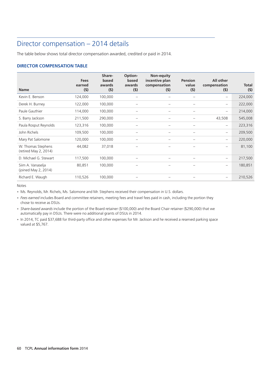# Director compensation – 2014 details

The table below shows total director compensation awarded, credited or paid in 2014.

# **DIRECTOR COMPENSATION TABLE**

| <b>Name</b>                                 | <b>Fees</b><br>earned<br>(5) | Share-<br>based<br>awards<br>(5) | Option-<br>based<br>awards<br>(5) | Non-equity<br>incentive plan<br>compensation<br>(5) | <b>Pension</b><br>value<br>(5) | All other<br>compensation<br>(5) | <b>Total</b><br>(5) |
|---------------------------------------------|------------------------------|----------------------------------|-----------------------------------|-----------------------------------------------------|--------------------------------|----------------------------------|---------------------|
|                                             |                              |                                  |                                   |                                                     |                                |                                  |                     |
| Kevin E. Benson                             | 124,000                      | 100,000                          |                                   |                                                     |                                | $\overline{\phantom{0}}$         | 224,000             |
| Derek H. Burney                             | 122,000                      | 100,000                          |                                   |                                                     |                                | $\qquad \qquad -$                | 222,000             |
| Paule Gauthier                              | 114,000                      | 100,000                          |                                   |                                                     |                                | $\overline{\phantom{0}}$         | 214,000             |
| S. Barry Jackson                            | 211,500                      | 290,000                          |                                   | $\overline{\phantom{0}}$                            |                                | 43,508                           | 545,008             |
| Paula Rosput Reynolds                       | 123,316                      | 100,000                          |                                   | $\overline{\phantom{0}}$                            |                                | $\overline{\phantom{0}}$         | 223,316             |
| John Richels                                | 109,500                      | 100,000                          |                                   | $\overline{\phantom{0}}$                            |                                | $\overline{\phantom{0}}$         | 209,500             |
| Mary Pat Salomone                           | 120,000                      | 100,000                          |                                   | -                                                   |                                | $\qquad \qquad -$                | 220,000             |
| W. Thomas Stephens<br>(retired May 2, 2014) | 44,082                       | 37,018                           |                                   |                                                     |                                | $\overline{\phantom{0}}$         | 81,100              |
| D. Michael G. Stewart                       | 117,500                      | 100,000                          |                                   | -                                                   |                                | $\qquad \qquad -$                | 217,500             |
| Siim A. Vanaselja<br>(joined May 2, 2014)   | 80,851                       | 100,000                          |                                   | -                                                   |                                | $\overline{\phantom{m}}$         | 180,851             |
| Richard E. Waugh                            | 110,526                      | 100,000                          |                                   |                                                     |                                | $\qquad \qquad -$                | 210,526             |

Notes

• Ms. Reynolds, Mr. Richels, Ms. Salomone and Mr. Stephens received their compensation in U.S. dollars.

*Fees earned* includes Board and committee retainers, meeting fees and travel fees paid in cash, including the portion they • chose to receive as DSUs.

*Share-based awards* include the portion of the Board retainer (\$100,000) and the Board Chair retainer (\$290,000) that we • automatically pay in DSUs. There were no additional grants of DSUs in 2014.

• In 2014, TC paid \$37,688 for third-party office and other expenses for Mr. Jackson and he received a reserved parking space valued at \$5,767.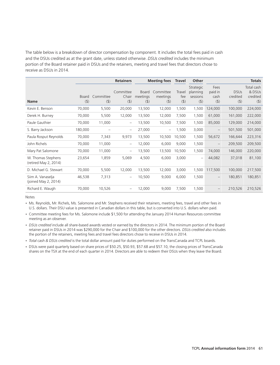The table below is a breakdown of director compensation by component. It includes the total fees paid in cash and the DSUs credited as at the grant date, unless stated otherwise. *DSUs credited* includes the minimum portion of the Board retainer paid in DSUs and the retainers, meeting and travel fees that directors chose to receive as DSUs in 2014.

|                                             |                         |                      | <b>Retainers</b>              |                              | <b>Meeting fees</b>          |                          | Other                                        |                                    | <b>Totals</b>                      |                                         |
|---------------------------------------------|-------------------------|----------------------|-------------------------------|------------------------------|------------------------------|--------------------------|----------------------------------------------|------------------------------------|------------------------------------|-----------------------------------------|
| <b>Name</b>                                 | <b>Board</b><br>$($ \$) | Committee<br>$($ \$) | Committee<br>Chair<br>$($ \$) | Board<br>meetings<br>$($ \$) | Committee<br>meetings<br>(5) | Travel<br>fee<br>$($ \$) | Strategic<br>planning<br>sessions<br>$($ \$) | Fees<br>paid in<br>cash<br>$($ \$) | <b>DSUs</b><br>credited<br>$($ \$) | Total cash<br>& DSUs<br>credited<br>(5) |
| Kevin E. Benson                             | 70,000                  | 5,500                | 20,000                        | 13,500                       | 12,000                       | 1,500                    | 1,500                                        | 124,000                            | 100,000                            | 224,000                                 |
| Derek H. Burney                             | 70,000                  | 5,500                | 12,000                        | 13,500                       | 12,000                       | 7,500                    | 1,500                                        | 61,000                             | 161,000                            | 222,000                                 |
| Paule Gauthier                              | 70,000                  | 11,000               | $\qquad \qquad -$             | 13,500                       | 10,500                       | 7,500                    | 1,500                                        | 85,000                             | 129,000                            | 214,000                                 |
| S. Barry Jackson                            | 180,000                 |                      | $\qquad \qquad -$             | 27,000                       | $\overline{\phantom{0}}$     | 1,500                    | 3,000                                        |                                    | 501,500                            | 501,000                                 |
| Paula Rosput Reynolds                       | 70,000                  | 7,343                | 9,973                         | 13,500                       | 10,500                       | 10,500                   | 1,500                                        | 56,672                             | 166,644                            | 223,316                                 |
| John Richels                                | 70,000                  | 11,000               | $\qquad \qquad -$             | 12,000                       | 6,000                        | 9,000                    | 1,500                                        |                                    | 209,500                            | 209,500                                 |
| Mary Pat Salomone                           | 70,000                  | 11,000               | $\qquad \qquad -$             | 13,500                       | 13,500                       | 10,500                   | 1,500                                        | 74,000                             | 146,000                            | 220,000                                 |
| W. Thomas Stephens<br>(retired May 2, 2014) | 23,654                  | 1,859                | 5,069                         | 4,500                        | 6,000                        | 3,000                    | $\qquad \qquad -$                            | 44,082                             | 37,018                             | 81,100                                  |
| D. Michael G. Stewart                       | 70,000                  | 5,500                | 12,000                        | 13,500                       | 12,000                       | 3,000                    | 1,500                                        | 117,500                            | 100,000                            | 217,500                                 |
| Siim A. Vanaselja<br>(joined May 2, 2014)   | 46,538                  | 7,313                | $\overline{\phantom{0}}$      | 10,500                       | 9,000                        | 6,000                    | 1,500                                        | $\overline{\phantom{m}}$           | 180,851                            | 180,851                                 |
| Richard E. Waugh                            | 70,000                  | 10,526               |                               | 12,000                       | 9,000                        | 7,500                    | 1,500                                        |                                    | 210,526                            | 210,526                                 |

Notes

Ms. Reynolds, Mr. Richels, Ms. Salomone and Mr. Stephens received their retainers, meeting fees, travel and other fees in • U.S. dollars. Their DSU value is presented in Canadian dollars in this table, but is converted into U.S. dollars when paid.

Committee meeting fees for Ms. Salomone include \$1,500 for attending the January 2014 Human Resources committee • meeting as an observer.

*DSUs credited* include all share-based awards vested or earned by the directors in 2014. The minimum portion of the Board • retainer paid in DSUs in 2014 was \$290,000 for the Chair and \$100,000 for the other directors. *DSUs credited* also includes the portion of the retainers, meeting fees and travel fees directors chose to receive in DSUs in 2014.

*Total cash & DSUs credited* is the total dollar amount paid for duties performed on the TransCanada and TCPL boards. •

DSUs were paid quarterly based on share prices of \$50.25, \$50.93, \$57.68 and \$57.10, the closing prices of TransCanada •shares on the TSX at the end of each quarter in 2014. Directors are able to redeem their DSUs when they leave the Board.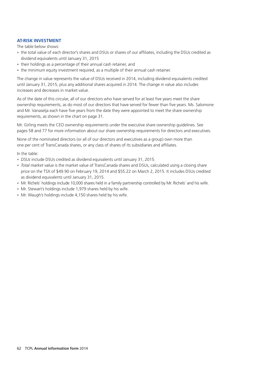# **AT-RISK INVESTMENT**

The table below shows:

- the total value of each director's shares and DSUs or shares of our affiliates, including the DSUs credited as dividend equivalents until January 31, 2015
- their holdings as a percentage of their annual cash retainer, and •
- the minimum equity investment required, as a multiple of their annual cash retainer.

The change in value represents the value of DSUs received in 2014, including dividend equivalents credited until January 31, 2015, plus any additional shares acquired in 2014. The change in value also includes increases and decreases in market value.

As of the date of this circular, all of our directors who have served for at least five years meet the share ownership requirements, as do most of our directors that have served for fewer than five years. Ms. Salomone and Mr. Vanaselja each have five years from the date they were appointed to meet the share ownership requirements, as shown in the chart on page 31.

Mr. Girling meets the CEO ownership requirements under the executive share ownership guidelines. See pages 58 and 77 for more information about our share ownership requirements for directors and executives.

None of the nominated directors (or all of our directors and executives as a group) own more than one per cent of TransCanada shares, or any class of shares of its subsidiaries and affiliates.

In the table:

- *DSUs* include DSUs credited as dividend equivalents until January 31, 2015. •
- *Total market value* is the market value of TransCanada shares and DSUs, calculated using a closing share price on the TSX of \$49.90 on February 19, 2014 and \$55.22 on March 2, 2015. It includes DSUs credited as dividend equivalents until January 31, 2015.
- Mr. Richels' holdings include 10,000 shares held in a family partnership controlled by Mr. Richels' and his wife. •
- Mr. Stewart's holdings include 1,979 shares held by his wife. •
- Mr. Waugh's holdings include 4,150 shares held by his wife.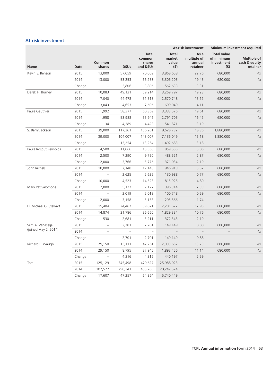# **At-risk investment**

|                       |        |                          |                |                                              |                                        | <b>At-risk investment</b>                 |                                                       | Minimum investment required                     |
|-----------------------|--------|--------------------------|----------------|----------------------------------------------|----------------------------------------|-------------------------------------------|-------------------------------------------------------|-------------------------------------------------|
| Name                  | Date   | Common<br>shares         | <b>DSUs</b>    | <b>Total</b><br>common<br>shares<br>and DSUs | <b>Total</b><br>market<br>value<br>(5) | As a<br>multiple of<br>annual<br>retainer | <b>Total value</b><br>of minimum<br>investment<br>(5) | <b>Multiple of</b><br>cash & equity<br>retainer |
| Kevin E. Benson       | 2015   | 13,000                   | 57,059         | 70,059                                       | 3,868,658                              | 22.76                                     | 680,000                                               | 4x                                              |
|                       | 2014   | 13,000                   | 53,253         | 66,253                                       | 3,306,205                              | 19.45                                     | 680,000                                               | 4x                                              |
|                       | Change | $\overline{\phantom{0}}$ | 3,806          | 3,806                                        | 562,633                                | 3.31                                      |                                                       |                                                 |
| Derek H. Burney       | 2015   | 10,083                   | 49,131         | 59,214                                       | 3,269,797                              | 19.23                                     | 680,000                                               | 4x                                              |
|                       | 2014   | 7,040                    | 44,478         | 51,518                                       | 2,570,748                              | 15.12                                     | 680,000                                               | 4x                                              |
|                       | Change | 3,043                    | 4,653          | 7,696                                        | 699,049                                | 4.11                                      |                                                       |                                                 |
| Paule Gauthier        | 2015   | 1,992                    | 58,377         | 60,369                                       | 3,333,576                              | 19.61                                     | 680,000                                               | 4x                                              |
|                       | 2014   | 1,958                    | 53,988         | 55,946                                       | 2,791,705                              | 16.42                                     | 680,000                                               | 4x                                              |
|                       | Change | 34                       | 4,389          | 4,423                                        | 541,871                                | 3.19                                      |                                                       |                                                 |
| S. Barry Jackson      | 2015   | 39,000                   | 117,261        | 156,261                                      | 8,628,732                              | 18.36                                     | 1,880,000                                             | 4x                                              |
|                       | 2014   | 39,000                   | 104,007        | 143,007                                      | 7,136,049                              | 15.18                                     | 1,880,000                                             | 4x                                              |
|                       | Change | $\overline{\phantom{0}}$ | 13,254         | 13,254                                       | 1,492,683                              | 3.18                                      |                                                       |                                                 |
| Paula Rosput Reynolds | 2015   | 4,500                    | 11,066         | 15,566                                       | 859,555                                | 5.06                                      | 680,000                                               | 4x                                              |
|                       | 2014   | 2,500                    | 7,290          | 9,790                                        | 488,521                                | 2.87                                      | 680,000                                               | 4x                                              |
|                       | Change | 2,000                    | 3,766          | 5,776                                        | 371,034                                | 2.19                                      |                                                       |                                                 |
| John Richels          | 2015   | 10,000                   | 7,148          | 17,148                                       | 946,913                                | 5.57                                      | 680,000                                               | 4x                                              |
|                       | 2014   |                          | 2,625          | 2,625                                        | 130,988                                | 0.77                                      | 680,000                                               | 4x                                              |
|                       | Change | 10,000                   | 4,523          | 14,523                                       | 815,925                                | 4.80                                      |                                                       |                                                 |
| Mary Pat Salomone     | 2015   | 2,000                    | 5,177          | 7,177                                        | 396,314                                | 2.33                                      | 680,000                                               | 4x                                              |
|                       | 2014   |                          | 2,019          | 2,019                                        | 100,748                                | 0.59                                      | 680,000                                               | 4x                                              |
|                       | Change | 2,000                    | 3,158          | 5,158                                        | 295,566                                | 1.74                                      |                                                       |                                                 |
| D. Michael G. Stewart | 2015   | 15,404                   | 24,467         | 39,871                                       | 2,201,677                              | 12.95                                     | 680,000                                               | 4x                                              |
|                       | 2014   | 14,874                   | 21,786         | 36,660                                       | 1,829,334                              | 10.76                                     | 680,000                                               | 4x                                              |
|                       | Change | 530                      | 2,681          | 3,211                                        | 372,343                                | 2.19                                      |                                                       |                                                 |
| Siim A. Vanaselja     | 2015   | $\qquad \qquad -$        | 2,701          | 2,701                                        | 149,149                                | 0.88                                      | 680,000                                               | 4x                                              |
| (joined May 2, 2014)  | 2014   | $\overline{\phantom{0}}$ | $\overline{a}$ | $\equiv$                                     |                                        | $\overline{\phantom{a}}$                  |                                                       | 4x                                              |
|                       | Change | $\overline{\phantom{0}}$ | 2,701          | 2,701                                        | 149,149                                | 0.88                                      |                                                       |                                                 |
| Richard E. Waugh      | 2015   | 29,150                   | 13,111         | 42,261                                       | 2,333,652                              | 13.73                                     | 680,000                                               | 4x                                              |
|                       | 2014   | 29,150                   | 8,795          | 37,945                                       | 1,893,456                              | 11.14                                     | 680,000                                               | 4x                                              |
|                       | Change | $\qquad \qquad -$        | 4,316          | 4,316                                        | 440,197                                | 2.59                                      |                                                       |                                                 |
| Total                 | 2015   | 125,129                  | 345,498        | 470,627                                      | 25,988,023                             |                                           |                                                       |                                                 |
|                       | 2014   | 107,522                  | 298,241        | 405,763                                      | 20,247,574                             |                                           |                                                       |                                                 |
|                       | Change | 17,607                   | 47,257         | 64,864                                       | 5,740,449                              |                                           |                                                       |                                                 |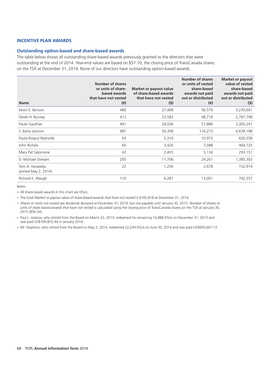# **INCENTIVE PLAN AWARDS**

#### **Outstanding option-based and share-based awards**

The table below shows all outstanding share-based awards previously granted to the directors that were outstanding at the end of 2014. Year-end values are based on \$57.10, the closing price of TransCanada shares on the TSX at December 31, 2014. None of our directors have outstanding option-based awards.

| <b>Name</b>                               | Number of shares<br>or units of share-<br>based awards<br>that have not vested<br>$^{(ii)}$ | Market or payout value<br>of share-based awards<br>that have not vested<br>(5) | <b>Number of shares</b><br>or units of vested<br>share-based<br>awards not paid<br>out or distributed<br>$^{(*)}$ | <b>Market or payout</b><br>value of vested<br>share-based<br>awards not paid<br>out or distributed<br>(5) |
|-------------------------------------------|---------------------------------------------------------------------------------------------|--------------------------------------------------------------------------------|-------------------------------------------------------------------------------------------------------------------|-----------------------------------------------------------------------------------------------------------|
| Kevin E. Benson                           | 480                                                                                         | 27,408                                                                         | 56,579                                                                                                            | 3,230,661                                                                                                 |
| Derek H. Burney                           | 413                                                                                         | 23,582                                                                         | 48,718                                                                                                            | 2,781,798                                                                                                 |
| Paule Gauthier                            | 491                                                                                         | 28,036                                                                         | 57,886                                                                                                            | 3,305,291                                                                                                 |
| S. Barry Jackson                          | 987                                                                                         | 56,358                                                                         | 116,273                                                                                                           | 6,639,188                                                                                                 |
| Paula Rosput Reynolds                     | 93                                                                                          | 5,310                                                                          | 10,973                                                                                                            | 626,558                                                                                                   |
| John Richels                              | 60                                                                                          | 3,426                                                                          | 7,088                                                                                                             | 404,725                                                                                                   |
| Mary Pat Salomone                         | 43                                                                                          | 2,455                                                                          | 5,134                                                                                                             | 293,151                                                                                                   |
| D. Michael Stewart                        | 205                                                                                         | 11,706                                                                         | 24,261                                                                                                            | 1,385,303                                                                                                 |
| Siim A. Vanaselja<br>(joined May 2, 2014) | 22                                                                                          | 1,256                                                                          | 2,678                                                                                                             | 152,914                                                                                                   |
| Richard E. Waugh                          | 110                                                                                         | 6,281                                                                          | 13,001                                                                                                            | 742,357                                                                                                   |

Notes

All share-based awards in this chart are DSUs. •

The total *Market or payout value of share-based awards that have not vested* is \$165,818 at December 31, 2014. •

*Shares or Units not vested* are dividends declared at December 31, 2014, but not payable until January 30, 2015. *Number of shares or* • *units of share based awards that have not vested* is calculated using the closing price of TransCanada shares on the TSX at January 30, 2015 (\$56.54).

• Paul L. Joskow, who retired from the Board on March 22, 2013, redeemed his remaining 16,888 DSUs on December 31, 2013 and was paid US\$769,810.44 in January 2014.

• Mr. Stephens, who retired from the Board on May 2, 2014, redeemed 22,244 DSUs on June 30, 2014 and was paid US\$650,667.13.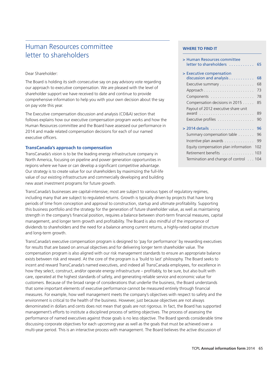# Human Resources committee **WHERE TO FIND IT Letter to shareholders**

# Dear Shareholder:

The Board is holding its sixth consecutive say on pay advisory vote regarding our approach to executive compensation. We are pleased with the level of shareholder support we have received to date and continue to provide comprehensive information to help you with your own decision about the say on pay vote this year.

The Executive compensation discussion and analysis (CD&A) section that follows explains how our executive compensation program works and how the Human Resources committee and the Board have assessed our performance in 2014 and made related compensation decisions for each of our named executive officers.

# **TransCanada's approach to compensation**

TransCanada's vision is to be the leading energy infrastructure company in North America, focusing on pipeline and power generation opportunities in regions where we have or can develop a significant competitive advantage. Our strategy is to create value for our shareholders by maximizing the full-life value of our existing infrastructure and commercially developing and building new asset investment programs for future growth.

TransCanada's businesses are capital-intensive; most are subject to various types of regulatory regimes, including many that are subject to regulated returns. Growth is typically driven by projects that have long periods of time from conception and approval to construction, startup and ultimate profitability. Supporting this business portfolio and the strategy for the generation of future shareholder value, as well as maintaining strength in the company's financial position, requires a balance between short-term financial measures, capital management, and longer term growth and profitability. The Board is also mindful of the importance of dividends to shareholders and the need for a balance among current returns, a highly-rated capital structure and long-term growth.

TransCanada's executive compensation program is designed to 'pay for performance' by rewarding executives for results that are based on annual objectives and for delivering longer term shareholder value. The compensation program is also aligned with our risk management standards to ensure an appropriate balance exists between risk and reward. At the core of the program is a 'build to last' philosophy. The Board seeks to incent and reward TransCanada's named executives, and indeed all TransCanada employees, for excellence in how they select, construct, and/or operate energy infrastructure – profitably, to be sure, but also built with care, operated at the highest standards of safety, and generating reliable service and economic value for customers. Because of the broad range of considerations that underlie the business, the Board understands that some important elements of executive performance cannot be measured entirely through financial measures. For example, how well management meets the company's objectives with respect to safety and the environment is critical to the health of the business. However, just because objectives are not always denominated in dollars and cents does not mean that goals are not rigorous. In fact, the Board has supported management's efforts to institute a disciplined process of setting objectives. The process of assessing the performance of named executives against those goals is no less objective. The Board spends considerable time discussing corporate objectives for each upcoming year as well as the goals that must be achieved over a multi-year period. This is an interactive process with management. The Board believes the active discussion of

| > Human Resources committee<br>letter to shareholders   | 65  |
|---------------------------------------------------------|-----|
| > Executive compensation<br>discussion and analysis     | 68  |
| Executive summary                                       | 68  |
|                                                         | 73  |
|                                                         | 78  |
| Compensation decisions in 2015                          | 85  |
| Payout of 2012 executive share unit                     | 89  |
| Executive profiles $\ldots \ldots \ldots \ldots \ldots$ | 90  |
|                                                         | 96  |
| Summary compensation table                              | 96  |
| Incentive plan awards                                   | 99  |
| Equity compensation plan information                    | 102 |
| Retirement benefits 103                                 |     |
| Termination and change of control 104                   |     |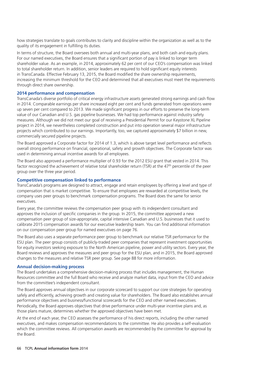how strategies translate to goals contributes to clarity and discipline within the organization as well as to the quality of its engagement in fulfilling its duties.

In terms of structure, the Board oversees both annual and multi-year plans, and both cash and equity plans. For our named executives, the Board ensures that a significant portion of pay is linked to longer term shareholder value. As an example, in 2014, approximately 62 per cent of our CEO's compensation was linked to total shareholder return. In addition, senior leaders are required to hold significant equity interests in TransCanada. Effective February 13, 2015, the Board modified the share ownership requirements, increasing the minimum threshold for the CEO and determined that all executives must meet the requirements through direct share ownership.

#### **2014 performance and compensation**

TransCanada's diverse portfolio of critical energy infrastructure assets generated strong earnings and cash flow in 2014. Comparable earnings per share increased eight per cent and funds generated from operations were up seven per cent compared to 2013. We made significant progress in our efforts to preserve the long-term value of our Canadian and U.S. gas pipeline businesses. We had top performance against industry safety measures. Although we did not meet our goal of receiving a Presidential Permit for our Keystone XL Pipeline project in 2014, we nevertheless completed construction and put into operation several major infrastructure projects which contributed to our earnings. Importantly, too, we captured approximately \$7 billion in new, commercially secured pipeline projects.

The Board approved a Corporate factor for 2014 of 1.3, which is above target level performance and reflects overall strong performance on financial, operational, safety and growth objectives. The Corporate factor was used in determining annual incentive awards for all employees.

The Board also approved a performance multiplier of 0.93 for the 2012 ESU grant that vested in 2014. This factor recognized the achievement of relative total shareholder return (TSR) at the 47<sup>th</sup> percentile of the peer group over the three year period.

# **Competitive compensation linked to performance**

TransCanada's programs are designed to attract, engage and retain employees by offering a level and type of compensation that is market competitive. To ensure that employees are rewarded at competitive levels, the company uses peer groups to benchmark compensation programs. The Board does the same for senior executives.

Every year, the committee reviews the compensation peer group with its independent consultant and approves the inclusion of specific companies in the group. In 2015, the committee approved a new compensation peer group of size-appropriate, capital intensive Canadian and U.S. businesses that it used to calibrate 2015 compensation awards for our executive leadership team. You can find additional information on our compensation peer group for named executives on page 76.

The Board also uses a separate performance peer group to benchmark our relative TSR performance for the ESU plan. The peer group consists of publicly-traded peer companies that represent investment opportunities for equity investors seeking exposure to the North American pipeline, power and utility sectors. Every year, the Board reviews and approves the measures and peer group for the ESU plan, and in 2015, the Board approved changes to the measures and relative TSR peer group. See page 88 for more information.

#### **Annual decision-making process**

The Board undertakes a comprehensive decision-making process that includes management, the Human Resources committee and the full Board who receive and analyze market data, input from the CEO and advice from the committee's independent consultant.

The Board approves annual objectives in our corporate scorecard to support our core strategies for operating safely and efficiently, achieving growth and creating value for shareholders. The Board also establishes annual performance objectives and business/functional scorecards for the CEO and other named executives. Periodically, the Board approves objectives that drive performance under multi-year incentive plans and, as those plans mature, determines whether the approved objectives have been met.

At the end of each year, the CEO assesses the performance of his direct reports, including the other named executives, and makes compensation recommendations to the committee. He also provides a self-evaluation which the committee reviews. All compensation awards are recommended by the committee for approval by the Board.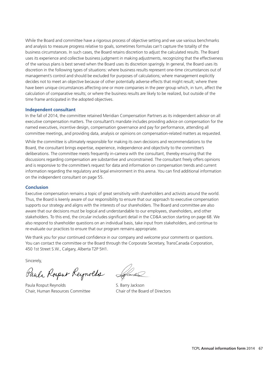While the Board and committee have a rigorous process of objective setting and we use various benchmarks and analysis to measure progress relative to goals, sometimes formulas can't capture the totality of the business circumstances. In such cases, the Board retains discretion to adjust the calculated results. The Board uses its experience and collective business judgment in making adjustments, recognizing that the effectiveness of the various plans is best served when the Board uses its discretion sparingly. In general, the Board uses its discretion in the following types of situations: where business results represent one-time circumstances out of management's control and should be excluded for purposes of calculations; where management explicitly decides not to meet an objective because of other potentially adverse effects that might result; where there have been unique circumstances affecting one or more companies in the peer group which, in turn, affect the calculation of comparative results; or where the business results are likely to be realized, but outside of the time frame anticipated in the adopted objectives.

### **Independent consultant**

In the fall of 2014, the committee retained Meridian Compensation Partners as its independent advisor on all executive compensation matters. The consultant's mandate includes providing advice on compensation for the named executives, incentive design, compensation governance and pay for performance, attending all committee meetings, and providing data, analysis or opinions on compensation-related matters as requested.

While the committee is ultimately responsible for making its own decisions and recommendations to the Board, the consultant brings expertise, experience, independence and objectivity to the committee's deliberations. The committee meets frequently in-camera with the consultant, thereby ensuring that the discussions regarding compensation are substantive and unconstrained. The consultant freely offers opinions and is responsive to the committee's request for data and information on compensation trends and current information regarding the regulatory and legal environment in this arena. You can find additional information on the independent consultant on page 55.

#### **Conclusion**

Executive compensation remains a topic of great sensitivity with shareholders and activists around the world. Thus, the Board is keenly aware of our responsibility to ensure that our approach to executive compensation supports our strategy and aligns with the interests of our shareholders. The Board and committee are also aware that our decisions must be logical and understandable to our employees, shareholders, and other stakeholders. To this end, the circular includes significant detail in the CD&A section starting on page 68. We also respond to shareholder questions on an individual basis, take input from stakeholders, and continue to re-evaluate our practices to ensure that our program remains appropriate.

We thank you for your continued confidence in our company and welcome your comments or questions. You can contact the committee or the Board through the Corporate Secretary, TransCanada Corporation, 450 1st Street S.W., Calgary, Alberta T2P 5H1.

Sincerely,

Pauls Rosput Reynolds Lefens

Paula Rosput Reynolds S. Barry Jackson Chair, Human Resources Committee Chair of the Board of Directors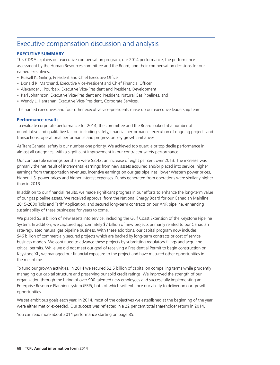# Executive compensation discussion and analysis

# **EXECUTIVE SUMMARY**

This CD&A explains our executive compensation program, our 2014 performance, the performance assessment by the Human Resources committee and the Board, and their compensation decisions for our named executives:

- Russell K. Girling, President and Chief Executive Officer
- Donald R. Marchand, Executive Vice-President and Chief Financial Officer
- Alexander J. Pourbaix, Executive Vice-President and President, Development
- Karl Johannson, Executive Vice-President and President, Natural Gas Pipelines, and
- Wendy L. Hanrahan, Executive Vice-President, Corporate Services.

The named executives and four other executive vice-presidents make up our executive leadership team.

# **Performance results**

To evaluate corporate performance for 2014, the committee and the Board looked at a number of quantitative and qualitative factors including safety, financial performance, execution of ongoing projects and transactions, operational performance and progress on key growth initiatives.

At TransCanada, safety is our number one priority. We achieved top quartile or top decile performance in almost all categories, with a significant improvement in our contractor safety performance.

Our comparable earnings per share were \$2.42, an increase of eight per cent over 2013. The increase was primarily the net result of incremental earnings from new assets acquired and/or placed into service, higher earnings from transportation revenues, incentive earnings on our gas pipelines, lower Western power prices, higher U.S. power prices and higher interest expenses. Funds generated from operations were similarly higher than in 2013.

In addition to our financial results, we made significant progress in our efforts to enhance the long-term value of our gas pipeline assets. We received approval from the National Energy Board for our Canadian Mainline 2015-2030 Tolls and Tariff Application, and secured long-term contracts on our ANR pipeline, enhancing sustainability of these businesses for years to come.

We placed \$3.8 billion of new assets into service, including the Gulf Coast Extension of the Keystone Pipeline System. In addition, we captured approximately \$7 billion of new projects primarily related to our Canadian rate-regulated natural gas pipeline business. With these additions, our capital program now includes \$46 billion of commercially secured projects which are backed by long-term contracts or cost of service business models. We continued to advance these projects by submitting regulatory filings and acquiring critical permits. While we did not meet our goal of receiving a Presidential Permit to begin construction on Keystone XL, we managed our financial exposure to the project and have matured other opportunities in the meantime.

To fund our growth activities, in 2014 we secured \$2.5 billion of capital on compelling terms while prudently managing our capital structure and preserving our solid credit ratings. We improved the strength of our organization through the hiring of over 900 talented new employees and successfully implementing an Enterprise Resource Planning system (ERP), both of which will enhance our ability to deliver on our growth opportunities.

We set ambitious goals each year. In 2014, most of the objectives we established at the beginning of the year were either met or exceeded. Our success was reflected in a 22 per cent total shareholder return in 2014.

You can read more about 2014 performance starting on page 85.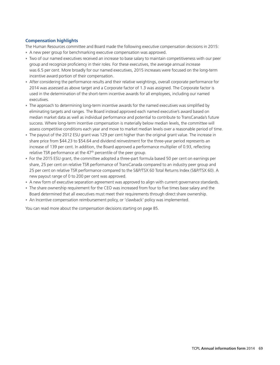# **Compensation highlights**

The Human Resources committee and Board made the following executive compensation decisions in 2015:

- A new peer group for benchmarking executive compensation was approved.
- Two of our named executives received an increase to base salary to maintain competitiveness with our peer group and recognize proficiency in their roles. For these executives, the average annual increase was 6.5 per cent. More broadly for our named executives, 2015 increases were focused on the long-term incentive award portion of their compensation.
- After considering the performance results and their relative weightings, overall corporate performance for 2014 was assessed as above target and a Corporate factor of 1.3 was assigned. The Corporate factor is used in the determination of the short-term incentive awards for all employees, including our named executives.
- The approach to determining long-term incentive awards for the named executives was simplified by eliminating targets and ranges. The Board instead approved each named executive's award based on median market data as well as individual performance and potential to contribute to TransCanada's future success. Where long-term incentive compensation is materially below median levels, the committee will assess competitive conditions each year and move to market median levels over a reasonable period of time.
- The payout of the 2012 ESU grant was 129 per cent higher than the original grant value. The increase in share price from \$44.23 to \$54.64 and dividend reinvestment for the three-year period represents an increase of 139 per cent. In addition, the Board approved a performance multiplier of 0.93, reflecting relative TSR performance at the 47<sup>th</sup> percentile of the peer group.
- For the 2015 ESU grant, the committee adopted a three-part formula based 50 per cent on earnings per share, 25 per cent on relative TSR performance of TransCanada compared to an industry peer group and 25 per cent on relative TSR performance compared to the S&P/TSX 60 Total Returns Index (S&P/TSX 60). A new payout range of 0 to 200 per cent was approved.
- A new form of executive separation agreement was approved to align with current governance standards.
- The share ownership requirement for the CEO was increased from four to five times base salary and the Board determined that all executives must meet their requirements through direct share ownership.
- An Incentive compensation reimbursement policy, or 'clawback' policy was implemented.

You can read more about the compensation decisions starting on page 85.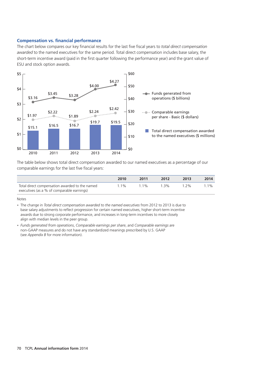### **Compensation vs. financial performance**

The chart below compares our key financial results for the last five fiscal years to *total direct compensation awarded* to the named executives for the same period. Total direct compensation includes base salary, the short-term incentive award (paid in the first quarter following the performance year) and the grant value of ESU and stock option awards.



The table below shows total direct compensation awarded to our named executives as a percentage of our comparable earnings for the last five fiscal years:

|                                                | 2010  | 2011  | 2012 | 2013  | 2014    |
|------------------------------------------------|-------|-------|------|-------|---------|
| Total direct compensation awarded to the named | $1\%$ | 1 1 % | 1 3% | 1 2 % | $1.1\%$ |
| executives (as a % of comparable earnings)     |       |       |      |       |         |

Notes

• The change in *Total direct compensation awarded to the named executives from 2012 to 2013* is due to base salary adjustments to reflect progression for certain named executives, higher short-term incentive awards due to strong corporate performance, and increases in long-term incentives to more closely align with median levels in the peer group.

*Funds generated from operations*, *Comparable earnings per share*, and *Comparable earnings* are •non-GAAP measures and do not have any standardized meanings prescribed by U.S. GAAP (see *Appendix B* for more information).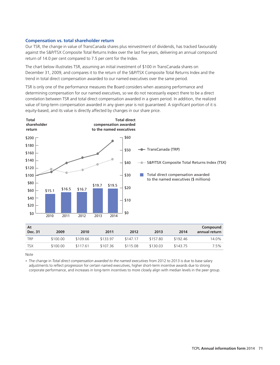#### **Compensation vs. total shareholder return**

Our TSR, the change in value of TransCanada shares plus reinvestment of dividends, has tracked favourably against the S&P/TSX Composite Total Returns Index over the last five years, delivering an annual compound return of 14.0 per cent compared to 7.5 per cent for the Index.

The chart below illustrates TSR, assuming an initial investment of \$100 in TransCanada shares on December 31, 2009, and compares it to the return of the S&P/TSX Composite Total Returns Index and the trend in total direct compensation awarded to our named executives over the same period.

TSR is only one of the performance measures the Board considers when assessing performance and determining compensation for our named executives, so we do not necessarily expect there to be a direct correlation between TSR and total direct compensation awarded in a given period. In addition, the realized value of long-term compensation awarded in any given year is not guaranteed. A significant portion of it is equity-based, and its value is directly affected by changes in our share price.



Note

The change in *Total direct compensation awarded to the named executives* from 2012 to 2013 is due to base salary •adjustments to reflect progression for certain named executives, higher short-term incentive awards due to strong corporate performance, and increases in long-term incentives to more closely align with median levels in the peer group.

TSX \$100.00 \$117.61 \$107.36 \$115.08 \$130.03 \$143.75 7.5%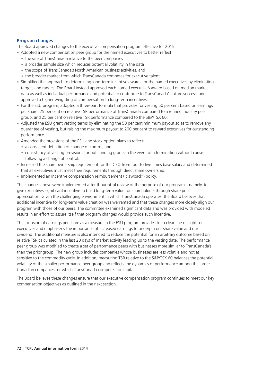# **Program changes**

The Board approved changes to the executive compensation program effective for 2015:

- Adopted a new compensation peer group for the named executives to better reflect:
	- the size of TransCanada relative to the peer companies
	- a broader sample size which reduces potential volatility in the data
	- the scope of TransCanada's North American business activities, and
	- the broader market from which TransCanada competes for executive talent.
- Simplified the approach to determining long-term incentive awards for the named executives by eliminating targets and ranges. The Board instead approved each named executive's award based on median market data as well as individual performance and potential to contribute to TransCanada's future success, and approved a higher weighting of compensation to long-term incentives.
- For the ESU program, adopted a three-part formula that provides for vesting 50 per cent based on earnings per share, 25 per cent on relative TSR performance of TransCanada compared to a refined industry peer group, and 25 per cent on relative TSR performance compared to the S&P/TSX 60.
- Adjusted the ESU grant vesting terms by eliminating the 50 per cent minimum payout so as to remove any guarantee of vesting, but raising the maximum payout to 200 per cent to reward executives for outstanding performance.
- Amended the provisions of the ESU and stock option plans to reflect:
	- a consistent definition of change of control, and
	- consistency of vesting provisions for outstanding grants in the event of a termination without cause following a change of control.
- Increased the share ownership requirement for the CEO from four to five times base salary and determined that all executives must meet their requirements through direct share ownership.
- Implemented an Incentive compensation reimbursement ('clawback') policy.

The changes above were implemented after thoughtful review of the purpose of our program – namely, to give executives significant incentive to build long-term value for shareholders through share price appreciation. Given the challenging environment in which TransCanada operates, the Board believes that additional incentive for long-term value creation was warranted and that these changes more closely align our program with those of our peers. The committee examined significant data and was provided with modeled results in an effort to assure itself that program changes would provide such incentive.

The inclusion of earnings per share as a measure in the ESU program provides for a clear line of sight for executives and emphasizes the importance of increased earnings to underpin our share value and our dividend. The additional measure is also intended to reduce the potential for an arbitrary outcome based on relative TSR calculated in the last 20 days of market activity leading up to the vesting date. The performance peer group was modified to create a set of performance peers with businesses more similar to TransCanada's than the prior group. The new group includes companies whose businesses are less volatile and not as sensitive to the commodity cycle. In addition, measuring TSR relative to the S&P/TSX 60 balances the potential volatility of the smaller performance peer group and reflects the dynamics of performance among the larger Canadian companies for which TransCanada competes for capital.

The Board believes these changes ensure that our executive compensation program continues to meet our key compensation objectives as outlined in the next section.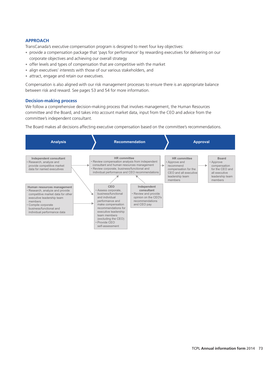# **APPROACH**

TransCanada's executive compensation program is designed to meet four key objectives:

- provide a compensation package that 'pays for performance' by rewarding executives for delivering on our corporate objectives and achieving our overall strategy
- offer levels and types of compensation that are competitive with the market
- align executives' interests with those of our various stakeholders, and
- attract, engage and retain our executives.

Compensation is also aligned with our risk management processes to ensure there is an appropriate balance between risk and reward. See pages 53 and 54 for more information.

#### **Decision-making process**

We follow a comprehensive decision-making process that involves management, the Human Resources committee and the Board, and takes into account market data, input from the CEO and advice from the committee's independent consultant.

The Board makes all decisions affecting executive compensation based on the committee's recommendations.

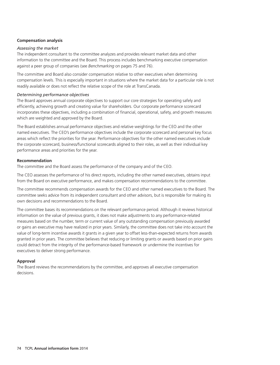# **Compensation analysis**

#### *Assessing the market*

The independent consultant to the committee analyzes and provides relevant market data and other information to the committee and the Board. This process includes benchmarking executive compensation against a peer group of companies (see *Benchmarking* on pages 75 and 76).

The committee and Board also consider compensation relative to other executives when determining compensation levels. This is especially important in situations where the market data for a particular role is not readily available or does not reflect the relative scope of the role at TransCanada.

### *Determining performance objectives*

The Board approves annual corporate objectives to support our core strategies for operating safely and efficiently, achieving growth and creating value for shareholders. Our corporate performance scorecard incorporates these objectives, including a combination of financial, operational, safety, and growth measures which are weighted and approved by the Board.

The Board establishes annual performance objectives and relative weightings for the CEO and the other named executives. The CEO's performance objectives include the corporate scorecard and personal key focus areas which reflect the priorities for the year. Performance objectives for the other named executives include the corporate scorecard, business/functional scorecards aligned to their roles, as well as their individual key performance areas and priorities for the year.

#### **Recommendation**

The committee and the Board assess the performance of the company and of the CEO.

The CEO assesses the performance of his direct reports, including the other named executives, obtains input from the Board on executive performance, and makes compensation recommendations to the committee.

The committee recommends compensation awards for the CEO and other named executives to the Board. The committee seeks advice from its independent consultant and other advisors, but is responsible for making its own decisions and recommendations to the Board.

The committee bases its recommendations on the relevant performance period. Although it reviews historical information on the value of previous grants, it does not make adjustments to any performance-related measures based on the number, term or current value of any outstanding compensation previously awarded or gains an executive may have realized in prior years. Similarly, the committee does not take into account the value of long-term incentive awards it grants in a given year to offset less-than-expected returns from awards granted in prior years. The committee believes that reducing or limiting grants or awards based on prior gains could detract from the integrity of the performance-based framework or undermine the incentives for executives to deliver strong performance.

# **Approval**

The Board reviews the recommendations by the committee, and approves all executive compensation decisions.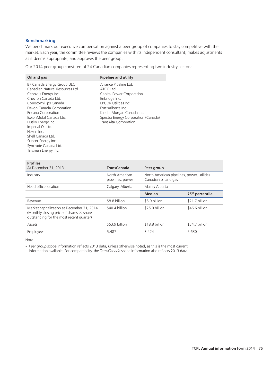# **Benchmarking**

We benchmark our executive compensation against a peer group of companies to stay competitive with the market. Each year, the committee reviews the companies with its independent consultant, makes adjustments as it deems appropriate, and approves the peer group.

Our 2014 peer group consisted of 24 Canadian companies representing two industry sectors:

| Oil and gas                                                                                                                                                                                                                                                                                                                                 | <b>Pipeline and utility</b>                                                                                                                                                                                                  |
|---------------------------------------------------------------------------------------------------------------------------------------------------------------------------------------------------------------------------------------------------------------------------------------------------------------------------------------------|------------------------------------------------------------------------------------------------------------------------------------------------------------------------------------------------------------------------------|
| BP Canada Energy Group ULC<br>Canadian Natural Resources Ltd.<br>Cenovus Energy Inc.<br>Chevron Canada Ltd.<br>ConocoPhillips Canada<br>Devon Canada Corporation<br>Encana Corporation<br>ExxonMobil Canada Ltd.<br>Husky Energy Inc.<br>Imperial Oil Ltd.<br>Nexen Inc.<br>Shell Canada Ltd.<br>Suncor Energy Inc.<br>Syncrude Canada Ltd. | Alliance Pipeline Ltd.<br>ATCO Ltd.<br>Capital Power Corporation<br>Enbridge Inc.<br>EPCOR Utilities Inc.<br>FortisAlberta Inc.<br>Kinder Morgan Canada Inc.<br>Spectra Energy Corporation (Canada)<br>TransAlta Corporation |
| Talisman Energy Inc.                                                                                                                                                                                                                                                                                                                        |                                                                                                                                                                                                                              |

| <b>Profiles</b><br>At December 31, 2013                                                                                                    | <b>TransCanada</b>                 | Peer group                                                         |                             |
|--------------------------------------------------------------------------------------------------------------------------------------------|------------------------------------|--------------------------------------------------------------------|-----------------------------|
| Industry                                                                                                                                   | North American<br>pipelines, power | North American pipelines, power, utilities<br>Canadian oil and gas |                             |
| Head office location                                                                                                                       | Calgary, Alberta                   | Mainly Alberta                                                     |                             |
|                                                                                                                                            |                                    | <b>Median</b>                                                      | 75 <sup>th</sup> percentile |
| Revenue                                                                                                                                    | \$8.8 billion                      | \$5.9 billion                                                      | \$21.7 billion              |
| Market capitalization at December 31, 2014<br>(Monthly closing price of shares $\times$ shares<br>outstanding for the most recent quarter) | \$40.4 billion                     | \$25.0 billion                                                     | \$46.6 billion              |
| Assets                                                                                                                                     | \$53.9 billion                     | \$18.8 billion                                                     | \$34.7 billion              |
| Employees                                                                                                                                  | 5.487                              | 3,424                                                              | 5.630                       |

Note

• Peer group scope information reflects 2013 data, unless otherwise noted, as this is the most current information available. For comparability, the *TransCanada* scope information also reflects 2013 data.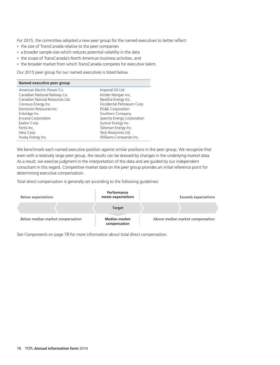For 2015, the committee adopted a new peer group for the named executives to better reflect:

- the size of TransCanada relative to the peer companies
- a broader sample size which reduces potential volatility in the data
- the scope of TransCanada's North American business activities, and
- the broader market from which TransCanada competes for executive talent.

Our 2015 peer group for our named executives is listed below.

| Named executive peer group      |                            |
|---------------------------------|----------------------------|
| American Electric Power Co.     | Imperial Oil Ltd.          |
| Canadian National Railway Co.   | Kinder Morgan Inc.         |
| Canadian Natural Resources Ltd. | NextEra Energy Inc.        |
| Cenovus Energy Inc.             | Occidental Petroleum Corp. |
| Dominion Resources Inc.         | PG&E Corporation           |
| Enbridge Inc.                   | Southern Company           |
| Encana Corporation              | Spectra Energy Corporation |
| Exelon Corp.                    | Suncor Energy Inc.         |
| Fortis Inc.                     | Talisman Energy Inc.       |
| Hess Corp.                      | Teck Resources Ltd.        |
| Husky Energy Inc.               | Williams Companies Inc.    |

We benchmark each named executive position against similar positions in the peer group. We recognize that even with a relatively large peer group, the results can be skewed by changes in the underlying market data. As a result, we exercise judgment in the interpretation of the data and are guided by our independent consultant in this regard. Competitive market data on the peer group provides an initial reference point for determining executive compensation.

Total direct compensation is generally set according to the following guidelines:

| <b>Below expectations</b>        | Performance<br>meets expectations    | Exceeds expectations             |
|----------------------------------|--------------------------------------|----------------------------------|
|                                  | <b>Target</b>                        |                                  |
| Below median market compensation | <b>Median market</b><br>compensation | Above median market compensation |

See *Components* on page 78 for more information about total direct compensation.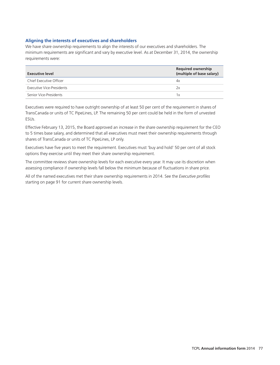# **Aligning the interests of executives and shareholders**

We have share ownership requirements to align the interests of our executives and shareholders. The minimum requirements are significant and vary by executive level. As at December 31, 2014, the ownership requirements were:

| Executive level           | <b>Required ownership</b><br>(multiple of base salary) |
|---------------------------|--------------------------------------------------------|
| Chief Executive Officer   | 4x                                                     |
| Executive Vice-Presidents | 7х                                                     |
| Senior Vice-Presidents    | 1 x                                                    |

Executives were required to have outright ownership of at least 50 per cent of the requirement in shares of TransCanada or units of TC PipeLines, LP. The remaining 50 per cent could be held in the form of unvested ESUs.

Effective February 13, 2015, the Board approved an increase in the share ownership requirement for the CEO to 5 times base salary, and determined that all executives must meet their ownership requirements through shares of TransCanada or units of TC PipeLines, LP only.

Executives have five years to meet the requirement. Executives must 'buy and hold' 50 per cent of all stock options they exercise until they meet their share ownership requirement.

The committee reviews share ownership levels for each executive every year. It may use its discretion when assessing compliance if ownership levels fall below the minimum because of fluctuations in share price.

All of the named executives met their share ownership requirements in 2014. See the *Executive profiles* starting on page 91 for current share ownership levels.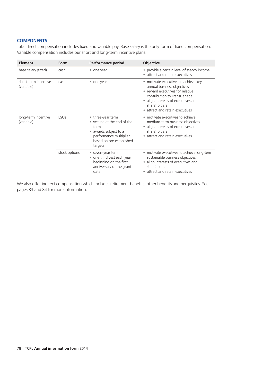# **COMPONENTS**

Total direct compensation includes fixed and variable pay. Base salary is the only form of fixed compensation. Variable compensation includes our short and long-term incentive plans.

| <b>Element</b>                     | Form          | <b>Performance period</b>                                                                                                                                                              | <b>Objective</b>                                                                                                                                                                                                                |
|------------------------------------|---------------|----------------------------------------------------------------------------------------------------------------------------------------------------------------------------------------|---------------------------------------------------------------------------------------------------------------------------------------------------------------------------------------------------------------------------------|
| base salary (fixed)                | cash          | one year<br>۰                                                                                                                                                                          | • provide a certain level of steady income<br>• attract and retain executives                                                                                                                                                   |
| short-term incentive<br>(variable) | cash          | • one year                                                                                                                                                                             | • motivate executives to achieve key<br>annual business objectives<br>• reward executives for relative<br>contribution to TransCanada<br>• align interests of executives and<br>shareholders<br>• attract and retain executives |
| long-term incentive<br>(variable)  | <b>ESUs</b>   | • three-year term<br>vesting at the end of the<br>$\bullet$<br>term<br>awards subject to a<br>$\qquad \qquad \bullet$<br>performance multiplier<br>based on pre-established<br>targets | • motivate executives to achieve<br>medium-term business objectives<br>• align interests of executives and<br>shareholders<br>• attract and retain executives                                                                   |
|                                    | stock options | seven-year term<br>۰<br>one third vest each year<br>$\bullet$<br>beginning on the first<br>anniversary of the grant<br>date                                                            | • motivate executives to achieve long-term<br>sustainable business objectives<br>• align interests of executives and<br>shareholders<br>• attract and retain executives                                                         |

We also offer indirect compensation which includes retirement benefits, other benefits and perquisites. See pages 83 and 84 for more information.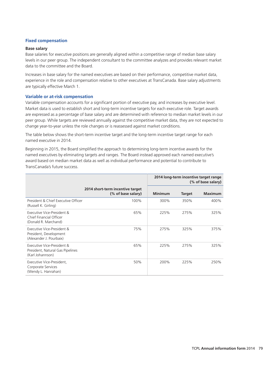# **Fixed compensation**

#### **Base salary**

Base salaries for executive positions are generally aligned within a competitive range of median base salary levels in our peer group. The independent consultant to the committee analyzes and provides relevant market data to the committee and the Board.

Increases in base salary for the named executives are based on their performance, competitive market data, experience in the role and compensation relative to other executives at TransCanada. Base salary adjustments are typically effective March 1.

#### **Variable or at-risk compensation**

Variable compensation accounts for a significant portion of executive pay, and increases by executive level. Market data is used to establish short and long-term incentive targets for each executive role. Target awards are expressed as a percentage of base salary and are determined with reference to median market levels in our peer group. While targets are reviewed annually against the competitive market data, they are not expected to change year-to-year unless the role changes or is reassessed against market conditions.

The table below shows the short-term incentive target and the long-term incentive target range for each named executive in 2014.

Beginning in 2015, the Board simplified the approach to determining long-term incentive awards for the named executives by eliminating targets and ranges. The Board instead approved each named executive's award based on median market data as well as individual performance and potential to contribute to TransCanada's future success.

|                                                                                    |                                                        |                |               | 2014 long-term incentive target range<br>(% of base salary) |
|------------------------------------------------------------------------------------|--------------------------------------------------------|----------------|---------------|-------------------------------------------------------------|
|                                                                                    | 2014 short-term incentive target<br>(% of base salary) | <b>Minimum</b> | <b>Target</b> | <b>Maximum</b>                                              |
| President & Chief Executive Officer<br>(Russell K. Girling)                        | 100%                                                   | 300%           | 350%          | 400%                                                        |
| Executive Vice-President &<br>Chief Financial Officer<br>(Donald R. Marchand)      | 65%                                                    | 225%           | 275%          | 325%                                                        |
| Executive Vice-President &<br>President, Development<br>(Alexander J. Pourbaix)    | 75%                                                    | 275%           | 325%          | 375%                                                        |
| Executive Vice-President &<br>President, Natural Gas Pipelines<br>(Karl Johannson) | 65%                                                    | 225%           | 275%          | 325%                                                        |
| Executive Vice-President,<br>Corporate Services<br>(Wendy L. Hanrahan)             | 50%                                                    | 200%           | 225%          | 250%                                                        |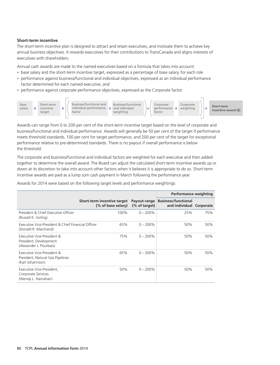### **Short-term incentive**

The short-term incentive plan is designed to attract and retain executives, and motivate them to achieve key annual business objectives. It rewards executives for their contributions to TransCanada and aligns interests of executives with shareholders.

Annual cash awards are made to the named executives based on a formula that takes into account:

- base salary and the short-term incentive target, expressed as a percentage of base salary, for each role •
- performance against business/functional and individual objectives, expressed as an individual performance factor determined for each named executive, and
- performance against corporate performance objectives, expressed as the Corporate factor.



Awards can range from 0 to 200 per cent of the short-term incentive target based on the level of corporate and business/functional and individual performance. Awards will generally be 50 per cent of the target if performance meets threshold standards, 100 per cent for target performance, and 200 per cent of the target for exceptional performance relative to pre-determined standards. There is no payout if overall performance is below the threshold.

The corporate and business/functional and individual factors are weighted for each executive and then added together to determine the overall award. The Board can adjust the calculated short-term incentive awards up or down at its discretion to take into account other factors when it believes it is appropriate to do so. Short-term incentive awards are paid as a lump sum cash payment in March following the performance year.

Awards for 2014 were based on the following target levels and performance weightings:

|                                                                                    |                             |                    |                               | Performance weighting                                  |     |
|------------------------------------------------------------------------------------|-----------------------------|--------------------|-------------------------------|--------------------------------------------------------|-----|
|                                                                                    | Short-term incentive target | (% of base salary) | Payout range<br>(% of target) | <b>Business/functional</b><br>and individual Corporate |     |
| President & Chief Executive Officer<br>(Russell K. Girling)                        |                             | 100%               | $0 - 200\%$                   | 25%                                                    | 75% |
| Executive Vice-President & Chief Financial Officer<br>(Donald R. Marchand)         |                             | 65%                | $0 - 200\%$                   | 50%                                                    | 50% |
| Executive Vice-President &<br>President, Development<br>(Alexander J. Pourbaix)    |                             | 75%                | $0 - 200\%$                   | 50%                                                    | 50% |
| Executive Vice-President &<br>President, Natural Gas Pipelines<br>(Karl Johannson) |                             | 65%                | $0 - 200\%$                   | 50%                                                    | 50% |
| Executive Vice-President,<br>Corporate Services<br>(Wendy L. Hanrahan)             |                             | 50%                | $0 - 200\%$                   | 50%                                                    | 50% |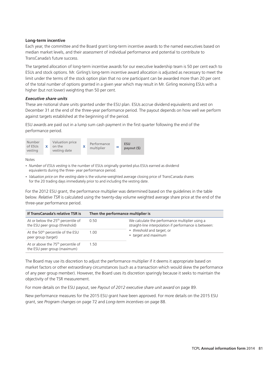#### **Long-term incentive**

Each year, the committee and the Board grant long-term incentive awards to the named executives based on median market levels, and their assessment of individual performance and potential to contribute to TransCanada's future success.

The targeted allocation of long-term incentive awards for our executive leadership team is 50 per cent each to ESUs and stock options. Mr. Girling's long-term incentive award allocation is adjusted as necessary to meet the limit under the terms of the stock option plan that no one participant can be awarded more than 20 per cent of the total number of options granted in a given year which may result in Mr. Girling receiving ESUs with a higher (but not lower) weighting than 50 per cent.

### *Executive share units*

These are notional share units granted under the ESU plan. ESUs accrue dividend equivalents and vest on December 31 at the end of the three-year performance period. The payout depends on how well we perform against targets established at the beginning of the period.

ESU awards are paid out in a lump sum cash payment in the first quarter following the end of the performance period.



Notes

- Number of ESUs vesting is the number of ESUs originally granted plus ESUs earned as dividend equivalents during the three- year performance period.
- *Valuation price on the vesting date* is the volume-weighted average closing price of TransCanada shares for the 20 trading days immediately prior to and including the vesting date.

For the 2012 ESU grant, the performance multiplier was determined based on the guidelines in the table below. *Relative TSR* is calculated using the twenty-day volume weighted average share price at the end of the three-year performance period.

| If TransCanada's relative TSR is                                                 | Then the performance multiplier is |                                                                                                           |  |
|----------------------------------------------------------------------------------|------------------------------------|-----------------------------------------------------------------------------------------------------------|--|
| At or below the 25 <sup>th</sup> percentile of<br>the ESU peer group (threshold) | 0.50                               | We calculate the performance multiplier using a<br>straight-line interpolation if performance is between: |  |
| At the 50 <sup>th</sup> percentile of the ESU<br>peer group (target)             | 1.00                               | • threshold and target, or<br>• target and maximum                                                        |  |
| At or above the 75 <sup>th</sup> percentile of<br>the ESU peer group (maximum)   | 1.50                               |                                                                                                           |  |

The Board may use its discretion to adjust the performance multiplier if it deems it appropriate based on market factors or other extraordinary circumstances (such as a transaction which would skew the performance of any peer group member). However, the Board uses its discretion sparingly because it seeks to maintain the objectivity of the TSR measurement.

For more details on the ESU payout, see *Payout of 2012 executive share unit award* on page 89.

New performance measures for the 2015 ESU grant have been approved. For more details on the 2015 ESU grant, see *Program changes* on page 72 and *Long-term incentives* on page 88.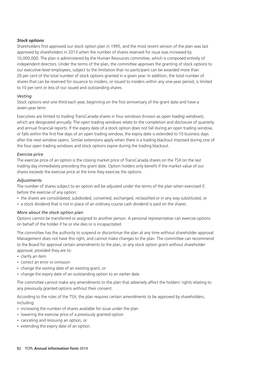# *Stock options*

Shareholders first approved our stock option plan in 1995, and the most recent version of the plan was last approved by shareholders in 2013 when the number of shares reserved for issue was increased by 10,000,000. The plan is administered by the Human Resources committee, which is composed entirely of independent directors. Under the terms of the plan, the committee approves the granting of stock options to our executive-level employees, subject to the limitation that no participant can be awarded more than 20 per cent of the total number of stock options granted in a given year. In addition, the total number of shares that can be reserved for issuance to insiders, or issued to insiders within any one-year period, is limited to 10 per cent or less of our issued and outstanding shares.

# *Vesting*

Stock options vest one third each year, beginning on the first anniversary of the grant date and have a seven-year term.

Executives are limited to trading TransCanada shares in four windows (known as *open trading windows*), which are designated annually. The open trading windows relate to the completion and disclosure of quarterly and annual financial reports. If the expiry date of a stock option does not fall during an open trading window, or falls within the first five days of an open trading window, the expiry date is extended to 10 business days after the next window opens. Similar extensions apply when there is a trading blackout imposed during one of the four open trading windows and stock options expire during the trading blackout.

# *Exercise price*

The exercise price of an option is the closing market price of TransCanada shares on the TSX on the last trading day immediately preceding the grant date. Option holders only benefit if the market value of our shares exceeds the exercise price at the time they exercise the options.

# *Adjustments*

The number of shares subject to an option will be adjusted under the terms of the plan when exercised if, before the exercise of any option:

- the shares are consolidated, subdivided, converted, exchanged, reclassified or in any way substituted, or •
- a stock dividend that is not in place of an ordinary course cash dividend is paid on the shares.

# *More about the stock option plan*

Options cannot be transferred or assigned to another person. A personal representative can exercise options on behalf of the holder if he or she dies or is incapacitated.

The committee has the authority to suspend or discontinue the plan at any time without shareholder approval. Management does not have this right, and cannot make changes to the plan. The committee can recommend to the Board for approval certain amendments to the plan, or any stock option grant without shareholder approval, provided they are to:

- clarify an item •
- correct an error or omission •
- change the vesting date of an existing grant, or
- change the expiry date of an outstanding option to an earlier date.

The committee cannot make any amendments to the plan that adversely affect the holders' rights relating to any previously granted options without their consent.

According to the rules of the TSX, the plan requires certain amendments to be approved by shareholders, including:

- increasing the number of shares available for issue under the plan
- lowering the exercise price of a previously granted option
- canceling and reissuing an option, or
- extending the expiry date of an option.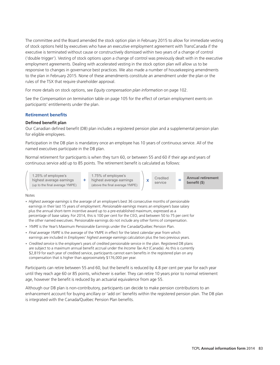The committee and the Board amended the stock option plan in February 2015 to allow for immediate vesting of stock options held by executives who have an executive employment agreement with TransCanada if the executive is terminated without cause or constructively dismissed within two years of a change of control ('double trigger'). Vesting of stock options upon a change of control was previously dealt with in the executive employment agreements. Dealing with accelerated vesting in the stock option plan will allow us to be responsive to changes in governance best practices. We also made a number of housekeeping amendments to the plan in February 2015. None of these amendments constitute an amendment under the plan or the rules of the TSX that require shareholder approval.

For more details on stock options, see *Equity compensation plan information* on page 102.

See the *Compensation on termination* table on page 105 for the effect of certain employment events on participants' entitlements under the plan.

### **Retirement benefits**

#### **Defined benefit plan**

Our Canadian defined benefit (DB) plan includes a registered pension plan and a supplemental pension plan for eligible employees.

Participation in the DB plan is mandatory once an employee has 10 years of continuous service. All of the named executives participate in the DB plan.

Normal retirement for participants is when they turn 60, or between 55 and 60 if their age and years of continuous service add up to 85 points. The retirement benefit is calculated as follows:

1.25% of employee's highest average earnings (up to the final average YMPE)

1.75% of employee's  $+$  highest average earnings  $\begin{vmatrix} x & c \end{vmatrix}$   $\begin{vmatrix} x & c \end{vmatrix}$   $\begin{vmatrix} z \end{vmatrix}$   $\begin{vmatrix} z \end{vmatrix}$   $\begin{vmatrix} z \end{vmatrix}$   $\begin{vmatrix} z \end{vmatrix}$   $\begin{vmatrix} z \end{vmatrix}$   $\begin{vmatrix} z \end{vmatrix}$   $\begin{vmatrix} z \end{vmatrix}$   $\begin{vmatrix} z \end{vmatrix}$   $\begin{vmatrix} z \end{vmatrix}$   $\begin{vmatrix} z \end{vm$ (above the final average YMPE)

x service

**Annual retirement benefit (\$)**

16MAR201518371158

#### Notes

- *Highest average earnings* is the average of an employee's best 36 consecutive months of pensionable earnings in their last 15 years of employment. *Pensionable earnings* means an employee's base salary plus the annual short-term incentive award up to a pre-established maximum, expressed as a percentage of base salary. For 2014, this is 100 per cent for the CEO, and between 50 to 75 per cent for the other named executives. Pensionable earnings do not include any other forms of compensation.
- *YMPE* is the Year's Maximum Pensionable Earnings under the Canada/Québec Pension Plan.
- Final average YMPE is the average of the YMPE in effect for the latest calendar year from which earnings are included in *Employees' highest average earnings* calculation plus the two previous years.
- *Credited service* is the employee's years of credited pensionable service in the plan. Registered DB plans •are subject to a maximum annual benefit accrual under the *Income Tax Act* (Canada). As this is currently \$2,819 for each year of credited service, participants cannot earn benefits in the registered plan on any compensation that is higher than approximately \$176,000 per year.

Participants can retire between 55 and 60, but the benefit is reduced by 4.8 per cent per year for each year until they reach age 60 or 85 points, whichever is earlier. They can retire 10 years prior to normal retirement age, however the benefit is reduced by an actuarial equivalence from age 55.

Although our DB plan is non-contributory, participants can decide to make pension contributions to an enhancement account for buying ancillary or 'add on' benefits within the registered pension plan. The DB plan is integrated with the Canada/Québec Pension Plan benefits.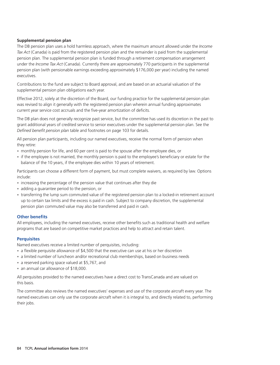# **Supplemental pension plan**

The DB pension plan uses a hold harmless approach, where the maximum amount allowed under the *Income Tax Act* (Canada) is paid from the registered pension plan and the remainder is paid from the supplemental pension plan. The supplemental pension plan is funded through a retirement compensation arrangement under the *Income Tax Act* (Canada). Currently there are approximately 770 participants in the supplemental pension plan (with pensionable earnings exceeding approximately \$176,000 per year) including the named executives.

Contributions to the fund are subject to Board approval, and are based on an actuarial valuation of the supplemental pension plan obligations each year.

Effective 2012, solely at the discretion of the Board, our funding practice for the supplemental pension plan was revised to align it generally with the registered pension plan wherein annual funding approximates current year service cost accruals and the five-year amortization of deficits.

The DB plan does not generally recognize past service, but the committee has used its discretion in the past to grant additional years of credited service to senior executives under the supplemental pension plan. See the *Defined benefit pension plan* table and footnotes on page 103 for details.

All pension plan participants, including our named executives, receive the normal form of pension when they retire:

- monthly pension for life, and 60 per cent is paid to the spouse after the employee dies, or
- if the employee is not married, the monthly pension is paid to the employee's beneficiary or estate for the balance of the 10 years, if the employee dies within 10 years of retirement.

Participants can choose a different form of payment, but must complete waivers, as required by law. Options include:

- increasing the percentage of the pension value that continues after they die
- adding a guarantee period to the pension, or
- transferring the lump sum commuted value of the registered pension plan to a locked-in retirement account up to certain tax limits and the excess is paid in cash. Subject to company discretion, the supplemental pension plan commuted value may also be transferred and paid in cash.

# **Other benefits**

All employees, including the named executives, receive other benefits such as traditional health and welfare programs that are based on competitive market practices and help to attract and retain talent.

# **Perquisites**

Named executives receive a limited number of perquisites, including:

- a flexible perquisite allowance of \$4,500 that the executive can use at his or her discretion
- a limited number of luncheon and/or recreational club memberships, based on business needs
- a reserved parking space valued at \$5,767, and
- an annual car allowance of \$18,000.

All perquisites provided to the named executives have a direct cost to TransCanada and are valued on this basis.

The committee also reviews the named executives' expenses and use of the corporate aircraft every year. The named executives can only use the corporate aircraft when it is integral to, and directly related to, performing their jobs.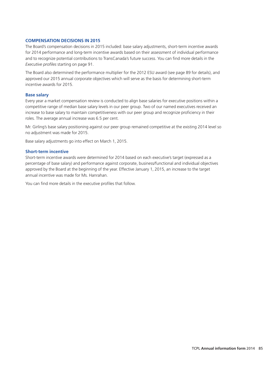# **COMPENSATION DECISIONS IN 2015**

The Board's compensation decisions in 2015 included: base salary adjustments, short-term incentive awards for 2014 performance and long-term incentive awards based on their assessment of individual performance and to recognize potential contributions to TransCanada's future success. You can find more details in the *Executive profiles* starting on page 91.

The Board also determined the performance multiplier for the 2012 ESU award (see page 89 for details), and approved our 2015 annual corporate objectives which will serve as the basis for determining short-term incentive awards for 2015.

### **Base salary**

Every year a market compensation review is conducted to align base salaries for executive positions within a competitive range of median base salary levels in our peer group. Two of our named executives received an increase to base salary to maintain competitiveness with our peer group and recognize proficiency in their roles. The average annual increase was 6.5 per cent.

Mr. Girling's base salary positioning against our peer group remained competitive at the existing 2014 level so no adjustment was made for 2015.

Base salary adjustments go into effect on March 1, 2015.

#### **Short-term incentive**

Short-term incentive awards were determined for 2014 based on each executive's target (expressed as a percentage of base salary) and performance against corporate, business/functional and individual objectives approved by the Board at the beginning of the year. Effective January 1, 2015, an increase to the target annual incentive was made for Ms. Hanrahan.

You can find more details in the executive profiles that follow.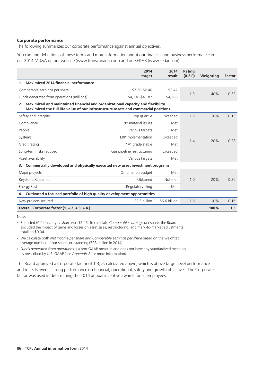#### **Corporate performance**

The following summarizes our corporate performance against annual objectives.

You can find definitions of these terms and more information about our financial and business performance in our 2014 MD&A on our website (www.transcanada.com) and on SEDAR (www.sedar.com).

|                                                                                                                                                                             | 2014<br>target             | 2014<br>result | Rating<br>$(0-2.0)$ | Weighting | Factor |
|-----------------------------------------------------------------------------------------------------------------------------------------------------------------------------|----------------------------|----------------|---------------------|-----------|--------|
| <b>Maximized 2014 financial performance</b><br>1.                                                                                                                           |                            |                |                     |           |        |
| Comparable earnings per share                                                                                                                                               | \$2.30-\$2.40              | \$2.42         | 1.3                 |           |        |
| Funds generated from operations (millions)                                                                                                                                  | \$4,116-\$4,187            | \$4,268        |                     | 40%       | 0.52   |
| Maximized and maintained financial and organizational capacity and flexibility<br>2.<br>Maximized the full life value of our infrastructure assets and commercial positions |                            |                |                     |           |        |
| Safety and integrity                                                                                                                                                        | Top quartile               | Exceeded       | 1.5                 | 10%       | 0.15   |
| Compliance                                                                                                                                                                  | No material issues         | Met            |                     |           |        |
| People                                                                                                                                                                      | Various targets            | Met            |                     |           |        |
| Systems                                                                                                                                                                     | ERP implementation         | Exceeded       |                     | 20%       | 0.28   |
| Credit rating                                                                                                                                                               | "A" grade stable           | Met            | 1.4                 |           |        |
| Long-term risks reduced                                                                                                                                                     | Gas pipeline restructuring | Exceeded       |                     |           |        |
| Asset availability                                                                                                                                                          | Various targets            | Met            |                     |           |        |
| Commercially developed and physically executed new asset investment programs<br>3.                                                                                          |                            |                |                     |           |        |
| Major projects                                                                                                                                                              | On time, on budget         | Met            |                     |           |        |
| Keystone XL permit                                                                                                                                                          | Obtained                   | Not met        | 1.0                 | 20%       | 0.20   |
| <b>Energy East</b>                                                                                                                                                          | Regulatory filing          | Met            |                     |           |        |
| Cultivated a focused portfolio of high quality development opportunities<br>4.                                                                                              |                            |                |                     |           |        |
| New projects secured                                                                                                                                                        | \$2.5 billion              | \$6.6 billion  | 1.6                 | 10%       | 0.16   |
| Overall Corporate factor $(1. + 2. + 3. + 4.)$                                                                                                                              |                            |                |                     | 100%      | 1.3    |

Notes

• Reported *Net income per share* was \$2.46. To calculate *Comparable earnings per share*, the Board excluded the impact of gains and losses on asset sales, restructuring, and mark-to-market adjustments totalling \$0.04.

We calculate both *Net income per share* and *Comparable earnings per share* based on the weighted • average number of our shares outstanding (708 million in 2014).

*Funds generated from operations* is a non-GAAP measure and does not have any standardized meaning •as prescribed by U.S. GAAP (see *Appendix B* for more information).

The Board approved a Corporate factor of 1.3, as calculated above, which is above target level performance and reflects overall strong performance on financial, operational, safety and growth objectives. The Corporate factor was used in determining the 2014 annual incentive awards for all employees.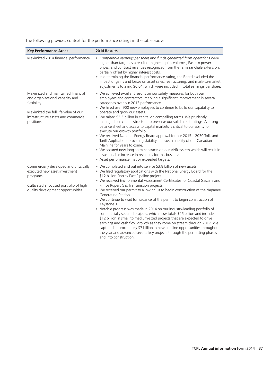The following provides context for the performance ratings in the table above:

| <b>Key Performance Areas</b>                                                                                                                                                      | 2014 Results                                                                                                                                                                                                                                                                                                                                                                                                                                                                                                                                                                                                                                                                                                                                                                                                                                                                                                                                                                                                                   |
|-----------------------------------------------------------------------------------------------------------------------------------------------------------------------------------|--------------------------------------------------------------------------------------------------------------------------------------------------------------------------------------------------------------------------------------------------------------------------------------------------------------------------------------------------------------------------------------------------------------------------------------------------------------------------------------------------------------------------------------------------------------------------------------------------------------------------------------------------------------------------------------------------------------------------------------------------------------------------------------------------------------------------------------------------------------------------------------------------------------------------------------------------------------------------------------------------------------------------------|
| Maximized 2014 financial performance                                                                                                                                              | • Comparable earnings per share and funds generated from operations were<br>higher than target as a result of higher liquids volumes, Eastern power<br>prices, and contract revenues recognized from the Tamazanchale extension,<br>partially offset by higher interest costs.<br>• In determining the financial performance rating, the Board excluded the<br>impact of gains and losses on asset sales, restructuring, and mark-to-market<br>adjustments totaling \$0.04, which were included in total earnings per share.                                                                                                                                                                                                                                                                                                                                                                                                                                                                                                   |
| Maximized and maintained financial<br>and organizational capacity and<br>flexibility<br>Maximized the full life value of our<br>infrastructure assets and commercial<br>positions | • We achieved excellent results on our safety measures for both our<br>employees and contractors, marking a significant improvement in several<br>categories over our 2013 performance.<br>• We hired over 900 new employees to continue to build our capability to<br>operate and grow our assets.<br>• We raised \$2.5 billion in capital on compelling terms. We prudently<br>managed our capital structure to preserve our solid credit ratings. A strong<br>balance sheet and access to capital markets is critical to our ability to<br>execute our growth portfolio.<br>• We received National Energy Board approval for our 2015 - 2030 Tolls and<br>Tariff Application, providing stability and sustainability of our Canadian<br>Mainline for years to come.<br>• We secured new long-term contracts on our ANR system which will result in<br>a sustainable increase in revenues for this business.<br>• Asset performance met or exceeded targets.                                                                 |
| Commercially developed and physically<br>executed new asset investment<br>programs<br>Cultivated a focused portfolio of high<br>quality development opportunities                 | • We completed and put into service \$3.8 billion of new assets.<br>• We filed regulatory applications with the National Energy Board for the<br>\$12 billion Energy East Pipeline project.<br>• We received Environmental Assessment Certificates for Coastal GasLink and<br>Prince Rupert Gas Transmission projects.<br>• We received our permit to allowing us to begin construction of the Napanee<br>Generating Station.<br>• We continue to wait for issuance of the permit to begin construction of<br>Keystone XL.<br>• Notable progress was made in 2014 on our industry-leading portfolio of<br>commercially secured projects, which now totals \$46 billion and includes<br>\$12 billion in small to medium-sized projects that are expected to drive<br>earnings and cash flow growth as they come on stream through 2017. We<br>captured approximately \$7 billion in new pipeline opportunities throughout<br>the year and advanced several key projects through the permitting phases<br>and into construction. |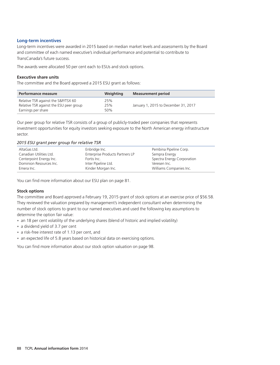## **Long-term incentives**

Long-term incentives were awarded in 2015 based on median market levels and assessments by the Board and committee of each named executive's individual performance and potential to contribute to TransCanada's future success.

The awards were allocated 50 per cent each to ESUs and stock options.

#### **Executive share units**

The committee and the Board approved a 2015 ESU grant as follows:

| Performance measure                                                            | Weighting  | <b>Measurement period</b>            |
|--------------------------------------------------------------------------------|------------|--------------------------------------|
| Relative TSR against the S&P/TSX 60<br>Relative TSR against the ESU peer group | 25%<br>25% | January 1, 2015 to December 31, 2017 |
| Earnings per share                                                             | 50%        |                                      |

Our peer group for relative TSR consists of a group of publicly-traded peer companies that represents investment opportunities for equity investors seeking exposure to the North American energy infrastructure sector.

#### *2015 ESU grant peer group for relative TSR*

| AltaGas Ltd.            | Enbridge Inc.                   | Pembina Pipeline Corp.     |
|-------------------------|---------------------------------|----------------------------|
| Canadian Utilities Ltd. | Enterprise Products Partners LP | Sempra Energy              |
| Centerpoint Energy Inc. | Fortis Inc.                     | Spectra Energy Corporation |
| Dominion Resources Inc. | Inter Pipeline Ltd.             | Veresen Inc.               |
| Emera Inc.              | Kinder Morgan Inc.              | Williams Companies Inc.    |
|                         |                                 |                            |

You can find more information about our ESU plan on page 81.

# **Stock options**

The committee and Board approved a February 19, 2015 grant of stock options at an exercise price of \$56.58. They reviewed the valuation prepared by management's independent consultant when determining the number of stock options to grant to our named executives and used the following key assumptions to determine the option fair value:

- an 18 per cent volatility of the underlying shares (blend of historic and implied volatility)
- a dividend yield of 3.7 per cent
- a risk-free interest rate of 1.13 per cent, and
- an expected life of 5.8 years based on historical data on exercising options.

You can find more information about our stock option valuation on page 98.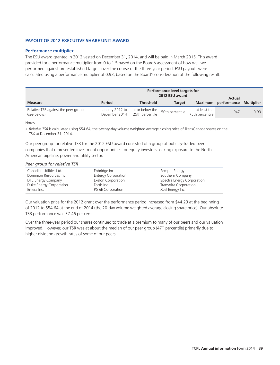#### **PAYOUT OF 2012 EXECUTIVE SHARE UNIT AWARD**

#### **Performance multiplier**

The ESU award granted in 2012 vested on December 31, 2014, and will be paid in March 2015. This award provided for a performance multiplier from 0 to 1.5 based on the Board's assessment of how well we performed against pre-established targets over the course of the three-year period. ESU payouts were calculated using a performance multiplier of 0.93, based on the Board's consideration of the following result:

|                                                    | Performance level targets for<br>2012 ESU award<br>Actual |                                    |                 |                                 |                     |                   |
|----------------------------------------------------|-----------------------------------------------------------|------------------------------------|-----------------|---------------------------------|---------------------|-------------------|
| <b>Measure</b>                                     | Period                                                    | <b>Threshold</b>                   | <b>Target</b>   |                                 | Maximum performance | <b>Multiplier</b> |
| Relative TSR against the peer group<br>(see below) | January 2012 to<br>December 2014                          | at or below the<br>25th percentile | 50th percentile | at least the<br>75th percentile | P47                 | 0.93              |

Notes

*Relative TSR* is calculated using \$54.64, the twenty-day volume weighted average closing price of TransCanada shares on the •TSX at December 31, 2014.

Our peer group for relative TSR for the 2012 ESU award consisted of a group of publicly-traded peer companies that represented investment opportunities for equity investors seeking exposure to the North American pipeline, power and utility sector.

#### *Peer group for relative TSR*

| Canadian Utilities Ltd. | Enbridge Inc.              | Sempra Energy              |
|-------------------------|----------------------------|----------------------------|
| Dominion Resources Inc. | <b>Entergy Corporation</b> | Southern Company           |
| DTE Energy Company      | Exelon Corporation         | Spectra Energy Corporation |
| Duke Energy Corporation | Fortis Inc.                | TransAlta Corporation      |
| Emera Inc.              | PG&E Corporation           | Xcel Energy Inc.           |

Our valuation price for the 2012 grant over the performance period increased from \$44.23 at the beginning of 2012 to \$54.64 at the end of 2014 (the 20-day volume weighted average closing share price). Our absolute TSR performance was 37.46 per cent.

Over the three-year period our shares continued to trade at a premium to many of our peers and our valuation improved. However, our TSR was at about the median of our peer group (47<sup>th</sup> percentile) primarily due to higher dividend growth rates of some of our peers.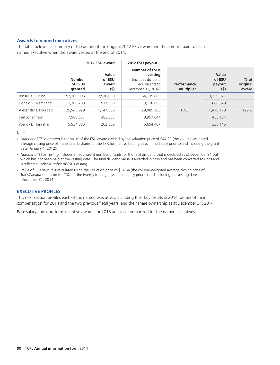#### **Awards to named executives**

The table below is a summary of the details of the original 2012 ESU award and the amount paid to each named executive when the award vested at the end of 2014.

|                       |                                     | 2012 ESU award                  | 2012 ESU payout                                                                                |                           |                                  |                             |
|-----------------------|-------------------------------------|---------------------------------|------------------------------------------------------------------------------------------------|---------------------------|----------------------------------|-----------------------------|
|                       | <b>Number</b><br>of ESUs<br>granted | Value<br>of ESU<br>award<br>(5) | <b>Number of ESUs</b><br>vesting<br>(includes dividend<br>equivalents to<br>December 31, 2014) | Performance<br>multiplier | Value<br>of ESU<br>payout<br>(5) | $%$ of<br>original<br>award |
| Russell K. Girling    | 57.200.995                          | 2,530,000                       | 64,135.869                                                                                     |                           | 3,259,077                        |                             |
| Donald R. Marchand    | 11,700,203                          | 517,500                         | 13,118.693                                                                                     |                           | 666,629                          |                             |
| Alexander J. Pourbaix | 25.943.929                          | 1,147,500                       | 29.089.288                                                                                     | 0.93                      | 1,478,178                        | 129%                        |
| Karl Johannson        | 7.988.537                           | 353.333                         | 8.957.044                                                                                      |                           | 455,154                          |                             |
| Wendy L. Hanrahan     | 5.934.886                           | 262,500                         | 6,654.407                                                                                      |                           | 338,145                          |                             |

Notes

*Number of ESUs granted* is the value of the ESU award divided by the valuation price of \$44.23 (the volume-weighted • average closing price of TransCanada shares on the TSX for the five trading days immediately prior to and including the grant date (January 1, 2012)).

• Number of ESUs vesting includes an equivalent number of units for the final dividend that is declared as of December 31 but which has not been paid at the vesting date. The final dividend value is awarded in cash and has been converted to units and is reflected under *Number of ESUs vesting*.

*Value of ESU payout* is calculated using the valuation price of \$54.64 (the volume-weighted average closing price of •TransCanada shares on the TSX for the twenty trading days immediately prior to and including the vesting date (December 31, 2014)).

#### **EXECUTIVE PROFILES**

This next section profiles each of the named executives, including their key results in 2014, details of their compensation for 2014 and the two previous fiscal years, and their share ownership as at December 31, 2014.

Base salary and long-term incentive awards for 2015 are also summarized for the named executives.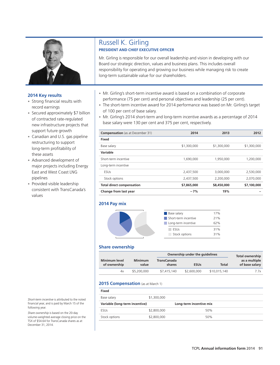

- Strong financial results with
- support future growth • Secured approximately \$7 billion
- Canadian and U.S. gas pipeline **Fixed** these assets
- major projects including Energy East and West Coast LNG
- $consistent with TransCanada's$ values

### Russell K. Girling **PRESIDENT AND CHIEF EXECUTIVE OFFICER**

Mr. Girling is responsible for our overall leadership and vision in developing with our Board our strategic direction, values and business plans. This includes overall responsibility for operating and growing our business while managing risk to create long-term sustainable value for our shareholders.

- Mr. Girling's short-term incentive award is based on a combination of corporate •
- Strong financial results with<br>
record earnings<br>
Free short-term incentive award for 2014 performance was based on Mr. Girling's target<br>
Secured approximately \$7 billion<br>
of 100 per cent of base salary.<br>
Mr. Girling's 2014 •
	- Mr. Girling's 2014 short-term and long-term incentive awards as a percentage of 2014

| support future growth                                  | <b>Compensation</b> (as at December 31) | 2014        | 2013        | 2012        |
|--------------------------------------------------------|-----------------------------------------|-------------|-------------|-------------|
| • Canadian and U.S. gas pipeline                       | <b>Fixed</b>                            |             |             |             |
| restructuring to support<br>long-term profitability of | Base salary                             | \$1,300,000 | \$1,300,000 | \$1,300,000 |
| these assets                                           | Variable                                |             |             |             |
| • Advanced development of                              | Short-term incentive                    | 1,690,000   | 1,950,000   | 1,200,000   |
| major projects including Energy                        | Long-term incentive                     |             |             |             |
| East and West Coast LNG                                | <b>ESUs</b>                             | 2,437,500   | 3,000,000   | 2,530,000   |
| pipelines                                              | Stock options                           | 2,437,500   | 2,200,000   | 2,070,000   |
| • Provided visible leadership                          | <b>Total direct compensation</b>        | \$7,865,000 | \$8,450,000 | \$7,100,000 |
| consistent with TransCanada's                          | Change from last year                   | $-7%$       | 19%         |             |

#### **2014 Pay mix**



#### 16MAR201518371423 Base salary 17% Short-term incentive 21% **Long-term incentive** 62% ESUs 31% Stock options 31%

#### **Share ownership**

|                               |                         | Ownership under the quidelines |             |              | Total ownership                 |
|-------------------------------|-------------------------|--------------------------------|-------------|--------------|---------------------------------|
| Minimum level<br>of ownership | <b>Minimum</b><br>value | <b>TransCanada</b><br>shares   | <b>ESUs</b> | Total        | as a multiple<br>of base salary |
| 4х                            | \$5,200,000             | \$7,415,140                    | \$2,600,000 | \$10,015,140 | 7.7x                            |

#### 2015 Compensation (as at March 1)

| Fixed                          |             |                         |  |
|--------------------------------|-------------|-------------------------|--|
| Base salary                    | \$1,300,000 |                         |  |
| Variable (long-term incentive) |             | Long-term incentive mix |  |
| <b>ESUs</b>                    | \$2,800,000 | 50%                     |  |
| Stock options                  | \$2,800,000 | 50%                     |  |

Short-term incentive is attributed to the noted financial year, and is paid by March 15 of the following year.

Share ownership is based on the 20-day. volume-weighted average closing price on the TSX of \$54.64 for TransCanada shares as at December 31, 2014.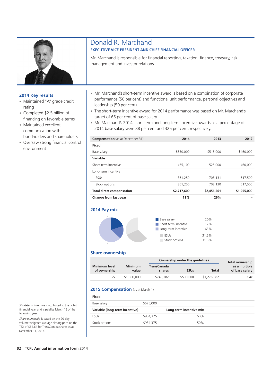

- Maintained "A" grade credit
- Completed \$2.5 billion of
- bondholders and shareholders • Maintained excellent
- Oversaw strong financial control **Fixed** environment

### Donald R. Marchand **EXECUTIVE VICE-PRESIDENT AND CHIEF FINANCIAL OFFICER**

Mr. Marchand is responsible for financial reporting, taxation, finance, treasury, risk management and investor relations.

- Mr. Marchand's short-term incentive award is based on a combination of corporate
- Maintained "A" grade credit<br>
rating<br>
completed \$2.5 billion of<br>
Financing on favorable terms<br>
Maintained overlloat terms<br>
Maintained and the short-term incentive award for 2014 performance was based on Mr. Marchand's<br>
fina
- 2014 base salary were 88 per cent and 325 per cent, respectively. communication with

| <b>Compensation</b> (as at December 31) | 2014        | 2013        | 2012        |
|-----------------------------------------|-------------|-------------|-------------|
| Fixed                                   |             |             |             |
| Base salary                             | \$530,000   | \$515,000   | \$460,000   |
| Variable                                |             |             |             |
| Short-term incentive                    | 465,100     | 525,000     | 460,000     |
| Long-term incentive                     |             |             |             |
| ESUs                                    | 861,250     | 708,131     | 517,500     |
| Stock options                           | 861,250     | 708,130     | 517.500     |
| <b>Total direct compensation</b>        | \$2,717,600 | \$2,456,261 | \$1,955,000 |
| Change from last year                   | 11%         | 26%         |             |

#### **2014 Pay mix**

| <b>Base salary</b>        | 20%   |
|---------------------------|-------|
| Short-term incentive<br>٠ | 17%   |
| Long-term incentive       | 63%   |
| ESUs                      | 31.5% |
| Stock options             | 31.5% |

#### **Share ownership**

|                                      |                         | Ownership under the quidelines |             |             | <b>Total ownership</b>          |
|--------------------------------------|-------------------------|--------------------------------|-------------|-------------|---------------------------------|
| <b>Minimum level</b><br>of ownership | <b>Minimum</b><br>value | <b>TransCanada</b><br>shares   | <b>ESUs</b> | Total       | as a multiple<br>of base salary |
| 2х                                   | \$1,060,000             | \$746,382                      | \$530,000   | \$1,276,382 | 2.4x                            |

#### 2015 Compensation (as at March 1)

| Fixed                          |           |                         |
|--------------------------------|-----------|-------------------------|
| Base salary                    | \$575,000 |                         |
| Variable (long-term incentive) |           | Long-term incentive mix |
| <b>ESUs</b>                    | \$934,375 | 50%                     |
| Stock options                  | \$934,375 | 50%                     |

Short-term incentive is attributed to the noted financial year, and is paid by March 15 of the following year.

Share ownership is based on the 20-day volume-weighted average closing price on the TSX of \$54.64 for TransCanada shares as at December 31, 2014.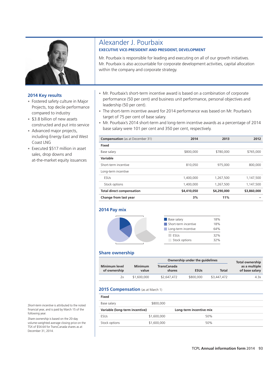

- Fostered safety culture in Major
- \$3.8 billion of new assets
- including Energy East and West Coast LNG • Advanced major projects,
- Coast LNG<br>
 Executed \$517 million in asset sales, drop downs and at-the-market equity issuances

# Alexander J. Pourbaix

#### **EXECUTIVE VICE-PRESIDENT AND PRESIDENT, DEVELOPMENT**

Mr. Pourbaix is responsible for leading and executing on all of our growth initiatives. Mr. Pourbaix is also accountable for corporate development activities, capital allocation within the company and corporate strategy.

- Mr. Pourbaix's short-term incentive award is based on a combination of corporate
- Fostered safety culture in Major<br>Projects, top decile performance<br>compared to industry<br>\$3.8 billion of new assets<br>\$3.8 billion of new assets •
- constructed and put into service **business and interval and service** business and long-term incentive awards as a percentage of 2014<br>Advanced major projects, **and a base salary were 101 per cent and 350 per cent**, respecti

| <b>Compensation</b> (as at December 31) | 2014        | 2013        | 2012        |
|-----------------------------------------|-------------|-------------|-------------|
| Fixed                                   |             |             |             |
| Base salary                             | \$800,000   | \$780,000   | \$765,000   |
| Variable                                |             |             |             |
| Short-term incentive                    | 810,050     | 975,000     | 800,000     |
| Long-term incentive                     |             |             |             |
| <b>ESUs</b>                             | 1,400,000   | 1,267,500   | 1,147,500   |
| Stock options                           | 1,400,000   | 1,267,500   | 1,147,500   |
| <b>Total direct compensation</b>        | \$4,410,050 | \$4,290,000 | \$3,860,000 |
| Change from last year                   | 3%          | 11%         |             |

#### **2014 Pay mix**





#### **Share ownership**

|                               |                         |                              | Ownership under the quidelines |             | <b>Total ownership</b>          |
|-------------------------------|-------------------------|------------------------------|--------------------------------|-------------|---------------------------------|
| Minimum level<br>of ownership | <b>Minimum</b><br>value | <b>TransCanada</b><br>shares | <b>ESUs</b>                    | Total       | as a multiple<br>of base salary |
| 2x                            | \$1,600,000             | \$2,647,472                  | \$800,000                      | \$3,447,472 | 4.3x                            |

#### 2015 Compensation (as at March 1)

| Fixed                          |             |                         |
|--------------------------------|-------------|-------------------------|
| Base salary                    | \$800,000   |                         |
| Variable (long-term incentive) |             | Long-term incentive mix |
| <b>ESUs</b>                    | \$1,600,000 | 50%                     |
| Stock options                  | \$1,600,000 | 50%                     |

Short-term incentive is attributed to the noted financial year, and is paid by March 15 of the following year.

Share ownership is based on the 20-day volume-weighted average closing price on the TSX of \$54.64 for TransCanada shares as at December 31, 2014.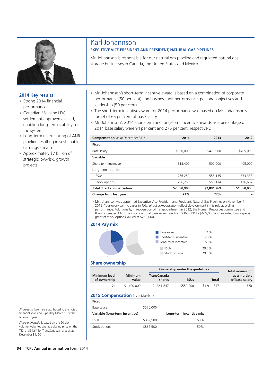

- Strong 2014 financial
- Canadian Mainline LDC
- pipeline resulting in sustainable<br>earnings stream
- strategic low-risk, growth • Approximately \$7 billion of

## Karl Johannson

#### **EXECUTIVE VICE-PRESIDENT AND PRESIDENT, NATURAL GAS PIPELINES**

Mr. Johannson is responsible for our natural gas pipeline and regulated natural gas storage businesses in Canada, the United States and Mexico.

- Mr. Johannson's short-term incentive award is based on a combination of corporate Example 2014 financial<br>
performance (50 per cent) and business unit performance, personal objectives and<br>
performance<br>
Canadian Mainline LDC<br>
The short-term incentive award for 2014 performance was based on Mr. Johannson's
	-
- settlement approved as filed,<br>
enabling long-term stability for Mr. Johannson's 2014 short-term and long-term incentive awards as a percentage of<br>
2014 base salary were 94 per cent and 275 per cent, respectively. •

| • Long-term restructuring of ANR<br>pipeline resulting in sustainable<br>earnings stream<br>• Approximately \$7 billion of<br>strategic low-risk, growth<br>projects | <b>Compensation</b> (as at December 31)* | 2014        | 2013        | 2012        |
|----------------------------------------------------------------------------------------------------------------------------------------------------------------------|------------------------------------------|-------------|-------------|-------------|
|                                                                                                                                                                      | Fixed                                    |             |             |             |
|                                                                                                                                                                      | Base salary                              | \$550,000   | \$475,000   | \$465,000   |
|                                                                                                                                                                      | Variable                                 |             |             |             |
|                                                                                                                                                                      | Short-term incentive                     | 518,400     | 500,000     | 405,000     |
|                                                                                                                                                                      | Long-term incentive                      |             |             |             |
|                                                                                                                                                                      | <b>ESUs</b>                              | 756.250     | 558,135     | 353,333     |
|                                                                                                                                                                      | Stock options                            | 756.250     | 558.134     | 426,667     |
|                                                                                                                                                                      | <b>Total direct compensation</b>         | \$2,580,900 | \$2,091,269 | \$1,650,000 |
|                                                                                                                                                                      | Change from last year                    | 23%         | 27%         |             |

\* Mr. Johannson was appointed Executive Vice-President and President, Natural Gas Pipelines on November 1, 2012. Year-over-year increases in *Total direct compensation* reflect development in his role as well as performance. Additionally, in recognition of his appointment in 2012, the Human Resources committee and Board increased Mr. Johannson's annual base salary rate from \$365,000 to \$465,000 and awarded him a special grant of stock options valued at \$250,000.

#### **2014 Pay mix**



| <b>Base salary</b>   | 21%   |
|----------------------|-------|
| Short-term incentive | 20%   |
| Long-term incentive  | 59%   |
| <b>ESUs</b>          | 29.5% |
| Stock options        | 29.5% |

#### **Share ownership**

|                                      |                         | Ownership under the quidelines |             | Total ownership |                                 |
|--------------------------------------|-------------------------|--------------------------------|-------------|-----------------|---------------------------------|
| <b>Minimum level</b><br>of ownership | <b>Minimum</b><br>value | <b>TransCanada</b><br>shares   | <b>ESUs</b> | Total           | as a multiple<br>of base salary |
| 2x                                   | \$1,100,000             | \$1,361,847                    | \$550,000   | \$1,911,847     | 3.5x                            |

#### 2015 Compensation (as at March 1)

| <b>Fixed</b>                   |           |                         |  |
|--------------------------------|-----------|-------------------------|--|
| Base salary                    | \$575,000 |                         |  |
| Variable (long-term incentive) |           | Long-term incentive mix |  |
| <b>ESUs</b>                    | \$862,500 | 50%                     |  |
| Stock options                  | \$862,500 | 50%                     |  |

Short-term incentive is attributed to the noted financial year, and is paid by March 15 of the following year.

Share ownership is based on the 20-day. volume-weighted average closing price on the TSX of \$54.64 for TransCanada shares as at December 31, 2014.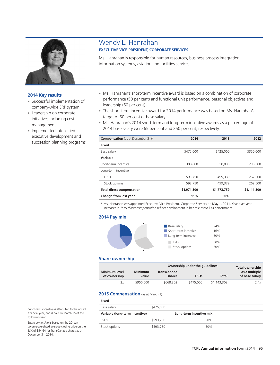

- Successful implementation of
- 
- executive development and succession planning programs · Implemented intensified

### Wendy L. Hanrahan **EXECUTIVE VICE-PRESIDENT, CORPORATE SERVICES**

Ms. Hanrahan is responsible for human resources, business process integration, information systems, aviation and facilities services.

- Ms. Hanrahan's short-term incentive award is based on a combination of corporate
- Successful implementation of<br>
company-wide ERP system<br>
Leadership on corporate<br>
initiatives including cost<br>
initiatives including cost<br> **EXP system**<br> **EXP system**<br> **EXP system**<br> **EXP system**<br> **EXP system**<br> **EXP system**<br> **E** • The short-term incentive award for 2014 performance was based on Ms. Hanrahan's
	- Ms. Hanrahan's 2014 short-term and long-term incentive awards as a percentage of

| <b>Compensation</b> (as at December 31)* | 2014        | 2013        | 2012        |
|------------------------------------------|-------------|-------------|-------------|
| Fixed                                    |             |             |             |
| Base salary                              | \$475,000   | \$425,000   | \$350,000   |
| Variable                                 |             |             |             |
| Short-term incentive                     | 308,800     | 350,000     | 236,300     |
| Long-term incentive                      |             |             |             |
| ESUs                                     | 593,750     | 499,380     | 262,500     |
| Stock options                            | 593.750     | 499.379     | 262,500     |
| <b>Total direct compensation</b>         | \$1,971,300 | \$1,773,759 | \$1,111,300 |
| Change from last year                    | 11%         | 60%         |             |

\* Ms. Hanrahan was appointed Executive Vice-President, Corporate Services on May 1, 2011. Year-over-year increases in *Total direct compensation* reflect development in her role as well as performance.

#### **2014 Pay mix**



| <b>Base salary</b>   | 24% |
|----------------------|-----|
| Short-term incentive | 16% |
| Long-term incentive  | 60% |
| <b>FSLIS</b>         | 30% |
| Stock options        | 30% |

#### **Share ownership**

|                               |                         |                              | Ownership under the quidelines |             | <b>Total ownership</b>          |
|-------------------------------|-------------------------|------------------------------|--------------------------------|-------------|---------------------------------|
| Minimum level<br>of ownership | <b>Minimum</b><br>value | <b>TransCanada</b><br>shares | <b>ESUs</b>                    | Total       | as a multiple<br>of base salary |
| 2x                            | \$950,000               | \$668,302                    | \$475,000                      | \$1,143,302 | 2.4x                            |

#### 2015 Compensation (as at March 1)

| Fixed                          |           |                         |
|--------------------------------|-----------|-------------------------|
| Base salary                    | \$475,000 |                         |
| Variable (long-term incentive) |           | Long-term incentive mix |
| <b>ESUs</b>                    | \$593,750 | 50%                     |
| Stock options                  | \$593,750 | 50%                     |
|                                |           |                         |

Short-term incentive is attributed to the noted financial year, and is paid by March 15 of the following year.

Share ownership is based on the 20-day. volume-weighted average closing price on the TSX of \$54.64 for TransCanada shares as at December 31, 2014.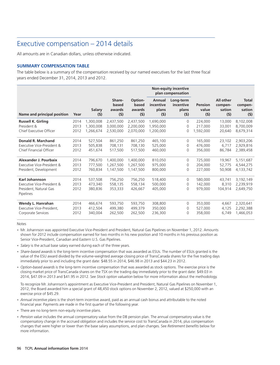### Executive compensation – 2014 details

All amounts are in Canadian dollars, unless otherwise indicated.

#### **SUMMARY COMPENSATION TABLE**

The table below is a summary of the compensation received by our named executives for the last three fiscal years ended December 31, 2014, 2013 and 2012.

|                                                                                            |                      |                               |                                  |                                   |                                     | <b>Non-equity incentive</b><br>plan compensation |                               |                                       |                                          |
|--------------------------------------------------------------------------------------------|----------------------|-------------------------------|----------------------------------|-----------------------------------|-------------------------------------|--------------------------------------------------|-------------------------------|---------------------------------------|------------------------------------------|
| Name and principal position                                                                | Year                 | Salary<br>(5)                 | Share-<br>based<br>awards<br>(5) | Option-<br>based<br>awards<br>(5) | Annual<br>incentive<br>plans<br>(5) | Long-term<br>incentive<br>plans<br>(5)           | Pension<br>value<br>(5)       | All other<br>compen-<br>sation<br>(5) | <b>Total</b><br>compen-<br>sation<br>(5) |
| <b>Russell K. Girling</b>                                                                  | 2014                 | 1,300,008                     | 2,437,500                        | 2,437,500                         | 1,690,000                           | 0                                                | 224,000                       | 13,000                                | 8,102,008                                |
| President &                                                                                | 2013                 | 1.300.008                     | 3.000.000                        | 2,200,000                         | 1,950,000                           | 0                                                | 217,000                       | 33,001                                | 8,700,009                                |
| Chief Executive Officer                                                                    | 2012                 | 1.266.674                     | 2.530.000                        | 2.070.000                         | 1,200,000                           | 0                                                | 1.592.000                     | 20,640                                | 8,679,314                                |
| <b>Donald R. Marchand</b>                                                                  | 2014                 | 527,504                       | 861,250                          | 861.250                           | 465,100                             | 0                                                | 165,000                       | 23,102                                | 2,903,206                                |
| Executive Vice-President &                                                                 | 2013                 | 505.838                       | 708.131                          | 708,130                           | 525.000                             | 0                                                | 476,000                       | 6.717                                 | 2,929,816                                |
| Chief Financial Officer                                                                    | 2012                 | 451,674                       | 517,500                          | 517,500                           | 460,000                             | $\Omega$                                         | 356,000                       | 86,784                                | 2,389,458                                |
| Alexander J. Pourbaix                                                                      | 2014                 | 796,670                       | 1,400,000                        | 1,400,000                         | 810,050                             | 0                                                | 725,000                       | 19,967                                | 5,151,687                                |
| Executive Vice-President &                                                                 | 2013                 | 777,500                       | 1,267,500                        | 1,267,500                         | 975,000                             | 0                                                | 204,000                       | 52,775                                | 4,544,275                                |
| President, Development                                                                     | 2012                 | 760,834                       | 1,147,500                        | 1,147,500                         | 800,000                             | $\Omega$                                         | 227,000                       | 50,908                                | 4,133,742                                |
| <b>Karl Johannson</b><br>Executive Vice-President &<br>President, Natural Gas<br>Pipelines | 2014<br>2013<br>2012 | 537,508<br>473,340<br>380,836 | 756,250<br>558,135<br>353,333    | 756,250<br>558.134<br>426.667     | 518,400<br>500,000<br>405,000       | $\Omega$<br>0<br>$\Omega$                        | 580,000<br>142,000<br>979.000 | 43,741<br>8.310<br>104.914            | 3,192,149<br>2,239,919<br>2,649,750      |
| Wendy L. Hanrahan                                                                          | 2014                 | 466.674                       | 593,750                          | 593.750                           | 308,800                             | 0                                                | 353,000                       | 4.667                                 | 2,320,641                                |
| Executive Vice-President,                                                                  | 2013                 | 412,504                       | 499,380                          | 499,379                           | 350,000                             | 0                                                | 527,000                       | 4,125                                 | 2,292,388                                |
| Corporate Services                                                                         | 2012                 | 340,004                       | 262,500                          | 262,500                           | 236,300                             | $\mathbf 0$                                      | 358,000                       | 6,749                                 | 1,466,053                                |

Notes

- Mr. Johannson was appointed Executive Vice-President and President, Natural Gas Pipelines on November 1, 2012. Amounts shown for 2012 include compensation earned for two months in his new position and 10 months in his previous position as Senior Vice-President, Canadian and Eastern U.S. Gas Pipelines.
- *Salary* is the actual base salary earned during each of the three years. •
- *Share-based awards* is the long-term incentive compensation that was awarded as ESUs. The number of ESUs granted is the value of the ESU award divided by the volume-weighted average closing price of TransCanada shares for the five trading days immediately prior to and including the grant date: \$48.55 in 2014, \$46.98 in 2013 and \$44.23 in 2012.
- *Option-based awards* is the long-term incentive compensation that was awarded as stock options. The exercise price is the closing market price of TransCanada shares on the TSX on the trading day immediately prior to the grant date: \$49.03 in 2014, \$47.09 in 2013 and \$41.95 in 2012. See *Stock option valuation* below for more information about the methodology.

To recognize Mr. Johannson's appointment as Executive Vice-President and President, Natural Gas Pipelines on November 1, 2012, the Board awarded him a special grant of 48,450 stock options on November 2, 2012, valued at \$250,000 with an exercise price of \$45.29.

- *Annual incentive plans* is the short-term incentive award, paid as an annual cash bonus and attributable to the noted financial year. Payments are made in the first quarter of the following year.
- There are no long-term non-equity incentive plans. •
- *Pension value* includes the annual compensatory value from the DB pension plan. The annual compensatory value is the •compensatory change in the accrued obligation and includes the service cost to TransCanada in 2014, plus compensation changes that were higher or lower than the base salary assumptions, and plan changes. See *Retirement benefits* below for more information.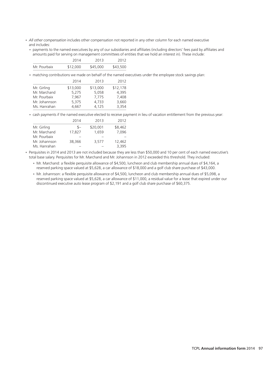- *All other compensation* includes other compensation not reported in any other column for each named executive and includes:
	- payments to the named executives by any of our subsidiaries and affiliates (including directors' fees paid by affiliates and amounts paid for serving on management committees of entities that we hold an interest in). These include:

|              | 2014     | 2013     | 2012     |
|--------------|----------|----------|----------|
| Mr. Pourbaix | \$12,000 | \$45,000 | \$43,500 |

• matching contributions we made on behalf of the named executives under the employee stock savings plan:

|               | 2014     | 2013     | 2012     |
|---------------|----------|----------|----------|
| Mr. Girling   | \$13,000 | \$13,000 | \$12,178 |
| Mr. Marchand  | 5.275    | 5.058    | 4.395    |
| Mr. Pourbaix  | 7.967    | 7.775    | 7.408    |
| Mr. Johannson | 5.375    | 4.733    | 3,660    |
| Ms. Hanrahan  | 4.667    | 4,125    | 3,354    |

cash payments if the named executive elected to receive payment in lieu of vacation entitlement from the previous year: •

|               | 2014   | 2013     | 2012    |
|---------------|--------|----------|---------|
| Mr. Girling   | $S-$   | \$20,001 | \$8,462 |
| Mr. Marchand  | 17,827 | 1.659    | 7.096   |
| Mr. Pourbaix  |        |          |         |
| Mr. Johannson | 38,366 | 3.577    | 12.462  |
| Ms. Hanrahan  |        |          | 3.395   |

• Perquisites in 2014 and 2013 are not included because they are less than \$50,000 and 10 per cent of each named executive's total base salary. Perquisites for Mr. Marchand and Mr. Johannson in 2012 exceeded this threshold. They included:

- Mr. Marchand: a flexible perquisite allowance of \$4,500, luncheon and club membership annual dues of \$4,164, a reserved parking space valued at \$5,628, a car allowance of \$18,000 and a golf club share purchase of \$43,000.
- Mr. Johannson: a flexible perquisite allowance of \$4,500, luncheon and club membership annual dues of \$5,098, a •reserved parking space valued at \$5,628, a car allowance of \$11,000, a residual value for a lease that expired under our discontinued executive auto lease program of \$2,191 and a golf club share purchase of \$60,375.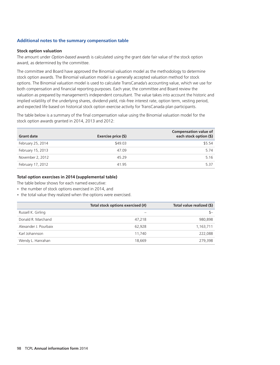#### **Additional notes to the summary compensation table**

#### **Stock option valuation**

The amount under *Option-based awards* is calculated using the grant date fair value of the stock option award, as determined by the committee.

The committee and Board have approved the Binomial valuation model as the methodology to determine stock option awards. The Binomial valuation model is a generally accepted valuation method for stock options. The Binomial valuation model is used to calculate TransCanada's accounting value, which we use for both compensation and financial reporting purposes. Each year, the committee and Board review the valuation as prepared by management's independent consultant. The value takes into account the historic and implied volatility of the underlying shares, dividend yield, risk-free interest rate, option term, vesting period, and expected life based on historical stock option exercise activity for TransCanada plan participants.

The table below is a summary of the final compensation value using the Binomial valuation model for the stock option awards granted in 2014, 2013 and 2012:

| <b>Grant date</b> | Exercise price (\$) | <b>Compensation value of</b><br>each stock option (\$) |
|-------------------|---------------------|--------------------------------------------------------|
| February 25, 2014 | \$49.03             | \$5.54                                                 |
| February 15, 2013 | 47.09               | 5.74                                                   |
| November 2, 2012  | 45.29               | 5.16                                                   |
| February 17, 2012 | 41.95               | 5.37                                                   |

#### **Total option exercises in 2014 (supplemental table)**

The table below shows for each named executive:

- the number of stock options exercised in 2014, and
- the total value they realized when the options were exercised.

|                       | Total stock options exercised (#) | Total value realized (\$) |
|-----------------------|-----------------------------------|---------------------------|
| Russell K. Girling    |                                   | $S-$                      |
| Donald R. Marchand    | 47.218                            | 980,898                   |
| Alexander J. Pourbaix | 62.928                            | 1,163,711                 |
| Karl Johannson        | 11.740                            | 222.088                   |
| Wendy L. Hanrahan     | 18.669                            | 279,398                   |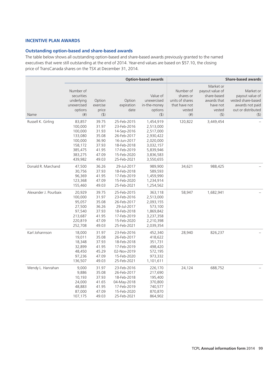#### **INCENTIVE PLAN AWARDS**

#### **Outstanding option-based and share-based awards**

The table below shows all outstanding option-based and share-based awards previously granted to the named executives that were still outstanding at the end of 2014. Year-end values are based on \$57.10, the closing price of TransCanada shares on the TSX at December 31, 2014.

|                       | <b>Option-based awards</b>                                                                     |                                                                               |                                                                                                                                     | <b>Share-based awards</b>                                                                                         |                                                                                |                                                                                             |                                                                                                        |
|-----------------------|------------------------------------------------------------------------------------------------|-------------------------------------------------------------------------------|-------------------------------------------------------------------------------------------------------------------------------------|-------------------------------------------------------------------------------------------------------------------|--------------------------------------------------------------------------------|---------------------------------------------------------------------------------------------|--------------------------------------------------------------------------------------------------------|
| Name                  | Number of<br>securities<br>underlying<br>unexercised<br>options<br>$($ # $)$                   | Option<br>exercise<br>price<br>$($ \$)                                        | Option<br>expiration<br>date                                                                                                        | Value of<br>unexercised<br>in-the-money<br>options<br>$($ \$)                                                     | Number of<br>shares or<br>units of shares<br>that have not<br>vested<br>$(\#)$ | Market or<br>payout value of<br>share-based<br>awards that<br>have not<br>vested<br>$($ \$) | Market or<br>payout value of<br>vested share-based<br>awards not paid<br>out or distributed<br>$($ \$) |
| Russell K. Girling    | 83,857<br>100,000<br>100,000<br>133,080<br>100,000<br>158,172<br>385,475<br>383,275<br>439,982 | 39.75<br>31.97<br>31.93<br>35.08<br>36.90<br>37.93<br>41.95<br>47.09<br>49.03 | 25-Feb-2015<br>23-Feb-2016<br>14-Sep-2016<br>26-Feb-2017<br>16-Jun-2017<br>18-Feb-2018<br>17-Feb-2019<br>15-Feb-2020<br>25-Feb-2021 | 1,454,919<br>2,513,000<br>2,517,000<br>2,930,422<br>2,020,000<br>3,032,157<br>5,839,946<br>3,836,583<br>3,550,655 | 120,822                                                                        | 3,449,454                                                                                   |                                                                                                        |
| Donald R. Marchand    | 47,500<br>30,756<br>96,369<br>123,368<br>155,460                                               | 36.26<br>37.93<br>41.95<br>47.09<br>49.03                                     | 29-Jul-2017<br>18-Feb-2018<br>17-Feb-2019<br>15-Feb-2020<br>25-Feb-2021                                                             | 989,900<br>589,593<br>1,459,990<br>1,234,914<br>1,254,562                                                         | 34,621                                                                         | 988,425                                                                                     |                                                                                                        |
| Alexander J. Pourbaix | 20,929<br>100,000<br>95,057<br>27,500<br>97,540<br>213,687<br>220,819<br>252,708               | 39.75<br>31.97<br>35.08<br>36.26<br>37.93<br>41.95<br>47.09<br>49.03          | 25-Feb-2015<br>23-Feb-2016<br>26-Feb-2017<br>29-Jul-2017<br>18-Feb-2018<br>17-Feb-2019<br>15-Feb-2020<br>25-Feb-2021                | 363,118<br>2,513,000<br>2,093,155<br>573,100<br>1,869,842<br>3,237,358<br>2,210,398<br>2,039,354                  | 58,947                                                                         | 1,682,941                                                                                   |                                                                                                        |
| Karl Johannson        | 18,000<br>19,011<br>18,348<br>32,899<br>48,450<br>97,236<br>136,507                            | 31.97<br>35.08<br>37.93<br>41.95<br>45.29<br>47.09<br>49.03                   | 23-Feb-2016<br>26-Feb-2017<br>18-Feb-2018<br>17-Feb-2019<br>02-Nov-2019<br>15-Feb-2020<br>25-Feb-2021                               | 452,340<br>418,622<br>351,731<br>498,420<br>572,195<br>973,332<br>1,101,611                                       | 28,940                                                                         | 826,237                                                                                     |                                                                                                        |
| Wendy L. Hanrahan     | 9,000<br>9,886<br>10,193<br>24,000<br>48,883<br>87,000<br>107,175                              | 31.97<br>35.08<br>37.93<br>41.65<br>41.95<br>47.09<br>49.03                   | 23-Feb-2016<br>26-Feb-2017<br>18-Feb-2018<br>04-May-2018<br>17-Feb-2019<br>15-Feb-2020<br>25-Feb-2021                               | 226,170<br>217,690<br>195,400<br>370,800<br>740,577<br>870,870<br>864,902                                         | 24,124                                                                         | 688,752                                                                                     |                                                                                                        |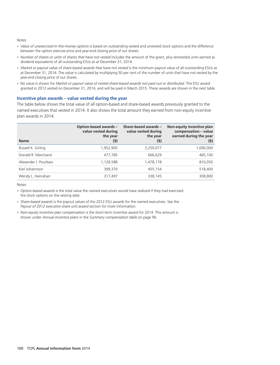#### Notes

- *Value of unexercised in-the-money options* is based on outstanding vested and unvested stock options and the difference between the option exercise price and year-end closing price of our shares.
- *Number of shares or units of shares that have not vested* includes the amount of the grant, plus reinvested units earned as dividend equivalents of all outstanding ESUs as at December 31, 2014.
- *Market or payout value of share-based awards that have not vested* is the minimum payout value of all outstanding ESUs as at December 31, 2014. The value is calculated by multiplying 50 per cent of the number of units that have not vested by the year-end closing price of our shares.
- No value is shown for *Market or payout value of vested share-based awards not paid out or distributed*. The ESU award granted in 2012 vested on December 31, 2014, and will be paid in March 2015. These awards are shown in the next table.

#### **Incentive plan awards – value vested during the year**

The table below shows the total value of all option-based and share-based awards previously granted to the named executives that vested in 2014. It also shows the total amount they earned from non-equity incentive plan awards in 2014.

| <b>Name</b>           | <b>Option-based awards -</b><br>value vested during<br>the year<br>$(5)$ | Share-based awards -<br>value vested during<br>the year<br>(5) | Non-equity incentive plan<br>compensation - value<br>earned during the year<br>$(5)$ |
|-----------------------|--------------------------------------------------------------------------|----------------------------------------------------------------|--------------------------------------------------------------------------------------|
| Russell K. Girling    | 1,952,905                                                                | 3,259,077                                                      | 1,690,000                                                                            |
| Donald R. Marchand    | 477.785                                                                  | 666,629                                                        | 465,100                                                                              |
| Alexander J. Pourbaix | 1,128,588                                                                | 1,478,178                                                      | 810,050                                                                              |
| Karl Johannson        | 399,370                                                                  | 455,154                                                        | 518,400                                                                              |
| Wendy L. Hanrahan     | 317,497                                                                  | 338,145                                                        | 308,800                                                                              |

Notes

- Option-based awards is the total value the named executives would have realized if they had exercised the stock options on the vesting date.
- *Share-based awards* is the payout values of the 2012 ESU awards for the named executives. See the *Payout of 2012 executive share unit award* section for more information.
- *Non-equity incentive plan compensation* is the short-term incentive award for 2014. This amount is •shown under *Annual incentive plans* in the *Summary compensation table* on page 96.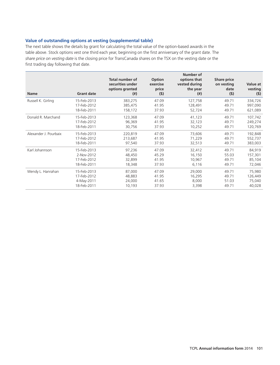#### **Value of outstanding options at vesting (supplemental table)**

The next table shows the details by grant for calculating the total value of the option-based awards in the table above. Stock options vest one third each year, beginning on the first anniversary of the grant date. The *share price on vesting date* is the closing price for TransCanada shares on the TSX on the vesting date or the first trading day following that date.

| <b>Name</b>           | <b>Grant date</b> | <b>Total number of</b><br>securities under<br>options granted<br>$^{(ii)}$ | Option<br>exercise<br>price<br>(5) | Number of<br>options that<br>vested during<br>the year<br>$^{(ii)}$ | <b>Share price</b><br>on vesting<br>date<br>(5) | Value at<br>vesting<br>$(5)$ |
|-----------------------|-------------------|----------------------------------------------------------------------------|------------------------------------|---------------------------------------------------------------------|-------------------------------------------------|------------------------------|
| Russell K. Girling    | 15-Feb-2013       | 383,275                                                                    | 47.09                              | 127,758                                                             | 49.71                                           | 334,726                      |
|                       | 17-Feb-2012       | 385,475                                                                    | 41.95                              | 128,491                                                             | 49.71                                           | 997,090                      |
|                       | 18-Feb-2011       | 158,172                                                                    | 37.93                              | 52,724                                                              | 49.71                                           | 621,089                      |
| Donald R. Marchand    | 15-Feb-2013       | 123,368                                                                    | 47.09                              | 41,123                                                              | 49.71                                           | 107,742                      |
|                       | 17-Feb-2012       | 96,369                                                                     | 41.95                              | 32,123                                                              | 49.71                                           | 249,274                      |
|                       | 18-Feb-2011       | 30,756                                                                     | 37.93                              | 10,252                                                              | 49.71                                           | 120,769                      |
| Alexander J. Pourbaix | 15-Feb-2013       | 220,819                                                                    | 47.09                              | 73,606                                                              | 49.71                                           | 192,848                      |
|                       | 17-Feb-2012       | 213,687                                                                    | 41.95                              | 71,229                                                              | 49.71                                           | 552,737                      |
|                       | 18-Feb-2011       | 97,540                                                                     | 37.93                              | 32,513                                                              | 49.71                                           | 383,003                      |
| Karl Johannson        | 15-Feb-2013       | 97,236                                                                     | 47.09                              | 32,412                                                              | 49.71                                           | 84,919                       |
|                       | 2-Nov-2012        | 48,450                                                                     | 45.29                              | 16,150                                                              | 55.03                                           | 157,301                      |
|                       | 17-Feb-2012       | 32,899                                                                     | 41.95                              | 10,967                                                              | 49.71                                           | 85,104                       |
|                       | 18-Feb-2011       | 18,348                                                                     | 37.93                              | 6,116                                                               | 49.71                                           | 72,046                       |
| Wendy L. Hanrahan     | 15-Feb-2013       | 87,000                                                                     | 47.09                              | 29,000                                                              | 49.71                                           | 75,980                       |
|                       | 17-Feb-2012       | 48,883                                                                     | 41.95                              | 16,295                                                              | 49.71                                           | 126,449                      |
|                       | 4-May-2011        | 24,000                                                                     | 41.65                              | 8,000                                                               | 51.03                                           | 75,040                       |
|                       | 18-Feb-2011       | 10,193                                                                     | 37.93                              | 3,398                                                               | 49.71                                           | 40,028                       |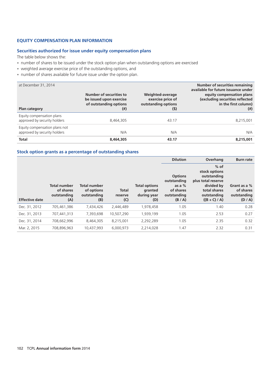#### **EQUITY COMPENSATION PLAN INFORMATION**

#### **Securities authorized for issue under equity compensation plans**

The table below shows the:

- number of shares to be issued under the stock option plan when outstanding options are exercised
- weighted average exercise price of the outstanding options, and
- number of shares available for future issue under the option plan.

| at December 31, 2014<br>Plan category                         | Number of securities to<br>be issued upon exercise<br>of outstanding options<br>$^{(\#)}$ | Weighted-average<br>exercise price of<br>outstanding options<br>$(5)$ | <b>Number of securities remaining</b><br>available for future issuance under<br>equity compensation plans<br>(excluding securities reflected<br>in the first column)<br>$^{(ii)}$ |
|---------------------------------------------------------------|-------------------------------------------------------------------------------------------|-----------------------------------------------------------------------|-----------------------------------------------------------------------------------------------------------------------------------------------------------------------------------|
| Equity compensation plans<br>approved by security holders     | 8,464,305                                                                                 | 43.17                                                                 | 8,215,001                                                                                                                                                                         |
| Equity compensation plans not<br>approved by security holders | N/A                                                                                       | N/A                                                                   | N/A                                                                                                                                                                               |
| <b>Total</b>                                                  | 8,464,305                                                                                 | 43.17                                                                 | 8,215,001                                                                                                                                                                         |

#### **Stock option grants as a percentage of outstanding shares**

|                       |                                                        |                                                         |                                |                                                       | <b>Dilution</b>                                                                | Overhang                                                                                                                     | <b>Burn rate</b>                                  |
|-----------------------|--------------------------------------------------------|---------------------------------------------------------|--------------------------------|-------------------------------------------------------|--------------------------------------------------------------------------------|------------------------------------------------------------------------------------------------------------------------------|---------------------------------------------------|
| <b>Effective date</b> | <b>Total number</b><br>of shares<br>outstanding<br>(A) | <b>Total number</b><br>of options<br>outstanding<br>(B) | <b>Total</b><br>reserve<br>(C) | <b>Total options</b><br>granted<br>during year<br>(D) | <b>Options</b><br>outstanding<br>as a $%$<br>of shares<br>outstanding<br>(B/A) | $%$ of<br>stock options<br>outstanding<br>plus total reserve<br>divided by<br>total shares<br>outstanding<br>$((B + C) / A)$ | Grant as a %<br>of shares<br>outstanding<br>(D/A) |
| Dec. 31, 2012         | 705.461.386                                            | 7.434.426                                               | 2.446.489                      | 1,978,458                                             | 1.05                                                                           | 1.40                                                                                                                         | 0.28                                              |
| Dec. 31, 2013         | 707.441.313                                            | 7,393,698                                               | 10,507,290                     | 1,939,199                                             | 1.05                                                                           | 2.53                                                                                                                         | 0.27                                              |
| Dec. 31, 2014         | 708.662.996                                            | 8.464.305                                               | 8,215,001                      | 2,292,289                                             | 1.05                                                                           | 2.35                                                                                                                         | 0.32                                              |
| Mar. 2, 2015          | 708,896,963                                            | 10,437,993                                              | 6,000,973                      | 2,214,028                                             | 1.47                                                                           | 2.32                                                                                                                         | 0.31                                              |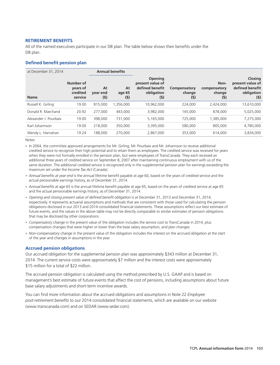#### **RETIREMENT BENEFITS**

All of the named executives participate in our DB plan. The table below shows their benefits under the DB plan.

#### **Defined benefit pension plan**

| at December 31, 2014  | <b>Annual benefits</b>                       |                         |                       |                                                                            |                               |                                       |                                                                              |
|-----------------------|----------------------------------------------|-------------------------|-----------------------|----------------------------------------------------------------------------|-------------------------------|---------------------------------------|------------------------------------------------------------------------------|
| <b>Name</b>           | Number of<br>years of<br>credited<br>service | At<br>year end<br>$(5)$ | At<br>age 65<br>$(5)$ | <b>Opening</b><br>present value of<br>defined benefit<br>obligation<br>(5) | Compensatory<br>change<br>(S) | Non-<br>compensatory<br>change<br>(5) | <b>Closing</b><br>present value of<br>defined benefit<br>obligation<br>$(5)$ |
| Russell K. Girling    | 19.00                                        | 815,000                 | 1,356,000             | 10,962,000                                                                 | 224,000                       | 2.424.000                             | 13,610,000                                                                   |
| Donald R. Marchand    | 20.92                                        | 277,000                 | 443,000               | 3,982,000                                                                  | 165,000                       | 878,000                               | 5,025,000                                                                    |
| Alexander J. Pourbaix | 19.00                                        | 398,000                 | 731,000               | 5,165,000                                                                  | 725,000                       | ,385,000                              | 7,275,000                                                                    |
| Karl Johannson        | 19.00                                        | 218,000                 | 350,000               | 3,395,000                                                                  | 580,000                       | 805,000                               | 4,780,000                                                                    |
| Wendy L. Hanrahan     | 19.24                                        | 188,000                 | 270,000               | 2,867,000                                                                  | 353,000                       | 614,000                               | 3,834,000                                                                    |

Notes

- In 2004, the committee approved arrangements for Mr. Girling, Mr. Pourbaix and Mr. Johannson to receive additional credited service to recognize their high potential and to retain them as employees. The credited service was received for years when they were not formally enrolled in the pension plan, but were employees of TransCanada. They each received an additional three years of credited service on September 8, 2007 after maintaining continuous employment with us of the same duration. The additional credited service is recognized only in the supplemental pension plan for earnings exceeding the maximum set under the *Income Tax Act* (Canada).
- *Annual benefits at year end* is the annual lifetime benefit payable at age 60, based on the years of credited service and the actual pensionable earnings history, as of December 31, 2014.
- *Annual benefits at age 65* is the annual lifetime benefit payable at age 65, based on the years of credited service at age 65 and the actual pensionable earnings history, as of December 31, 2014.
- Opening and closing present value of defined benefit obligation is at December 31, 2013 and December 31, 2014, respectively. It represents actuarial assumptions and methods that are consistent with those used for calculating the pension obligations disclosed in our 2013 and 2014 consolidated financial statements. These assumptions reflect our best estimate of future events, and the values in the above table may not be directly comparable to similar estimates of pension obligations that may be disclosed by other corporations.
- *Compensatory change* in the present value of the obligation includes the service cost to TransCanada in 2014, plus compensation changes that were higher or lower than the base salary assumption, and plan changes.
- Non-compensatory change in the present value of the obligation includes the interest on the accrued obligation at the start of the year and changes in assumptions in the year.

#### **Accrued pension obligations**

Our accrued obligation for the supplemental pension plan was approximately \$343 million at December 31, 2014. The current service costs were approximately \$7 million and the interest costs were approximately \$15 million for a total of \$22 million.

The accrued pension obligation is calculated using the method prescribed by U.S. GAAP and is based on management's best estimate of future events that affect the cost of pensions, including assumptions about future base salary adjustments and short-term incentive awards.

You can find more information about the accrued obligations and assumptions in Note 22 *Employee post-retirement benefits* to our 2014 consolidated financial statements, which are available on our website (www.transcanada.com) and on SEDAR (www.sedar.com).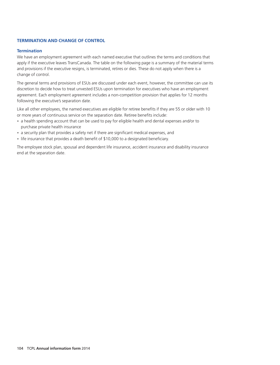#### **TERMINATION AND CHANGE OF CONTROL**

#### **Termination**

We have an employment agreement with each named executive that outlines the terms and conditions that apply if the executive leaves TransCanada. The table on the following page is a summary of the material terms and provisions if the executive resigns, is terminated, retires or dies. These do not apply when there is a change of control.

The general terms and provisions of ESUs are discussed under each event, however, the committee can use its discretion to decide how to treat unvested ESUs upon termination for executives who have an employment agreement. Each employment agreement includes a non-competition provision that applies for 12 months following the executive's separation date.

Like all other employees, the named executives are eligible for retiree benefits if they are 55 or older with 10 or more years of continuous service on the separation date. Retiree benefits include:

- a health spending account that can be used to pay for eligible health and dental expenses and/or to purchase private health insurance
- a security plan that provides a safety net if there are significant medical expenses, and
- life insurance that provides a death benefit of \$10,000 to a designated beneficiary.

The employee stock plan, spousal and dependent life insurance, accident insurance and disability insurance end at the separation date.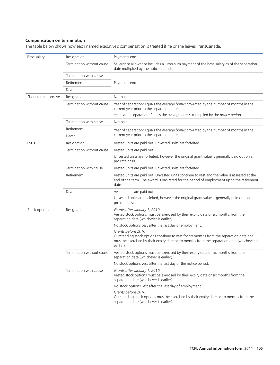#### **Compensation on termination**

The table below shows how each named executive's compensation is treated if he or she leaves TransCanada.

| Base salary          | Resignation               | Payments end.                                                                                                                                                                                                            |  |  |  |
|----------------------|---------------------------|--------------------------------------------------------------------------------------------------------------------------------------------------------------------------------------------------------------------------|--|--|--|
|                      | Termination without cause | Severance allowance includes a lump-sum payment of the base salary as of the separation<br>date multiplied by the notice period.                                                                                         |  |  |  |
|                      | Termination with cause    |                                                                                                                                                                                                                          |  |  |  |
|                      | Retirement                | Payments end.                                                                                                                                                                                                            |  |  |  |
|                      | Death                     |                                                                                                                                                                                                                          |  |  |  |
| Short-term incentive | Resignation               | Not paid.                                                                                                                                                                                                                |  |  |  |
|                      | Termination without cause | Year of separation: Equals the average bonus pro-rated by the number of months in the<br>current year prior to the separation date.                                                                                      |  |  |  |
|                      |                           | Years after separation: Equals the average bonus multiplied by the notice period.                                                                                                                                        |  |  |  |
|                      | Termination with cause    | Not paid.                                                                                                                                                                                                                |  |  |  |
|                      | Retirement                | Year of separation: Equals the average bonus pro-rated by the number of months in the                                                                                                                                    |  |  |  |
|                      | Death                     | current year prior to the separation date.                                                                                                                                                                               |  |  |  |
| <b>ESUs</b>          | Resignation               | Vested units are paid out; unvested units are forfeited.                                                                                                                                                                 |  |  |  |
|                      | Termination without cause | Vested units are paid out.                                                                                                                                                                                               |  |  |  |
|                      |                           | Unvested units are forfeited, however the original grant value is generally paid out on a<br>pro rata basis.                                                                                                             |  |  |  |
|                      | Termination with cause    | Vested units are paid out, unvested units are forfeited.                                                                                                                                                                 |  |  |  |
|                      | Retirement                | Vested units are paid out. Unvested units continue to vest and the value is assessed at the<br>end of the term. The award is pro-rated for the period of employment up to the retirement<br>date.                        |  |  |  |
|                      | Death                     | Vested units are paid out.                                                                                                                                                                                               |  |  |  |
|                      |                           | Unvested units are forfeited, however the original grant value is generally paid out on a<br>pro rata basis.                                                                                                             |  |  |  |
| Stock options        | Resignation               | Grants after January 1, 2010<br>Vested stock options must be exercised by their expiry date or six months from the<br>separation date (whichever is earlier).                                                            |  |  |  |
|                      |                           | No stock options vest after the last day of employment.                                                                                                                                                                  |  |  |  |
|                      |                           | Grants before 2010<br>Outstanding stock options continue to vest for six months from the separation date and<br>must be exercised by their expiry date or six months from the separation date (whichever is<br>earlier). |  |  |  |
|                      | Termination without cause | Vested stock options must be exercised by their expiry date or six months from the<br>separation date (whichever is earlier).                                                                                            |  |  |  |
|                      |                           | No stock options vest after the last day of the notice period.                                                                                                                                                           |  |  |  |
|                      | Termination with cause    | Grants after January 1, 2010<br>Vested stock options must be exercised by their expiry date or six months from the<br>separation date (whichever is earlier).                                                            |  |  |  |
|                      |                           | No stock options vest after the last day of employment.                                                                                                                                                                  |  |  |  |
|                      |                           | Grants before 2010<br>Outstanding stock options must be exercised by their expiry date or six months from the<br>separation date (whichever is earlier).                                                                 |  |  |  |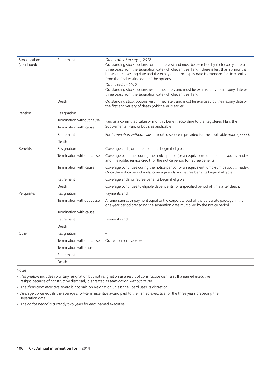| Stock options<br>(continued) | Retirement                | Grants after January 1, 2012<br>Outstanding stock options continue to vest and must be exercised by their expiry date or<br>three years from the separation date (whichever is earlier). If there is less than six months<br>between the vesting date and the expiry date, the expiry date is extended for six months<br>from the final vesting date of the options. |  |  |  |
|------------------------------|---------------------------|----------------------------------------------------------------------------------------------------------------------------------------------------------------------------------------------------------------------------------------------------------------------------------------------------------------------------------------------------------------------|--|--|--|
|                              |                           | Grants before 2012<br>Outstanding stock options vest immediately and must be exercised by their expiry date or<br>three years from the separation date (whichever is earlier).                                                                                                                                                                                       |  |  |  |
|                              | Death                     | Outstanding stock options vest immediately and must be exercised by their expiry date or<br>the first anniversary of death (whichever is earlier).                                                                                                                                                                                                                   |  |  |  |
| Pension                      | Resignation               |                                                                                                                                                                                                                                                                                                                                                                      |  |  |  |
| Termination without cause    |                           | Paid as a commuted value or monthly benefit according to the Registered Plan, the                                                                                                                                                                                                                                                                                    |  |  |  |
|                              | Termination with cause    | Supplemental Plan, or both, as applicable.                                                                                                                                                                                                                                                                                                                           |  |  |  |
| Retirement                   |                           | For termination without cause, credited service is provided for the applicable notice period.                                                                                                                                                                                                                                                                        |  |  |  |
|                              | Death                     |                                                                                                                                                                                                                                                                                                                                                                      |  |  |  |
| <b>Benefits</b>              | Resignation               | Coverage ends, or retiree benefits begin if eligible.                                                                                                                                                                                                                                                                                                                |  |  |  |
|                              | Termination without cause | Coverage continues during the notice period (or an equivalent lump-sum payout is made)<br>and, if eligible, service credit for the notice period for retiree benefits.                                                                                                                                                                                               |  |  |  |
|                              | Termination with cause    | Coverage continues during the notice period (or an equivalent lump-sum payout is made).<br>Once the notice period ends, coverage ends and retiree benefits begin if eligible.                                                                                                                                                                                        |  |  |  |
|                              | Retirement                | Coverage ends, or retiree benefits begin if eligible.                                                                                                                                                                                                                                                                                                                |  |  |  |
|                              | Death                     | Coverage continues to eligible dependents for a specified period of time after death.                                                                                                                                                                                                                                                                                |  |  |  |
| Perquisites                  | Resignation               | Payments end.                                                                                                                                                                                                                                                                                                                                                        |  |  |  |
|                              | Termination without cause | A lump-sum cash payment equal to the corporate cost of the perquisite package in the<br>one-year period preceding the separation date multiplied by the notice period.                                                                                                                                                                                               |  |  |  |
|                              | Termination with cause    |                                                                                                                                                                                                                                                                                                                                                                      |  |  |  |
|                              | Retirement                | Payments end.                                                                                                                                                                                                                                                                                                                                                        |  |  |  |
|                              | Death                     |                                                                                                                                                                                                                                                                                                                                                                      |  |  |  |
| Other                        | Resignation               | $\overline{\phantom{0}}$                                                                                                                                                                                                                                                                                                                                             |  |  |  |
|                              | Termination without cause | Out-placement services.                                                                                                                                                                                                                                                                                                                                              |  |  |  |
|                              | Termination with cause    | -                                                                                                                                                                                                                                                                                                                                                                    |  |  |  |
|                              | Retirement                | $\overline{\phantom{0}}$                                                                                                                                                                                                                                                                                                                                             |  |  |  |
|                              | Death                     | -                                                                                                                                                                                                                                                                                                                                                                    |  |  |  |

Notes

*Resignation* includes voluntary resignation but not resignation as a result of constructive dismissal. If a named executive • resigns because of constructive dismissal, it is treated as *termination without cause.*

- The *short-term incentive* award is not paid on resignation unless the Board uses its discretion.
- *Average bonus* equals the average short-term incentive award paid to the named executive for the three years preceding the separation date.
- The *notice period* is currently two years for each named executive. •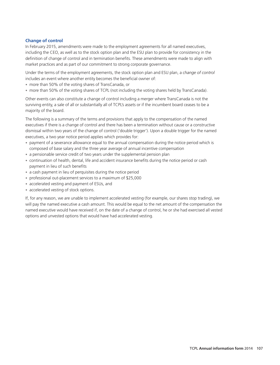#### **Change of control**

In February 2015, amendments were made to the employment agreements for all named executives, including the CEO, as well as to the stock option plan and the ESU plan to provide for consistency in the definition of change of control and in termination benefits. These amendments were made to align with market practices and as part of our commitment to strong corporate governance.

Under the terms of the employment agreements, the stock option plan and ESU plan, a *change of control* includes an event where another entity becomes the beneficial owner of:

- more than 50% of the voting shares of TransCanada, or
- more than 50% of the voting shares of TCPL (not including the voting shares held by TransCanada).

Other events can also constitute a change of control including a merger where TransCanada is not the surviving entity, a sale of all or substantially all of TCPL's assets or if the incumbent board ceases to be a majority of the board.

The following is a summary of the terms and provisions that apply to the compensation of the named executives if there is a change of control and there has been a termination without cause or a constructive dismissal within two years of the change of control ('double trigger'). Upon a double trigger for the named executives, a two year notice period applies which provides for:

- payment of a severance allowance equal to the annual compensation during the notice period which is composed of base salary and the three year average of annual incentive compensation
- a pensionable service credit of two years under the supplemental pension plan
- continuation of health, dental, life and accident insurance benefits during the notice period or cash payment in lieu of such benefits
- a cash payment in lieu of perquisites during the notice period
- professional out-placement services to a maximum of \$25,000 •
- accelerated vesting and payment of ESUs, and
- accelerated vesting of stock options.

If, for any reason, we are unable to implement accelerated vesting (for example, our shares stop trading), we will pay the named executive a cash amount. This would be equal to the net amount of the compensation the named executive would have received if, on the date of a change of control, he or she had exercised all vested options and unvested options that would have had accelerated vesting.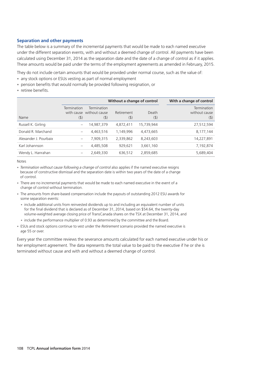#### **Separation and other payments**

The table below is a summary of the incremental payments that would be made to each named executive under the different separation events, with and without a deemed change of control. All payments have been calculated using December 31, 2014 as the separation date and the date of a change of control as if it applies. These amounts would be paid under the terms of the employment agreements as amended in February, 2015.

They do not include certain amounts that would be provided under normal course, such as the value of:

- any stock options or ESUs vesting as part of normal employment
- pension benefits that would normally be provided following resignation, or •
- retiree benefits.

|                       | Without a change of control |                                                |                   |                  | With a change of control            |
|-----------------------|-----------------------------|------------------------------------------------|-------------------|------------------|-------------------------------------|
| Name                  | Termination<br>$($ \$       | Termination<br>with cause without cause<br>(5) | Retirement<br>(5) | Death<br>$($ \$) | Termination<br>without cause<br>(5) |
| Russell K. Girling    |                             | 14,987,379                                     | 4,872,411         | 15,739,944       | 27,512,594                          |
| Donald R. Marchand    | $\qquad \qquad -$           | 4,463,516                                      | 1,149,996         | 4,473,665        | 8,177,144                           |
| Alexander J. Pourbaix |                             | 7.909.315                                      | 2,339,862         | 8.243.603        | 14,227,891                          |
| Karl Johannson        | $\qquad \qquad -$           | 4,485,508                                      | 929.621           | 3,661,160        | 7,192,874                           |
| Wendy L. Hanrahan     | $\overline{\phantom{m}}$    | 2,649,330                                      | 636,512           | 2,859,685        | 5,689,404                           |

**Notes** 

- Termination without cause following a change of control also applies if the named executive resigns because of constructive dismissal and the separation date is within two years of the date of a change of control.
- There are no incremental payments that would be made to each named executive in the event of a change of control without termination.
- The amounts from share-based compensation include the payouts of outstanding 2012 ESU awards for some separation events:
- include additional units from reinvested dividends up to and including an equivalent number of units for the final dividend that is declared as of December 31, 2014, based on \$54.64, the twenty-day volume-weighted average closing price of TransCanada shares on the TSX at December 31, 2014, and
- include the performance multiplier of 0.93 as determined by the committee and the Board.
- ESUs and stock options continue to vest under the *Retirement* scenario provided the named executive is •age 55 or over.

Every year the committee reviews the severance amounts calculated for each named executive under his or her employment agreement. The data represents the total value to be paid to the executive if he or she is terminated without cause and with and without a deemed change of control.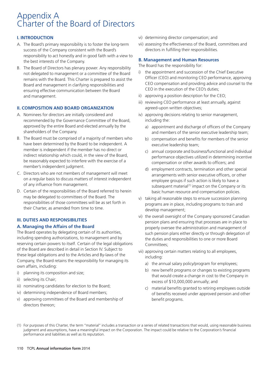## Appendix A Charter of the Board of Directors

#### **I. INTRODUCTION**

- A. The Board's primary responsibility is to foster the long-term vii) assessing the effectiveness of the Board, committees and success of the Company consistent with the Board's directors in fulfilling their responsibilities. responsibility to act honestly and in good faith with a view to the best interests of the Company.
- B. The Board of Directors has plenary power. Any responsibility<br>not delegated to management or a committee of the Board  $\frac{1}{1}$  the appointment and succession of the Chief Executive Board and management in clarifying responsibilities and CEO compensation and providing advice and management in clarifying responsibilities and CEO in the execution of the CEO's duties: ensuring effective communication between the Board and management. in approving a position description for the CEO;

#### **II. COMPOSITION AND BOARD ORGANIZATION**

- A. Nominees for directors are initially considered and iv) approving decisions relating to senior management, recommended by the Governance Committee of the Board, including the: approved by the entire Board and elected annually by the  $\qquad a)$  appointment and discharge of officers of the Company shareholders of the Company. The Company is and members of the senior executive leadership team;
- B. The Board must be comprised of a majority of members who b) compensation and benefits for members of the senior have been determined by the Board to be independent. A executive leadership team;<br>member is independent if the member has no direct or executive applied corporate and busine member is independent if the member has no direct or<br>
indirect relationship which could, in the view of the Board,<br>
be reasonably expected to interfere with the exercise of a<br>
member's independent judgment.<br>
C. Directors w
- 
- D. Certain of the responsibilities of the Board referred to herein basic human resource and compensation policies.

#### **III. DUTIES AND RESPONSIBILITIES**

#### **A. Managing the Affairs of the Board**

The Board operates by delegating certain of its authorities, such pension plans either directly or through delegation of including spending authorizations, to management and by the duties and responsibilities to one or more Board reserving certain powers to itself. Certain of the legal obligations Committees: of the Board are described in detail in Section IV. Subject to<br>
these legal obligations and to the Articles and By-laws of the<br>
Company, the Board retains the responsibility for managing its<br>
own affairs, including:<br>
i) pl

- 
- 
- iii) nominating candidates for election to the Board;  $\overline{c}$  material benefits granted to retiring employees outside
- 
- v) approving committees of the Board and membership of benefit programs. directors thereon;
- vi) determining director compensation; and
- 

#### **B. Management and Human Resources**

- not delegated to management or a committee of the Board and appointment and succession of the Chief Executive<br>Chief (CEO) and monitoring CEO performance, approving remains with the Board. This Charter is prepared to assist the CHIC CEO) and monitoring CEO performance, approving<br>CEO compensation and providing advice and counsel to the
	-
	- iii) reviewing CEO performance at least annually, against agreed-upon written objectives;
	- -
		-
		-
		-
- may be delegated to committees of the Board. The v and their charter, as amended from time to time.<br>
The v and their Charter, as amended from time to time.<br>
their Charter, as amended from time to time.<br>  $\frac{1}{2}$  and  $\frac{1$ 
	- vi) the overall oversight of the Company sponsored Canadian pension plans and ensuring that processes are in place to properly oversee the administration and management of
	- -
		-
- iv) determining independence of Board members; of the net of benefits received under approved pension and other
- (1) For purposes of this Charter, the term ''material'' includes a transaction or a series of related transactions that would, using reasonable business judgment and assumptions, have a meaningful impact on the Corporation. The impact could be relative to the Corporation's financial performance and liabilities as well as its reputation.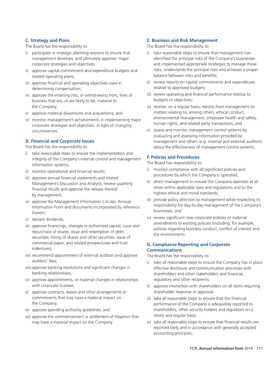The Board has the responsibility to: The Board has the responsibility to:

- 
- related operating plans; related operating plans; related operating plans; related operating plans;
- determining compensation;
- business that are, or are likely to be, material to the Company; the Company; iv) receive, on a regular basis, reports from management on
- 
- vi) monitor management's achievements in implementing major environmental management, employee health and safety,<br>corporate strategies and objectives, in light of changing human rights, and related party transactions; and v) assess and monitor management control systems by circumstances.

#### **D. Financial and Corporate Issues**

- i) take reasonable steps to ensure the implementation and integrity of the Company's internal control and management<br>information systems;<br>monitor compliance with all significant policies and<br>monitor compliance with all significant policies and<br>monitor compliance with all signific
- 
- times within applicable laws and approve the release thereof the financial results and approve the release thereof highest ethical and moral standards; by management;
- iv) approve the Management Information Circular, Annual iii) provide policy direction to management while respecting its<br>Information Form and documents incorporated by reference<br>therein;<br> $\frac{1}{2}$ <br> $\frac{1}{2}$ <br> $\frac{1}{2}$ <br> $\frac{1$
- 
- commercial paper, and related prospectuses and trust indentures;
- vii) recommend appointment of external auditors and approve The Board has the responsibility to:
- viii) approve banking resolutions and significant changes in effective disclosure and communication processes with banking relationships; shareholders and other stakeholders and financial,
- ix) approve appointments, or material changes in relationships regulatory and other recipients; with corporate trustees; in the state of the state of iii) approve interaction with shareholders on all items requiring
- x) approve contracts, leases and other arrangements or shareholder response or approval; commitments that may have a material impact on interestivial take all reasonable steps to ensure that the financial
- 
- timely and regular basis; xii) approve the commencement or settlement of litigation that may have a material impact on the Company. iv) take all reasonable steps to ensure that financial results are

#### **C. Strategy and Plans E. Business and Risk Management**

- i) participate in strategic planning sessions to ensure that i) take reasonable steps to ensure that management has management develops, and ultimately approve, major identified the principal risks of the Company's businesses corporate strategies and objectives; and implemented appropriate strategies to manage these ii) approve capital commitment and expenditure budgets and risks, understands the principal risks and achieves a proper
- iii) approve financial and operating objectives used in **iii** review reports on capital commitments and expenditures determining compensation:
- iv) approve the entering into, or withdrawing from, lines of iii) review operating and financial performance relative to<br>bulgets or objectives;<br>bulgets or objectives;
- v) approve material divestitures and acquisitions; and matters relating to, among others, ethical conduct,
- evaluating and assessing information provided by management and others (e.g. internal and external auditors) The Board has the responsibility to: about the effectiveness of management control systems.

#### **F. Policies and Procedures**

- ii) monitor operational and financial results;<br>iii) approve annual financial statements and related<br>Management to ensure the Company operates at all<br>Management to ensure the Company operates at all
	- Management's Discussion and Analysis, review quarterly iii) direct management to ensure the Company operates at<br>financial results and anarove the release thereof the alleged times within applicable laws and regulations and
		-
- v) declare dividends;<br>vi) approve financings, changes in authorized capital, issue and<br>repurchase of shares, issue and redemption of debt<br>securities. listing of shares and other securities. Sue of<br>the environment).

#### **G. Compliance Reporting and Corporate Communications**

- auditors' fees; in the steps to ensure the Company has in place
	-
- the Company; performance of the Company is adequately reported to xi) approve spending authority guidelines; and shareholders, other security holders and regulators on a
	- reported fairly and in accordance with generally accepted accounting principles;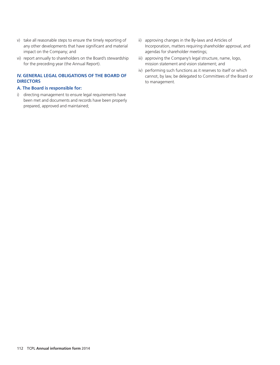- v) take all reasonable steps to ensure the timely reporting of ii) approving changes in the By-laws and Articles of impact on the Company; and agendas for shareholder meetings;
- vi) report annually to shareholders on the Board's stewardship iii) approving the Company's legal structure, name, logo, for the preceding year (the Annual Report). The mission statement and vision statement; and

#### **IV. GENERAL LEGAL OBLIGATIONS OF THE BOARD OF DIRECTORS**

#### **A. The Board is responsible for:**

i) directing management to ensure legal requirements have been met and documents and records have been properly prepared, approved and maintained;

- any other developments that have significant and material Incorporation, matters requiring shareholder approval, and
	-
	- iv) performing such functions as it reserves to itself or which cannot, by law, be delegated to Committees of the Board or to management.